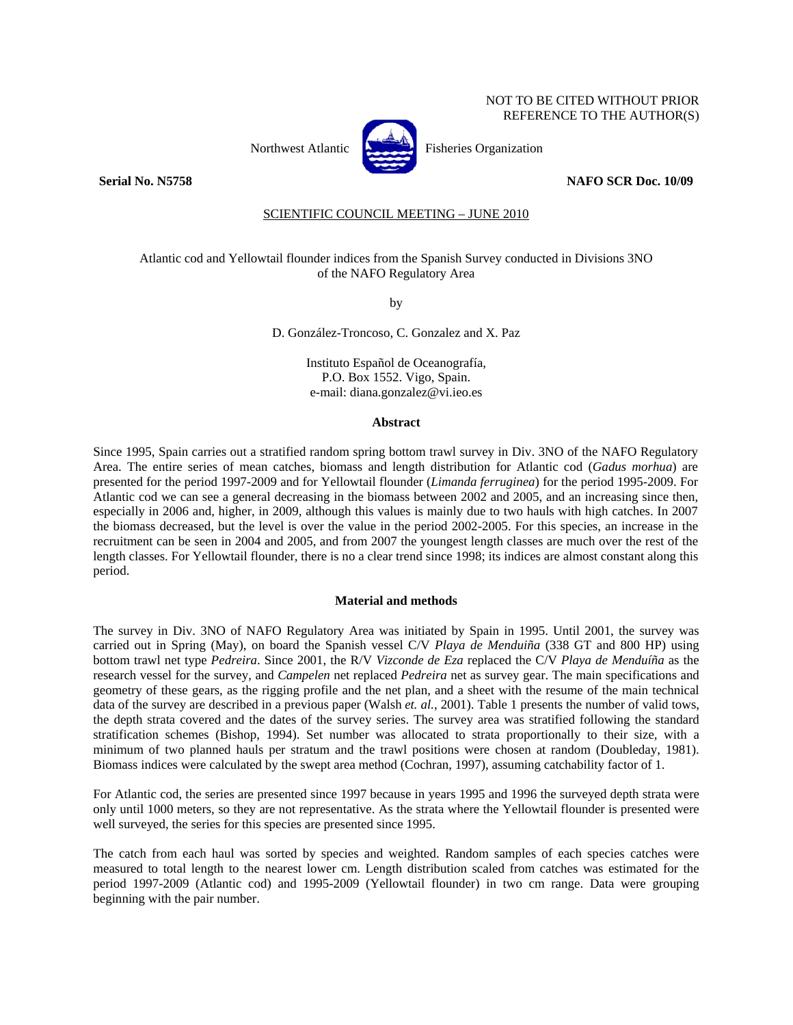# NOT TO BE CITED WITHOUT PRIOR REFERENCE TO THE AUTHOR(S)



Northwest Atlantic **Northuse** Fisheries Organization

### **Serial No. N5758 NAFO SCR Doc. 10/09**

# SCIENTIFIC COUNCIL MEETING – JUNE 2010

## Atlantic cod and Yellowtail flounder indices from the Spanish Survey conducted in Divisions 3NO of the NAFO Regulatory Area

by

D. González-Troncoso, C. Gonzalez and X. Paz

Instituto Español de Oceanografía, P.O. Box 1552. Vigo, Spain. e-mail: diana.gonzalez@vi.ieo.es

#### **Abstract**

Since 1995, Spain carries out a stratified random spring bottom trawl survey in Div. 3NO of the NAFO Regulatory Area. The entire series of mean catches, biomass and length distribution for Atlantic cod (*Gadus morhua*) are presented for the period 1997-2009 and for Yellowtail flounder (*Limanda ferruginea*) for the period 1995-2009. For Atlantic cod we can see a general decreasing in the biomass between 2002 and 2005, and an increasing since then, especially in 2006 and, higher, in 2009, although this values is mainly due to two hauls with high catches. In 2007 the biomass decreased, but the level is over the value in the period 2002-2005. For this species, an increase in the recruitment can be seen in 2004 and 2005, and from 2007 the youngest length classes are much over the rest of the length classes. For Yellowtail flounder, there is no a clear trend since 1998; its indices are almost constant along this period.

#### **Material and methods**

The survey in Div. 3NO of NAFO Regulatory Area was initiated by Spain in 1995. Until 2001, the survey was carried out in Spring (May), on board the Spanish vessel C/V *Playa de Menduiña* (338 GT and 800 HP) using bottom trawl net type *Pedreira*. Since 2001, the R/V *Vizconde de Eza* replaced the C/V *Playa de Menduíña* as the research vessel for the survey, and *Campelen* net replaced *Pedreira* net as survey gear. The main specifications and geometry of these gears, as the rigging profile and the net plan, and a sheet with the resume of the main technical data of the survey are described in a previous paper (Walsh *et. al.*, 2001). Table 1 presents the number of valid tows, the depth strata covered and the dates of the survey series. The survey area was stratified following the standard stratification schemes (Bishop, 1994). Set number was allocated to strata proportionally to their size, with a minimum of two planned hauls per stratum and the trawl positions were chosen at random (Doubleday, 1981). Biomass indices were calculated by the swept area method (Cochran, 1997), assuming catchability factor of 1.

For Atlantic cod, the series are presented since 1997 because in years 1995 and 1996 the surveyed depth strata were only until 1000 meters, so they are not representative. As the strata where the Yellowtail flounder is presented were well surveyed, the series for this species are presented since 1995.

The catch from each haul was sorted by species and weighted. Random samples of each species catches were measured to total length to the nearest lower cm. Length distribution scaled from catches was estimated for the period 1997-2009 (Atlantic cod) and 1995-2009 (Yellowtail flounder) in two cm range. Data were grouping beginning with the pair number.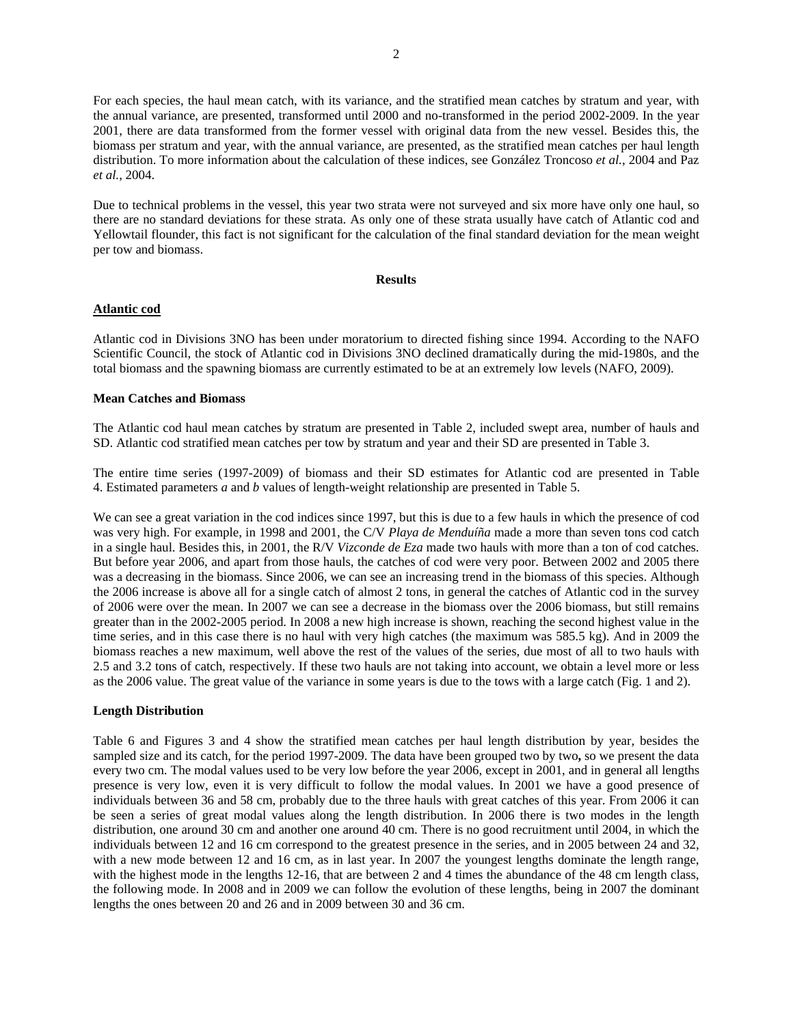For each species, the haul mean catch, with its variance, and the stratified mean catches by stratum and year, with the annual variance, are presented, transformed until 2000 and no-transformed in the period 2002-2009. In the year 2001, there are data transformed from the former vessel with original data from the new vessel. Besides this, the biomass per stratum and year, with the annual variance, are presented, as the stratified mean catches per haul length distribution. To more information about the calculation of these indices, see González Troncoso *et al.*, 2004 and Paz *et al.*, 2004.

Due to technical problems in the vessel, this year two strata were not surveyed and six more have only one haul, so there are no standard deviations for these strata. As only one of these strata usually have catch of Atlantic cod and Yellowtail flounder, this fact is not significant for the calculation of the final standard deviation for the mean weight per tow and biomass.

#### **Results**

## **Atlantic cod**

Atlantic cod in Divisions 3NO has been under moratorium to directed fishing since 1994. According to the NAFO Scientific Council, the stock of Atlantic cod in Divisions 3NO declined dramatically during the mid-1980s, and the total biomass and the spawning biomass are currently estimated to be at an extremely low levels (NAFO, 2009).

## **Mean Catches and Biomass**

The Atlantic cod haul mean catches by stratum are presented in Table 2, included swept area, number of hauls and SD. Atlantic cod stratified mean catches per tow by stratum and year and their SD are presented in Table 3.

The entire time series (1997-2009) of biomass and their SD estimates for Atlantic cod are presented in Table 4. Estimated parameters *a* and *b* values of length-weight relationship are presented in Table 5.

We can see a great variation in the cod indices since 1997, but this is due to a few hauls in which the presence of cod was very high. For example, in 1998 and 2001, the C/V *Playa de Menduíña* made a more than seven tons cod catch in a single haul. Besides this, in 2001, the R/V *Vizconde de Eza* made two hauls with more than a ton of cod catches. But before year 2006, and apart from those hauls, the catches of cod were very poor. Between 2002 and 2005 there was a decreasing in the biomass. Since 2006, we can see an increasing trend in the biomass of this species. Although the 2006 increase is above all for a single catch of almost 2 tons, in general the catches of Atlantic cod in the survey of 2006 were over the mean. In 2007 we can see a decrease in the biomass over the 2006 biomass, but still remains greater than in the 2002-2005 period. In 2008 a new high increase is shown, reaching the second highest value in the time series, and in this case there is no haul with very high catches (the maximum was 585.5 kg). And in 2009 the biomass reaches a new maximum, well above the rest of the values of the series, due most of all to two hauls with 2.5 and 3.2 tons of catch, respectively. If these two hauls are not taking into account, we obtain a level more or less as the 2006 value. The great value of the variance in some years is due to the tows with a large catch (Fig. 1 and 2).

## **Length Distribution**

Table 6 and Figures 3 and 4 show the stratified mean catches per haul length distribution by year, besides the sampled size and its catch, for the period 1997-2009. The data have been grouped two by two**,** so we present the data every two cm. The modal values used to be very low before the year 2006, except in 2001, and in general all lengths presence is very low, even it is very difficult to follow the modal values. In 2001 we have a good presence of individuals between 36 and 58 cm, probably due to the three hauls with great catches of this year. From 2006 it can be seen a series of great modal values along the length distribution. In 2006 there is two modes in the length distribution, one around 30 cm and another one around 40 cm. There is no good recruitment until 2004, in which the individuals between 12 and 16 cm correspond to the greatest presence in the series, and in 2005 between 24 and 32, with a new mode between 12 and 16 cm, as in last year. In 2007 the youngest lengths dominate the length range, with the highest mode in the lengths 12-16, that are between 2 and 4 times the abundance of the 48 cm length class, the following mode. In 2008 and in 2009 we can follow the evolution of these lengths, being in 2007 the dominant lengths the ones between 20 and 26 and in 2009 between 30 and 36 cm.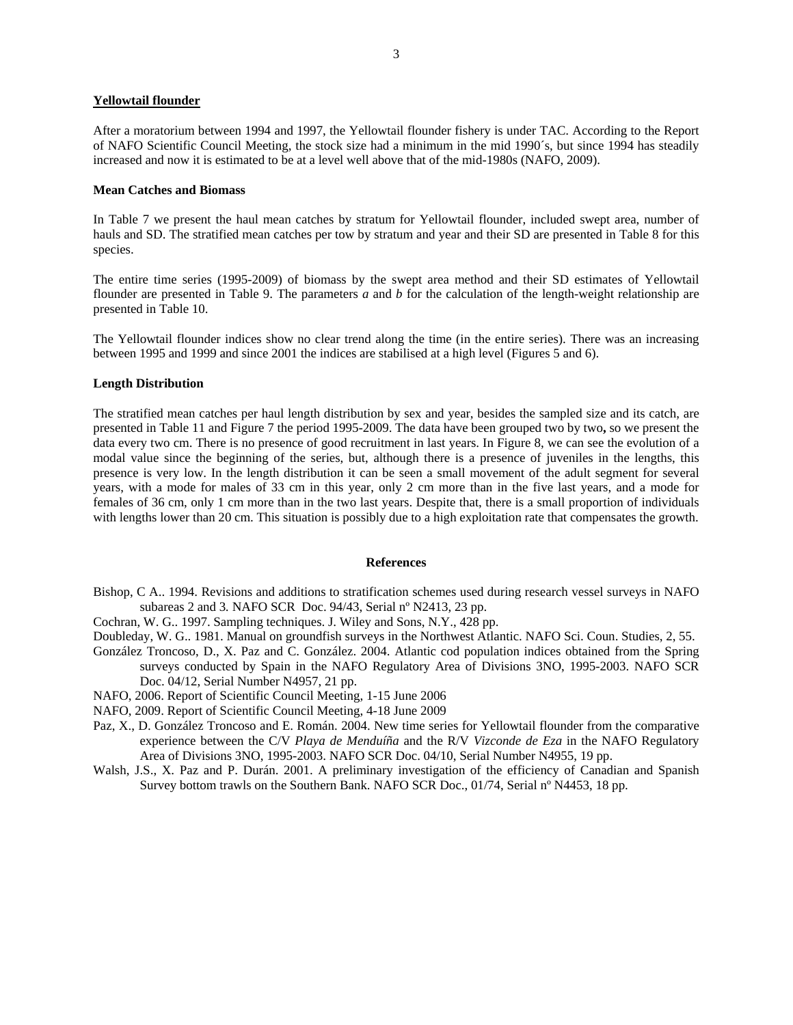# **Yellowtail flounder**

After a moratorium between 1994 and 1997, the Yellowtail flounder fishery is under TAC. According to the Report of NAFO Scientific Council Meeting, the stock size had a minimum in the mid 1990´s, but since 1994 has steadily increased and now it is estimated to be at a level well above that of the mid-1980s (NAFO, 2009).

#### **Mean Catches and Biomass**

In Table 7 we present the haul mean catches by stratum for Yellowtail flounder, included swept area, number of hauls and SD. The stratified mean catches per tow by stratum and year and their SD are presented in Table 8 for this species.

The entire time series (1995-2009) of biomass by the swept area method and their SD estimates of Yellowtail flounder are presented in Table 9. The parameters *a* and *b* for the calculation of the length-weight relationship are presented in Table 10.

The Yellowtail flounder indices show no clear trend along the time (in the entire series). There was an increasing between 1995 and 1999 and since 2001 the indices are stabilised at a high level (Figures 5 and 6).

# **Length Distribution**

The stratified mean catches per haul length distribution by sex and year, besides the sampled size and its catch, are presented in Table 11 and Figure 7 the period 1995-2009. The data have been grouped two by two**,** so we present the data every two cm. There is no presence of good recruitment in last years. In Figure 8, we can see the evolution of a modal value since the beginning of the series, but, although there is a presence of juveniles in the lengths, this presence is very low. In the length distribution it can be seen a small movement of the adult segment for several years, with a mode for males of 33 cm in this year, only 2 cm more than in the five last years, and a mode for females of 36 cm, only 1 cm more than in the two last years. Despite that, there is a small proportion of individuals with lengths lower than 20 cm. This situation is possibly due to a high exploitation rate that compensates the growth.

#### **References**

- Bishop, C A.. 1994. Revisions and additions to stratification schemes used during research vessel surveys in NAFO subareas 2 and 3*.* NAFO SCR Doc. 94/43, Serial nº N2413, 23 pp.
- Cochran, W. G.. 1997. Sampling techniques. J. Wiley and Sons, N.Y., 428 pp.
- Doubleday, W. G.. 1981. Manual on groundfish surveys in the Northwest Atlantic. NAFO Sci. Coun. Studies, 2, 55.
- González Troncoso, D., X. Paz and C. González. 2004. Atlantic cod population indices obtained from the Spring surveys conducted by Spain in the NAFO Regulatory Area of Divisions 3NO, 1995-2003. NAFO SCR Doc. 04/12, Serial Number N4957, 21 pp.
- NAFO, 2006. Report of Scientific Council Meeting, 1-15 June 2006
- NAFO, 2009. Report of Scientific Council Meeting, 4-18 June 2009
- Paz, X., D. González Troncoso and E. Román. 2004. New time series for Yellowtail flounder from the comparative experience between the C/V *Playa de Menduíña* and the R/V *Vizconde de Eza* in the NAFO Regulatory Area of Divisions 3NO, 1995-2003. NAFO SCR Doc. 04/10, Serial Number N4955, 19 pp.
- Walsh, J.S., X. Paz and P. Durán. 2001. A preliminary investigation of the efficiency of Canadian and Spanish Survey bottom trawls on the Southern Bank. NAFO SCR Doc., 01/74, Serial nº N4453, 18 pp.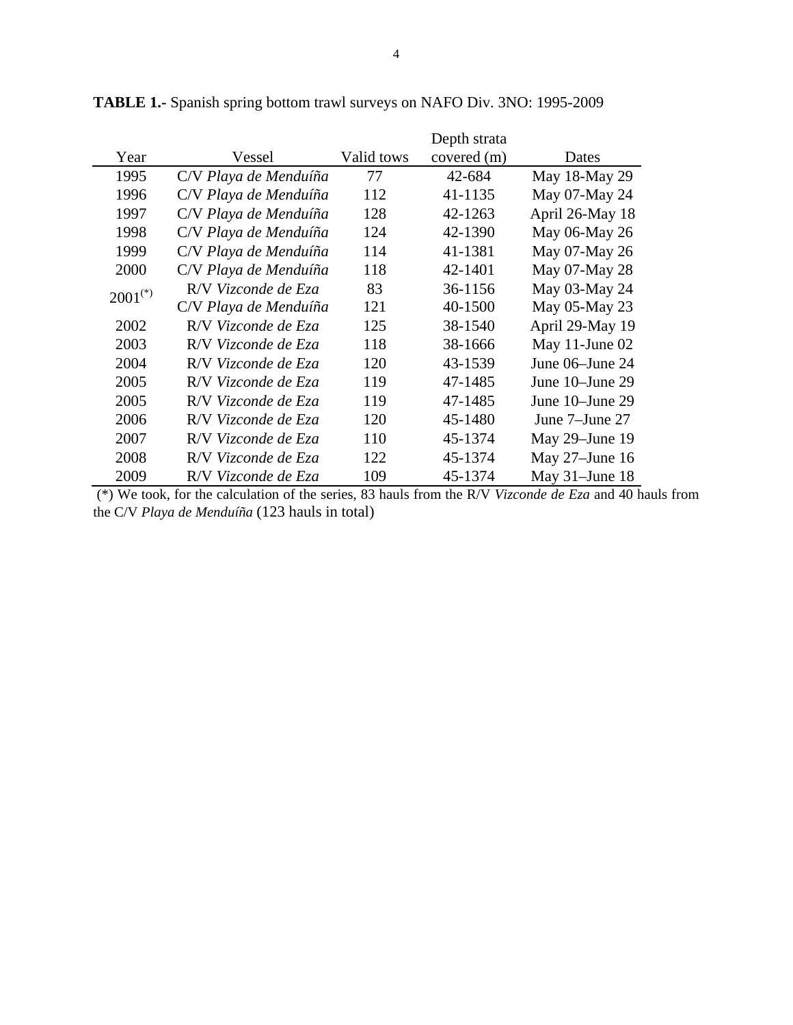|                       |                       |            | Depth strata |                  |
|-----------------------|-----------------------|------------|--------------|------------------|
| Year                  | Vessel                | Valid tows | covered (m)  | Dates            |
| 1995                  | C/V Playa de Menduíña | 77         | 42-684       | May 18-May 29    |
| 1996                  | C/V Playa de Menduíña | 112        | 41-1135      | May 07-May 24    |
| 1997                  | C/V Playa de Menduíña | 128        | 42-1263      | April 26-May 18  |
| 1998                  | C/V Playa de Menduíña | 124        | 42-1390      | May 06-May 26    |
| 1999                  | C/V Playa de Menduíña | 114        | 41-1381      | May 07-May 26    |
| 2000                  | C/V Playa de Menduíña | 118        | 42-1401      | May 07-May 28    |
| $2001$ <sup>(*)</sup> | R/V Vizconde de Eza   | 83         | 36-1156      | May 03-May 24    |
|                       | C/V Playa de Menduíña | 121        | 40-1500      | May 05-May 23    |
| 2002                  | R/V Vizconde de Eza   | 125        | 38-1540      | April 29-May 19  |
| 2003                  | R/V Vizconde de Eza   | 118        | 38-1666      | May 11-June $02$ |
| 2004                  | R/V Vizconde de Eza   | 120        | 43-1539      | June 06–June 24  |
| 2005                  | R/V Vizconde de Eza   | 119        | 47-1485      | June 10-June 29  |
| 2005                  | R/V Vizconde de Eza   | 119        | 47-1485      | June 10–June 29  |
| 2006                  | R/V Vizconde de Eza   | 120        | 45-1480      | June 7–June 27   |
| 2007                  | R/V Vizconde de Eza   | 110        | 45-1374      | May 29-June 19   |
| 2008                  | R/V Vizconde de Eza   | 122        | 45-1374      | May 27-June 16   |
| 2009                  | R/V Vizconde de Eza   | 109        | 45-1374      | May 31-June 18   |

**TABLE 1.-** Spanish spring bottom trawl surveys on NAFO Div. 3NO: 1995-2009

 (\*) We took, for the calculation of the series, 83 hauls from the R/V *Vizconde de Eza* and 40 hauls from the C/V *Playa de Menduíña* (123 hauls in total)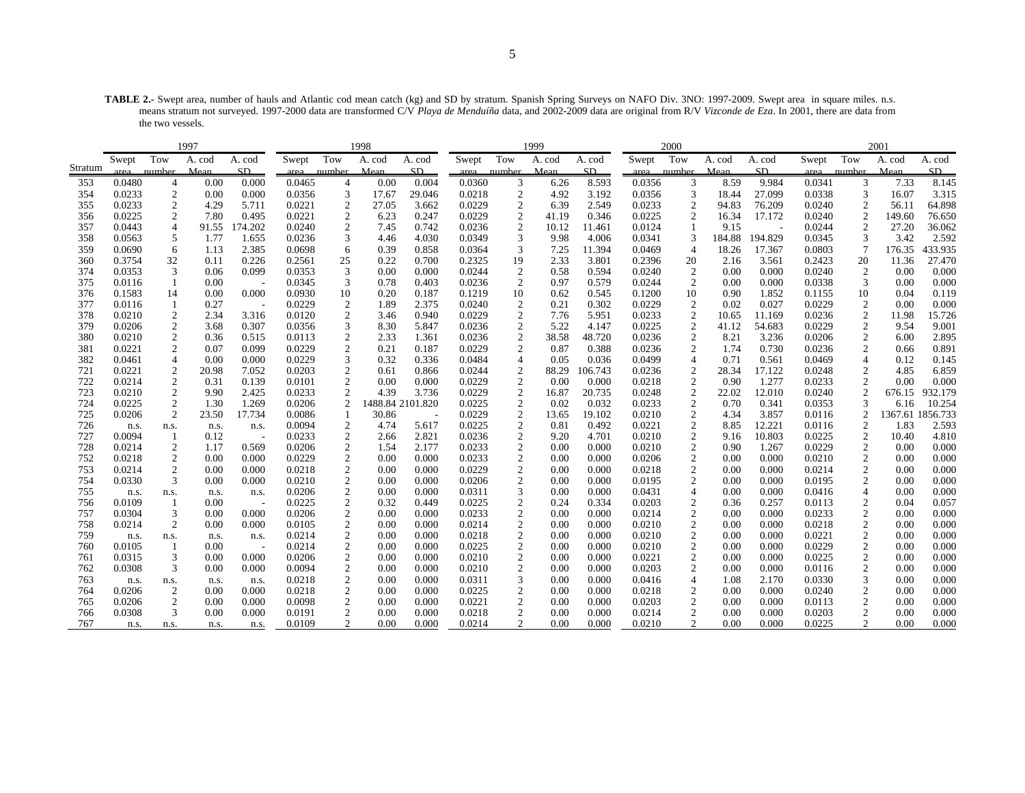**TABLE 2.-** Swept area, number of hauls and Atlantic cod mean catch (kg) and SD by stratum. Spanish Spring Surveys on NAFO Div. 3NO: 1997-2009. Swept area in square miles. n.s. means stratum not surveyed. 1997-2000 data are transformed C/V *Playa de Menduíña* data, and 2002-2009 data are original from R/V *Vizconde de Eza*. In 2001, there are data from the two vessels.

|         | 1997   |                |        |                          |        |                  | 1998             |        |        |                  | 1999   |         |        | 2000                    |        |         |        |                  | 2001    |          |
|---------|--------|----------------|--------|--------------------------|--------|------------------|------------------|--------|--------|------------------|--------|---------|--------|-------------------------|--------|---------|--------|------------------|---------|----------|
|         | Swept  | Tow            | A. cod | A. cod                   | Swept  | Tow              | A. cod           | A. cod | Swept  | Tow              | A. cod | A. cod  | Swept  | Tow                     | A. cod | A. cod  | Swept  | Tow              | A. cod  | A. cod   |
| Stratum | area   | number         | Mean   | SD                       | area   | number           | Mean             | SD.    | area   | number           | Mean   | SD.     | area   | number                  | Mean   | SD.     | area   | number           | Mean    | SD       |
| 353     | 0.0480 | 4              | 0.00   | 0.000                    | 0.0465 | 4                | 0.00             | 0.004  | 0.0360 | 3                | 6.26   | 8.593   | 0.0356 | 3                       | 8.59   | 9.984   | 0.0341 | 3                | 7.33    | 8.145    |
| 354     | 0.0233 | $\overline{2}$ | 0.00   | 0.000                    | 0.0356 | 3                | 17.67            | 29.046 | 0.0218 | 2                | 4.92   | 3.192   | 0.0356 | 3                       | 18.44  | 27.099  | 0.0338 | 3                | 16.07   | 3.315    |
| 355     | 0.0233 | $\overline{2}$ | 4.29   | 5.711                    | 0.0221 | $\overline{c}$   | 27.05            | 3.662  | 0.0229 | $\overline{c}$   | 6.39   | 2.549   | 0.0233 | $\sqrt{2}$              | 94.83  | 76.209  | 0.0240 | $\sqrt{2}$       | 56.11   | 64.898   |
| 356     | 0.0225 | $\overline{c}$ | 7.80   | 0.495                    | 0.0221 | $\boldsymbol{2}$ | 6.23             | 0.247  | 0.0229 | $\overline{c}$   | 41.19  | 0.346   | 0.0225 | $\overline{2}$          | 16.34  | 17.172  | 0.0240 | $\overline{2}$   | 149.60  | 76.650   |
| 357     | 0.0443 | $\overline{4}$ | 91.55  | 174.202                  | 0.0240 | $\overline{c}$   | 7.45             | 0.742  | 0.0236 | $\overline{c}$   | 10.12  | 11.461  | 0.0124 |                         | 9.15   |         | 0.0244 | $\overline{2}$   | 27.20   | 36.062   |
| 358     | 0.0563 | 5              | 1.77   | 1.655                    | 0.0236 | 3                | 4.46             | 4.030  | 0.0349 | 3                | 9.98   | 4.006   | 0.0341 | 3                       | 184.88 | 194.829 | 0.0345 | 3                | 3.42    | 2.592    |
| 359     | 0.0690 | 6              | 1.13   | 2.385                    | 0.0698 | 6                | 0.39             | 0.858  | 0.0364 | 3                | 7.25   | 11.394  | 0.0469 | $\overline{4}$          | 18.26  | 17.367  | 0.0803 | 7                | 176.35  | 433.935  |
| 360     | 0.3754 | 32             | 0.11   | 0.226                    | 0.2561 | 25               | 0.22             | 0.700  | 0.2325 | 19               | 2.33   | 3.801   | 0.2396 | 20                      | 2.16   | 3.561   | 0.2423 | 20               | 11.36   | 27.470   |
| 374     | 0.0353 | 3              | 0.06   | 0.099                    | 0.0353 | 3                | 0.00             | 0.000  | 0.0244 | $\overline{c}$   | 0.58   | 0.594   | 0.0240 | $\overline{2}$          | 0.00   | 0.000   | 0.0240 | $\overline{2}$   | 0.00    | 0.000    |
| 375     | 0.0116 |                | 0.00   |                          | 0.0345 | 3                | 0.78             | 0.403  | 0.0236 | 2                | 0.97   | 0.579   | 0.0244 | 2                       | 0.00   | 0.000   | 0.0338 | 3                | 0.00    | 0.000    |
| 376     | 0.1583 | 14             | 0.00   | 0.000                    | 0.0930 | 10               | 0.20             | 0.187  | 0.1219 | 10               | 0.62   | 0.545   | 0.1200 | 10                      | 0.90   | 1.852   | 0.1155 | 10               | 0.04    | 0.119    |
| 377     | 0.0116 | $\mathbf{1}$   | 0.27   | $\overline{\phantom{a}}$ | 0.0229 | $\overline{c}$   | 1.89             | 2.375  | 0.0240 | $\boldsymbol{2}$ | 0.21   | 0.302   | 0.0229 | $\overline{\mathbf{c}}$ | 0.02   | 0.027   | 0.0229 | $\boldsymbol{2}$ | 0.00    | 0.000    |
| 378     | 0.0210 | $\overline{2}$ | 2.34   | 3.316                    | 0.0120 | $\overline{c}$   | 3.46             | 0.940  | 0.0229 | $\overline{c}$   | 7.76   | 5.951   | 0.0233 | $\overline{c}$          | 10.65  | 11.169  | 0.0236 | $\boldsymbol{2}$ | 11.98   | 15.726   |
| 379     | 0.0206 | $\overline{2}$ | 3.68   | 0.307                    | 0.0356 | 3                | 8.30             | 5.847  | 0.0236 | $\overline{c}$   | 5.22   | 4.147   | 0.0225 | 2                       | 41.12  | 54.683  | 0.0229 | $\boldsymbol{2}$ | 9.54    | 9.001    |
| 380     | 0.0210 | $\overline{2}$ | 0.36   | 0.515                    | 0.0113 | 2                | 2.33             | 1.361  | 0.0236 | $\overline{c}$   | 38.58  | 48.720  | 0.0236 | $\overline{c}$          | 8.21   | 3.236   | 0.0206 | $\boldsymbol{2}$ | 6.00    | 2.895    |
| 381     | 0.0221 | 2              | 0.07   | 0.099                    | 0.0229 | $\boldsymbol{2}$ | 0.21             | 0.187  | 0.0229 | 2                | 0.87   | 0.388   | 0.0236 | $\overline{c}$          | 1.74   | 0.730   | 0.0236 | 2                | 0.66    | 0.891    |
| 382     | 0.0461 | $\overline{4}$ | 0.00   | 0.000                    | 0.0229 | 3                | 0.32             | 0.336  | 0.0484 | 4                | 0.05   | 0.036   | 0.0499 | $\overline{4}$          | 0.71   | 0.561   | 0.0469 | 4                | 0.12    | 0.145    |
| 721     | 0.0221 | $\overline{2}$ | 20.98  | 7.052                    | 0.0203 | $\overline{c}$   | 0.61             | 0.866  | 0.0244 | $\overline{2}$   | 88.29  | 106.743 | 0.0236 | $\mathbf{2}$            | 28.34  | 17.122  | 0.0248 | $\boldsymbol{2}$ | 4.85    | 6.859    |
| 722     | 0.0214 | $\overline{c}$ | 0.31   | 0.139                    | 0.0101 | $\boldsymbol{2}$ | 0.00             | 0.000  | 0.0229 | $\mathfrak{2}$   | 0.00   | 0.000   | 0.0218 | $\sqrt{2}$              | 0.90   | 1.277   | 0.0233 | $\mathbf{2}$     | 0.00    | 0.000    |
| 723     | 0.0210 | $\overline{c}$ | 9.90   | 2.425                    | 0.0233 | 2                | 4.39             | 3.736  | 0.0229 | $\overline{c}$   | 16.87  | 20.735  | 0.0248 | $\mathbf{2}$            | 22.02  | 12.010  | 0.0240 | $\overline{2}$   | 676.15  | 932.179  |
| 724     | 0.0225 | 2              | 1.30   | 1.269                    | 0.0206 | $\overline{2}$   | 1488.84 2101.820 |        | 0.0225 | 2                | 0.02   | 0.032   | 0.0233 | 2                       | 0.70   | 0.341   | 0.0353 | 3                | 6.16    | 10.254   |
| 725     | 0.0206 | 2              | 23.50  | 17.734                   | 0.0086 | 1                | 30.86            |        | 0.0229 | $\mathfrak{2}$   | 13.65  | 19.102  | 0.0210 | $\sqrt{2}$              | 4.34   | 3.857   | 0.0116 | $\overline{2}$   | 1367.61 | 1856.733 |
| 726     | n.s.   | n.s.           | n.s.   | n.s.                     | 0.0094 | $\overline{c}$   | 4.74             | 5.617  | 0.0225 | $\overline{c}$   | 0.81   | 0.492   | 0.0221 | $\overline{c}$          | 8.85   | 12.221  | 0.0116 | $\overline{c}$   | 1.83    | 2.593    |
| 727     | 0.0094 |                | 0.12   | $\overline{\phantom{a}}$ | 0.0233 | $\overline{c}$   | 2.66             | 2.821  | 0.0236 | $\overline{c}$   | 9.20   | 4.701   | 0.0210 | 2                       | 9.16   | 10.803  | 0.0225 | $\boldsymbol{2}$ | 10.40   | 4.810    |
| 728     | 0.0214 | $\overline{2}$ | 1.17   | 0.569                    | 0.0206 | $\boldsymbol{2}$ | 1.54             | 2.177  | 0.0233 | $\overline{c}$   | 0.00   | 0.000   | 0.0210 | $\overline{c}$          | 0.90   | 1.267   | 0.0229 | $\overline{c}$   | 0.00    | 0.000    |
| 752     | 0.0218 | $\overline{2}$ | 0.00   | 0.000                    | 0.0229 | $\overline{c}$   | 0.00             | 0.000  | 0.0233 | $\overline{c}$   | 0.00   | 0.000   | 0.0206 | $\mathbf{2}$            | 0.00   | 0.000   | 0.0210 | $\boldsymbol{2}$ | 0.00    | 0.000    |
| 753     | 0.0214 | $\overline{2}$ | 0.00   | 0.000                    | 0.0218 | $\boldsymbol{2}$ | 0.00             | 0.000  | 0.0229 | $\overline{c}$   | 0.00   | 0.000   | 0.0218 | $\overline{c}$          | 0.00   | 0.000   | 0.0214 | $\boldsymbol{2}$ | 0.00    | 0.000    |
| 754     | 0.0330 | 3              | 0.00   | 0.000                    | 0.0210 | $\overline{c}$   | 0.00             | 0.000  | 0.0206 | $\overline{c}$   | 0.00   | 0.000   | 0.0195 | $\mathbf{2}$            | 0.00   | 0.000   | 0.0195 | $\overline{2}$   | 0.00    | 0.000    |
| 755     | n.s.   | n.s.           | n.s.   | n.s.                     | 0.0206 | $\overline{2}$   | 0.00             | 0.000  | 0.0311 | 3                | 0.00   | 0.000   | 0.0431 | $\overline{4}$          | 0.00   | 0.000   | 0.0416 | 4                | 0.00    | 0.000    |
| 756     | 0.0109 |                | 0.00   |                          | 0.0225 | $\boldsymbol{2}$ | 0.32             | 0.449  | 0.0225 | $\overline{c}$   | 0.24   | 0.334   | 0.0203 | $\mathbf{2}$            | 0.36   | 0.257   | 0.0113 | $\boldsymbol{2}$ | 0.04    | 0.057    |
| 757     | 0.0304 | 3              | 0.00   | 0.000                    | 0.0206 | $\boldsymbol{2}$ | 0.00             | 0.000  | 0.0233 | $\overline{c}$   | 0.00   | 0.000   | 0.0214 | $\overline{c}$          | 0.00   | 0.000   | 0.0233 | $\boldsymbol{2}$ | 0.00    | 0.000    |
| 758     | 0.0214 | 2              | 0.00   | 0.000                    | 0.0105 | $\boldsymbol{2}$ | 0.00             | 0.000  | 0.0214 | $\overline{2}$   | 0.00   | 0.000   | 0.0210 | $\boldsymbol{2}$        | 0.00   | 0.000   | 0.0218 | $\mathbf{2}$     | 0.00    | 0.000    |
| 759     | n.s.   | n.s.           | n.s.   | n.s.                     | 0.0214 | $\overline{c}$   | 0.00             | 0.000  | 0.0218 | 2                | 0.00   | 0.000   | 0.0210 | $\mathbf{2}$            | 0.00   | 0.000   | 0.0221 | $\overline{c}$   | 0.00    | 0.000    |
| 760     | 0.0105 |                | 0.00   | $\overline{\phantom{a}}$ | 0.0214 | $\overline{c}$   | 0.00             | 0.000  | 0.0225 | $\overline{c}$   | 0.00   | 0.000   | 0.0210 | $\mathbf{2}$            | 0.00   | 0.000   | 0.0229 | $\boldsymbol{2}$ | 0.00    | 0.000    |
| 761     | 0.0315 | 3              | 0.00   | 0.000                    | 0.0206 | $\boldsymbol{2}$ | 0.00             | 0.000  | 0.0210 | 2                | 0.00   | 0.000   | 0.0221 | $\overline{c}$          | 0.00   | 0.000   | 0.0225 | $\overline{2}$   | 0.00    | 0.000    |
| 762     | 0.0308 | 3              | 0.00   | 0.000                    | 0.0094 | $\overline{c}$   | 0.00             | 0.000  | 0.0210 | $\overline{c}$   | 0.00   | 0.000   | 0.0203 | $\overline{2}$          | 0.00   | 0.000   | 0.0116 | $\overline{2}$   | 0.00    | 0.000    |
| 763     | n.s.   | n.s.           | n.s.   | n.s.                     | 0.0218 | $\overline{c}$   | 0.00             | 0.000  | 0.0311 | 3                | 0.00   | 0.000   | 0.0416 | $\overline{4}$          | 1.08   | 2.170   | 0.0330 | 3                | 0.00    | 0.000    |
| 764     | 0.0206 | 2              | 0.00   | 0.000                    | 0.0218 | $\boldsymbol{2}$ | 0.00             | 0.000  | 0.0225 | 2                | 0.00   | 0.000   | 0.0218 | $\overline{c}$          | 0.00   | 0.000   | 0.0240 | $\boldsymbol{2}$ | 0.00    | 0.000    |
| 765     | 0.0206 | $\overline{2}$ | 0.00   | 0.000                    | 0.0098 | $\overline{c}$   | 0.00             | 0.000  | 0.0221 | $\overline{2}$   | 0.00   | 0.000   | 0.0203 | $\mathbf{2}$            | 0.00   | 0.000   | 0.0113 | $\overline{c}$   | 0.00    | 0.000    |
| 766     | 0.0308 | 3              | 0.00   | 0.000                    | 0.0191 | $\overline{c}$   | 0.00             | 0.000  | 0.0218 | $\overline{c}$   | 0.00   | 0.000   | 0.0214 | $\overline{c}$          | 0.00   | 0.000   | 0.0203 | $\overline{c}$   | 0.00    | 0.000    |
| 767     | n.s.   | n.s.           | n.s.   | n.s.                     | 0.0109 | $\overline{c}$   | 0.00             | 0.000  | 0.0214 | $\overline{c}$   | 0.00   | 0.000   | 0.0210 | 2                       | 0.00   | 0.000   | 0.0225 | 2                | 0.00    | 0.000    |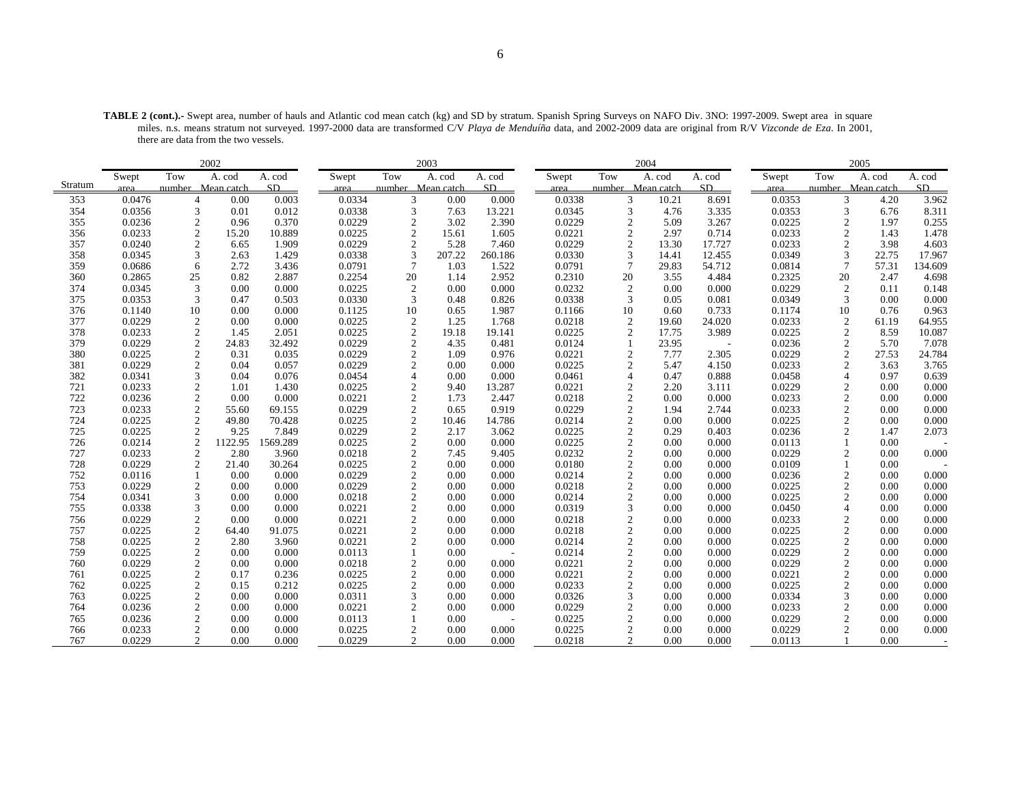**TABLE 2 (cont.).-** Swept area, number of hauls and Atlantic cod mean catch (kg) and SD by stratum. Spanish Spring Surveys on NAFO Div. 3NO: 1997-2009. Swept area in square miles. n.s. means stratum not surveyed. 1997-2000 data are transformed C/V *Playa de Menduíña* data, and 2002-2009 data are original from R/V *Vizconde de Eza*. In 2001, there are data from the two vessels.

|         |        |                | 2002              |          |        |                   | 2003   |         |        |              | 2004                    |                          |        |                | 2005              |         |
|---------|--------|----------------|-------------------|----------|--------|-------------------|--------|---------|--------|--------------|-------------------------|--------------------------|--------|----------------|-------------------|---------|
|         | Swept  | Tow            | A. cod            | A. cod   | Swept  | Tow               | A. cod | A. cod  | Swept  | Tow          | A. cod                  | A. cod                   | Swept  | Tow            | A. cod            | A. cod  |
| Stratum | area   |                | number Mean catch | SD.      | area   | number Mean catch |        | SD      | area   |              | number Mean catch       | SD                       | area   |                | number Mean catch | SD      |
| 353     | 0.0476 | $\overline{4}$ | 0.00              | 0.003    | 0.0334 | 3                 | 0.00   | 0.000   | 0.0338 |              | 3<br>10.21              | 8.691                    | 0.0353 | 3              | 4.20              | 3.962   |
| 354     | 0.0356 | $\overline{3}$ | 0.01              | 0.012    | 0.0338 | 3                 | 7.63   | 13.221  | 0.0345 |              | 3<br>4.76               | 3.335                    | 0.0353 | 3              | 6.76              | 8.311   |
| 355     | 0.0236 | $\overline{2}$ | 0.96              | 0.370    | 0.0229 | $\mathfrak{2}$    | 3.02   | 2.390   | 0.0229 |              | $\mathfrak{2}$<br>5.09  | 3.267                    | 0.0225 | $\overline{c}$ | 1.97              | 0.255   |
| 356     | 0.0233 | $\overline{2}$ | 15.20             | 10.889   | 0.0225 | $\mathfrak{D}$    | 15.61  | 1.605   | 0.0221 |              | $\overline{2}$<br>2.97  | 0.714                    | 0.0233 | $\overline{c}$ | 1.43              | 1.478   |
| 357     | 0.0240 | $\overline{2}$ | 6.65              | 1.909    | 0.0229 | $\overline{2}$    | 5.28   | 7.460   | 0.0229 |              | $\overline{2}$<br>13.30 | 17.727                   | 0.0233 | $\overline{c}$ | 3.98              | 4.603   |
| 358     | 0.0345 | 3              | 2.63              | 1.429    | 0.0338 | 3                 | 207.22 | 260.186 | 0.0330 |              | 3<br>14.41              | 12.455                   | 0.0349 | 3              | 22.75             | 17.967  |
| 359     | 0.0686 | 6              | 2.72              | 3.436    | 0.0791 | $\tau$            | 1.03   | 1.522   | 0.0791 |              | 7<br>29.83              | 54.712                   | 0.0814 | $\tau$         | 57.31             | 134.609 |
| 360     | 0.2865 | 25             | 0.82              | 2.887    | 0.2254 | 20                | 1.14   | 2.952   | 0.2310 | 20           | 3.55                    | 4.484                    | 0.2325 | 20             | 2.47              | 4.698   |
| 374     | 0.0345 | 3              | 0.00              | 0.000    | 0.0225 | $\mathfrak{2}$    | 0.00   | 0.000   | 0.0232 |              | $\overline{2}$<br>0.00  | 0.000                    | 0.0229 | $\overline{2}$ | 0.11              | 0.148   |
| 375     | 0.0353 | 3              | 0.47              | 0.503    | 0.0330 | 3                 | 0.48   | 0.826   | 0.0338 |              | 3<br>0.05               | 0.081                    | 0.0349 | 3              | 0.00              | 0.000   |
| 376     | 0.1140 | 10             | 0.00              | 0.000    | 0.1125 | 10                | 0.65   | 1.987   | 0.1166 | 10           | 0.60                    | 0.733                    | 0.1174 | 10             | 0.76              | 0.963   |
| 377     | 0.0229 | $\overline{2}$ | 0.00              | 0.000    | 0.0225 | $\mathfrak{2}$    | 1.25   | 1.768   | 0.0218 |              | 2<br>19.60              | 24.020                   | 0.0233 | 2              | 61.19             | 64.955  |
| 378     | 0.0233 | $\overline{2}$ | 1.45              | 2.051    | 0.0225 | $\mathfrak{2}$    | 19.18  | 19.141  | 0.0225 |              | $\overline{2}$<br>17.75 | 3.989                    | 0.0225 | $\overline{c}$ | 8.59              | 10.087  |
| 379     | 0.0229 | $\overline{2}$ | 24.83             | 32.492   | 0.0229 | $\overline{2}$    | 4.35   | 0.481   | 0.0124 | $\mathbf{1}$ | 23.95                   | $\overline{\phantom{a}}$ | 0.0236 | $\overline{c}$ | 5.70              | 7.078   |
| 380     | 0.0225 | $\overline{2}$ | 0.31              | 0.035    | 0.0229 | $\overline{2}$    | 1.09   | 0.976   | 0.0221 |              | $\overline{2}$<br>7.77  | 2.305                    | 0.0229 | $\overline{c}$ | 27.53             | 24.784  |
| 381     | 0.0229 | $\overline{2}$ | 0.04              | 0.057    | 0.0229 | $\overline{c}$    | 0.00   | 0.000   | 0.0225 |              | $\overline{c}$<br>5.47  | 4.150                    | 0.0233 | $\overline{2}$ | 3.63              | 3.765   |
| 382     | 0.0341 | 3              | 0.04              | 0.076    | 0.0454 | $\overline{4}$    | 0.00   | 0.000   | 0.0461 |              | $\overline{4}$<br>0.47  | 0.888                    | 0.0458 | $\overline{4}$ | 0.97              | 0.639   |
| 721     | 0.0233 | $\overline{2}$ | 1.01              | 1.430    | 0.0225 | $\overline{2}$    | 9.40   | 13.287  | 0.0221 |              | 2<br>2.20               | 3.111                    | 0.0229 | 2              | 0.00              | 0.000   |
| 722     | 0.0236 | $\overline{2}$ | 0.00              | 0.000    | 0.0221 | $\mathfrak{2}$    | 1.73   | 2.447   | 0.0218 |              | $\overline{2}$<br>0.00  | 0.000                    | 0.0233 | $\overline{c}$ | 0.00              | 0.000   |
| 723     | 0.0233 | $\overline{2}$ | 55.60             | 69.155   | 0.0229 | $\mathfrak{2}$    | 0.65   | 0.919   | 0.0229 |              | $\overline{2}$<br>1.94  | 2.744                    | 0.0233 | $\overline{c}$ | 0.00              | 0.000   |
| 724     | 0.0225 | $\overline{2}$ | 49.80             | 70.428   | 0.0225 | $\mathfrak{2}$    | 10.46  | 14.786  | 0.0214 |              | $\overline{c}$<br>0.00  | 0.000                    | 0.0225 | $\overline{c}$ | 0.00              | 0.000   |
| 725     | 0.0225 | $\overline{2}$ | 9.25              | 7.849    | 0.0229 | $\sqrt{2}$        | 2.17   | 3.062   | 0.0225 |              | $\mathfrak{2}$<br>0.29  | 0.403                    | 0.0236 | $\overline{2}$ | 1.47              | 2.073   |
| 726     | 0.0214 | $\overline{2}$ | 1122.95           | 1569.289 | 0.0225 | $\overline{2}$    | 0.00   | 0.000   | 0.0225 |              | $\overline{c}$<br>0.00  | 0.000                    | 0.0113 |                | 0.00              |         |
| 727     | 0.0233 | $\overline{2}$ | 2.80              | 3.960    | 0.0218 | $\overline{2}$    | 7.45   | 9.405   | 0.0232 |              | $\overline{2}$<br>0.00  | 0.000                    | 0.0229 | 2              | 0.00              | 0.000   |
| 728     | 0.0229 | $\overline{2}$ | 21.40             | 30.264   | 0.0225 | $\overline{2}$    | 0.00   | 0.000   | 0.0180 |              | $\sqrt{2}$<br>0.00      | 0.000                    | 0.0109 |                | 0.00              |         |
| 752     | 0.0116 |                | 0.00              | 0.000    | 0.0229 | $\overline{2}$    | 0.00   | 0.000   | 0.0214 |              | $\overline{2}$<br>0.00  | 0.000                    | 0.0236 | $\overline{c}$ | 0.00              | 0.000   |
| 753     | 0.0229 | $\overline{2}$ | 0.00              | 0.000    | 0.0229 | $\mathfrak{2}$    | 0.00   | 0.000   | 0.0218 |              | $\overline{2}$<br>0.00  | 0.000                    | 0.0225 | $\overline{c}$ | 0.00              | 0.000   |
| 754     | 0.0341 | 3              | 0.00              | 0.000    | 0.0218 | $\overline{2}$    | 0.00   | 0.000   | 0.0214 |              | $\overline{2}$<br>0.00  | 0.000                    | 0.0225 | $\overline{c}$ | 0.00              | 0.000   |
| 755     | 0.0338 | 3              | 0.00              | 0.000    | 0.0221 | $\overline{c}$    | 0.00   | 0.000   | 0.0319 |              | 3<br>0.00               | 0.000                    | 0.0450 | 4              | 0.00              | 0.000   |
| 756     | 0.0229 | $\overline{2}$ | 0.00              | 0.000    | 0.0221 | $\overline{c}$    | 0.00   | 0.000   | 0.0218 |              | $\overline{c}$<br>0.00  | 0.000                    | 0.0233 | 2              | 0.00              | 0.000   |
| 757     | 0.0225 | $\overline{c}$ | 64.40             | 91.075   | 0.0221 | $\overline{c}$    | 0.00   | 0.000   | 0.0218 |              | $\mathfrak{2}$<br>0.00  | 0.000                    | 0.0225 | $\overline{c}$ | 0.00              | 0.000   |
| 758     | 0.0225 | $\overline{2}$ | 2.80              | 3.960    | 0.0221 | $\overline{c}$    | 0.00   | 0.000   | 0.0214 |              | $\overline{2}$<br>0.00  | 0.000                    | 0.0225 | $\overline{c}$ | 0.00              | 0.000   |
| 759     | 0.0225 | $\overline{2}$ | 0.00              | 0.000    | 0.0113 |                   | 0.00   |         | 0.0214 |              | $\overline{2}$<br>0.00  | 0.000                    | 0.0229 | $\overline{2}$ | 0.00              | 0.000   |
| 760     | 0.0229 | $\overline{2}$ | 0.00              | 0.000    | 0.0218 | $\overline{c}$    | 0.00   | 0.000   | 0.0221 |              | $\overline{2}$<br>0.00  | 0.000                    | 0.0229 | $\overline{c}$ | 0.00              | 0.000   |
| 761     | 0.0225 | $\overline{c}$ | 0.17              | 0.236    | 0.0225 | $\mathfrak{D}$    | 0.00   | 0.000   | 0.0221 |              | $\overline{c}$<br>0.00  | 0.000                    | 0.0221 | $\overline{c}$ | 0.00              | 0.000   |
| 762     | 0.0225 | $\overline{2}$ | 0.15              | 0.212    | 0.0225 | $\overline{c}$    | 0.00   | 0.000   | 0.0233 |              | $\overline{2}$<br>0.00  | 0.000                    | 0.0225 | $\overline{c}$ | 0.00              | 0.000   |
| 763     | 0.0225 | $\overline{2}$ | 0.00              | 0.000    | 0.0311 | 3                 | 0.00   | 0.000   | 0.0326 |              | 3<br>0.00               | 0.000                    | 0.0334 | 3              | 0.00              | 0.000   |
| 764     | 0.0236 | $\overline{c}$ | 0.00              | 0.000    | 0.0221 | $\overline{c}$    | 0.00   | 0.000   | 0.0229 |              | $\overline{2}$<br>0.00  | 0.000                    | 0.0233 | $\overline{c}$ | 0.00              | 0.000   |
| 765     | 0.0236 | $\overline{2}$ | 0.00              | 0.000    | 0.0113 |                   | 0.00   |         | 0.0225 |              | $\overline{2}$<br>0.00  | 0.000                    | 0.0229 | $\overline{c}$ | 0.00              | 0.000   |
| 766     | 0.0233 | $\overline{2}$ | 0.00              | 0.000    | 0.0225 | $\mathfrak{2}$    | 0.00   | 0.000   | 0.0225 |              | $\overline{2}$<br>0.00  | 0.000                    | 0.0229 | $\overline{c}$ | 0.00              | 0.000   |
| 767     | 0.0229 | $\mathfrak{D}$ | 0.00              | 0.000    | 0.0229 | 2                 | 0.00   | 0.000   | 0.0218 |              | $\mathfrak{D}$<br>0.00  | 0.000                    | 0.0113 |                | 0.00              |         |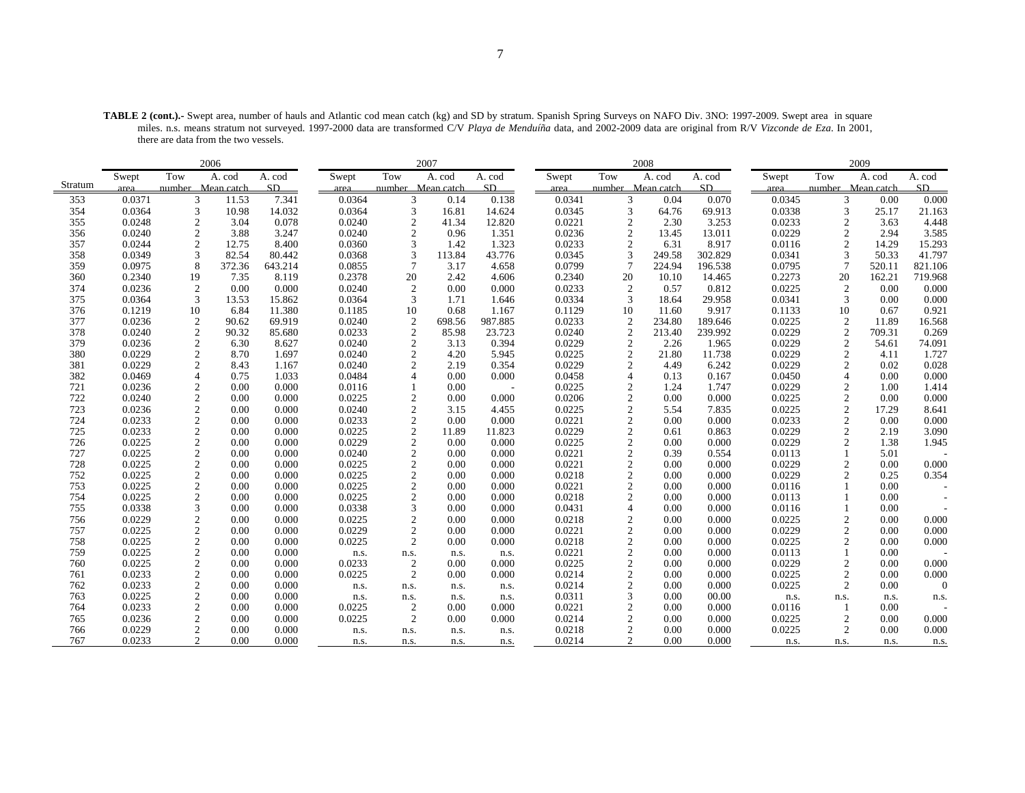**TABLE 2 (cont.).-** Swept area, number of hauls and Atlantic cod mean catch (kg) and SD by stratum. Spanish Spring Surveys on NAFO Div. 3NO: 1997-2009. Swept area in square miles. n.s. means stratum not surveyed. 1997-2000 data are transformed C/V *Playa de Menduíña* data, and 2002-2009 data are original from R/V *Vizconde de Eza*. In 2001, there are data from the two vessels.

|            | 2006             |                     |              |                |                  |                        | 2007         |                |                  |                                  | 2008         |                |                  |                   | 2009         |                |
|------------|------------------|---------------------|--------------|----------------|------------------|------------------------|--------------|----------------|------------------|----------------------------------|--------------|----------------|------------------|-------------------|--------------|----------------|
|            | Swept            | Tow                 | A. cod       | A. cod         | Swept            | Tow                    | A. cod       | A. cod         | Swept            | Tow                              | A. cod       | A. cod         | Swept            | Tow               | A. cod       | A. cod         |
| Stratum    | area             | number Mean catch   |              | SD.            | area             | number Mean catch      |              | SD.            | area             | number Mean catch                |              | SD.            | area             | number Mean catch |              | SD.            |
| 353        | 0.0371           | 3                   | 11.53        | 7.341          | 0.0364           | 3                      | 0.14         | 0.138          | 0.0341           | 3                                | 0.04         | 0.070          | 0.0345           | 3                 | 0.00         | 0.000          |
| 354        | 0.0364           | $\overline{3}$      | 10.98        | 14.032         | 0.0364           | 3                      | 16.81        | 14.624         | 0.0345           | 3                                | 64.76        | 69.913         | 0.0338           | 3                 | 25.17        | 21.163         |
| 355        | 0.0248           | $\overline{2}$      | 3.04         | 0.078          | 0.0240           | $\overline{c}$         | 41.34        | 12.820         | 0.0221           | $\overline{2}$                   | 2.30         | 3.253          | 0.0233           | $\overline{c}$    | 3.63         | 4.448          |
| 356        | 0.0240           | $\overline{2}$      | 3.88         | 3.247          | 0.0240           | $\overline{c}$         | 0.96         | 1.351          | 0.0236           | $\mathfrak{2}$                   | 13.45        | 13.011         | 0.0229           | $\overline{c}$    | 2.94         | 3.585          |
| 357        | 0.0244           | $\overline{2}$      | 12.75        | 8.400          | 0.0360           | 3                      | 1.42         | 1.323          | 0.0233           | $\overline{2}$                   | 6.31         | 8.917          | 0.0116           | $\overline{c}$    | 14.29        | 15.293         |
| 358        | 0.0349           | 3                   | 82.54        | 80.442         | 0.0368           | 3                      | 113.84       | 43.776         | 0.0345           | 3                                | 249.58       | 302.829        | 0.0341           | 3                 | 50.33        | 41.797         |
| 359        | 0.0975           | 8                   | 372.36       | 643.214        | 0.0855           | $\overline{7}$         | 3.17         | 4.658          | 0.0799           | $7\phantom{.0}$                  | 224.94       | 196.538        | 0.0795           | 7                 | 520.11       | 821.106        |
| 360        | 0.2340           | 19                  | 7.35         | 8.119          | 0.2378           | 20                     | 2.42         | 4.606          | 0.2340           | 20                               | 10.10        | 14.465         | 0.2273           | 20                | 162.21       | 719.968        |
| 374        | 0.0236           | $\overline{2}$      | 0.00         | 0.000          | 0.0240           | $\overline{2}$         | 0.00         | 0.000          | 0.0233           | $\overline{c}$                   | 0.57         | 0.812          | 0.0225           | $\overline{c}$    | 0.00         | 0.000          |
| 375        | 0.0364           | 3                   | 13.53        | 15.862         | 0.0364           | 3                      | 1.71         | 1.646          | 0.0334           | 3                                | 18.64        | 29.958         | 0.0341           | 3                 | 0.00         | 0.000          |
| 376        | 0.1219           | 10                  | 6.84         | 11.380         | 0.1185           | 10                     | 0.68         | 1.167          | 0.1129           | 10                               | 11.60        | 9.917          | 0.1133           | 10                | 0.67         | 0.921          |
| 377        | 0.0236           | $\overline{c}$      | 90.62        | 69.919         | 0.0240           | $\sqrt{2}$             | 698.56       | 987.885        | 0.0233           | $\boldsymbol{2}$                 | 234.80       | 189.646        | 0.0225           | 2                 | 11.89        | 16.568         |
| 378        | 0.0240           | $\overline{2}$      | 90.32        | 85.680         | 0.0233           | $\overline{2}$         | 85.98        | 23.723         | 0.0240           | $\overline{2}$                   | 213.40       | 239.992        | 0.0229           | $\overline{c}$    | 709.31       | 0.269          |
| 379        | 0.0236           | $\overline{2}$      | 6.30         | 8.627          | 0.0240           | $\overline{c}$         | 3.13         | 0.394          | 0.0229           | 2                                | 2.26         | 1.965          | 0.0229           | $\overline{c}$    | 54.61        | 74.091         |
| 380        | 0.0229           | $\overline{2}$      | 8.70         | 1.697          | 0.0240           | $\overline{2}$         | 4.20         | 5.945          | 0.0225           | $\overline{2}$                   | 21.80        | 11.738         | 0.0229           | $\overline{c}$    | 4.11         | 1.727          |
| 381        | 0.0229           | $\overline{c}$      | 8.43         | 1.167          | 0.0240           | $\mathfrak{D}$         | 2.19         | 0.354          | 0.0229           | $\overline{c}$                   | 4.49         | 6.242          | 0.0229           | $\overline{c}$    | 0.02         | 0.028          |
| 382        | 0.0469           | $\overline{A}$      | 0.75         | 1.033          | 0.0484           | $\overline{4}$         | 0.00         | 0.000          | 0.0458           | $\overline{4}$                   | 0.13         | 0.167          | 0.0450           | 4                 | 0.00         | 0.000          |
| 721        | 0.0236           | $\overline{2}$      | 0.00         | 0.000          | 0.0116           |                        | 0.00         |                | 0.0225           | $\overline{2}$                   | 1.24         | 1.747          | 0.0229           | $\overline{c}$    | 1.00         | 1.414          |
| 722        | 0.0240           | $\overline{2}$      | 0.00         | 0.000          | 0.0225           | $\overline{2}$         | 0.00         | 0.000          | 0.0206           | $\overline{2}$                   | 0.00         | 0.000          | 0.0225           | $\overline{c}$    | 0.00         | 0.000          |
| 723        | 0.0236           | $\overline{2}$      | 0.00         | 0.000          | 0.0240           | $\overline{2}$         | 3.15         | 4.455          | 0.0225           | $\overline{2}$                   | 5.54         | 7.835          | 0.0225           | $\overline{c}$    | 17.29        | 8.641          |
| 724        | 0.0233           | $\overline{2}$      | 0.00         | 0.000          | 0.0233           | $\overline{2}$         | 0.00         | 0.000          | 0.0221           | $\overline{2}$                   | 0.00         | 0.000          | 0.0233           | $\overline{c}$    | 0.00         | 0.000          |
| 725        | 0.0233           | $\overline{2}$      | 0.00         | 0.000          | 0.0225           | $\mathfrak{2}$         | 11.89        | 11.823         | 0.0229           | $\mathfrak{2}$                   | 0.61         | 0.863          | 0.0229           | $\overline{2}$    | 2.19         | 3.090          |
| 726        | 0.0225           | $\overline{c}$      | 0.00         | 0.000          | 0.0229           | $\overline{c}$         | 0.00         | 0.000          | 0.0225           | $\mathfrak{2}$                   | 0.00         | 0.000          | 0.0229           | $\overline{c}$    | 1.38         | 1.945          |
| 727        | 0.0225           | $\overline{2}$      | 0.00         | 0.000          | 0.0240           | $\overline{2}$         | 0.00         | 0.000          | 0.0221           | $\overline{2}$                   | 0.39         | 0.554          | 0.0113           |                   | 5.01         |                |
| 728        | 0.0225           | $\overline{2}$      | 0.00         | 0.000          | 0.0225           | $\mathfrak{2}$         | 0.00         | 0.000          | 0.0221           | $\overline{2}$                   | 0.00         | 0.000          | 0.0229           | $\overline{c}$    | 0.00         | 0.000          |
| 752        | 0.0225           | $\overline{2}$      | 0.00         | 0.000          | 0.0225           | $\overline{2}$         | 0.00         | 0.000          | 0.0218           | $\overline{2}$                   | 0.00         | 0.000          | 0.0229           | $\overline{2}$    | 0.25         | 0.354          |
| 753        | 0.0225           | $\overline{c}$      | 0.00         | 0.000          | 0.0225           | $\overline{2}$         | 0.00         | 0.000          | 0.0221           | $\overline{2}$                   | 0.00         | 0.000          | 0.0116           |                   | 0.00         |                |
| 754        | 0.0225           | $\overline{2}$<br>3 | 0.00         | 0.000          | 0.0225           | $\overline{2}$<br>3    | 0.00         | 0.000          | 0.0218           | $\overline{2}$<br>$\overline{4}$ | 0.00         | 0.000          | 0.0113           |                   | 0.00         |                |
| 755<br>756 | 0.0338           | $\overline{2}$      | 0.00<br>0.00 | 0.000<br>0.000 | 0.0338           | $\overline{c}$         | 0.00<br>0.00 | 0.000<br>0.000 | 0.0431           | $\overline{c}$                   | 0.00<br>0.00 | 0.000<br>0.000 | 0.0116           | $\overline{c}$    | 0.00<br>0.00 |                |
| 757        | 0.0229<br>0.0225 | $\overline{2}$      | 0.00         | 0.000          | 0.0225<br>0.0229 | $\overline{c}$         | 0.00         | 0.000          | 0.0218<br>0.0221 | $\overline{2}$                   | 0.00         | 0.000          | 0.0225<br>0.0229 | $\overline{c}$    | 0.00         | 0.000<br>0.000 |
| 758        | 0.0225           | $\overline{2}$      | 0.00         | 0.000          | 0.0225           | $\overline{c}$         | 0.00         |                | 0.0218           | $\overline{c}$                   | 0.00         | 0.000          | 0.0225           | $\overline{c}$    | 0.00         |                |
| 759        | 0.0225           | $\overline{2}$      | 0.00         | 0.000          |                  |                        |              | 0.000          | 0.0221           | $\overline{2}$                   | 0.00         | 0.000          | 0.0113           |                   | 0.00         | 0.000          |
| 760        | 0.0225           | $\overline{2}$      | 0.00         | 0.000          | n.s.<br>0.0233   | n.s.<br>$\mathfrak{2}$ | n.s.<br>0.00 | n.s.<br>0.000  | 0.0225           | $\mathfrak{2}$                   | 0.00         | 0.000          | 0.0229           | $\overline{c}$    | 0.00         | 0.000          |
| 761        | 0.0233           | $\overline{2}$      | 0.00         | 0.000          | 0.0225           | $\overline{c}$         | 0.00         | 0.000          | 0.0214           | $\overline{c}$                   | 0.00         | 0.000          | 0.0225           | $\overline{c}$    | 0.00         | 0.000          |
| 762        | 0.0233           | $\overline{2}$      | 0.00         | 0.000          | n.s.             | n.s.                   | n.s.         | n.s.           | 0.0214           | $\overline{c}$                   | 0.00         | 0.000          | 0.0225           | 2                 | 0.00         | $\Omega$       |
| 763        | 0.0225           | $\overline{c}$      | 0.00         | 0.000          |                  |                        | n.s.         |                | 0.0311           | 3                                | 0.00         | 00.00          |                  |                   |              |                |
| 764        | 0.0233           | $\overline{c}$      | 0.00         | 0.000          | n.s.<br>0.0225   | n.s.<br>$\overline{2}$ | 0.00         | n.s.<br>0.000  | 0.0221           | $\overline{c}$                   | 0.00         | 0.000          | n.s.<br>0.0116   | n.s.              | n.s.<br>0.00 | n.s.           |
| 765        | 0.0236           | $\overline{2}$      | 0.00         | 0.000          | 0.0225           | $\overline{2}$         | 0.00         | 0.000          | 0.0214           | 2                                | 0.00         | 0.000          | 0.0225           | 2                 | 0.00         | 0.000          |
| 766        | 0.0229           | $\overline{2}$      | 0.00         | 0.000          | n.s.             | n.s.                   | n.s.         | n.s.           | 0.0218           | $\overline{2}$                   | 0.00         | 0.000          | 0.0225           | $\overline{c}$    | 0.00         | 0.000          |
| 767        | 0.0233           | $\mathfrak{D}$      | 0.00         | 0.000          | n.s.             | n.s.                   | n.s.         | n.s.           | 0.0214           | $\mathfrak{D}$                   | 0.00         | 0.000          | n.s.             | n.s.              | n.s.         |                |
|            |                  |                     |              |                |                  |                        |              |                |                  |                                  |              |                |                  |                   |              | n.s.           |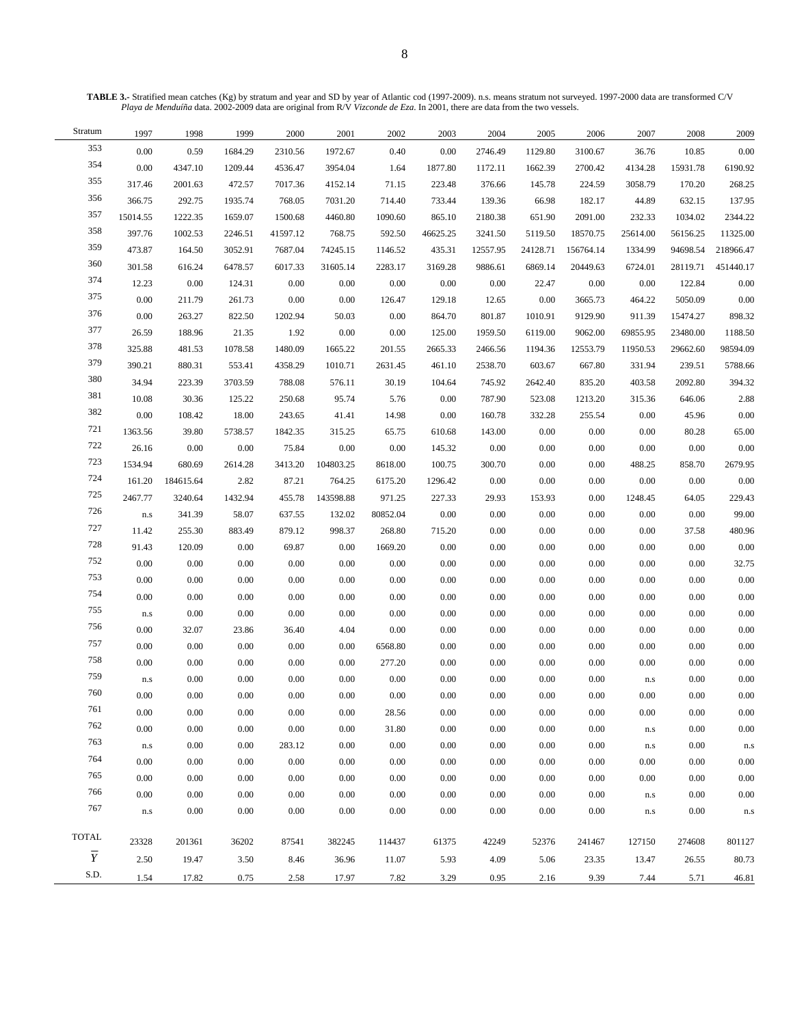**TABLE 3.-** Stratified mean catches (Kg) by stratum and year and SD by year of Atlantic cod (1997-2009). n.s. means stratum not surveyed. 1997-2000 data are transformed C/V *Playa de Menduíña* data. 2002-2009 data are original from R/V *Vizconde de Eza*. In 2001, there are data from the two vessels.

| Stratum        | 1997                    | 1998      | 1999    | 2000     | 2001      | 2002     | 2003     | 2004     | 2005     | 2006      | 2007                    | 2008     | 2009      |
|----------------|-------------------------|-----------|---------|----------|-----------|----------|----------|----------|----------|-----------|-------------------------|----------|-----------|
| 353            | 0.00                    | 0.59      | 1684.29 | 2310.56  | 1972.67   | 0.40     | 0.00     | 2746.49  | 1129.80  | 3100.67   | 36.76                   | 10.85    | 0.00      |
| 354            | 0.00                    | 4347.10   | 1209.44 | 4536.47  | 3954.04   | 1.64     | 1877.80  | 1172.11  | 1662.39  | 2700.42   | 4134.28                 | 15931.78 | 6190.92   |
| 355            | 317.46                  | 2001.63   | 472.57  | 7017.36  | 4152.14   | 71.15    | 223.48   | 376.66   | 145.78   | 224.59    | 3058.79                 | 170.20   | 268.25    |
| 356            | 366.75                  | 292.75    | 1935.74 | 768.05   | 7031.20   | 714.40   | 733.44   | 139.36   | 66.98    | 182.17    | 44.89                   | 632.15   | 137.95    |
| 357            | 15014.55                | 1222.35   | 1659.07 | 1500.68  | 4460.80   | 1090.60  | 865.10   | 2180.38  | 651.90   | 2091.00   | 232.33                  | 1034.02  | 2344.22   |
| 358            | 397.76                  | 1002.53   | 2246.51 | 41597.12 | 768.75    | 592.50   | 46625.25 | 3241.50  | 5119.50  | 18570.75  | 25614.00                | 56156.25 | 11325.00  |
| 359            | 473.87                  | 164.50    | 3052.91 | 7687.04  | 74245.15  | 1146.52  | 435.31   | 12557.95 | 24128.71 | 156764.14 | 1334.99                 | 94698.54 | 218966.47 |
| 360            | 301.58                  | 616.24    | 6478.57 | 6017.33  | 31605.14  | 2283.17  | 3169.28  | 9886.61  | 6869.14  | 20449.63  | 6724.01                 | 28119.71 | 451440.17 |
| 374            | 12.23                   | 0.00      | 124.31  | 0.00     | 0.00      | 0.00     | 0.00     | 0.00     | 22.47    | 0.00      | 0.00                    | 122.84   | 0.00      |
| 375            | 0.00                    | 211.79    | 261.73  | 0.00     | 0.00      | 126.47   | 129.18   | 12.65    | 0.00     | 3665.73   | 464.22                  | 5050.09  | 0.00      |
| 376            | 0.00                    | 263.27    | 822.50  | 1202.94  | 50.03     | 0.00     | 864.70   | 801.87   | 1010.91  | 9129.90   | 911.39                  | 15474.27 | 898.32    |
| 377            | 26.59                   | 188.96    | 21.35   | 1.92     | 0.00      | 0.00     | 125.00   | 1959.50  | 6119.00  | 9062.00   | 69855.95                | 23480.00 | 1188.50   |
| 378            | 325.88                  | 481.53    | 1078.58 | 1480.09  | 1665.22   | 201.55   | 2665.33  | 2466.56  | 1194.36  | 12553.79  | 11950.53                | 29662.60 | 98594.09  |
| 379            | 390.21                  | 880.31    | 553.41  | 4358.29  | 1010.71   | 2631.45  | 461.10   | 2538.70  | 603.67   | 667.80    | 331.94                  | 239.51   | 5788.66   |
| 380            | 34.94                   | 223.39    | 3703.59 | 788.08   | 576.11    | 30.19    | 104.64   | 745.92   | 2642.40  | 835.20    | 403.58                  | 2092.80  | 394.32    |
| 381            | 10.08                   | 30.36     | 125.22  | 250.68   | 95.74     | 5.76     | 0.00     | 787.90   | 523.08   | 1213.20   | 315.36                  | 646.06   | 2.88      |
| 382            | $0.00\,$                | 108.42    | 18.00   | 243.65   | 41.41     | 14.98    | 0.00     | 160.78   | 332.28   | 255.54    | 0.00                    | 45.96    | 0.00      |
| 721            | 1363.56                 | 39.80     | 5738.57 | 1842.35  | 315.25    | 65.75    | 610.68   | 143.00   | $0.00\,$ | 0.00      | 0.00                    | 80.28    | 65.00     |
| 722            | 26.16                   | 0.00      | 0.00    | 75.84    | 0.00      | 0.00     | 145.32   | 0.00     | 0.00     | 0.00      | 0.00                    | $0.00\,$ | 0.00      |
| 723            | 1534.94                 | 680.69    | 2614.28 | 3413.20  | 104803.25 | 8618.00  | 100.75   | 300.70   | 0.00     | 0.00      | 488.25                  | 858.70   | 2679.95   |
| 724            | 161.20                  | 184615.64 | 2.82    | 87.21    | 764.25    | 6175.20  | 1296.42  | 0.00     | 0.00     | 0.00      | 0.00                    | 0.00     | 0.00      |
| 725            | 2467.77                 | 3240.64   | 1432.94 | 455.78   | 143598.88 | 971.25   | 227.33   | 29.93    | 153.93   | 0.00      | 1248.45                 | 64.05    | 229.43    |
| 726            | $\rm n.s$               | 341.39    | 58.07   | 637.55   | 132.02    | 80852.04 | 0.00     | 0.00     | 0.00     | 0.00      | 0.00                    | 0.00     | 99.00     |
| $727\,$        | 11.42                   | 255.30    | 883.49  | 879.12   | 998.37    | 268.80   | 715.20   | 0.00     | 0.00     | 0.00      | 0.00                    | 37.58    | 480.96    |
| 728            | 91.43                   | 120.09    | 0.00    | 69.87    | 0.00      | 1669.20  | 0.00     | 0.00     | 0.00     | 0.00      | 0.00                    | 0.00     | 0.00      |
| 752            | $0.00\,$                | 0.00      | 0.00    | 0.00     | 0.00      | 0.00     | 0.00     | 0.00     | 0.00     | 0.00      | 0.00                    | 0.00     | 32.75     |
| 753            | 0.00                    | 0.00      | 0.00    | 0.00     | 0.00      | 0.00     | 0.00     | 0.00     | 0.00     | 0.00      | $0.00\,$                | 0.00     | 0.00      |
| 754            | $0.00\,$                | 0.00      | 0.00    | 0.00     | 0.00      | 0.00     | 0.00     | 0.00     | 0.00     | 0.00      | $0.00\,$                | 0.00     | 0.00      |
| 755            | $\mathbf{n}.\mathbf{s}$ | 0.00      | 0.00    | 0.00     | 0.00      | 0.00     | 0.00     | 0.00     | 0.00     | 0.00      | $0.00\,$                | $0.00\,$ | 0.00      |
| 756            | $0.00\,$                | 32.07     | 23.86   | 36.40    | 4.04      | 0.00     | 0.00     | 0.00     | 0.00     | 0.00      | 0.00                    | $0.00\,$ | 0.00      |
| 757            | $0.00\,$                | 0.00      | 0.00    | 0.00     | 0.00      | 6568.80  | 0.00     | $0.00\,$ | 0.00     | 0.00      | $0.00\,$                | $0.00\,$ | 0.00      |
| 758            | $0.00\,$                | 0.00      | 0.00    | 0.00     | 0.00      | 277.20   | 0.00     | 0.00     | 0.00     | 0.00      | $0.00\,$                | 0.00     | 0.00      |
| 759            | $\rm n.s$               | 0.00      | 0.00    | 0.00     | 0.00      | $0.00\,$ | 0.00     | 0.00     | $0.00\,$ | 0.00      | $\rm n.s$               | $0.00\,$ | 0.00      |
| 760            | 0.00                    | 0.00      | 0.00    | 0.00     | 0.00      | 0.00     | 0.00     | 0.00     | $0.00\,$ | 0.00      | 0.00                    | 0.00     | 0.00      |
| 761            | 0.00                    | 0.00      | 0.00    | 0.00     | 0.00      | 28.56    | 0.00     | 0.00     | 0.00     | 0.00      | 0.00                    | $0.00\,$ | 0.00      |
| 762            | 0.00                    | 0.00      | 0.00    | 0.00     | 0.00      | 31.80    | 0.00     | 0.00     | 0.00     | 0.00      | $\mathbf{n}.\mathbf{s}$ | 0.00     | 0.00      |
| 763            | $\mathbf{n}.\mathbf{s}$ | 0.00      | 0.00    | 283.12   | 0.00      | 0.00     | 0.00     | 0.00     | 0.00     | 0.00      | ${\bf n}.{\bf s}$       | 0.00     | n.s       |
| 764            | 0.00                    | 0.00      | 0.00    | 0.00     | 0.00      | 0.00     | 0.00     | 0.00     | 0.00     | 0.00      | 0.00                    | 0.00     | 0.00      |
| 765            | 0.00                    | 0.00      | 0.00    | 0.00     | 0.00      | 0.00     | 0.00     | 0.00     | 0.00     | 0.00      | 0.00                    | 0.00     | 0.00      |
| 766            | $0.00\,$                | 0.00      | 0.00    | 0.00     | 0.00      | 0.00     | 0.00     | 0.00     | 0.00     | 0.00      | $\mathbf{n}.\mathbf{s}$ | 0.00     | 0.00      |
| 767            | $\mathbf{n}.\mathbf{s}$ | 0.00      | 0.00    | 0.00     | 0.00      | 0.00     | 0.00     | 0.00     | 0.00     | 0.00      | ${\bf n}.{\bf s}$       | 0.00     | n.s       |
|                |                         |           |         |          |           |          |          |          |          |           |                         |          |           |
| <b>TOTAL</b>   | 23328                   | 201361    | 36202   | 87541    | 382245    | 114437   | 61375    | 42249    | 52376    | 241467    | 127150                  | 274608   | 801127    |
| $\overline{Y}$ | 2.50                    | 19.47     | 3.50    | 8.46     | 36.96     | 11.07    | 5.93     | 4.09     | 5.06     | 23.35     | 13.47                   | 26.55    | 80.73     |
| S.D.           | 1.54                    | 17.82     | 0.75    | 2.58     | 17.97     | 7.82     | 3.29     | 0.95     | 2.16     | 9.39      | 7.44                    | 5.71     | 46.81     |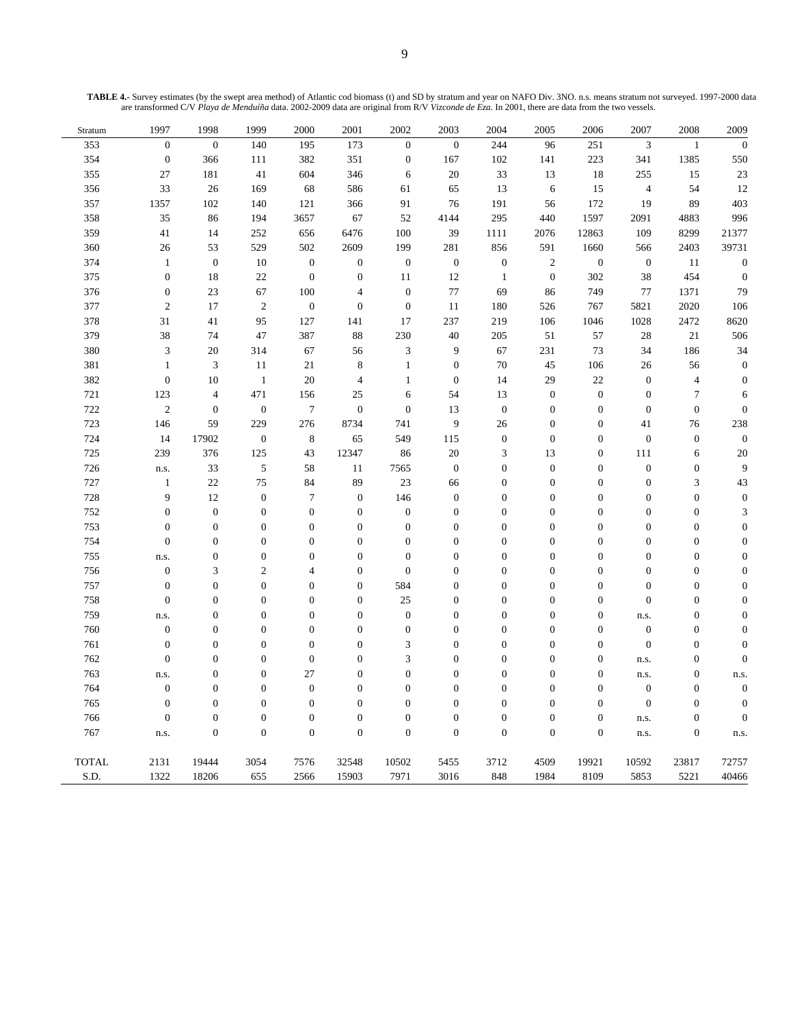| TABLE 4.- Survey estimates (by the swept area method) of Atlantic cod biomass (t) and SD by stratum and year on NAFO Div. 3NO. n.s. means stratum not surveyed. 1997-2000 data |  |
|--------------------------------------------------------------------------------------------------------------------------------------------------------------------------------|--|
| are transformed C/V Playa de Menduíña data. 2002-2009 data are original from R/V Vizconde de Eza. In 2001, there are data from the two vessels.                                |  |

| $\sqrt{3}$<br>$\boldsymbol{0}$<br>$\overline{0}$<br>140<br>195<br>173<br>$\boldsymbol{0}$<br>$\boldsymbol{0}$<br>244<br>96<br>251<br>353<br>$\mathbf{1}$<br>354<br>$\boldsymbol{0}$<br>382<br>351<br>$\boldsymbol{0}$<br>167<br>102<br>223<br>341<br>1385<br>366<br>111<br>141<br>355<br>27<br>181<br>604<br>346<br>$20\,$<br>33<br>13<br>18<br>255<br>15<br>41<br>6<br>356<br>33<br>26<br>169<br>68<br>586<br>65<br>13<br>$\sqrt{6}$<br>15<br>$\overline{4}$<br>54<br>61<br>1357<br>172<br>89<br>357<br>102<br>140<br>121<br>366<br>91<br>76<br>191<br>56<br>19<br>35<br>67<br>52<br>440<br>1597<br>2091<br>4883<br>358<br>86<br>194<br>3657<br>4144<br>295<br>359<br>41<br>6476<br>100<br>12863<br>109<br>14<br>252<br>656<br>39<br>1111<br>2076<br>8299<br>2609<br>360<br>26<br>53<br>529<br>199<br>281<br>856<br>591<br>1660<br>566<br>2403<br>502<br>374<br>$\mathbf{1}$<br>$\boldsymbol{0}$<br>10<br>$\boldsymbol{0}$<br>$\boldsymbol{0}$<br>$\boldsymbol{0}$<br>$\boldsymbol{0}$<br>$\boldsymbol{0}$<br>$\overline{2}$<br>$\boldsymbol{0}$<br>$\boldsymbol{0}$<br>11<br>$\boldsymbol{0}$<br>375<br>22<br>$\boldsymbol{0}$<br>$\boldsymbol{0}$<br>$\boldsymbol{0}$<br>302<br>38<br>454<br>18<br>11<br>12<br>$\mathbf{1}$<br>376<br>$\boldsymbol{0}$<br>$23\,$<br>67<br>100<br>$\boldsymbol{0}$<br>$77\,$<br>69<br>749<br>$77\,$<br>1371<br>86<br>$\overline{4}$<br>377<br>$\sqrt{2}$<br>17<br>$\overline{c}$<br>$\boldsymbol{0}$<br>$\boldsymbol{0}$<br>5821<br>2020<br>$\boldsymbol{0}$<br>11<br>180<br>526<br>767<br>378<br>95<br>219<br>31<br>41<br>127<br>141<br>17<br>237<br>106<br>1046<br>1028<br>2472<br>88<br>230<br>379<br>38<br>74<br>47<br>387<br>$40\,$<br>205<br>51<br>57<br>28<br>21<br>$\ensuremath{\mathfrak{Z}}$<br>380<br>$\mathfrak{Z}$<br>20<br>314<br>67<br>9<br>67<br>231<br>73<br>34<br>186<br>56<br>381<br>$\mathbf{1}$<br>$\ensuremath{\mathfrak{Z}}$<br>11<br>$\,$ 8 $\,$<br>$1\,$<br>$70\,$<br>45<br>106<br>26<br>21<br>$\boldsymbol{0}$<br>56<br>382<br>$\boldsymbol{0}$<br>20<br>14<br>29<br>22<br>$\boldsymbol{0}$<br>10<br>$\mathbf{1}$<br>$\overline{4}$<br>$\mathbf{1}$<br>$\boldsymbol{0}$<br>$\overline{4}$<br>721<br>471<br>$\boldsymbol{0}$<br>$\boldsymbol{7}$<br>123<br>$\overline{4}$<br>156<br>25<br>$\sqrt{6}$<br>54<br>13<br>$\boldsymbol{0}$<br>$\boldsymbol{0}$<br>722<br>$\sqrt{2}$<br>$\boldsymbol{0}$<br>$\boldsymbol{7}$<br>$\boldsymbol{0}$<br>$\boldsymbol{0}$<br>$\boldsymbol{0}$<br>$\boldsymbol{0}$<br>$\boldsymbol{0}$<br>$\overline{0}$<br>13<br>$\boldsymbol{0}$<br>$\boldsymbol{0}$<br>723<br>146<br>59<br>229<br>276<br>8734<br>741<br>9<br>26<br>$\mathbf{0}$<br>$\boldsymbol{0}$<br>41<br>76<br>724<br>$\boldsymbol{0}$<br>$\boldsymbol{0}$<br>14<br>17902<br>$\,8\,$<br>65<br>549<br>115<br>$\mathbf{0}$<br>$\boldsymbol{0}$<br>$\boldsymbol{0}$<br>$\boldsymbol{0}$<br>725<br>239<br>376<br>125<br>43<br>12347<br>86<br>$20\,$<br>13<br>$\boldsymbol{0}$<br>111<br>3<br>6<br>$\sqrt{5}$<br>726<br>33<br>$11\,$<br>7565<br>$\boldsymbol{0}$<br>$\boldsymbol{0}$<br>$\boldsymbol{0}$<br>$\boldsymbol{0}$<br>$\boldsymbol{0}$<br>58<br>$\boldsymbol{0}$<br>n.s.<br>727<br>$22\,$<br>75<br>89<br>23<br>$\boldsymbol{0}$<br>$\boldsymbol{0}$<br>$\boldsymbol{0}$<br>$\boldsymbol{0}$<br>$\mathfrak{Z}$<br>$\mathbf{1}$<br>84<br>66<br>728<br>9<br>12<br>$\boldsymbol{0}$<br>146<br>$\tau$<br>$\boldsymbol{0}$<br>$\boldsymbol{0}$<br>$\boldsymbol{0}$<br>$\boldsymbol{0}$<br>$\boldsymbol{0}$<br>$\boldsymbol{0}$<br>$\overline{0}$<br>752<br>$\boldsymbol{0}$<br>$\boldsymbol{0}$<br>$\overline{0}$<br>$\boldsymbol{0}$<br>$\boldsymbol{0}$<br>$\overline{0}$<br>$\boldsymbol{0}$<br>$\boldsymbol{0}$<br>$\boldsymbol{0}$<br>$\boldsymbol{0}$<br>$\boldsymbol{0}$<br>$\boldsymbol{0}$<br>753<br>$\boldsymbol{0}$<br>$\boldsymbol{0}$<br>$\boldsymbol{0}$<br>$\boldsymbol{0}$<br>$\boldsymbol{0}$<br>$\boldsymbol{0}$<br>$\boldsymbol{0}$<br>$\boldsymbol{0}$<br>$\boldsymbol{0}$<br>$\boldsymbol{0}$<br>$\boldsymbol{0}$<br>$\boldsymbol{0}$<br>$\boldsymbol{0}$<br>754<br>$\mathbf{0}$<br>$\boldsymbol{0}$<br>$\boldsymbol{0}$<br>$\boldsymbol{0}$<br>$\boldsymbol{0}$<br>$\boldsymbol{0}$<br>$\boldsymbol{0}$<br>$\boldsymbol{0}$<br>$\boldsymbol{0}$<br>$\boldsymbol{0}$<br>$\boldsymbol{0}$<br>755<br>$\boldsymbol{0}$<br>$\boldsymbol{0}$<br>$\boldsymbol{0}$<br>$\boldsymbol{0}$<br>$\boldsymbol{0}$<br>$\boldsymbol{0}$<br>$\boldsymbol{0}$<br>$\boldsymbol{0}$<br>$\boldsymbol{0}$<br>$\boldsymbol{0}$<br>$\boldsymbol{0}$<br>n.s.<br>756<br>$\boldsymbol{0}$<br>$\overline{c}$<br>$\boldsymbol{0}$<br>$\boldsymbol{0}$<br>$\boldsymbol{0}$<br>$\boldsymbol{0}$<br>$\boldsymbol{0}$<br>$\boldsymbol{0}$<br>3<br>$\overline{4}$<br>$\boldsymbol{0}$<br>$\boldsymbol{0}$<br>757<br>$\boldsymbol{0}$<br>$\boldsymbol{0}$<br>584<br>$\boldsymbol{0}$<br>$\boldsymbol{0}$<br>$\boldsymbol{0}$<br>$\boldsymbol{0}$<br>$\boldsymbol{0}$<br>$\boldsymbol{0}$<br>$\boldsymbol{0}$<br>$\boldsymbol{0}$<br>$\boldsymbol{0}$<br>758<br>$\boldsymbol{0}$<br>$25\,$<br>$\boldsymbol{0}$<br>$\boldsymbol{0}$<br>$\boldsymbol{0}$<br>$\boldsymbol{0}$<br>$\boldsymbol{0}$<br>$\boldsymbol{0}$<br>$\boldsymbol{0}$<br>$\overline{0}$<br>$\boldsymbol{0}$<br>$\boldsymbol{0}$<br>759<br>$\boldsymbol{0}$<br>$\overline{0}$<br>$\mathbf{0}$<br>$\boldsymbol{0}$<br>$\boldsymbol{0}$<br>$\overline{0}$<br>$\mathbf{0}$<br>$\mathbf{0}$<br>$\boldsymbol{0}$<br>$\overline{0}$<br>n.s.<br>n.s. | Stratum | 1997             | 1998 | 1999 | 2000 | 2001 | 2002             | 2003 | 2004 | 2005 | 2006 | 2007             | 2008 | 2009             |
|----------------------------------------------------------------------------------------------------------------------------------------------------------------------------------------------------------------------------------------------------------------------------------------------------------------------------------------------------------------------------------------------------------------------------------------------------------------------------------------------------------------------------------------------------------------------------------------------------------------------------------------------------------------------------------------------------------------------------------------------------------------------------------------------------------------------------------------------------------------------------------------------------------------------------------------------------------------------------------------------------------------------------------------------------------------------------------------------------------------------------------------------------------------------------------------------------------------------------------------------------------------------------------------------------------------------------------------------------------------------------------------------------------------------------------------------------------------------------------------------------------------------------------------------------------------------------------------------------------------------------------------------------------------------------------------------------------------------------------------------------------------------------------------------------------------------------------------------------------------------------------------------------------------------------------------------------------------------------------------------------------------------------------------------------------------------------------------------------------------------------------------------------------------------------------------------------------------------------------------------------------------------------------------------------------------------------------------------------------------------------------------------------------------------------------------------------------------------------------------------------------------------------------------------------------------------------------------------------------------------------------------------------------------------------------------------------------------------------------------------------------------------------------------------------------------------------------------------------------------------------------------------------------------------------------------------------------------------------------------------------------------------------------------------------------------------------------------------------------------------------------------------------------------------------------------------------------------------------------------------------------------------------------------------------------------------------------------------------------------------------------------------------------------------------------------------------------------------------------------------------------------------------------------------------------------------------------------------------------------------------------------------------------------------------------------------------------------------------------------------------------------------------------------------------------------------------------------------------------------------------------------------------------------------------------------------------------------------------------------------------------------------------------------------------------------------------------------------------------------------------------------------------------------------------------------------------------------------------------------------------------------------------------------------------------------------------------------------------------------------------------------------------------------------------------------------------------------------------------------------------------------------------------------------------------------------------------------------------------------------------------------------------------------------------------------------------------------------------------------------------------------------------------------------------------------------------------------------------------------------------------------------------------------------------------------------------------------------------------------------------------------------------------------------------------------------------------------------------------------------------------------------------------------------------------------------------------------------------------------------------------------------------------------------------------------------------------------------------------------------------------------------------------------------------------------------------|---------|------------------|------|------|------|------|------------------|------|------|------|------|------------------|------|------------------|
|                                                                                                                                                                                                                                                                                                                                                                                                                                                                                                                                                                                                                                                                                                                                                                                                                                                                                                                                                                                                                                                                                                                                                                                                                                                                                                                                                                                                                                                                                                                                                                                                                                                                                                                                                                                                                                                                                                                                                                                                                                                                                                                                                                                                                                                                                                                                                                                                                                                                                                                                                                                                                                                                                                                                                                                                                                                                                                                                                                                                                                                                                                                                                                                                                                                                                                                                                                                                                                                                                                                                                                                                                                                                                                                                                                                                                                                                                                                                                                                                                                                                                                                                                                                                                                                                                                                                                                                                                                                                                                                                                                                                                                                                                                                                                                                                                                                                                                                                                                                                                                                                                                                                                                                                                                                                                                                                                                                                                                                    |         |                  |      |      |      |      |                  |      |      |      |      |                  |      | $\boldsymbol{0}$ |
|                                                                                                                                                                                                                                                                                                                                                                                                                                                                                                                                                                                                                                                                                                                                                                                                                                                                                                                                                                                                                                                                                                                                                                                                                                                                                                                                                                                                                                                                                                                                                                                                                                                                                                                                                                                                                                                                                                                                                                                                                                                                                                                                                                                                                                                                                                                                                                                                                                                                                                                                                                                                                                                                                                                                                                                                                                                                                                                                                                                                                                                                                                                                                                                                                                                                                                                                                                                                                                                                                                                                                                                                                                                                                                                                                                                                                                                                                                                                                                                                                                                                                                                                                                                                                                                                                                                                                                                                                                                                                                                                                                                                                                                                                                                                                                                                                                                                                                                                                                                                                                                                                                                                                                                                                                                                                                                                                                                                                                                    |         |                  |      |      |      |      |                  |      |      |      |      |                  |      | 550              |
|                                                                                                                                                                                                                                                                                                                                                                                                                                                                                                                                                                                                                                                                                                                                                                                                                                                                                                                                                                                                                                                                                                                                                                                                                                                                                                                                                                                                                                                                                                                                                                                                                                                                                                                                                                                                                                                                                                                                                                                                                                                                                                                                                                                                                                                                                                                                                                                                                                                                                                                                                                                                                                                                                                                                                                                                                                                                                                                                                                                                                                                                                                                                                                                                                                                                                                                                                                                                                                                                                                                                                                                                                                                                                                                                                                                                                                                                                                                                                                                                                                                                                                                                                                                                                                                                                                                                                                                                                                                                                                                                                                                                                                                                                                                                                                                                                                                                                                                                                                                                                                                                                                                                                                                                                                                                                                                                                                                                                                                    |         |                  |      |      |      |      |                  |      |      |      |      |                  |      | 23               |
|                                                                                                                                                                                                                                                                                                                                                                                                                                                                                                                                                                                                                                                                                                                                                                                                                                                                                                                                                                                                                                                                                                                                                                                                                                                                                                                                                                                                                                                                                                                                                                                                                                                                                                                                                                                                                                                                                                                                                                                                                                                                                                                                                                                                                                                                                                                                                                                                                                                                                                                                                                                                                                                                                                                                                                                                                                                                                                                                                                                                                                                                                                                                                                                                                                                                                                                                                                                                                                                                                                                                                                                                                                                                                                                                                                                                                                                                                                                                                                                                                                                                                                                                                                                                                                                                                                                                                                                                                                                                                                                                                                                                                                                                                                                                                                                                                                                                                                                                                                                                                                                                                                                                                                                                                                                                                                                                                                                                                                                    |         |                  |      |      |      |      |                  |      |      |      |      |                  |      | 12               |
|                                                                                                                                                                                                                                                                                                                                                                                                                                                                                                                                                                                                                                                                                                                                                                                                                                                                                                                                                                                                                                                                                                                                                                                                                                                                                                                                                                                                                                                                                                                                                                                                                                                                                                                                                                                                                                                                                                                                                                                                                                                                                                                                                                                                                                                                                                                                                                                                                                                                                                                                                                                                                                                                                                                                                                                                                                                                                                                                                                                                                                                                                                                                                                                                                                                                                                                                                                                                                                                                                                                                                                                                                                                                                                                                                                                                                                                                                                                                                                                                                                                                                                                                                                                                                                                                                                                                                                                                                                                                                                                                                                                                                                                                                                                                                                                                                                                                                                                                                                                                                                                                                                                                                                                                                                                                                                                                                                                                                                                    |         |                  |      |      |      |      |                  |      |      |      |      |                  |      | 403              |
|                                                                                                                                                                                                                                                                                                                                                                                                                                                                                                                                                                                                                                                                                                                                                                                                                                                                                                                                                                                                                                                                                                                                                                                                                                                                                                                                                                                                                                                                                                                                                                                                                                                                                                                                                                                                                                                                                                                                                                                                                                                                                                                                                                                                                                                                                                                                                                                                                                                                                                                                                                                                                                                                                                                                                                                                                                                                                                                                                                                                                                                                                                                                                                                                                                                                                                                                                                                                                                                                                                                                                                                                                                                                                                                                                                                                                                                                                                                                                                                                                                                                                                                                                                                                                                                                                                                                                                                                                                                                                                                                                                                                                                                                                                                                                                                                                                                                                                                                                                                                                                                                                                                                                                                                                                                                                                                                                                                                                                                    |         |                  |      |      |      |      |                  |      |      |      |      |                  |      | 996              |
|                                                                                                                                                                                                                                                                                                                                                                                                                                                                                                                                                                                                                                                                                                                                                                                                                                                                                                                                                                                                                                                                                                                                                                                                                                                                                                                                                                                                                                                                                                                                                                                                                                                                                                                                                                                                                                                                                                                                                                                                                                                                                                                                                                                                                                                                                                                                                                                                                                                                                                                                                                                                                                                                                                                                                                                                                                                                                                                                                                                                                                                                                                                                                                                                                                                                                                                                                                                                                                                                                                                                                                                                                                                                                                                                                                                                                                                                                                                                                                                                                                                                                                                                                                                                                                                                                                                                                                                                                                                                                                                                                                                                                                                                                                                                                                                                                                                                                                                                                                                                                                                                                                                                                                                                                                                                                                                                                                                                                                                    |         |                  |      |      |      |      |                  |      |      |      |      |                  |      | 21377            |
|                                                                                                                                                                                                                                                                                                                                                                                                                                                                                                                                                                                                                                                                                                                                                                                                                                                                                                                                                                                                                                                                                                                                                                                                                                                                                                                                                                                                                                                                                                                                                                                                                                                                                                                                                                                                                                                                                                                                                                                                                                                                                                                                                                                                                                                                                                                                                                                                                                                                                                                                                                                                                                                                                                                                                                                                                                                                                                                                                                                                                                                                                                                                                                                                                                                                                                                                                                                                                                                                                                                                                                                                                                                                                                                                                                                                                                                                                                                                                                                                                                                                                                                                                                                                                                                                                                                                                                                                                                                                                                                                                                                                                                                                                                                                                                                                                                                                                                                                                                                                                                                                                                                                                                                                                                                                                                                                                                                                                                                    |         |                  |      |      |      |      |                  |      |      |      |      |                  |      | 39731            |
|                                                                                                                                                                                                                                                                                                                                                                                                                                                                                                                                                                                                                                                                                                                                                                                                                                                                                                                                                                                                                                                                                                                                                                                                                                                                                                                                                                                                                                                                                                                                                                                                                                                                                                                                                                                                                                                                                                                                                                                                                                                                                                                                                                                                                                                                                                                                                                                                                                                                                                                                                                                                                                                                                                                                                                                                                                                                                                                                                                                                                                                                                                                                                                                                                                                                                                                                                                                                                                                                                                                                                                                                                                                                                                                                                                                                                                                                                                                                                                                                                                                                                                                                                                                                                                                                                                                                                                                                                                                                                                                                                                                                                                                                                                                                                                                                                                                                                                                                                                                                                                                                                                                                                                                                                                                                                                                                                                                                                                                    |         |                  |      |      |      |      |                  |      |      |      |      |                  |      | $\boldsymbol{0}$ |
|                                                                                                                                                                                                                                                                                                                                                                                                                                                                                                                                                                                                                                                                                                                                                                                                                                                                                                                                                                                                                                                                                                                                                                                                                                                                                                                                                                                                                                                                                                                                                                                                                                                                                                                                                                                                                                                                                                                                                                                                                                                                                                                                                                                                                                                                                                                                                                                                                                                                                                                                                                                                                                                                                                                                                                                                                                                                                                                                                                                                                                                                                                                                                                                                                                                                                                                                                                                                                                                                                                                                                                                                                                                                                                                                                                                                                                                                                                                                                                                                                                                                                                                                                                                                                                                                                                                                                                                                                                                                                                                                                                                                                                                                                                                                                                                                                                                                                                                                                                                                                                                                                                                                                                                                                                                                                                                                                                                                                                                    |         |                  |      |      |      |      |                  |      |      |      |      |                  |      | $\boldsymbol{0}$ |
|                                                                                                                                                                                                                                                                                                                                                                                                                                                                                                                                                                                                                                                                                                                                                                                                                                                                                                                                                                                                                                                                                                                                                                                                                                                                                                                                                                                                                                                                                                                                                                                                                                                                                                                                                                                                                                                                                                                                                                                                                                                                                                                                                                                                                                                                                                                                                                                                                                                                                                                                                                                                                                                                                                                                                                                                                                                                                                                                                                                                                                                                                                                                                                                                                                                                                                                                                                                                                                                                                                                                                                                                                                                                                                                                                                                                                                                                                                                                                                                                                                                                                                                                                                                                                                                                                                                                                                                                                                                                                                                                                                                                                                                                                                                                                                                                                                                                                                                                                                                                                                                                                                                                                                                                                                                                                                                                                                                                                                                    |         |                  |      |      |      |      |                  |      |      |      |      |                  |      | 79               |
|                                                                                                                                                                                                                                                                                                                                                                                                                                                                                                                                                                                                                                                                                                                                                                                                                                                                                                                                                                                                                                                                                                                                                                                                                                                                                                                                                                                                                                                                                                                                                                                                                                                                                                                                                                                                                                                                                                                                                                                                                                                                                                                                                                                                                                                                                                                                                                                                                                                                                                                                                                                                                                                                                                                                                                                                                                                                                                                                                                                                                                                                                                                                                                                                                                                                                                                                                                                                                                                                                                                                                                                                                                                                                                                                                                                                                                                                                                                                                                                                                                                                                                                                                                                                                                                                                                                                                                                                                                                                                                                                                                                                                                                                                                                                                                                                                                                                                                                                                                                                                                                                                                                                                                                                                                                                                                                                                                                                                                                    |         |                  |      |      |      |      |                  |      |      |      |      |                  |      | 106              |
|                                                                                                                                                                                                                                                                                                                                                                                                                                                                                                                                                                                                                                                                                                                                                                                                                                                                                                                                                                                                                                                                                                                                                                                                                                                                                                                                                                                                                                                                                                                                                                                                                                                                                                                                                                                                                                                                                                                                                                                                                                                                                                                                                                                                                                                                                                                                                                                                                                                                                                                                                                                                                                                                                                                                                                                                                                                                                                                                                                                                                                                                                                                                                                                                                                                                                                                                                                                                                                                                                                                                                                                                                                                                                                                                                                                                                                                                                                                                                                                                                                                                                                                                                                                                                                                                                                                                                                                                                                                                                                                                                                                                                                                                                                                                                                                                                                                                                                                                                                                                                                                                                                                                                                                                                                                                                                                                                                                                                                                    |         |                  |      |      |      |      |                  |      |      |      |      |                  |      | 8620             |
|                                                                                                                                                                                                                                                                                                                                                                                                                                                                                                                                                                                                                                                                                                                                                                                                                                                                                                                                                                                                                                                                                                                                                                                                                                                                                                                                                                                                                                                                                                                                                                                                                                                                                                                                                                                                                                                                                                                                                                                                                                                                                                                                                                                                                                                                                                                                                                                                                                                                                                                                                                                                                                                                                                                                                                                                                                                                                                                                                                                                                                                                                                                                                                                                                                                                                                                                                                                                                                                                                                                                                                                                                                                                                                                                                                                                                                                                                                                                                                                                                                                                                                                                                                                                                                                                                                                                                                                                                                                                                                                                                                                                                                                                                                                                                                                                                                                                                                                                                                                                                                                                                                                                                                                                                                                                                                                                                                                                                                                    |         |                  |      |      |      |      |                  |      |      |      |      |                  |      | 506              |
|                                                                                                                                                                                                                                                                                                                                                                                                                                                                                                                                                                                                                                                                                                                                                                                                                                                                                                                                                                                                                                                                                                                                                                                                                                                                                                                                                                                                                                                                                                                                                                                                                                                                                                                                                                                                                                                                                                                                                                                                                                                                                                                                                                                                                                                                                                                                                                                                                                                                                                                                                                                                                                                                                                                                                                                                                                                                                                                                                                                                                                                                                                                                                                                                                                                                                                                                                                                                                                                                                                                                                                                                                                                                                                                                                                                                                                                                                                                                                                                                                                                                                                                                                                                                                                                                                                                                                                                                                                                                                                                                                                                                                                                                                                                                                                                                                                                                                                                                                                                                                                                                                                                                                                                                                                                                                                                                                                                                                                                    |         |                  |      |      |      |      |                  |      |      |      |      |                  |      | 34               |
|                                                                                                                                                                                                                                                                                                                                                                                                                                                                                                                                                                                                                                                                                                                                                                                                                                                                                                                                                                                                                                                                                                                                                                                                                                                                                                                                                                                                                                                                                                                                                                                                                                                                                                                                                                                                                                                                                                                                                                                                                                                                                                                                                                                                                                                                                                                                                                                                                                                                                                                                                                                                                                                                                                                                                                                                                                                                                                                                                                                                                                                                                                                                                                                                                                                                                                                                                                                                                                                                                                                                                                                                                                                                                                                                                                                                                                                                                                                                                                                                                                                                                                                                                                                                                                                                                                                                                                                                                                                                                                                                                                                                                                                                                                                                                                                                                                                                                                                                                                                                                                                                                                                                                                                                                                                                                                                                                                                                                                                    |         |                  |      |      |      |      |                  |      |      |      |      |                  |      | $\boldsymbol{0}$ |
|                                                                                                                                                                                                                                                                                                                                                                                                                                                                                                                                                                                                                                                                                                                                                                                                                                                                                                                                                                                                                                                                                                                                                                                                                                                                                                                                                                                                                                                                                                                                                                                                                                                                                                                                                                                                                                                                                                                                                                                                                                                                                                                                                                                                                                                                                                                                                                                                                                                                                                                                                                                                                                                                                                                                                                                                                                                                                                                                                                                                                                                                                                                                                                                                                                                                                                                                                                                                                                                                                                                                                                                                                                                                                                                                                                                                                                                                                                                                                                                                                                                                                                                                                                                                                                                                                                                                                                                                                                                                                                                                                                                                                                                                                                                                                                                                                                                                                                                                                                                                                                                                                                                                                                                                                                                                                                                                                                                                                                                    |         |                  |      |      |      |      |                  |      |      |      |      |                  |      | $\boldsymbol{0}$ |
|                                                                                                                                                                                                                                                                                                                                                                                                                                                                                                                                                                                                                                                                                                                                                                                                                                                                                                                                                                                                                                                                                                                                                                                                                                                                                                                                                                                                                                                                                                                                                                                                                                                                                                                                                                                                                                                                                                                                                                                                                                                                                                                                                                                                                                                                                                                                                                                                                                                                                                                                                                                                                                                                                                                                                                                                                                                                                                                                                                                                                                                                                                                                                                                                                                                                                                                                                                                                                                                                                                                                                                                                                                                                                                                                                                                                                                                                                                                                                                                                                                                                                                                                                                                                                                                                                                                                                                                                                                                                                                                                                                                                                                                                                                                                                                                                                                                                                                                                                                                                                                                                                                                                                                                                                                                                                                                                                                                                                                                    |         |                  |      |      |      |      |                  |      |      |      |      |                  |      | 6                |
|                                                                                                                                                                                                                                                                                                                                                                                                                                                                                                                                                                                                                                                                                                                                                                                                                                                                                                                                                                                                                                                                                                                                                                                                                                                                                                                                                                                                                                                                                                                                                                                                                                                                                                                                                                                                                                                                                                                                                                                                                                                                                                                                                                                                                                                                                                                                                                                                                                                                                                                                                                                                                                                                                                                                                                                                                                                                                                                                                                                                                                                                                                                                                                                                                                                                                                                                                                                                                                                                                                                                                                                                                                                                                                                                                                                                                                                                                                                                                                                                                                                                                                                                                                                                                                                                                                                                                                                                                                                                                                                                                                                                                                                                                                                                                                                                                                                                                                                                                                                                                                                                                                                                                                                                                                                                                                                                                                                                                                                    |         |                  |      |      |      |      |                  |      |      |      |      |                  |      | $\boldsymbol{0}$ |
|                                                                                                                                                                                                                                                                                                                                                                                                                                                                                                                                                                                                                                                                                                                                                                                                                                                                                                                                                                                                                                                                                                                                                                                                                                                                                                                                                                                                                                                                                                                                                                                                                                                                                                                                                                                                                                                                                                                                                                                                                                                                                                                                                                                                                                                                                                                                                                                                                                                                                                                                                                                                                                                                                                                                                                                                                                                                                                                                                                                                                                                                                                                                                                                                                                                                                                                                                                                                                                                                                                                                                                                                                                                                                                                                                                                                                                                                                                                                                                                                                                                                                                                                                                                                                                                                                                                                                                                                                                                                                                                                                                                                                                                                                                                                                                                                                                                                                                                                                                                                                                                                                                                                                                                                                                                                                                                                                                                                                                                    |         |                  |      |      |      |      |                  |      |      |      |      |                  |      | 238              |
|                                                                                                                                                                                                                                                                                                                                                                                                                                                                                                                                                                                                                                                                                                                                                                                                                                                                                                                                                                                                                                                                                                                                                                                                                                                                                                                                                                                                                                                                                                                                                                                                                                                                                                                                                                                                                                                                                                                                                                                                                                                                                                                                                                                                                                                                                                                                                                                                                                                                                                                                                                                                                                                                                                                                                                                                                                                                                                                                                                                                                                                                                                                                                                                                                                                                                                                                                                                                                                                                                                                                                                                                                                                                                                                                                                                                                                                                                                                                                                                                                                                                                                                                                                                                                                                                                                                                                                                                                                                                                                                                                                                                                                                                                                                                                                                                                                                                                                                                                                                                                                                                                                                                                                                                                                                                                                                                                                                                                                                    |         |                  |      |      |      |      |                  |      |      |      |      |                  |      | $\boldsymbol{0}$ |
|                                                                                                                                                                                                                                                                                                                                                                                                                                                                                                                                                                                                                                                                                                                                                                                                                                                                                                                                                                                                                                                                                                                                                                                                                                                                                                                                                                                                                                                                                                                                                                                                                                                                                                                                                                                                                                                                                                                                                                                                                                                                                                                                                                                                                                                                                                                                                                                                                                                                                                                                                                                                                                                                                                                                                                                                                                                                                                                                                                                                                                                                                                                                                                                                                                                                                                                                                                                                                                                                                                                                                                                                                                                                                                                                                                                                                                                                                                                                                                                                                                                                                                                                                                                                                                                                                                                                                                                                                                                                                                                                                                                                                                                                                                                                                                                                                                                                                                                                                                                                                                                                                                                                                                                                                                                                                                                                                                                                                                                    |         |                  |      |      |      |      |                  |      |      |      |      |                  |      | 20               |
|                                                                                                                                                                                                                                                                                                                                                                                                                                                                                                                                                                                                                                                                                                                                                                                                                                                                                                                                                                                                                                                                                                                                                                                                                                                                                                                                                                                                                                                                                                                                                                                                                                                                                                                                                                                                                                                                                                                                                                                                                                                                                                                                                                                                                                                                                                                                                                                                                                                                                                                                                                                                                                                                                                                                                                                                                                                                                                                                                                                                                                                                                                                                                                                                                                                                                                                                                                                                                                                                                                                                                                                                                                                                                                                                                                                                                                                                                                                                                                                                                                                                                                                                                                                                                                                                                                                                                                                                                                                                                                                                                                                                                                                                                                                                                                                                                                                                                                                                                                                                                                                                                                                                                                                                                                                                                                                                                                                                                                                    |         |                  |      |      |      |      |                  |      |      |      |      |                  |      | 9                |
|                                                                                                                                                                                                                                                                                                                                                                                                                                                                                                                                                                                                                                                                                                                                                                                                                                                                                                                                                                                                                                                                                                                                                                                                                                                                                                                                                                                                                                                                                                                                                                                                                                                                                                                                                                                                                                                                                                                                                                                                                                                                                                                                                                                                                                                                                                                                                                                                                                                                                                                                                                                                                                                                                                                                                                                                                                                                                                                                                                                                                                                                                                                                                                                                                                                                                                                                                                                                                                                                                                                                                                                                                                                                                                                                                                                                                                                                                                                                                                                                                                                                                                                                                                                                                                                                                                                                                                                                                                                                                                                                                                                                                                                                                                                                                                                                                                                                                                                                                                                                                                                                                                                                                                                                                                                                                                                                                                                                                                                    |         |                  |      |      |      |      |                  |      |      |      |      |                  |      | 43               |
|                                                                                                                                                                                                                                                                                                                                                                                                                                                                                                                                                                                                                                                                                                                                                                                                                                                                                                                                                                                                                                                                                                                                                                                                                                                                                                                                                                                                                                                                                                                                                                                                                                                                                                                                                                                                                                                                                                                                                                                                                                                                                                                                                                                                                                                                                                                                                                                                                                                                                                                                                                                                                                                                                                                                                                                                                                                                                                                                                                                                                                                                                                                                                                                                                                                                                                                                                                                                                                                                                                                                                                                                                                                                                                                                                                                                                                                                                                                                                                                                                                                                                                                                                                                                                                                                                                                                                                                                                                                                                                                                                                                                                                                                                                                                                                                                                                                                                                                                                                                                                                                                                                                                                                                                                                                                                                                                                                                                                                                    |         |                  |      |      |      |      |                  |      |      |      |      |                  |      | $\boldsymbol{0}$ |
|                                                                                                                                                                                                                                                                                                                                                                                                                                                                                                                                                                                                                                                                                                                                                                                                                                                                                                                                                                                                                                                                                                                                                                                                                                                                                                                                                                                                                                                                                                                                                                                                                                                                                                                                                                                                                                                                                                                                                                                                                                                                                                                                                                                                                                                                                                                                                                                                                                                                                                                                                                                                                                                                                                                                                                                                                                                                                                                                                                                                                                                                                                                                                                                                                                                                                                                                                                                                                                                                                                                                                                                                                                                                                                                                                                                                                                                                                                                                                                                                                                                                                                                                                                                                                                                                                                                                                                                                                                                                                                                                                                                                                                                                                                                                                                                                                                                                                                                                                                                                                                                                                                                                                                                                                                                                                                                                                                                                                                                    |         |                  |      |      |      |      |                  |      |      |      |      |                  |      | 3                |
|                                                                                                                                                                                                                                                                                                                                                                                                                                                                                                                                                                                                                                                                                                                                                                                                                                                                                                                                                                                                                                                                                                                                                                                                                                                                                                                                                                                                                                                                                                                                                                                                                                                                                                                                                                                                                                                                                                                                                                                                                                                                                                                                                                                                                                                                                                                                                                                                                                                                                                                                                                                                                                                                                                                                                                                                                                                                                                                                                                                                                                                                                                                                                                                                                                                                                                                                                                                                                                                                                                                                                                                                                                                                                                                                                                                                                                                                                                                                                                                                                                                                                                                                                                                                                                                                                                                                                                                                                                                                                                                                                                                                                                                                                                                                                                                                                                                                                                                                                                                                                                                                                                                                                                                                                                                                                                                                                                                                                                                    |         |                  |      |      |      |      |                  |      |      |      |      |                  |      | $\boldsymbol{0}$ |
|                                                                                                                                                                                                                                                                                                                                                                                                                                                                                                                                                                                                                                                                                                                                                                                                                                                                                                                                                                                                                                                                                                                                                                                                                                                                                                                                                                                                                                                                                                                                                                                                                                                                                                                                                                                                                                                                                                                                                                                                                                                                                                                                                                                                                                                                                                                                                                                                                                                                                                                                                                                                                                                                                                                                                                                                                                                                                                                                                                                                                                                                                                                                                                                                                                                                                                                                                                                                                                                                                                                                                                                                                                                                                                                                                                                                                                                                                                                                                                                                                                                                                                                                                                                                                                                                                                                                                                                                                                                                                                                                                                                                                                                                                                                                                                                                                                                                                                                                                                                                                                                                                                                                                                                                                                                                                                                                                                                                                                                    |         |                  |      |      |      |      |                  |      |      |      |      |                  |      | $\mathbf{0}$     |
|                                                                                                                                                                                                                                                                                                                                                                                                                                                                                                                                                                                                                                                                                                                                                                                                                                                                                                                                                                                                                                                                                                                                                                                                                                                                                                                                                                                                                                                                                                                                                                                                                                                                                                                                                                                                                                                                                                                                                                                                                                                                                                                                                                                                                                                                                                                                                                                                                                                                                                                                                                                                                                                                                                                                                                                                                                                                                                                                                                                                                                                                                                                                                                                                                                                                                                                                                                                                                                                                                                                                                                                                                                                                                                                                                                                                                                                                                                                                                                                                                                                                                                                                                                                                                                                                                                                                                                                                                                                                                                                                                                                                                                                                                                                                                                                                                                                                                                                                                                                                                                                                                                                                                                                                                                                                                                                                                                                                                                                    |         |                  |      |      |      |      |                  |      |      |      |      |                  |      | $\boldsymbol{0}$ |
|                                                                                                                                                                                                                                                                                                                                                                                                                                                                                                                                                                                                                                                                                                                                                                                                                                                                                                                                                                                                                                                                                                                                                                                                                                                                                                                                                                                                                                                                                                                                                                                                                                                                                                                                                                                                                                                                                                                                                                                                                                                                                                                                                                                                                                                                                                                                                                                                                                                                                                                                                                                                                                                                                                                                                                                                                                                                                                                                                                                                                                                                                                                                                                                                                                                                                                                                                                                                                                                                                                                                                                                                                                                                                                                                                                                                                                                                                                                                                                                                                                                                                                                                                                                                                                                                                                                                                                                                                                                                                                                                                                                                                                                                                                                                                                                                                                                                                                                                                                                                                                                                                                                                                                                                                                                                                                                                                                                                                                                    |         |                  |      |      |      |      |                  |      |      |      |      |                  |      | $\boldsymbol{0}$ |
|                                                                                                                                                                                                                                                                                                                                                                                                                                                                                                                                                                                                                                                                                                                                                                                                                                                                                                                                                                                                                                                                                                                                                                                                                                                                                                                                                                                                                                                                                                                                                                                                                                                                                                                                                                                                                                                                                                                                                                                                                                                                                                                                                                                                                                                                                                                                                                                                                                                                                                                                                                                                                                                                                                                                                                                                                                                                                                                                                                                                                                                                                                                                                                                                                                                                                                                                                                                                                                                                                                                                                                                                                                                                                                                                                                                                                                                                                                                                                                                                                                                                                                                                                                                                                                                                                                                                                                                                                                                                                                                                                                                                                                                                                                                                                                                                                                                                                                                                                                                                                                                                                                                                                                                                                                                                                                                                                                                                                                                    |         |                  |      |      |      |      |                  |      |      |      |      |                  |      | $\overline{0}$   |
|                                                                                                                                                                                                                                                                                                                                                                                                                                                                                                                                                                                                                                                                                                                                                                                                                                                                                                                                                                                                                                                                                                                                                                                                                                                                                                                                                                                                                                                                                                                                                                                                                                                                                                                                                                                                                                                                                                                                                                                                                                                                                                                                                                                                                                                                                                                                                                                                                                                                                                                                                                                                                                                                                                                                                                                                                                                                                                                                                                                                                                                                                                                                                                                                                                                                                                                                                                                                                                                                                                                                                                                                                                                                                                                                                                                                                                                                                                                                                                                                                                                                                                                                                                                                                                                                                                                                                                                                                                                                                                                                                                                                                                                                                                                                                                                                                                                                                                                                                                                                                                                                                                                                                                                                                                                                                                                                                                                                                                                    |         |                  |      |      |      |      |                  |      |      |      |      |                  |      | $\boldsymbol{0}$ |
|                                                                                                                                                                                                                                                                                                                                                                                                                                                                                                                                                                                                                                                                                                                                                                                                                                                                                                                                                                                                                                                                                                                                                                                                                                                                                                                                                                                                                                                                                                                                                                                                                                                                                                                                                                                                                                                                                                                                                                                                                                                                                                                                                                                                                                                                                                                                                                                                                                                                                                                                                                                                                                                                                                                                                                                                                                                                                                                                                                                                                                                                                                                                                                                                                                                                                                                                                                                                                                                                                                                                                                                                                                                                                                                                                                                                                                                                                                                                                                                                                                                                                                                                                                                                                                                                                                                                                                                                                                                                                                                                                                                                                                                                                                                                                                                                                                                                                                                                                                                                                                                                                                                                                                                                                                                                                                                                                                                                                                                    |         |                  |      |      |      |      |                  |      |      |      |      |                  |      | $\boldsymbol{0}$ |
| $\mathbf{0}$<br>$\boldsymbol{0}$<br>$\boldsymbol{0}$<br>$\boldsymbol{0}$<br>$\boldsymbol{0}$<br>$\boldsymbol{0}$<br>$\boldsymbol{0}$<br>$\boldsymbol{0}$<br>$\boldsymbol{0}$                                                                                                                                                                                                                                                                                                                                                                                                                                                                                                                                                                                                                                                                                                                                                                                                                                                                                                                                                                                                                                                                                                                                                                                                                                                                                                                                                                                                                                                                                                                                                                                                                                                                                                                                                                                                                                                                                                                                                                                                                                                                                                                                                                                                                                                                                                                                                                                                                                                                                                                                                                                                                                                                                                                                                                                                                                                                                                                                                                                                                                                                                                                                                                                                                                                                                                                                                                                                                                                                                                                                                                                                                                                                                                                                                                                                                                                                                                                                                                                                                                                                                                                                                                                                                                                                                                                                                                                                                                                                                                                                                                                                                                                                                                                                                                                                                                                                                                                                                                                                                                                                                                                                                                                                                                                                       | 760     | $\boldsymbol{0}$ |      |      |      |      | $\boldsymbol{0}$ |      |      |      |      | $\boldsymbol{0}$ |      | $\boldsymbol{0}$ |
| 761<br>$\boldsymbol{0}$<br>$\boldsymbol{0}$<br>$\boldsymbol{0}$<br>$\boldsymbol{0}$<br>3<br>$\boldsymbol{0}$<br>$\boldsymbol{0}$<br>$\boldsymbol{0}$<br>$\boldsymbol{0}$<br>$\boldsymbol{0}$<br>$\boldsymbol{0}$<br>$\boldsymbol{0}$                                                                                                                                                                                                                                                                                                                                                                                                                                                                                                                                                                                                                                                                                                                                                                                                                                                                                                                                                                                                                                                                                                                                                                                                                                                                                                                                                                                                                                                                                                                                                                                                                                                                                                                                                                                                                                                                                                                                                                                                                                                                                                                                                                                                                                                                                                                                                                                                                                                                                                                                                                                                                                                                                                                                                                                                                                                                                                                                                                                                                                                                                                                                                                                                                                                                                                                                                                                                                                                                                                                                                                                                                                                                                                                                                                                                                                                                                                                                                                                                                                                                                                                                                                                                                                                                                                                                                                                                                                                                                                                                                                                                                                                                                                                                                                                                                                                                                                                                                                                                                                                                                                                                                                                                               |         |                  |      |      |      |      |                  |      |      |      |      |                  |      | $\mathbf{0}$     |
| $\boldsymbol{0}$<br>762<br>$\boldsymbol{0}$<br>$\boldsymbol{0}$<br>$\boldsymbol{0}$<br>3<br>$\mathbf{0}$<br>$\boldsymbol{0}$<br>$\boldsymbol{0}$<br>$\mathbf{0}$<br>$\mathbf{0}$<br>$\mathbf{0}$<br>n.s.                                                                                                                                                                                                                                                                                                                                                                                                                                                                                                                                                                                                                                                                                                                                                                                                                                                                                                                                                                                                                                                                                                                                                                                                                                                                                                                                                                                                                                                                                                                                                                                                                                                                                                                                                                                                                                                                                                                                                                                                                                                                                                                                                                                                                                                                                                                                                                                                                                                                                                                                                                                                                                                                                                                                                                                                                                                                                                                                                                                                                                                                                                                                                                                                                                                                                                                                                                                                                                                                                                                                                                                                                                                                                                                                                                                                                                                                                                                                                                                                                                                                                                                                                                                                                                                                                                                                                                                                                                                                                                                                                                                                                                                                                                                                                                                                                                                                                                                                                                                                                                                                                                                                                                                                                                           |         |                  |      |      |      |      |                  |      |      |      |      |                  |      | $\mathbf{0}$     |
| 763<br>$\boldsymbol{0}$<br>27<br>$\boldsymbol{0}$<br>$\boldsymbol{0}$<br>$\boldsymbol{0}$<br>$\boldsymbol{0}$<br>$\boldsymbol{0}$<br>$\mathbf{0}$<br>$\boldsymbol{0}$<br>$\boldsymbol{0}$<br>n.s.<br>n.s.                                                                                                                                                                                                                                                                                                                                                                                                                                                                                                                                                                                                                                                                                                                                                                                                                                                                                                                                                                                                                                                                                                                                                                                                                                                                                                                                                                                                                                                                                                                                                                                                                                                                                                                                                                                                                                                                                                                                                                                                                                                                                                                                                                                                                                                                                                                                                                                                                                                                                                                                                                                                                                                                                                                                                                                                                                                                                                                                                                                                                                                                                                                                                                                                                                                                                                                                                                                                                                                                                                                                                                                                                                                                                                                                                                                                                                                                                                                                                                                                                                                                                                                                                                                                                                                                                                                                                                                                                                                                                                                                                                                                                                                                                                                                                                                                                                                                                                                                                                                                                                                                                                                                                                                                                                          |         |                  |      |      |      |      |                  |      |      |      |      |                  |      | n.s.             |
| 764<br>$\boldsymbol{0}$<br>$\boldsymbol{0}$<br>$\boldsymbol{0}$<br>$\boldsymbol{0}$<br>$\boldsymbol{0}$<br>$\boldsymbol{0}$<br>$\boldsymbol{0}$<br>$\boldsymbol{0}$<br>$\boldsymbol{0}$<br>$\boldsymbol{0}$<br>$\boldsymbol{0}$<br>$\boldsymbol{0}$                                                                                                                                                                                                                                                                                                                                                                                                                                                                                                                                                                                                                                                                                                                                                                                                                                                                                                                                                                                                                                                                                                                                                                                                                                                                                                                                                                                                                                                                                                                                                                                                                                                                                                                                                                                                                                                                                                                                                                                                                                                                                                                                                                                                                                                                                                                                                                                                                                                                                                                                                                                                                                                                                                                                                                                                                                                                                                                                                                                                                                                                                                                                                                                                                                                                                                                                                                                                                                                                                                                                                                                                                                                                                                                                                                                                                                                                                                                                                                                                                                                                                                                                                                                                                                                                                                                                                                                                                                                                                                                                                                                                                                                                                                                                                                                                                                                                                                                                                                                                                                                                                                                                                                                                |         |                  |      |      |      |      |                  |      |      |      |      |                  |      | $\boldsymbol{0}$ |
| 765<br>$\boldsymbol{0}$<br>$\boldsymbol{0}$<br>$\boldsymbol{0}$<br>$\overline{0}$<br>$\boldsymbol{0}$<br>$\boldsymbol{0}$<br>$\boldsymbol{0}$<br>$\overline{0}$<br>$\overline{0}$<br>$\boldsymbol{0}$<br>$\overline{0}$<br>$\overline{0}$                                                                                                                                                                                                                                                                                                                                                                                                                                                                                                                                                                                                                                                                                                                                                                                                                                                                                                                                                                                                                                                                                                                                                                                                                                                                                                                                                                                                                                                                                                                                                                                                                                                                                                                                                                                                                                                                                                                                                                                                                                                                                                                                                                                                                                                                                                                                                                                                                                                                                                                                                                                                                                                                                                                                                                                                                                                                                                                                                                                                                                                                                                                                                                                                                                                                                                                                                                                                                                                                                                                                                                                                                                                                                                                                                                                                                                                                                                                                                                                                                                                                                                                                                                                                                                                                                                                                                                                                                                                                                                                                                                                                                                                                                                                                                                                                                                                                                                                                                                                                                                                                                                                                                                                                          |         |                  |      |      |      |      |                  |      |      |      |      |                  |      | $\overline{0}$   |
| 766<br>$\boldsymbol{0}$<br>$\boldsymbol{0}$<br>$\boldsymbol{0}$<br>$\boldsymbol{0}$<br>$\boldsymbol{0}$<br>$\boldsymbol{0}$<br>$\boldsymbol{0}$<br>$\boldsymbol{0}$<br>$\boldsymbol{0}$<br>$\boldsymbol{0}$<br>$\boldsymbol{0}$<br>n.s.                                                                                                                                                                                                                                                                                                                                                                                                                                                                                                                                                                                                                                                                                                                                                                                                                                                                                                                                                                                                                                                                                                                                                                                                                                                                                                                                                                                                                                                                                                                                                                                                                                                                                                                                                                                                                                                                                                                                                                                                                                                                                                                                                                                                                                                                                                                                                                                                                                                                                                                                                                                                                                                                                                                                                                                                                                                                                                                                                                                                                                                                                                                                                                                                                                                                                                                                                                                                                                                                                                                                                                                                                                                                                                                                                                                                                                                                                                                                                                                                                                                                                                                                                                                                                                                                                                                                                                                                                                                                                                                                                                                                                                                                                                                                                                                                                                                                                                                                                                                                                                                                                                                                                                                                            |         |                  |      |      |      |      |                  |      |      |      |      |                  |      | $\boldsymbol{0}$ |
| 767<br>$\mathbf{0}$<br>$\boldsymbol{0}$<br>$\boldsymbol{0}$<br>$\boldsymbol{0}$<br>$\mathbf{0}$<br>$\boldsymbol{0}$<br>$\boldsymbol{0}$<br>$\boldsymbol{0}$<br>$\overline{0}$<br>$\mathbf{0}$<br>n.s.<br>n.s.                                                                                                                                                                                                                                                                                                                                                                                                                                                                                                                                                                                                                                                                                                                                                                                                                                                                                                                                                                                                                                                                                                                                                                                                                                                                                                                                                                                                                                                                                                                                                                                                                                                                                                                                                                                                                                                                                                                                                                                                                                                                                                                                                                                                                                                                                                                                                                                                                                                                                                                                                                                                                                                                                                                                                                                                                                                                                                                                                                                                                                                                                                                                                                                                                                                                                                                                                                                                                                                                                                                                                                                                                                                                                                                                                                                                                                                                                                                                                                                                                                                                                                                                                                                                                                                                                                                                                                                                                                                                                                                                                                                                                                                                                                                                                                                                                                                                                                                                                                                                                                                                                                                                                                                                                                      |         |                  |      |      |      |      |                  |      |      |      |      |                  |      | n.s.             |
| <b>TOTAL</b><br>2131<br>19444<br>3054<br>7576<br>32548<br>10502<br>5455<br>3712<br>4509<br>19921<br>10592<br>23817                                                                                                                                                                                                                                                                                                                                                                                                                                                                                                                                                                                                                                                                                                                                                                                                                                                                                                                                                                                                                                                                                                                                                                                                                                                                                                                                                                                                                                                                                                                                                                                                                                                                                                                                                                                                                                                                                                                                                                                                                                                                                                                                                                                                                                                                                                                                                                                                                                                                                                                                                                                                                                                                                                                                                                                                                                                                                                                                                                                                                                                                                                                                                                                                                                                                                                                                                                                                                                                                                                                                                                                                                                                                                                                                                                                                                                                                                                                                                                                                                                                                                                                                                                                                                                                                                                                                                                                                                                                                                                                                                                                                                                                                                                                                                                                                                                                                                                                                                                                                                                                                                                                                                                                                                                                                                                                                 |         |                  |      |      |      |      |                  |      |      |      |      |                  |      | 72757            |
| S.D.<br>655<br>15903<br>7971<br>8109<br>5221<br>1322<br>18206<br>2566<br>3016<br>848<br>1984<br>5853                                                                                                                                                                                                                                                                                                                                                                                                                                                                                                                                                                                                                                                                                                                                                                                                                                                                                                                                                                                                                                                                                                                                                                                                                                                                                                                                                                                                                                                                                                                                                                                                                                                                                                                                                                                                                                                                                                                                                                                                                                                                                                                                                                                                                                                                                                                                                                                                                                                                                                                                                                                                                                                                                                                                                                                                                                                                                                                                                                                                                                                                                                                                                                                                                                                                                                                                                                                                                                                                                                                                                                                                                                                                                                                                                                                                                                                                                                                                                                                                                                                                                                                                                                                                                                                                                                                                                                                                                                                                                                                                                                                                                                                                                                                                                                                                                                                                                                                                                                                                                                                                                                                                                                                                                                                                                                                                               |         |                  |      |      |      |      |                  |      |      |      |      |                  |      | 40466            |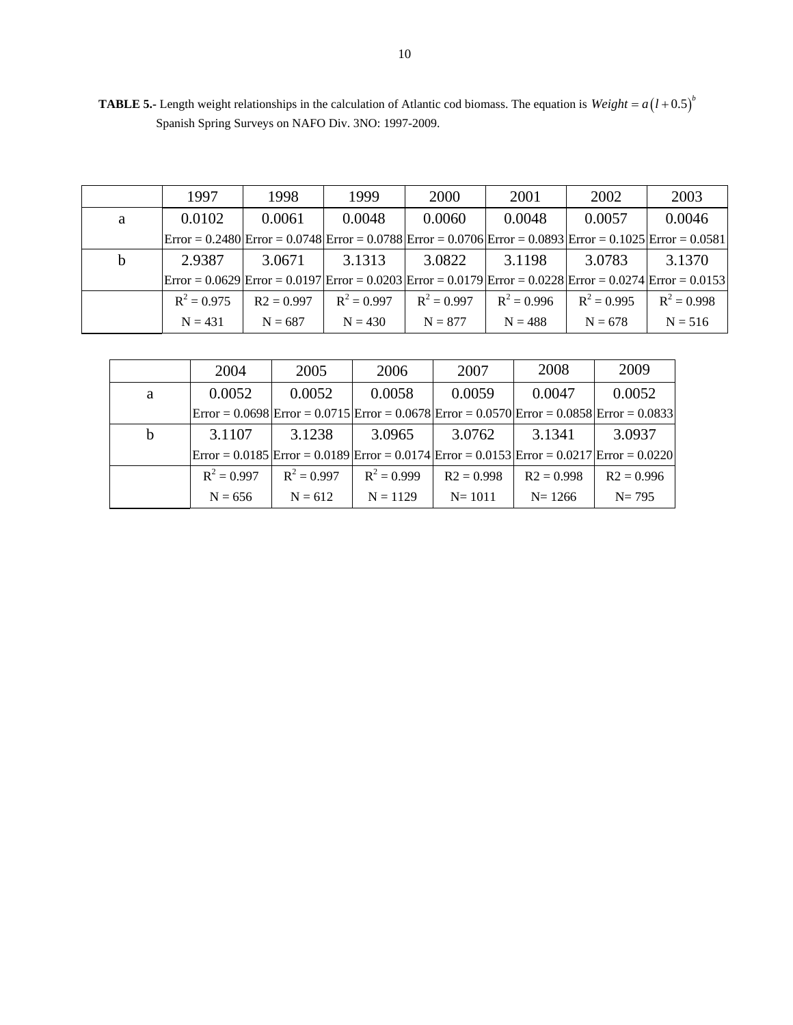|   | 1997                                                                                                     | 1998         | 1999                                                                                                                                                        | 2000          | 2001          | 2002          | 2003          |
|---|----------------------------------------------------------------------------------------------------------|--------------|-------------------------------------------------------------------------------------------------------------------------------------------------------------|---------------|---------------|---------------|---------------|
| a | 0.0102                                                                                                   | 0.0061       | 0.0048                                                                                                                                                      | 0.0060        | 0.0048        | 0.0057        | 0.0046        |
|   |                                                                                                          |              | $\text{Error} = 0.2480 \text{Error} = 0.0748 \text{Error} = 0.0788 \text{Error} = 0.0706 \text{Error} = 0.0893 \text{Error} = 0.1025 \text{Error} = 0.0581$ |               |               |               |               |
| b | 2.9387                                                                                                   | 3.0671       | 3.1313                                                                                                                                                      | 3.0822        | 3.1198        | 3.0783        | 3.1370        |
|   | Error = 0.0629 Error = 0.0197 Error = 0.0203 Error = 0.0179 Error = 0.0228 Error = 0.0274 Error = 0.0153 |              |                                                                                                                                                             |               |               |               |               |
|   | $R^2 = 0.975$                                                                                            | $R2 = 0.997$ | $R^2 = 0.997$                                                                                                                                               | $R^2 = 0.997$ | $R^2 = 0.996$ | $R^2 = 0.995$ | $R^2 = 0.998$ |
|   | $N = 431$                                                                                                | $N = 687$    | $N = 430$                                                                                                                                                   | $N = 877$     | $N = 488$     | $N = 678$     | $N = 516$     |

**TABLE 5.-** Length weight relationships in the calculation of Atlantic cod biomass. The equation is  $Weight = a(l + 0.5)^b$ Spanish Spring Surveys on NAFO Div. 3NO: 1997-2009.

|   | 2004          | 2005          | 2006          | 2007         | 2008         | 2009                                                                                                                                                                     |
|---|---------------|---------------|---------------|--------------|--------------|--------------------------------------------------------------------------------------------------------------------------------------------------------------------------|
| a | 0.0052        | 0.0052        | 0.0058        | 0.0059       | 0.0047       | 0.0052                                                                                                                                                                   |
|   |               |               |               |              |              | $\text{Error} = 0.0698 \times \text{Error} = 0.0715 \times \text{Error} = 0.0678 \times \text{Error} = 0.0570 \times \text{Error} = 0.0858 \times \text{Error} = 0.0833$ |
| b | 3.1107        | 3.1238        | 3.0965        | 3.0762       | 3.1341       | 3.0937                                                                                                                                                                   |
|   |               |               |               |              |              | $\text{Error} = 0.0185 \text{ [Error} = 0.0189 \text{ [Error} = 0.0174 \text{ [Error} = 0.0153 \text{ ] Error} = 0.0217 \text{ [Error} = 0.0220 \text{]}$                |
|   | $R^2 = 0.997$ | $R^2 = 0.997$ | $R^2 = 0.999$ | $R2 = 0.998$ | $R2 = 0.998$ | $R2 = 0.996$                                                                                                                                                             |
|   | $N = 656$     | $N = 612$     | $N = 1129$    | $N = 1011$   | $N = 1266$   | $N = 795$                                                                                                                                                                |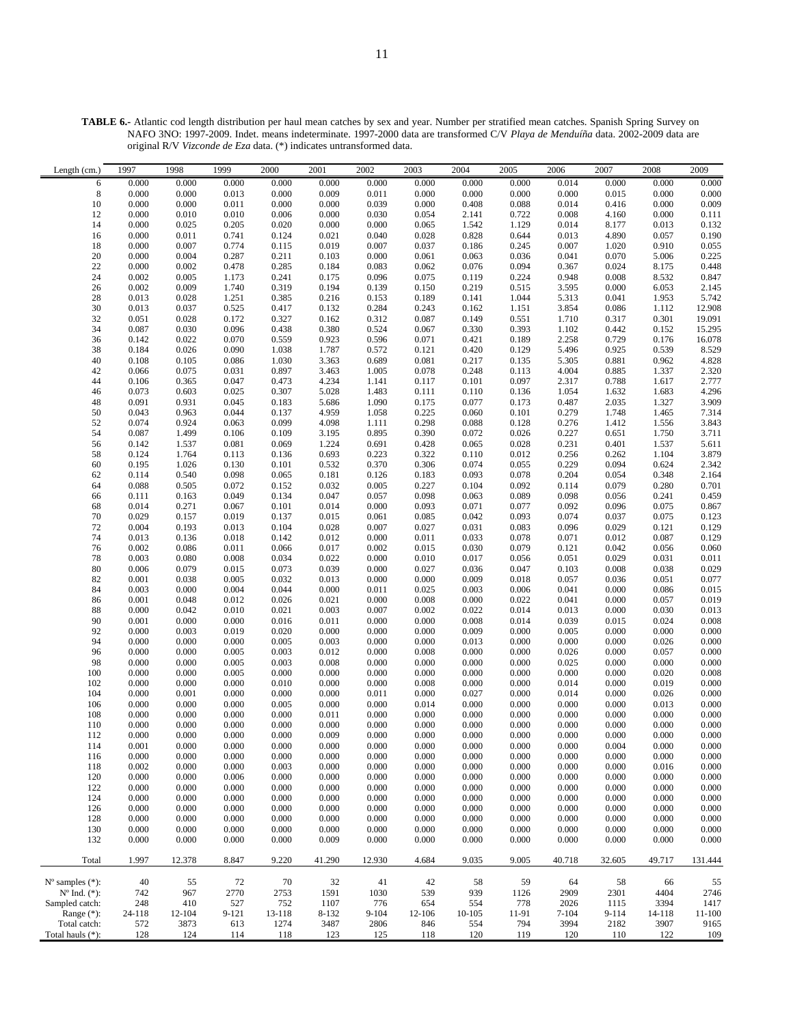**TABLE 6.-** Atlantic cod length distribution per haul mean catches by sex and year. Number per stratified mean catches. Spanish Spring Survey on NAFO 3NO: 1997-2009. Indet. means indeterminate. 1997-2000 data are transformed C/V *Playa de Menduíña* data. 2002-2009 data are original R/V *Vizconde de Eza* data. (\*) indicates untransformed data.

| 0.000<br>0.000<br>0.000<br>0.000<br>0.000<br>0.000<br>0.000<br>0.000<br>0.000<br>0.014<br>0.000<br>0.000<br>0.000<br>6<br>$\,8\,$<br>0.000<br>0.000<br>0.013<br>0.000<br>0.011<br>0.000<br>0.000<br>0.000<br>0.000<br>0.015<br>$0.000\,$<br>0.009<br>0.000<br>0.009<br>0.000<br>0.000<br>0.011<br>0.000<br>0.000<br>0.039<br>0.000<br>0.408<br>0.088<br>0.014<br>0.416<br>10<br>0.000<br>0.010<br>2.141<br>0.008<br>0.000<br>0.010<br>0.006<br>0.000<br>0.030<br>0.054<br>0.722<br>4.160<br>0.111<br>12<br>0.000<br>0.205<br>1.542<br>0.132<br>14<br>0.000<br>0.025<br>0.020<br>0.000<br>0.000<br>0.065<br>1.129<br>0.014<br>8.177<br>0.013<br>0.828<br>0.000<br>0.011<br>0.741<br>0.124<br>0.021<br>0.040<br>0.028<br>0.644<br>0.013<br>4.890<br>0.057<br>0.190<br>16<br>0.055<br>0.000<br>0.007<br>0.774<br>0.019<br>0.007<br>0.037<br>0.186<br>0.007<br>1.020<br>0.910<br>0.115<br>0.245<br>18<br>0.000<br>0.004<br>0.287<br>0.211<br>0.000<br>0.063<br>0.036<br>0.041<br>0.070<br>0.225<br>20<br>0.103<br>0.061<br>5.006<br>22<br>0.000<br>0.002<br>0.478<br>0.076<br>0.094<br>0.367<br>0.024<br>0.448<br>0.285<br>0.184<br>0.083<br>0.062<br>8.175<br>0.847<br>0.002<br>0.005<br>1.173<br>0.075<br>0.119<br>0.948<br>0.008<br>8.532<br>24<br>0.241<br>0.175<br>0.096<br>0.224<br>0.219<br>0.002<br>0.009<br>1.740<br>0.319<br>0.194<br>0.139<br>0.150<br>0.515<br>3.595<br>0.000<br>2.145<br>26<br>6.053<br>0.013<br>0.028<br>1.251<br>0.385<br>0.189<br>0.141<br>1.044<br>5.313<br>0.041<br>5.742<br>28<br>0.216<br>0.153<br>1.953<br>0.525<br>12.908<br>30<br>0.013<br>0.037<br>0.417<br>0.132<br>0.284<br>0.243<br>0.162<br>3.854<br>0.086<br>1.112<br>1.151<br>32<br>0.051<br>0.028<br>0.172<br>0.327<br>0.312<br>0.087<br>0.149<br>0.551<br>1.710<br>0.317<br>0.301<br>19.091<br>0.162<br>0.330<br>0.030<br>0.096<br>0.438<br>0.393<br>0.442<br>15.295<br>34<br>0.087<br>0.380<br>0.524<br>0.067<br>1.102<br>0.152<br>16.078<br>0.142<br>0.022<br>0.070<br>0.923<br>0.596<br>0.071<br>0.421<br>2.258<br>0.729<br>36<br>0.559<br>0.189<br>0.176<br>8.529<br>0.184<br>0.026<br>0.090<br>1.038<br>1.787<br>0.572<br>0.121<br>0.420<br>0.129<br>5.496<br>0.925<br>0.539<br>38<br>0.217<br>4.828<br>0.086<br>0.689<br>5.305<br>0.881<br>40<br>0.108<br>0.105<br>1.030<br>3.363<br>0.081<br>0.135<br>0.962<br>2.320<br>0.066<br>0.075<br>0.031<br>0.897<br>3.463<br>1.005<br>0.078<br>0.248<br>0.113<br>4.004<br>0.885<br>42<br>1.337<br>2.777<br>0.365<br>0.047<br>0.473<br>4.234<br>1.141<br>0.117<br>0.101<br>0.097<br>2.317<br>0.788<br>1.617<br>44<br>0.106<br>0.073<br>0.603<br>0.025<br>0.307<br>5.028<br>1.483<br>0.111<br>0.110<br>1.632<br>1.683<br>4.296<br>46<br>0.136<br>1.054<br>3.909<br>0.091<br>0.931<br>0.045<br>5.686<br>1.090<br>0.175<br>0.077<br>0.487<br>2.035<br>1.327<br>48<br>0.183<br>0.173<br>0.279<br>7.314<br>50<br>0.963<br>0.044<br>0.137<br>4.959<br>1.058<br>0.225<br>0.060<br>0.101<br>1.748<br>1.465<br>0.043<br>0.074<br>0.924<br>0.063<br>0.099<br>4.098<br>0.298<br>0.088<br>1.412<br>3.843<br>52<br>1.111<br>0.128<br>0.276<br>1.556<br>54<br>0.087<br>1.499<br>0.106<br>0.109<br>3.195<br>0.895<br>0.390<br>0.072<br>0.026<br>0.227<br>0.651<br>3.711<br>1.750<br>0.081<br>0.065<br>0.231<br>5.611<br>0.069<br>1.224<br>0.691<br>0.428<br>0.028<br>0.401<br>56<br>0.142<br>1.537<br>1.537<br>3.879<br>1.764<br>0.113<br>0.322<br>0.110<br>1.104<br>58<br>0.124<br>0.136<br>0.693<br>0.223<br>0.012<br>0.256<br>0.262<br>0.074<br>0.229<br>2.342<br>0.195<br>1.026<br>0.130<br>0.532<br>0.370<br>0.306<br>0.055<br>0.094<br>0.624<br>60<br>0.101<br>0.093<br>0.204<br>2.164<br>0.540<br>0.098<br>0.181<br>0.183<br>0.078<br>0.054<br>0.348<br>62<br>0.114<br>0.065<br>0.126<br>0.088<br>0.505<br>0.072<br>0.032<br>0.005<br>0.227<br>0.104<br>0.092<br>0.114<br>0.079<br>0.280<br>0.701<br>64<br>0.152<br>0.459<br>0.049<br>0.047<br>0.057<br>0.098<br>0.063<br>0.089<br>0.098<br>0.056<br>0.111<br>0.163<br>0.134<br>0.241<br>66<br>0.071<br>0.014<br>0.271<br>0.067<br>0.101<br>0.014<br>0.000<br>0.093<br>0.077<br>0.092<br>0.867<br>68<br>0.096<br>0.075<br>0.029<br>0.157<br>0.019<br>0.015<br>0.085<br>0.042<br>0.093<br>0.074<br>0.037<br>0.075<br>0.123<br>70<br>0.137<br>0.061<br>0.031<br>0.129<br>0.193<br>0.013<br>0.028<br>0.007<br>0.027<br>0.029<br>72<br>0.004<br>0.104<br>0.083<br>0.096<br>0.121<br>0.129<br>0.136<br>0.018<br>0.012<br>0.011<br>0.033<br>0.078<br>0.071<br>0.087<br>74<br>0.013<br>0.142<br>0.000<br>0.012<br>0.030<br>0.060<br>0.002<br>0.086<br>0.011<br>0.066<br>0.017<br>0.002<br>0.015<br>0.079<br>0.121<br>0.042<br>0.056<br>76<br>0.017<br>0.011<br>0.008<br>0.022<br>0.000<br>0.010<br>0.051<br>0.029<br>78<br>0.003<br>0.080<br>0.034<br>0.056<br>0.031<br>80<br>0.006<br>0.079<br>0.015<br>0.073<br>0.039<br>0.000<br>0.027<br>0.036<br>0.047<br>0.008<br>0.038<br>0.029<br>0.103<br>0.077<br>0.001<br>0.038<br>0.005<br>0.032<br>0.013<br>0.000<br>0.000<br>0.009<br>0.018<br>0.057<br>0.036<br>0.051<br>82<br>0.015<br>0.003<br>0.000<br>0.004<br>0.044<br>0.011<br>0.003<br>0.041<br>0.000<br>84<br>0.000<br>0.025<br>0.006<br>0.086<br>0.001<br>0.048<br>0.012<br>0.026<br>0.021<br>0.000<br>0.008<br>0.000<br>0.022<br>0.041<br>0.000<br>0.019<br>86<br>0.057<br>0.013<br>0.000<br>0.042<br>0.010<br>0.003<br>0.007<br>0.002<br>0.022<br>0.014<br>0.013<br>0.000<br>0.030<br>88<br>0.021<br>$0.008\,$<br>0.001<br>0.000<br>0.000<br>0.000<br>$0.008\,$<br>0.039<br>90<br>0.016<br>0.011<br>0.000<br>0.014<br>0.015<br>0.024<br>92<br>0.000<br>0.003<br>0.019<br>0.020<br>0.000<br>0.000<br>0.000<br>0.009<br>0.000<br>0.005<br>0.000<br>0.000<br>0.000<br>0.000<br>0.013<br>0.000<br>94<br>0.000<br>0.000<br>0.003<br>0.000<br>0.000<br>0.000<br>0.000<br>0.026<br>0.005<br>0.000<br>0.000<br>0.000<br>96<br>0.000<br>0.000<br>0.005<br>0.003<br>0.012<br>0.000<br>0.008<br>0.000<br>0.026<br>0.000<br>0.057<br>0.000<br>0.000<br>0.005<br>0.003<br>0.008<br>0.000<br>0.000<br>0.000<br>0.025<br>0.000<br>0.000<br>98<br>0.000<br>0.000<br>$0.008\,$<br>$100\,$<br>0.000<br>0.000<br>0.005<br>0.000<br>0.000<br>0.000<br>0.000<br>0.000<br>0.000<br>0.000<br>0.000<br>0.020<br>0.000<br>0.000<br>0.000<br>0.010<br>0.000<br>0.000<br>0.008<br>0.000<br>0.000<br>0.014<br>0.000<br>0.019<br>0.000<br>102<br>104<br>0.000<br>0.001<br>0.000<br>0.000<br>0.027<br>0.000<br>0.014<br>0.000<br>0.000<br>0.000<br>0.011<br>0.000<br>0.026<br>$0.000\,$<br>0.000<br>0.000<br>0.000<br>0.014<br>0.000<br>0.000<br>0.013<br>106<br>0.005<br>0.000<br>0.000<br>0.000<br>0.000<br>0.000<br>0.000<br>0.000<br>0.000<br>0.000<br>0.000<br>0.000<br>0.000<br>108<br>0.000<br>0.011<br>0.000<br>0.000<br>0.000<br>0.000<br>0.000<br>0.000<br>0.000<br>0.000<br>0.000<br>0.000<br>0.000<br>0.000<br>0.000<br>0.000<br>0.000<br>0.000<br>110<br>$0.000\,$<br>0.000<br>0.000<br>0.000<br>0.009<br>0.000<br>0.000<br>0.000<br>0.000<br>0.000<br>0.000<br>0.000<br>112<br>0.000<br>114<br>0.001<br>0.000<br>0.000<br>0.000<br>0.000<br>0.000<br>0.000<br>0.000<br>0.000<br>0.000<br>0.004<br>0.000<br>0.000<br>0.000<br>0.000<br>0.000<br>0.000<br>0.000<br>0.000<br>0.000<br>0.000<br>0.000<br>116<br>0.000<br>0.000<br>0.000<br>0.000<br>0.000<br>118<br>0.002<br>0.000<br>0.000<br>0.003<br>0.000<br>0.000<br>0.000<br>0.000<br>0.000<br>0.000<br>0.000<br>0.016<br>0.000<br>120<br>0.000<br>0.000<br>0.006<br>0.000<br>0.000<br>0.000<br>0.000<br>0.000<br>0.000<br>0.000<br>0.000<br>0.000<br>122<br>0.000<br>0.000<br>0.000<br>0.000<br>0.000<br>0.000<br>0.000<br>0.000<br>0.000<br>0.000<br>0.000<br>0.000<br>0.000<br>124<br>0.000<br>0.000<br>0.000<br>0.000<br>0.000<br>0.000<br>0.000<br>0.000<br>0.000<br>0.000<br>0.000<br>0.000<br>0.000<br>0.000<br>126<br>0.000<br>0.000<br>0.000<br>0.000<br>0.000<br>0.000<br>0.000<br>0.000<br>0.000<br>0.000<br>0.000<br>0.000<br>128<br>0.000<br>0.000<br>0.000<br>0.000<br>0.000<br>0.000<br>0.000<br>0.000<br>0.000<br>0.000<br>0.000<br>0.000<br>0.000<br>0.000<br>130<br>0.000<br>0.000<br>0.000<br>0.000<br>0.000<br>0.000<br>0.000<br>0.000<br>0.000<br>0.000<br>0.000<br>0.000<br>132<br>0.000<br>0.000<br>0.000<br>0.009<br>0.000<br>0.000<br>0.000<br>0.000<br>0.000<br>0.000<br>0.000<br>0.000<br>0.000<br>8.847<br>Total<br>1.997<br>12.378<br>9.220<br>41.290<br>12.930<br>4.684<br>9.035<br>9.005<br>40.718<br>32.605<br>49.717<br>131.444<br>40<br>55<br>72<br>70<br>32<br>41<br>42<br>59<br>58<br>55<br>$N^{\circ}$ samples $(*)$ :<br>58<br>64<br>66<br>$N^{\circ}$ Ind. $(*)$ :<br>742<br>967<br>2770<br>2753<br>1591<br>1030<br>539<br>939<br>2909<br>2301<br>4404<br>2746<br>1126<br>Sampled catch:<br>248<br>410<br>527<br>1107<br>776<br>654<br>554<br>778<br>2026<br>1115<br>3394<br>1417<br>752<br>Range (*):<br>24-118<br>12-104<br>$9 - 121$<br>13-118<br>8-132<br>$9 - 104$<br>12-106<br>10-105<br>11-91<br>9-114<br>14-118<br>11-100<br>$7 - 104$<br>Total catch:<br>572<br>3873<br>613<br>1274<br>3487<br>2806<br>794<br>3994<br>2182<br>3907<br>9165<br>846<br>554<br>128<br>124<br>125<br>120<br>120<br>110<br>109<br>Total hauls (*):<br>114<br>118<br>123<br>118<br>119<br>122 | Length (cm.) | 1997 | 1998 | 1999 | 2000 | 2001 | 2002 | 2003 | 2004 | 2005 | 2006 | 2007 | 2008 | 2009 |
|------------------------------------------------------------------------------------------------------------------------------------------------------------------------------------------------------------------------------------------------------------------------------------------------------------------------------------------------------------------------------------------------------------------------------------------------------------------------------------------------------------------------------------------------------------------------------------------------------------------------------------------------------------------------------------------------------------------------------------------------------------------------------------------------------------------------------------------------------------------------------------------------------------------------------------------------------------------------------------------------------------------------------------------------------------------------------------------------------------------------------------------------------------------------------------------------------------------------------------------------------------------------------------------------------------------------------------------------------------------------------------------------------------------------------------------------------------------------------------------------------------------------------------------------------------------------------------------------------------------------------------------------------------------------------------------------------------------------------------------------------------------------------------------------------------------------------------------------------------------------------------------------------------------------------------------------------------------------------------------------------------------------------------------------------------------------------------------------------------------------------------------------------------------------------------------------------------------------------------------------------------------------------------------------------------------------------------------------------------------------------------------------------------------------------------------------------------------------------------------------------------------------------------------------------------------------------------------------------------------------------------------------------------------------------------------------------------------------------------------------------------------------------------------------------------------------------------------------------------------------------------------------------------------------------------------------------------------------------------------------------------------------------------------------------------------------------------------------------------------------------------------------------------------------------------------------------------------------------------------------------------------------------------------------------------------------------------------------------------------------------------------------------------------------------------------------------------------------------------------------------------------------------------------------------------------------------------------------------------------------------------------------------------------------------------------------------------------------------------------------------------------------------------------------------------------------------------------------------------------------------------------------------------------------------------------------------------------------------------------------------------------------------------------------------------------------------------------------------------------------------------------------------------------------------------------------------------------------------------------------------------------------------------------------------------------------------------------------------------------------------------------------------------------------------------------------------------------------------------------------------------------------------------------------------------------------------------------------------------------------------------------------------------------------------------------------------------------------------------------------------------------------------------------------------------------------------------------------------------------------------------------------------------------------------------------------------------------------------------------------------------------------------------------------------------------------------------------------------------------------------------------------------------------------------------------------------------------------------------------------------------------------------------------------------------------------------------------------------------------------------------------------------------------------------------------------------------------------------------------------------------------------------------------------------------------------------------------------------------------------------------------------------------------------------------------------------------------------------------------------------------------------------------------------------------------------------------------------------------------------------------------------------------------------------------------------------------------------------------------------------------------------------------------------------------------------------------------------------------------------------------------------------------------------------------------------------------------------------------------------------------------------------------------------------------------------------------------------------------------------------------------------------------------------------------------------------------------------------------------------------------------------------------------------------------------------------------------------------------------------------------------------------------------------------------------------------------------------------------------------------------------------------------------------------------------------------------------------------------------------------------------------------------------------------------------------------------------------------------------------------------------------------------------------------------------------------------------------------------------------------------------------------------------------------------------------------------------------------------------------------------------------------------------------------------------------------------------------------------------------------------------------------------------------------------------------------------------------------------------------------------------------------------------------------------------------------------------------------------------------------------------------------------------------------------------------------------------------------------------------------------------------------------------------------------------------------------------------------------------------------------------------------------------------------------------------------------------------------------------------------------------------------------------------------------------------------------------------------------------------------------------------------------------------------------------------------------------------------------------------------------------------------------------------------------------------------------------------------------------------------------------------------------------------------------------------------------------------------------------------------------------------------------------------------------------------------------------------------------------------------------------------------------------------------------------------------------------------------------------------------------------------------------------------------------------------------------------------------------------------------------------------------------------------------------------------------------------------------------------------------------------------------------------------------------------------------------------------------------------------------------------------|--------------|------|------|------|------|------|------|------|------|------|------|------|------|------|
|                                                                                                                                                                                                                                                                                                                                                                                                                                                                                                                                                                                                                                                                                                                                                                                                                                                                                                                                                                                                                                                                                                                                                                                                                                                                                                                                                                                                                                                                                                                                                                                                                                                                                                                                                                                                                                                                                                                                                                                                                                                                                                                                                                                                                                                                                                                                                                                                                                                                                                                                                                                                                                                                                                                                                                                                                                                                                                                                                                                                                                                                                                                                                                                                                                                                                                                                                                                                                                                                                                                                                                                                                                                                                                                                                                                                                                                                                                                                                                                                                                                                                                                                                                                                                                                                                                                                                                                                                                                                                                                                                                                                                                                                                                                                                                                                                                                                                                                                                                                                                                                                                                                                                                                                                                                                                                                                                                                                                                                                                                                                                                                                                                                                                                                                                                                                                                                                                                                                                                                                                                                                                                                                                                                                                                                                                                                                                                                                                                                                                                                                                                                                                                                                                                                                                                                                                                                                                                                                                                                                                                                                                                                                                                                                                                                                                                                                                                                                                                                                                                                                                                                                                                                                                                                                                                                                                                                                                                                                                                                                                                                                                                                                                                                                                                                                                                                                                                                                                                                                                                                                                                                                                                                                                                                                                                                                                                                                                                                                                                                                                                                                                                                                                |              |      |      |      |      |      |      |      |      |      |      |      |      |      |
|                                                                                                                                                                                                                                                                                                                                                                                                                                                                                                                                                                                                                                                                                                                                                                                                                                                                                                                                                                                                                                                                                                                                                                                                                                                                                                                                                                                                                                                                                                                                                                                                                                                                                                                                                                                                                                                                                                                                                                                                                                                                                                                                                                                                                                                                                                                                                                                                                                                                                                                                                                                                                                                                                                                                                                                                                                                                                                                                                                                                                                                                                                                                                                                                                                                                                                                                                                                                                                                                                                                                                                                                                                                                                                                                                                                                                                                                                                                                                                                                                                                                                                                                                                                                                                                                                                                                                                                                                                                                                                                                                                                                                                                                                                                                                                                                                                                                                                                                                                                                                                                                                                                                                                                                                                                                                                                                                                                                                                                                                                                                                                                                                                                                                                                                                                                                                                                                                                                                                                                                                                                                                                                                                                                                                                                                                                                                                                                                                                                                                                                                                                                                                                                                                                                                                                                                                                                                                                                                                                                                                                                                                                                                                                                                                                                                                                                                                                                                                                                                                                                                                                                                                                                                                                                                                                                                                                                                                                                                                                                                                                                                                                                                                                                                                                                                                                                                                                                                                                                                                                                                                                                                                                                                                                                                                                                                                                                                                                                                                                                                                                                                                                                                                |              |      |      |      |      |      |      |      |      |      |      |      |      |      |
|                                                                                                                                                                                                                                                                                                                                                                                                                                                                                                                                                                                                                                                                                                                                                                                                                                                                                                                                                                                                                                                                                                                                                                                                                                                                                                                                                                                                                                                                                                                                                                                                                                                                                                                                                                                                                                                                                                                                                                                                                                                                                                                                                                                                                                                                                                                                                                                                                                                                                                                                                                                                                                                                                                                                                                                                                                                                                                                                                                                                                                                                                                                                                                                                                                                                                                                                                                                                                                                                                                                                                                                                                                                                                                                                                                                                                                                                                                                                                                                                                                                                                                                                                                                                                                                                                                                                                                                                                                                                                                                                                                                                                                                                                                                                                                                                                                                                                                                                                                                                                                                                                                                                                                                                                                                                                                                                                                                                                                                                                                                                                                                                                                                                                                                                                                                                                                                                                                                                                                                                                                                                                                                                                                                                                                                                                                                                                                                                                                                                                                                                                                                                                                                                                                                                                                                                                                                                                                                                                                                                                                                                                                                                                                                                                                                                                                                                                                                                                                                                                                                                                                                                                                                                                                                                                                                                                                                                                                                                                                                                                                                                                                                                                                                                                                                                                                                                                                                                                                                                                                                                                                                                                                                                                                                                                                                                                                                                                                                                                                                                                                                                                                                                                |              |      |      |      |      |      |      |      |      |      |      |      |      |      |
|                                                                                                                                                                                                                                                                                                                                                                                                                                                                                                                                                                                                                                                                                                                                                                                                                                                                                                                                                                                                                                                                                                                                                                                                                                                                                                                                                                                                                                                                                                                                                                                                                                                                                                                                                                                                                                                                                                                                                                                                                                                                                                                                                                                                                                                                                                                                                                                                                                                                                                                                                                                                                                                                                                                                                                                                                                                                                                                                                                                                                                                                                                                                                                                                                                                                                                                                                                                                                                                                                                                                                                                                                                                                                                                                                                                                                                                                                                                                                                                                                                                                                                                                                                                                                                                                                                                                                                                                                                                                                                                                                                                                                                                                                                                                                                                                                                                                                                                                                                                                                                                                                                                                                                                                                                                                                                                                                                                                                                                                                                                                                                                                                                                                                                                                                                                                                                                                                                                                                                                                                                                                                                                                                                                                                                                                                                                                                                                                                                                                                                                                                                                                                                                                                                                                                                                                                                                                                                                                                                                                                                                                                                                                                                                                                                                                                                                                                                                                                                                                                                                                                                                                                                                                                                                                                                                                                                                                                                                                                                                                                                                                                                                                                                                                                                                                                                                                                                                                                                                                                                                                                                                                                                                                                                                                                                                                                                                                                                                                                                                                                                                                                                                                                |              |      |      |      |      |      |      |      |      |      |      |      |      |      |
|                                                                                                                                                                                                                                                                                                                                                                                                                                                                                                                                                                                                                                                                                                                                                                                                                                                                                                                                                                                                                                                                                                                                                                                                                                                                                                                                                                                                                                                                                                                                                                                                                                                                                                                                                                                                                                                                                                                                                                                                                                                                                                                                                                                                                                                                                                                                                                                                                                                                                                                                                                                                                                                                                                                                                                                                                                                                                                                                                                                                                                                                                                                                                                                                                                                                                                                                                                                                                                                                                                                                                                                                                                                                                                                                                                                                                                                                                                                                                                                                                                                                                                                                                                                                                                                                                                                                                                                                                                                                                                                                                                                                                                                                                                                                                                                                                                                                                                                                                                                                                                                                                                                                                                                                                                                                                                                                                                                                                                                                                                                                                                                                                                                                                                                                                                                                                                                                                                                                                                                                                                                                                                                                                                                                                                                                                                                                                                                                                                                                                                                                                                                                                                                                                                                                                                                                                                                                                                                                                                                                                                                                                                                                                                                                                                                                                                                                                                                                                                                                                                                                                                                                                                                                                                                                                                                                                                                                                                                                                                                                                                                                                                                                                                                                                                                                                                                                                                                                                                                                                                                                                                                                                                                                                                                                                                                                                                                                                                                                                                                                                                                                                                                                                |              |      |      |      |      |      |      |      |      |      |      |      |      |      |
|                                                                                                                                                                                                                                                                                                                                                                                                                                                                                                                                                                                                                                                                                                                                                                                                                                                                                                                                                                                                                                                                                                                                                                                                                                                                                                                                                                                                                                                                                                                                                                                                                                                                                                                                                                                                                                                                                                                                                                                                                                                                                                                                                                                                                                                                                                                                                                                                                                                                                                                                                                                                                                                                                                                                                                                                                                                                                                                                                                                                                                                                                                                                                                                                                                                                                                                                                                                                                                                                                                                                                                                                                                                                                                                                                                                                                                                                                                                                                                                                                                                                                                                                                                                                                                                                                                                                                                                                                                                                                                                                                                                                                                                                                                                                                                                                                                                                                                                                                                                                                                                                                                                                                                                                                                                                                                                                                                                                                                                                                                                                                                                                                                                                                                                                                                                                                                                                                                                                                                                                                                                                                                                                                                                                                                                                                                                                                                                                                                                                                                                                                                                                                                                                                                                                                                                                                                                                                                                                                                                                                                                                                                                                                                                                                                                                                                                                                                                                                                                                                                                                                                                                                                                                                                                                                                                                                                                                                                                                                                                                                                                                                                                                                                                                                                                                                                                                                                                                                                                                                                                                                                                                                                                                                                                                                                                                                                                                                                                                                                                                                                                                                                                                                |              |      |      |      |      |      |      |      |      |      |      |      |      |      |
|                                                                                                                                                                                                                                                                                                                                                                                                                                                                                                                                                                                                                                                                                                                                                                                                                                                                                                                                                                                                                                                                                                                                                                                                                                                                                                                                                                                                                                                                                                                                                                                                                                                                                                                                                                                                                                                                                                                                                                                                                                                                                                                                                                                                                                                                                                                                                                                                                                                                                                                                                                                                                                                                                                                                                                                                                                                                                                                                                                                                                                                                                                                                                                                                                                                                                                                                                                                                                                                                                                                                                                                                                                                                                                                                                                                                                                                                                                                                                                                                                                                                                                                                                                                                                                                                                                                                                                                                                                                                                                                                                                                                                                                                                                                                                                                                                                                                                                                                                                                                                                                                                                                                                                                                                                                                                                                                                                                                                                                                                                                                                                                                                                                                                                                                                                                                                                                                                                                                                                                                                                                                                                                                                                                                                                                                                                                                                                                                                                                                                                                                                                                                                                                                                                                                                                                                                                                                                                                                                                                                                                                                                                                                                                                                                                                                                                                                                                                                                                                                                                                                                                                                                                                                                                                                                                                                                                                                                                                                                                                                                                                                                                                                                                                                                                                                                                                                                                                                                                                                                                                                                                                                                                                                                                                                                                                                                                                                                                                                                                                                                                                                                                                                                |              |      |      |      |      |      |      |      |      |      |      |      |      |      |
|                                                                                                                                                                                                                                                                                                                                                                                                                                                                                                                                                                                                                                                                                                                                                                                                                                                                                                                                                                                                                                                                                                                                                                                                                                                                                                                                                                                                                                                                                                                                                                                                                                                                                                                                                                                                                                                                                                                                                                                                                                                                                                                                                                                                                                                                                                                                                                                                                                                                                                                                                                                                                                                                                                                                                                                                                                                                                                                                                                                                                                                                                                                                                                                                                                                                                                                                                                                                                                                                                                                                                                                                                                                                                                                                                                                                                                                                                                                                                                                                                                                                                                                                                                                                                                                                                                                                                                                                                                                                                                                                                                                                                                                                                                                                                                                                                                                                                                                                                                                                                                                                                                                                                                                                                                                                                                                                                                                                                                                                                                                                                                                                                                                                                                                                                                                                                                                                                                                                                                                                                                                                                                                                                                                                                                                                                                                                                                                                                                                                                                                                                                                                                                                                                                                                                                                                                                                                                                                                                                                                                                                                                                                                                                                                                                                                                                                                                                                                                                                                                                                                                                                                                                                                                                                                                                                                                                                                                                                                                                                                                                                                                                                                                                                                                                                                                                                                                                                                                                                                                                                                                                                                                                                                                                                                                                                                                                                                                                                                                                                                                                                                                                                                                |              |      |      |      |      |      |      |      |      |      |      |      |      |      |
|                                                                                                                                                                                                                                                                                                                                                                                                                                                                                                                                                                                                                                                                                                                                                                                                                                                                                                                                                                                                                                                                                                                                                                                                                                                                                                                                                                                                                                                                                                                                                                                                                                                                                                                                                                                                                                                                                                                                                                                                                                                                                                                                                                                                                                                                                                                                                                                                                                                                                                                                                                                                                                                                                                                                                                                                                                                                                                                                                                                                                                                                                                                                                                                                                                                                                                                                                                                                                                                                                                                                                                                                                                                                                                                                                                                                                                                                                                                                                                                                                                                                                                                                                                                                                                                                                                                                                                                                                                                                                                                                                                                                                                                                                                                                                                                                                                                                                                                                                                                                                                                                                                                                                                                                                                                                                                                                                                                                                                                                                                                                                                                                                                                                                                                                                                                                                                                                                                                                                                                                                                                                                                                                                                                                                                                                                                                                                                                                                                                                                                                                                                                                                                                                                                                                                                                                                                                                                                                                                                                                                                                                                                                                                                                                                                                                                                                                                                                                                                                                                                                                                                                                                                                                                                                                                                                                                                                                                                                                                                                                                                                                                                                                                                                                                                                                                                                                                                                                                                                                                                                                                                                                                                                                                                                                                                                                                                                                                                                                                                                                                                                                                                                                                |              |      |      |      |      |      |      |      |      |      |      |      |      |      |
|                                                                                                                                                                                                                                                                                                                                                                                                                                                                                                                                                                                                                                                                                                                                                                                                                                                                                                                                                                                                                                                                                                                                                                                                                                                                                                                                                                                                                                                                                                                                                                                                                                                                                                                                                                                                                                                                                                                                                                                                                                                                                                                                                                                                                                                                                                                                                                                                                                                                                                                                                                                                                                                                                                                                                                                                                                                                                                                                                                                                                                                                                                                                                                                                                                                                                                                                                                                                                                                                                                                                                                                                                                                                                                                                                                                                                                                                                                                                                                                                                                                                                                                                                                                                                                                                                                                                                                                                                                                                                                                                                                                                                                                                                                                                                                                                                                                                                                                                                                                                                                                                                                                                                                                                                                                                                                                                                                                                                                                                                                                                                                                                                                                                                                                                                                                                                                                                                                                                                                                                                                                                                                                                                                                                                                                                                                                                                                                                                                                                                                                                                                                                                                                                                                                                                                                                                                                                                                                                                                                                                                                                                                                                                                                                                                                                                                                                                                                                                                                                                                                                                                                                                                                                                                                                                                                                                                                                                                                                                                                                                                                                                                                                                                                                                                                                                                                                                                                                                                                                                                                                                                                                                                                                                                                                                                                                                                                                                                                                                                                                                                                                                                                                                |              |      |      |      |      |      |      |      |      |      |      |      |      |      |
|                                                                                                                                                                                                                                                                                                                                                                                                                                                                                                                                                                                                                                                                                                                                                                                                                                                                                                                                                                                                                                                                                                                                                                                                                                                                                                                                                                                                                                                                                                                                                                                                                                                                                                                                                                                                                                                                                                                                                                                                                                                                                                                                                                                                                                                                                                                                                                                                                                                                                                                                                                                                                                                                                                                                                                                                                                                                                                                                                                                                                                                                                                                                                                                                                                                                                                                                                                                                                                                                                                                                                                                                                                                                                                                                                                                                                                                                                                                                                                                                                                                                                                                                                                                                                                                                                                                                                                                                                                                                                                                                                                                                                                                                                                                                                                                                                                                                                                                                                                                                                                                                                                                                                                                                                                                                                                                                                                                                                                                                                                                                                                                                                                                                                                                                                                                                                                                                                                                                                                                                                                                                                                                                                                                                                                                                                                                                                                                                                                                                                                                                                                                                                                                                                                                                                                                                                                                                                                                                                                                                                                                                                                                                                                                                                                                                                                                                                                                                                                                                                                                                                                                                                                                                                                                                                                                                                                                                                                                                                                                                                                                                                                                                                                                                                                                                                                                                                                                                                                                                                                                                                                                                                                                                                                                                                                                                                                                                                                                                                                                                                                                                                                                                                |              |      |      |      |      |      |      |      |      |      |      |      |      |      |
|                                                                                                                                                                                                                                                                                                                                                                                                                                                                                                                                                                                                                                                                                                                                                                                                                                                                                                                                                                                                                                                                                                                                                                                                                                                                                                                                                                                                                                                                                                                                                                                                                                                                                                                                                                                                                                                                                                                                                                                                                                                                                                                                                                                                                                                                                                                                                                                                                                                                                                                                                                                                                                                                                                                                                                                                                                                                                                                                                                                                                                                                                                                                                                                                                                                                                                                                                                                                                                                                                                                                                                                                                                                                                                                                                                                                                                                                                                                                                                                                                                                                                                                                                                                                                                                                                                                                                                                                                                                                                                                                                                                                                                                                                                                                                                                                                                                                                                                                                                                                                                                                                                                                                                                                                                                                                                                                                                                                                                                                                                                                                                                                                                                                                                                                                                                                                                                                                                                                                                                                                                                                                                                                                                                                                                                                                                                                                                                                                                                                                                                                                                                                                                                                                                                                                                                                                                                                                                                                                                                                                                                                                                                                                                                                                                                                                                                                                                                                                                                                                                                                                                                                                                                                                                                                                                                                                                                                                                                                                                                                                                                                                                                                                                                                                                                                                                                                                                                                                                                                                                                                                                                                                                                                                                                                                                                                                                                                                                                                                                                                                                                                                                                                                |              |      |      |      |      |      |      |      |      |      |      |      |      |      |
|                                                                                                                                                                                                                                                                                                                                                                                                                                                                                                                                                                                                                                                                                                                                                                                                                                                                                                                                                                                                                                                                                                                                                                                                                                                                                                                                                                                                                                                                                                                                                                                                                                                                                                                                                                                                                                                                                                                                                                                                                                                                                                                                                                                                                                                                                                                                                                                                                                                                                                                                                                                                                                                                                                                                                                                                                                                                                                                                                                                                                                                                                                                                                                                                                                                                                                                                                                                                                                                                                                                                                                                                                                                                                                                                                                                                                                                                                                                                                                                                                                                                                                                                                                                                                                                                                                                                                                                                                                                                                                                                                                                                                                                                                                                                                                                                                                                                                                                                                                                                                                                                                                                                                                                                                                                                                                                                                                                                                                                                                                                                                                                                                                                                                                                                                                                                                                                                                                                                                                                                                                                                                                                                                                                                                                                                                                                                                                                                                                                                                                                                                                                                                                                                                                                                                                                                                                                                                                                                                                                                                                                                                                                                                                                                                                                                                                                                                                                                                                                                                                                                                                                                                                                                                                                                                                                                                                                                                                                                                                                                                                                                                                                                                                                                                                                                                                                                                                                                                                                                                                                                                                                                                                                                                                                                                                                                                                                                                                                                                                                                                                                                                                                                                |              |      |      |      |      |      |      |      |      |      |      |      |      |      |
|                                                                                                                                                                                                                                                                                                                                                                                                                                                                                                                                                                                                                                                                                                                                                                                                                                                                                                                                                                                                                                                                                                                                                                                                                                                                                                                                                                                                                                                                                                                                                                                                                                                                                                                                                                                                                                                                                                                                                                                                                                                                                                                                                                                                                                                                                                                                                                                                                                                                                                                                                                                                                                                                                                                                                                                                                                                                                                                                                                                                                                                                                                                                                                                                                                                                                                                                                                                                                                                                                                                                                                                                                                                                                                                                                                                                                                                                                                                                                                                                                                                                                                                                                                                                                                                                                                                                                                                                                                                                                                                                                                                                                                                                                                                                                                                                                                                                                                                                                                                                                                                                                                                                                                                                                                                                                                                                                                                                                                                                                                                                                                                                                                                                                                                                                                                                                                                                                                                                                                                                                                                                                                                                                                                                                                                                                                                                                                                                                                                                                                                                                                                                                                                                                                                                                                                                                                                                                                                                                                                                                                                                                                                                                                                                                                                                                                                                                                                                                                                                                                                                                                                                                                                                                                                                                                                                                                                                                                                                                                                                                                                                                                                                                                                                                                                                                                                                                                                                                                                                                                                                                                                                                                                                                                                                                                                                                                                                                                                                                                                                                                                                                                                                                |              |      |      |      |      |      |      |      |      |      |      |      |      |      |
|                                                                                                                                                                                                                                                                                                                                                                                                                                                                                                                                                                                                                                                                                                                                                                                                                                                                                                                                                                                                                                                                                                                                                                                                                                                                                                                                                                                                                                                                                                                                                                                                                                                                                                                                                                                                                                                                                                                                                                                                                                                                                                                                                                                                                                                                                                                                                                                                                                                                                                                                                                                                                                                                                                                                                                                                                                                                                                                                                                                                                                                                                                                                                                                                                                                                                                                                                                                                                                                                                                                                                                                                                                                                                                                                                                                                                                                                                                                                                                                                                                                                                                                                                                                                                                                                                                                                                                                                                                                                                                                                                                                                                                                                                                                                                                                                                                                                                                                                                                                                                                                                                                                                                                                                                                                                                                                                                                                                                                                                                                                                                                                                                                                                                                                                                                                                                                                                                                                                                                                                                                                                                                                                                                                                                                                                                                                                                                                                                                                                                                                                                                                                                                                                                                                                                                                                                                                                                                                                                                                                                                                                                                                                                                                                                                                                                                                                                                                                                                                                                                                                                                                                                                                                                                                                                                                                                                                                                                                                                                                                                                                                                                                                                                                                                                                                                                                                                                                                                                                                                                                                                                                                                                                                                                                                                                                                                                                                                                                                                                                                                                                                                                                                                |              |      |      |      |      |      |      |      |      |      |      |      |      |      |
|                                                                                                                                                                                                                                                                                                                                                                                                                                                                                                                                                                                                                                                                                                                                                                                                                                                                                                                                                                                                                                                                                                                                                                                                                                                                                                                                                                                                                                                                                                                                                                                                                                                                                                                                                                                                                                                                                                                                                                                                                                                                                                                                                                                                                                                                                                                                                                                                                                                                                                                                                                                                                                                                                                                                                                                                                                                                                                                                                                                                                                                                                                                                                                                                                                                                                                                                                                                                                                                                                                                                                                                                                                                                                                                                                                                                                                                                                                                                                                                                                                                                                                                                                                                                                                                                                                                                                                                                                                                                                                                                                                                                                                                                                                                                                                                                                                                                                                                                                                                                                                                                                                                                                                                                                                                                                                                                                                                                                                                                                                                                                                                                                                                                                                                                                                                                                                                                                                                                                                                                                                                                                                                                                                                                                                                                                                                                                                                                                                                                                                                                                                                                                                                                                                                                                                                                                                                                                                                                                                                                                                                                                                                                                                                                                                                                                                                                                                                                                                                                                                                                                                                                                                                                                                                                                                                                                                                                                                                                                                                                                                                                                                                                                                                                                                                                                                                                                                                                                                                                                                                                                                                                                                                                                                                                                                                                                                                                                                                                                                                                                                                                                                                                                |              |      |      |      |      |      |      |      |      |      |      |      |      |      |
|                                                                                                                                                                                                                                                                                                                                                                                                                                                                                                                                                                                                                                                                                                                                                                                                                                                                                                                                                                                                                                                                                                                                                                                                                                                                                                                                                                                                                                                                                                                                                                                                                                                                                                                                                                                                                                                                                                                                                                                                                                                                                                                                                                                                                                                                                                                                                                                                                                                                                                                                                                                                                                                                                                                                                                                                                                                                                                                                                                                                                                                                                                                                                                                                                                                                                                                                                                                                                                                                                                                                                                                                                                                                                                                                                                                                                                                                                                                                                                                                                                                                                                                                                                                                                                                                                                                                                                                                                                                                                                                                                                                                                                                                                                                                                                                                                                                                                                                                                                                                                                                                                                                                                                                                                                                                                                                                                                                                                                                                                                                                                                                                                                                                                                                                                                                                                                                                                                                                                                                                                                                                                                                                                                                                                                                                                                                                                                                                                                                                                                                                                                                                                                                                                                                                                                                                                                                                                                                                                                                                                                                                                                                                                                                                                                                                                                                                                                                                                                                                                                                                                                                                                                                                                                                                                                                                                                                                                                                                                                                                                                                                                                                                                                                                                                                                                                                                                                                                                                                                                                                                                                                                                                                                                                                                                                                                                                                                                                                                                                                                                                                                                                                                                |              |      |      |      |      |      |      |      |      |      |      |      |      |      |
|                                                                                                                                                                                                                                                                                                                                                                                                                                                                                                                                                                                                                                                                                                                                                                                                                                                                                                                                                                                                                                                                                                                                                                                                                                                                                                                                                                                                                                                                                                                                                                                                                                                                                                                                                                                                                                                                                                                                                                                                                                                                                                                                                                                                                                                                                                                                                                                                                                                                                                                                                                                                                                                                                                                                                                                                                                                                                                                                                                                                                                                                                                                                                                                                                                                                                                                                                                                                                                                                                                                                                                                                                                                                                                                                                                                                                                                                                                                                                                                                                                                                                                                                                                                                                                                                                                                                                                                                                                                                                                                                                                                                                                                                                                                                                                                                                                                                                                                                                                                                                                                                                                                                                                                                                                                                                                                                                                                                                                                                                                                                                                                                                                                                                                                                                                                                                                                                                                                                                                                                                                                                                                                                                                                                                                                                                                                                                                                                                                                                                                                                                                                                                                                                                                                                                                                                                                                                                                                                                                                                                                                                                                                                                                                                                                                                                                                                                                                                                                                                                                                                                                                                                                                                                                                                                                                                                                                                                                                                                                                                                                                                                                                                                                                                                                                                                                                                                                                                                                                                                                                                                                                                                                                                                                                                                                                                                                                                                                                                                                                                                                                                                                                                                |              |      |      |      |      |      |      |      |      |      |      |      |      |      |
|                                                                                                                                                                                                                                                                                                                                                                                                                                                                                                                                                                                                                                                                                                                                                                                                                                                                                                                                                                                                                                                                                                                                                                                                                                                                                                                                                                                                                                                                                                                                                                                                                                                                                                                                                                                                                                                                                                                                                                                                                                                                                                                                                                                                                                                                                                                                                                                                                                                                                                                                                                                                                                                                                                                                                                                                                                                                                                                                                                                                                                                                                                                                                                                                                                                                                                                                                                                                                                                                                                                                                                                                                                                                                                                                                                                                                                                                                                                                                                                                                                                                                                                                                                                                                                                                                                                                                                                                                                                                                                                                                                                                                                                                                                                                                                                                                                                                                                                                                                                                                                                                                                                                                                                                                                                                                                                                                                                                                                                                                                                                                                                                                                                                                                                                                                                                                                                                                                                                                                                                                                                                                                                                                                                                                                                                                                                                                                                                                                                                                                                                                                                                                                                                                                                                                                                                                                                                                                                                                                                                                                                                                                                                                                                                                                                                                                                                                                                                                                                                                                                                                                                                                                                                                                                                                                                                                                                                                                                                                                                                                                                                                                                                                                                                                                                                                                                                                                                                                                                                                                                                                                                                                                                                                                                                                                                                                                                                                                                                                                                                                                                                                                                                                |              |      |      |      |      |      |      |      |      |      |      |      |      |      |
|                                                                                                                                                                                                                                                                                                                                                                                                                                                                                                                                                                                                                                                                                                                                                                                                                                                                                                                                                                                                                                                                                                                                                                                                                                                                                                                                                                                                                                                                                                                                                                                                                                                                                                                                                                                                                                                                                                                                                                                                                                                                                                                                                                                                                                                                                                                                                                                                                                                                                                                                                                                                                                                                                                                                                                                                                                                                                                                                                                                                                                                                                                                                                                                                                                                                                                                                                                                                                                                                                                                                                                                                                                                                                                                                                                                                                                                                                                                                                                                                                                                                                                                                                                                                                                                                                                                                                                                                                                                                                                                                                                                                                                                                                                                                                                                                                                                                                                                                                                                                                                                                                                                                                                                                                                                                                                                                                                                                                                                                                                                                                                                                                                                                                                                                                                                                                                                                                                                                                                                                                                                                                                                                                                                                                                                                                                                                                                                                                                                                                                                                                                                                                                                                                                                                                                                                                                                                                                                                                                                                                                                                                                                                                                                                                                                                                                                                                                                                                                                                                                                                                                                                                                                                                                                                                                                                                                                                                                                                                                                                                                                                                                                                                                                                                                                                                                                                                                                                                                                                                                                                                                                                                                                                                                                                                                                                                                                                                                                                                                                                                                                                                                                                                |              |      |      |      |      |      |      |      |      |      |      |      |      |      |
|                                                                                                                                                                                                                                                                                                                                                                                                                                                                                                                                                                                                                                                                                                                                                                                                                                                                                                                                                                                                                                                                                                                                                                                                                                                                                                                                                                                                                                                                                                                                                                                                                                                                                                                                                                                                                                                                                                                                                                                                                                                                                                                                                                                                                                                                                                                                                                                                                                                                                                                                                                                                                                                                                                                                                                                                                                                                                                                                                                                                                                                                                                                                                                                                                                                                                                                                                                                                                                                                                                                                                                                                                                                                                                                                                                                                                                                                                                                                                                                                                                                                                                                                                                                                                                                                                                                                                                                                                                                                                                                                                                                                                                                                                                                                                                                                                                                                                                                                                                                                                                                                                                                                                                                                                                                                                                                                                                                                                                                                                                                                                                                                                                                                                                                                                                                                                                                                                                                                                                                                                                                                                                                                                                                                                                                                                                                                                                                                                                                                                                                                                                                                                                                                                                                                                                                                                                                                                                                                                                                                                                                                                                                                                                                                                                                                                                                                                                                                                                                                                                                                                                                                                                                                                                                                                                                                                                                                                                                                                                                                                                                                                                                                                                                                                                                                                                                                                                                                                                                                                                                                                                                                                                                                                                                                                                                                                                                                                                                                                                                                                                                                                                                                                |              |      |      |      |      |      |      |      |      |      |      |      |      |      |
|                                                                                                                                                                                                                                                                                                                                                                                                                                                                                                                                                                                                                                                                                                                                                                                                                                                                                                                                                                                                                                                                                                                                                                                                                                                                                                                                                                                                                                                                                                                                                                                                                                                                                                                                                                                                                                                                                                                                                                                                                                                                                                                                                                                                                                                                                                                                                                                                                                                                                                                                                                                                                                                                                                                                                                                                                                                                                                                                                                                                                                                                                                                                                                                                                                                                                                                                                                                                                                                                                                                                                                                                                                                                                                                                                                                                                                                                                                                                                                                                                                                                                                                                                                                                                                                                                                                                                                                                                                                                                                                                                                                                                                                                                                                                                                                                                                                                                                                                                                                                                                                                                                                                                                                                                                                                                                                                                                                                                                                                                                                                                                                                                                                                                                                                                                                                                                                                                                                                                                                                                                                                                                                                                                                                                                                                                                                                                                                                                                                                                                                                                                                                                                                                                                                                                                                                                                                                                                                                                                                                                                                                                                                                                                                                                                                                                                                                                                                                                                                                                                                                                                                                                                                                                                                                                                                                                                                                                                                                                                                                                                                                                                                                                                                                                                                                                                                                                                                                                                                                                                                                                                                                                                                                                                                                                                                                                                                                                                                                                                                                                                                                                                                                                |              |      |      |      |      |      |      |      |      |      |      |      |      |      |
|                                                                                                                                                                                                                                                                                                                                                                                                                                                                                                                                                                                                                                                                                                                                                                                                                                                                                                                                                                                                                                                                                                                                                                                                                                                                                                                                                                                                                                                                                                                                                                                                                                                                                                                                                                                                                                                                                                                                                                                                                                                                                                                                                                                                                                                                                                                                                                                                                                                                                                                                                                                                                                                                                                                                                                                                                                                                                                                                                                                                                                                                                                                                                                                                                                                                                                                                                                                                                                                                                                                                                                                                                                                                                                                                                                                                                                                                                                                                                                                                                                                                                                                                                                                                                                                                                                                                                                                                                                                                                                                                                                                                                                                                                                                                                                                                                                                                                                                                                                                                                                                                                                                                                                                                                                                                                                                                                                                                                                                                                                                                                                                                                                                                                                                                                                                                                                                                                                                                                                                                                                                                                                                                                                                                                                                                                                                                                                                                                                                                                                                                                                                                                                                                                                                                                                                                                                                                                                                                                                                                                                                                                                                                                                                                                                                                                                                                                                                                                                                                                                                                                                                                                                                                                                                                                                                                                                                                                                                                                                                                                                                                                                                                                                                                                                                                                                                                                                                                                                                                                                                                                                                                                                                                                                                                                                                                                                                                                                                                                                                                                                                                                                                                                |              |      |      |      |      |      |      |      |      |      |      |      |      |      |
|                                                                                                                                                                                                                                                                                                                                                                                                                                                                                                                                                                                                                                                                                                                                                                                                                                                                                                                                                                                                                                                                                                                                                                                                                                                                                                                                                                                                                                                                                                                                                                                                                                                                                                                                                                                                                                                                                                                                                                                                                                                                                                                                                                                                                                                                                                                                                                                                                                                                                                                                                                                                                                                                                                                                                                                                                                                                                                                                                                                                                                                                                                                                                                                                                                                                                                                                                                                                                                                                                                                                                                                                                                                                                                                                                                                                                                                                                                                                                                                                                                                                                                                                                                                                                                                                                                                                                                                                                                                                                                                                                                                                                                                                                                                                                                                                                                                                                                                                                                                                                                                                                                                                                                                                                                                                                                                                                                                                                                                                                                                                                                                                                                                                                                                                                                                                                                                                                                                                                                                                                                                                                                                                                                                                                                                                                                                                                                                                                                                                                                                                                                                                                                                                                                                                                                                                                                                                                                                                                                                                                                                                                                                                                                                                                                                                                                                                                                                                                                                                                                                                                                                                                                                                                                                                                                                                                                                                                                                                                                                                                                                                                                                                                                                                                                                                                                                                                                                                                                                                                                                                                                                                                                                                                                                                                                                                                                                                                                                                                                                                                                                                                                                                                |              |      |      |      |      |      |      |      |      |      |      |      |      |      |
|                                                                                                                                                                                                                                                                                                                                                                                                                                                                                                                                                                                                                                                                                                                                                                                                                                                                                                                                                                                                                                                                                                                                                                                                                                                                                                                                                                                                                                                                                                                                                                                                                                                                                                                                                                                                                                                                                                                                                                                                                                                                                                                                                                                                                                                                                                                                                                                                                                                                                                                                                                                                                                                                                                                                                                                                                                                                                                                                                                                                                                                                                                                                                                                                                                                                                                                                                                                                                                                                                                                                                                                                                                                                                                                                                                                                                                                                                                                                                                                                                                                                                                                                                                                                                                                                                                                                                                                                                                                                                                                                                                                                                                                                                                                                                                                                                                                                                                                                                                                                                                                                                                                                                                                                                                                                                                                                                                                                                                                                                                                                                                                                                                                                                                                                                                                                                                                                                                                                                                                                                                                                                                                                                                                                                                                                                                                                                                                                                                                                                                                                                                                                                                                                                                                                                                                                                                                                                                                                                                                                                                                                                                                                                                                                                                                                                                                                                                                                                                                                                                                                                                                                                                                                                                                                                                                                                                                                                                                                                                                                                                                                                                                                                                                                                                                                                                                                                                                                                                                                                                                                                                                                                                                                                                                                                                                                                                                                                                                                                                                                                                                                                                                                                |              |      |      |      |      |      |      |      |      |      |      |      |      |      |
|                                                                                                                                                                                                                                                                                                                                                                                                                                                                                                                                                                                                                                                                                                                                                                                                                                                                                                                                                                                                                                                                                                                                                                                                                                                                                                                                                                                                                                                                                                                                                                                                                                                                                                                                                                                                                                                                                                                                                                                                                                                                                                                                                                                                                                                                                                                                                                                                                                                                                                                                                                                                                                                                                                                                                                                                                                                                                                                                                                                                                                                                                                                                                                                                                                                                                                                                                                                                                                                                                                                                                                                                                                                                                                                                                                                                                                                                                                                                                                                                                                                                                                                                                                                                                                                                                                                                                                                                                                                                                                                                                                                                                                                                                                                                                                                                                                                                                                                                                                                                                                                                                                                                                                                                                                                                                                                                                                                                                                                                                                                                                                                                                                                                                                                                                                                                                                                                                                                                                                                                                                                                                                                                                                                                                                                                                                                                                                                                                                                                                                                                                                                                                                                                                                                                                                                                                                                                                                                                                                                                                                                                                                                                                                                                                                                                                                                                                                                                                                                                                                                                                                                                                                                                                                                                                                                                                                                                                                                                                                                                                                                                                                                                                                                                                                                                                                                                                                                                                                                                                                                                                                                                                                                                                                                                                                                                                                                                                                                                                                                                                                                                                                                                                |              |      |      |      |      |      |      |      |      |      |      |      |      |      |
|                                                                                                                                                                                                                                                                                                                                                                                                                                                                                                                                                                                                                                                                                                                                                                                                                                                                                                                                                                                                                                                                                                                                                                                                                                                                                                                                                                                                                                                                                                                                                                                                                                                                                                                                                                                                                                                                                                                                                                                                                                                                                                                                                                                                                                                                                                                                                                                                                                                                                                                                                                                                                                                                                                                                                                                                                                                                                                                                                                                                                                                                                                                                                                                                                                                                                                                                                                                                                                                                                                                                                                                                                                                                                                                                                                                                                                                                                                                                                                                                                                                                                                                                                                                                                                                                                                                                                                                                                                                                                                                                                                                                                                                                                                                                                                                                                                                                                                                                                                                                                                                                                                                                                                                                                                                                                                                                                                                                                                                                                                                                                                                                                                                                                                                                                                                                                                                                                                                                                                                                                                                                                                                                                                                                                                                                                                                                                                                                                                                                                                                                                                                                                                                                                                                                                                                                                                                                                                                                                                                                                                                                                                                                                                                                                                                                                                                                                                                                                                                                                                                                                                                                                                                                                                                                                                                                                                                                                                                                                                                                                                                                                                                                                                                                                                                                                                                                                                                                                                                                                                                                                                                                                                                                                                                                                                                                                                                                                                                                                                                                                                                                                                                                                |              |      |      |      |      |      |      |      |      |      |      |      |      |      |
|                                                                                                                                                                                                                                                                                                                                                                                                                                                                                                                                                                                                                                                                                                                                                                                                                                                                                                                                                                                                                                                                                                                                                                                                                                                                                                                                                                                                                                                                                                                                                                                                                                                                                                                                                                                                                                                                                                                                                                                                                                                                                                                                                                                                                                                                                                                                                                                                                                                                                                                                                                                                                                                                                                                                                                                                                                                                                                                                                                                                                                                                                                                                                                                                                                                                                                                                                                                                                                                                                                                                                                                                                                                                                                                                                                                                                                                                                                                                                                                                                                                                                                                                                                                                                                                                                                                                                                                                                                                                                                                                                                                                                                                                                                                                                                                                                                                                                                                                                                                                                                                                                                                                                                                                                                                                                                                                                                                                                                                                                                                                                                                                                                                                                                                                                                                                                                                                                                                                                                                                                                                                                                                                                                                                                                                                                                                                                                                                                                                                                                                                                                                                                                                                                                                                                                                                                                                                                                                                                                                                                                                                                                                                                                                                                                                                                                                                                                                                                                                                                                                                                                                                                                                                                                                                                                                                                                                                                                                                                                                                                                                                                                                                                                                                                                                                                                                                                                                                                                                                                                                                                                                                                                                                                                                                                                                                                                                                                                                                                                                                                                                                                                                                                |              |      |      |      |      |      |      |      |      |      |      |      |      |      |
|                                                                                                                                                                                                                                                                                                                                                                                                                                                                                                                                                                                                                                                                                                                                                                                                                                                                                                                                                                                                                                                                                                                                                                                                                                                                                                                                                                                                                                                                                                                                                                                                                                                                                                                                                                                                                                                                                                                                                                                                                                                                                                                                                                                                                                                                                                                                                                                                                                                                                                                                                                                                                                                                                                                                                                                                                                                                                                                                                                                                                                                                                                                                                                                                                                                                                                                                                                                                                                                                                                                                                                                                                                                                                                                                                                                                                                                                                                                                                                                                                                                                                                                                                                                                                                                                                                                                                                                                                                                                                                                                                                                                                                                                                                                                                                                                                                                                                                                                                                                                                                                                                                                                                                                                                                                                                                                                                                                                                                                                                                                                                                                                                                                                                                                                                                                                                                                                                                                                                                                                                                                                                                                                                                                                                                                                                                                                                                                                                                                                                                                                                                                                                                                                                                                                                                                                                                                                                                                                                                                                                                                                                                                                                                                                                                                                                                                                                                                                                                                                                                                                                                                                                                                                                                                                                                                                                                                                                                                                                                                                                                                                                                                                                                                                                                                                                                                                                                                                                                                                                                                                                                                                                                                                                                                                                                                                                                                                                                                                                                                                                                                                                                                                                |              |      |      |      |      |      |      |      |      |      |      |      |      |      |
|                                                                                                                                                                                                                                                                                                                                                                                                                                                                                                                                                                                                                                                                                                                                                                                                                                                                                                                                                                                                                                                                                                                                                                                                                                                                                                                                                                                                                                                                                                                                                                                                                                                                                                                                                                                                                                                                                                                                                                                                                                                                                                                                                                                                                                                                                                                                                                                                                                                                                                                                                                                                                                                                                                                                                                                                                                                                                                                                                                                                                                                                                                                                                                                                                                                                                                                                                                                                                                                                                                                                                                                                                                                                                                                                                                                                                                                                                                                                                                                                                                                                                                                                                                                                                                                                                                                                                                                                                                                                                                                                                                                                                                                                                                                                                                                                                                                                                                                                                                                                                                                                                                                                                                                                                                                                                                                                                                                                                                                                                                                                                                                                                                                                                                                                                                                                                                                                                                                                                                                                                                                                                                                                                                                                                                                                                                                                                                                                                                                                                                                                                                                                                                                                                                                                                                                                                                                                                                                                                                                                                                                                                                                                                                                                                                                                                                                                                                                                                                                                                                                                                                                                                                                                                                                                                                                                                                                                                                                                                                                                                                                                                                                                                                                                                                                                                                                                                                                                                                                                                                                                                                                                                                                                                                                                                                                                                                                                                                                                                                                                                                                                                                                                                |              |      |      |      |      |      |      |      |      |      |      |      |      |      |
|                                                                                                                                                                                                                                                                                                                                                                                                                                                                                                                                                                                                                                                                                                                                                                                                                                                                                                                                                                                                                                                                                                                                                                                                                                                                                                                                                                                                                                                                                                                                                                                                                                                                                                                                                                                                                                                                                                                                                                                                                                                                                                                                                                                                                                                                                                                                                                                                                                                                                                                                                                                                                                                                                                                                                                                                                                                                                                                                                                                                                                                                                                                                                                                                                                                                                                                                                                                                                                                                                                                                                                                                                                                                                                                                                                                                                                                                                                                                                                                                                                                                                                                                                                                                                                                                                                                                                                                                                                                                                                                                                                                                                                                                                                                                                                                                                                                                                                                                                                                                                                                                                                                                                                                                                                                                                                                                                                                                                                                                                                                                                                                                                                                                                                                                                                                                                                                                                                                                                                                                                                                                                                                                                                                                                                                                                                                                                                                                                                                                                                                                                                                                                                                                                                                                                                                                                                                                                                                                                                                                                                                                                                                                                                                                                                                                                                                                                                                                                                                                                                                                                                                                                                                                                                                                                                                                                                                                                                                                                                                                                                                                                                                                                                                                                                                                                                                                                                                                                                                                                                                                                                                                                                                                                                                                                                                                                                                                                                                                                                                                                                                                                                                                                |              |      |      |      |      |      |      |      |      |      |      |      |      |      |
|                                                                                                                                                                                                                                                                                                                                                                                                                                                                                                                                                                                                                                                                                                                                                                                                                                                                                                                                                                                                                                                                                                                                                                                                                                                                                                                                                                                                                                                                                                                                                                                                                                                                                                                                                                                                                                                                                                                                                                                                                                                                                                                                                                                                                                                                                                                                                                                                                                                                                                                                                                                                                                                                                                                                                                                                                                                                                                                                                                                                                                                                                                                                                                                                                                                                                                                                                                                                                                                                                                                                                                                                                                                                                                                                                                                                                                                                                                                                                                                                                                                                                                                                                                                                                                                                                                                                                                                                                                                                                                                                                                                                                                                                                                                                                                                                                                                                                                                                                                                                                                                                                                                                                                                                                                                                                                                                                                                                                                                                                                                                                                                                                                                                                                                                                                                                                                                                                                                                                                                                                                                                                                                                                                                                                                                                                                                                                                                                                                                                                                                                                                                                                                                                                                                                                                                                                                                                                                                                                                                                                                                                                                                                                                                                                                                                                                                                                                                                                                                                                                                                                                                                                                                                                                                                                                                                                                                                                                                                                                                                                                                                                                                                                                                                                                                                                                                                                                                                                                                                                                                                                                                                                                                                                                                                                                                                                                                                                                                                                                                                                                                                                                                                                |              |      |      |      |      |      |      |      |      |      |      |      |      |      |
|                                                                                                                                                                                                                                                                                                                                                                                                                                                                                                                                                                                                                                                                                                                                                                                                                                                                                                                                                                                                                                                                                                                                                                                                                                                                                                                                                                                                                                                                                                                                                                                                                                                                                                                                                                                                                                                                                                                                                                                                                                                                                                                                                                                                                                                                                                                                                                                                                                                                                                                                                                                                                                                                                                                                                                                                                                                                                                                                                                                                                                                                                                                                                                                                                                                                                                                                                                                                                                                                                                                                                                                                                                                                                                                                                                                                                                                                                                                                                                                                                                                                                                                                                                                                                                                                                                                                                                                                                                                                                                                                                                                                                                                                                                                                                                                                                                                                                                                                                                                                                                                                                                                                                                                                                                                                                                                                                                                                                                                                                                                                                                                                                                                                                                                                                                                                                                                                                                                                                                                                                                                                                                                                                                                                                                                                                                                                                                                                                                                                                                                                                                                                                                                                                                                                                                                                                                                                                                                                                                                                                                                                                                                                                                                                                                                                                                                                                                                                                                                                                                                                                                                                                                                                                                                                                                                                                                                                                                                                                                                                                                                                                                                                                                                                                                                                                                                                                                                                                                                                                                                                                                                                                                                                                                                                                                                                                                                                                                                                                                                                                                                                                                                                                |              |      |      |      |      |      |      |      |      |      |      |      |      |      |
|                                                                                                                                                                                                                                                                                                                                                                                                                                                                                                                                                                                                                                                                                                                                                                                                                                                                                                                                                                                                                                                                                                                                                                                                                                                                                                                                                                                                                                                                                                                                                                                                                                                                                                                                                                                                                                                                                                                                                                                                                                                                                                                                                                                                                                                                                                                                                                                                                                                                                                                                                                                                                                                                                                                                                                                                                                                                                                                                                                                                                                                                                                                                                                                                                                                                                                                                                                                                                                                                                                                                                                                                                                                                                                                                                                                                                                                                                                                                                                                                                                                                                                                                                                                                                                                                                                                                                                                                                                                                                                                                                                                                                                                                                                                                                                                                                                                                                                                                                                                                                                                                                                                                                                                                                                                                                                                                                                                                                                                                                                                                                                                                                                                                                                                                                                                                                                                                                                                                                                                                                                                                                                                                                                                                                                                                                                                                                                                                                                                                                                                                                                                                                                                                                                                                                                                                                                                                                                                                                                                                                                                                                                                                                                                                                                                                                                                                                                                                                                                                                                                                                                                                                                                                                                                                                                                                                                                                                                                                                                                                                                                                                                                                                                                                                                                                                                                                                                                                                                                                                                                                                                                                                                                                                                                                                                                                                                                                                                                                                                                                                                                                                                                                                |              |      |      |      |      |      |      |      |      |      |      |      |      |      |
|                                                                                                                                                                                                                                                                                                                                                                                                                                                                                                                                                                                                                                                                                                                                                                                                                                                                                                                                                                                                                                                                                                                                                                                                                                                                                                                                                                                                                                                                                                                                                                                                                                                                                                                                                                                                                                                                                                                                                                                                                                                                                                                                                                                                                                                                                                                                                                                                                                                                                                                                                                                                                                                                                                                                                                                                                                                                                                                                                                                                                                                                                                                                                                                                                                                                                                                                                                                                                                                                                                                                                                                                                                                                                                                                                                                                                                                                                                                                                                                                                                                                                                                                                                                                                                                                                                                                                                                                                                                                                                                                                                                                                                                                                                                                                                                                                                                                                                                                                                                                                                                                                                                                                                                                                                                                                                                                                                                                                                                                                                                                                                                                                                                                                                                                                                                                                                                                                                                                                                                                                                                                                                                                                                                                                                                                                                                                                                                                                                                                                                                                                                                                                                                                                                                                                                                                                                                                                                                                                                                                                                                                                                                                                                                                                                                                                                                                                                                                                                                                                                                                                                                                                                                                                                                                                                                                                                                                                                                                                                                                                                                                                                                                                                                                                                                                                                                                                                                                                                                                                                                                                                                                                                                                                                                                                                                                                                                                                                                                                                                                                                                                                                                                                |              |      |      |      |      |      |      |      |      |      |      |      |      |      |
|                                                                                                                                                                                                                                                                                                                                                                                                                                                                                                                                                                                                                                                                                                                                                                                                                                                                                                                                                                                                                                                                                                                                                                                                                                                                                                                                                                                                                                                                                                                                                                                                                                                                                                                                                                                                                                                                                                                                                                                                                                                                                                                                                                                                                                                                                                                                                                                                                                                                                                                                                                                                                                                                                                                                                                                                                                                                                                                                                                                                                                                                                                                                                                                                                                                                                                                                                                                                                                                                                                                                                                                                                                                                                                                                                                                                                                                                                                                                                                                                                                                                                                                                                                                                                                                                                                                                                                                                                                                                                                                                                                                                                                                                                                                                                                                                                                                                                                                                                                                                                                                                                                                                                                                                                                                                                                                                                                                                                                                                                                                                                                                                                                                                                                                                                                                                                                                                                                                                                                                                                                                                                                                                                                                                                                                                                                                                                                                                                                                                                                                                                                                                                                                                                                                                                                                                                                                                                                                                                                                                                                                                                                                                                                                                                                                                                                                                                                                                                                                                                                                                                                                                                                                                                                                                                                                                                                                                                                                                                                                                                                                                                                                                                                                                                                                                                                                                                                                                                                                                                                                                                                                                                                                                                                                                                                                                                                                                                                                                                                                                                                                                                                                                                |              |      |      |      |      |      |      |      |      |      |      |      |      |      |
|                                                                                                                                                                                                                                                                                                                                                                                                                                                                                                                                                                                                                                                                                                                                                                                                                                                                                                                                                                                                                                                                                                                                                                                                                                                                                                                                                                                                                                                                                                                                                                                                                                                                                                                                                                                                                                                                                                                                                                                                                                                                                                                                                                                                                                                                                                                                                                                                                                                                                                                                                                                                                                                                                                                                                                                                                                                                                                                                                                                                                                                                                                                                                                                                                                                                                                                                                                                                                                                                                                                                                                                                                                                                                                                                                                                                                                                                                                                                                                                                                                                                                                                                                                                                                                                                                                                                                                                                                                                                                                                                                                                                                                                                                                                                                                                                                                                                                                                                                                                                                                                                                                                                                                                                                                                                                                                                                                                                                                                                                                                                                                                                                                                                                                                                                                                                                                                                                                                                                                                                                                                                                                                                                                                                                                                                                                                                                                                                                                                                                                                                                                                                                                                                                                                                                                                                                                                                                                                                                                                                                                                                                                                                                                                                                                                                                                                                                                                                                                                                                                                                                                                                                                                                                                                                                                                                                                                                                                                                                                                                                                                                                                                                                                                                                                                                                                                                                                                                                                                                                                                                                                                                                                                                                                                                                                                                                                                                                                                                                                                                                                                                                                                                                |              |      |      |      |      |      |      |      |      |      |      |      |      |      |
|                                                                                                                                                                                                                                                                                                                                                                                                                                                                                                                                                                                                                                                                                                                                                                                                                                                                                                                                                                                                                                                                                                                                                                                                                                                                                                                                                                                                                                                                                                                                                                                                                                                                                                                                                                                                                                                                                                                                                                                                                                                                                                                                                                                                                                                                                                                                                                                                                                                                                                                                                                                                                                                                                                                                                                                                                                                                                                                                                                                                                                                                                                                                                                                                                                                                                                                                                                                                                                                                                                                                                                                                                                                                                                                                                                                                                                                                                                                                                                                                                                                                                                                                                                                                                                                                                                                                                                                                                                                                                                                                                                                                                                                                                                                                                                                                                                                                                                                                                                                                                                                                                                                                                                                                                                                                                                                                                                                                                                                                                                                                                                                                                                                                                                                                                                                                                                                                                                                                                                                                                                                                                                                                                                                                                                                                                                                                                                                                                                                                                                                                                                                                                                                                                                                                                                                                                                                                                                                                                                                                                                                                                                                                                                                                                                                                                                                                                                                                                                                                                                                                                                                                                                                                                                                                                                                                                                                                                                                                                                                                                                                                                                                                                                                                                                                                                                                                                                                                                                                                                                                                                                                                                                                                                                                                                                                                                                                                                                                                                                                                                                                                                                                                                |              |      |      |      |      |      |      |      |      |      |      |      |      |      |
|                                                                                                                                                                                                                                                                                                                                                                                                                                                                                                                                                                                                                                                                                                                                                                                                                                                                                                                                                                                                                                                                                                                                                                                                                                                                                                                                                                                                                                                                                                                                                                                                                                                                                                                                                                                                                                                                                                                                                                                                                                                                                                                                                                                                                                                                                                                                                                                                                                                                                                                                                                                                                                                                                                                                                                                                                                                                                                                                                                                                                                                                                                                                                                                                                                                                                                                                                                                                                                                                                                                                                                                                                                                                                                                                                                                                                                                                                                                                                                                                                                                                                                                                                                                                                                                                                                                                                                                                                                                                                                                                                                                                                                                                                                                                                                                                                                                                                                                                                                                                                                                                                                                                                                                                                                                                                                                                                                                                                                                                                                                                                                                                                                                                                                                                                                                                                                                                                                                                                                                                                                                                                                                                                                                                                                                                                                                                                                                                                                                                                                                                                                                                                                                                                                                                                                                                                                                                                                                                                                                                                                                                                                                                                                                                                                                                                                                                                                                                                                                                                                                                                                                                                                                                                                                                                                                                                                                                                                                                                                                                                                                                                                                                                                                                                                                                                                                                                                                                                                                                                                                                                                                                                                                                                                                                                                                                                                                                                                                                                                                                                                                                                                                                                |              |      |      |      |      |      |      |      |      |      |      |      |      |      |
|                                                                                                                                                                                                                                                                                                                                                                                                                                                                                                                                                                                                                                                                                                                                                                                                                                                                                                                                                                                                                                                                                                                                                                                                                                                                                                                                                                                                                                                                                                                                                                                                                                                                                                                                                                                                                                                                                                                                                                                                                                                                                                                                                                                                                                                                                                                                                                                                                                                                                                                                                                                                                                                                                                                                                                                                                                                                                                                                                                                                                                                                                                                                                                                                                                                                                                                                                                                                                                                                                                                                                                                                                                                                                                                                                                                                                                                                                                                                                                                                                                                                                                                                                                                                                                                                                                                                                                                                                                                                                                                                                                                                                                                                                                                                                                                                                                                                                                                                                                                                                                                                                                                                                                                                                                                                                                                                                                                                                                                                                                                                                                                                                                                                                                                                                                                                                                                                                                                                                                                                                                                                                                                                                                                                                                                                                                                                                                                                                                                                                                                                                                                                                                                                                                                                                                                                                                                                                                                                                                                                                                                                                                                                                                                                                                                                                                                                                                                                                                                                                                                                                                                                                                                                                                                                                                                                                                                                                                                                                                                                                                                                                                                                                                                                                                                                                                                                                                                                                                                                                                                                                                                                                                                                                                                                                                                                                                                                                                                                                                                                                                                                                                                                                |              |      |      |      |      |      |      |      |      |      |      |      |      |      |
|                                                                                                                                                                                                                                                                                                                                                                                                                                                                                                                                                                                                                                                                                                                                                                                                                                                                                                                                                                                                                                                                                                                                                                                                                                                                                                                                                                                                                                                                                                                                                                                                                                                                                                                                                                                                                                                                                                                                                                                                                                                                                                                                                                                                                                                                                                                                                                                                                                                                                                                                                                                                                                                                                                                                                                                                                                                                                                                                                                                                                                                                                                                                                                                                                                                                                                                                                                                                                                                                                                                                                                                                                                                                                                                                                                                                                                                                                                                                                                                                                                                                                                                                                                                                                                                                                                                                                                                                                                                                                                                                                                                                                                                                                                                                                                                                                                                                                                                                                                                                                                                                                                                                                                                                                                                                                                                                                                                                                                                                                                                                                                                                                                                                                                                                                                                                                                                                                                                                                                                                                                                                                                                                                                                                                                                                                                                                                                                                                                                                                                                                                                                                                                                                                                                                                                                                                                                                                                                                                                                                                                                                                                                                                                                                                                                                                                                                                                                                                                                                                                                                                                                                                                                                                                                                                                                                                                                                                                                                                                                                                                                                                                                                                                                                                                                                                                                                                                                                                                                                                                                                                                                                                                                                                                                                                                                                                                                                                                                                                                                                                                                                                                                                                |              |      |      |      |      |      |      |      |      |      |      |      |      |      |
|                                                                                                                                                                                                                                                                                                                                                                                                                                                                                                                                                                                                                                                                                                                                                                                                                                                                                                                                                                                                                                                                                                                                                                                                                                                                                                                                                                                                                                                                                                                                                                                                                                                                                                                                                                                                                                                                                                                                                                                                                                                                                                                                                                                                                                                                                                                                                                                                                                                                                                                                                                                                                                                                                                                                                                                                                                                                                                                                                                                                                                                                                                                                                                                                                                                                                                                                                                                                                                                                                                                                                                                                                                                                                                                                                                                                                                                                                                                                                                                                                                                                                                                                                                                                                                                                                                                                                                                                                                                                                                                                                                                                                                                                                                                                                                                                                                                                                                                                                                                                                                                                                                                                                                                                                                                                                                                                                                                                                                                                                                                                                                                                                                                                                                                                                                                                                                                                                                                                                                                                                                                                                                                                                                                                                                                                                                                                                                                                                                                                                                                                                                                                                                                                                                                                                                                                                                                                                                                                                                                                                                                                                                                                                                                                                                                                                                                                                                                                                                                                                                                                                                                                                                                                                                                                                                                                                                                                                                                                                                                                                                                                                                                                                                                                                                                                                                                                                                                                                                                                                                                                                                                                                                                                                                                                                                                                                                                                                                                                                                                                                                                                                                                                                |              |      |      |      |      |      |      |      |      |      |      |      |      |      |
|                                                                                                                                                                                                                                                                                                                                                                                                                                                                                                                                                                                                                                                                                                                                                                                                                                                                                                                                                                                                                                                                                                                                                                                                                                                                                                                                                                                                                                                                                                                                                                                                                                                                                                                                                                                                                                                                                                                                                                                                                                                                                                                                                                                                                                                                                                                                                                                                                                                                                                                                                                                                                                                                                                                                                                                                                                                                                                                                                                                                                                                                                                                                                                                                                                                                                                                                                                                                                                                                                                                                                                                                                                                                                                                                                                                                                                                                                                                                                                                                                                                                                                                                                                                                                                                                                                                                                                                                                                                                                                                                                                                                                                                                                                                                                                                                                                                                                                                                                                                                                                                                                                                                                                                                                                                                                                                                                                                                                                                                                                                                                                                                                                                                                                                                                                                                                                                                                                                                                                                                                                                                                                                                                                                                                                                                                                                                                                                                                                                                                                                                                                                                                                                                                                                                                                                                                                                                                                                                                                                                                                                                                                                                                                                                                                                                                                                                                                                                                                                                                                                                                                                                                                                                                                                                                                                                                                                                                                                                                                                                                                                                                                                                                                                                                                                                                                                                                                                                                                                                                                                                                                                                                                                                                                                                                                                                                                                                                                                                                                                                                                                                                                                                                |              |      |      |      |      |      |      |      |      |      |      |      |      |      |
|                                                                                                                                                                                                                                                                                                                                                                                                                                                                                                                                                                                                                                                                                                                                                                                                                                                                                                                                                                                                                                                                                                                                                                                                                                                                                                                                                                                                                                                                                                                                                                                                                                                                                                                                                                                                                                                                                                                                                                                                                                                                                                                                                                                                                                                                                                                                                                                                                                                                                                                                                                                                                                                                                                                                                                                                                                                                                                                                                                                                                                                                                                                                                                                                                                                                                                                                                                                                                                                                                                                                                                                                                                                                                                                                                                                                                                                                                                                                                                                                                                                                                                                                                                                                                                                                                                                                                                                                                                                                                                                                                                                                                                                                                                                                                                                                                                                                                                                                                                                                                                                                                                                                                                                                                                                                                                                                                                                                                                                                                                                                                                                                                                                                                                                                                                                                                                                                                                                                                                                                                                                                                                                                                                                                                                                                                                                                                                                                                                                                                                                                                                                                                                                                                                                                                                                                                                                                                                                                                                                                                                                                                                                                                                                                                                                                                                                                                                                                                                                                                                                                                                                                                                                                                                                                                                                                                                                                                                                                                                                                                                                                                                                                                                                                                                                                                                                                                                                                                                                                                                                                                                                                                                                                                                                                                                                                                                                                                                                                                                                                                                                                                                                                                |              |      |      |      |      |      |      |      |      |      |      |      |      |      |
|                                                                                                                                                                                                                                                                                                                                                                                                                                                                                                                                                                                                                                                                                                                                                                                                                                                                                                                                                                                                                                                                                                                                                                                                                                                                                                                                                                                                                                                                                                                                                                                                                                                                                                                                                                                                                                                                                                                                                                                                                                                                                                                                                                                                                                                                                                                                                                                                                                                                                                                                                                                                                                                                                                                                                                                                                                                                                                                                                                                                                                                                                                                                                                                                                                                                                                                                                                                                                                                                                                                                                                                                                                                                                                                                                                                                                                                                                                                                                                                                                                                                                                                                                                                                                                                                                                                                                                                                                                                                                                                                                                                                                                                                                                                                                                                                                                                                                                                                                                                                                                                                                                                                                                                                                                                                                                                                                                                                                                                                                                                                                                                                                                                                                                                                                                                                                                                                                                                                                                                                                                                                                                                                                                                                                                                                                                                                                                                                                                                                                                                                                                                                                                                                                                                                                                                                                                                                                                                                                                                                                                                                                                                                                                                                                                                                                                                                                                                                                                                                                                                                                                                                                                                                                                                                                                                                                                                                                                                                                                                                                                                                                                                                                                                                                                                                                                                                                                                                                                                                                                                                                                                                                                                                                                                                                                                                                                                                                                                                                                                                                                                                                                                                                |              |      |      |      |      |      |      |      |      |      |      |      |      |      |
|                                                                                                                                                                                                                                                                                                                                                                                                                                                                                                                                                                                                                                                                                                                                                                                                                                                                                                                                                                                                                                                                                                                                                                                                                                                                                                                                                                                                                                                                                                                                                                                                                                                                                                                                                                                                                                                                                                                                                                                                                                                                                                                                                                                                                                                                                                                                                                                                                                                                                                                                                                                                                                                                                                                                                                                                                                                                                                                                                                                                                                                                                                                                                                                                                                                                                                                                                                                                                                                                                                                                                                                                                                                                                                                                                                                                                                                                                                                                                                                                                                                                                                                                                                                                                                                                                                                                                                                                                                                                                                                                                                                                                                                                                                                                                                                                                                                                                                                                                                                                                                                                                                                                                                                                                                                                                                                                                                                                                                                                                                                                                                                                                                                                                                                                                                                                                                                                                                                                                                                                                                                                                                                                                                                                                                                                                                                                                                                                                                                                                                                                                                                                                                                                                                                                                                                                                                                                                                                                                                                                                                                                                                                                                                                                                                                                                                                                                                                                                                                                                                                                                                                                                                                                                                                                                                                                                                                                                                                                                                                                                                                                                                                                                                                                                                                                                                                                                                                                                                                                                                                                                                                                                                                                                                                                                                                                                                                                                                                                                                                                                                                                                                                                                |              |      |      |      |      |      |      |      |      |      |      |      |      |      |
|                                                                                                                                                                                                                                                                                                                                                                                                                                                                                                                                                                                                                                                                                                                                                                                                                                                                                                                                                                                                                                                                                                                                                                                                                                                                                                                                                                                                                                                                                                                                                                                                                                                                                                                                                                                                                                                                                                                                                                                                                                                                                                                                                                                                                                                                                                                                                                                                                                                                                                                                                                                                                                                                                                                                                                                                                                                                                                                                                                                                                                                                                                                                                                                                                                                                                                                                                                                                                                                                                                                                                                                                                                                                                                                                                                                                                                                                                                                                                                                                                                                                                                                                                                                                                                                                                                                                                                                                                                                                                                                                                                                                                                                                                                                                                                                                                                                                                                                                                                                                                                                                                                                                                                                                                                                                                                                                                                                                                                                                                                                                                                                                                                                                                                                                                                                                                                                                                                                                                                                                                                                                                                                                                                                                                                                                                                                                                                                                                                                                                                                                                                                                                                                                                                                                                                                                                                                                                                                                                                                                                                                                                                                                                                                                                                                                                                                                                                                                                                                                                                                                                                                                                                                                                                                                                                                                                                                                                                                                                                                                                                                                                                                                                                                                                                                                                                                                                                                                                                                                                                                                                                                                                                                                                                                                                                                                                                                                                                                                                                                                                                                                                                                                                |              |      |      |      |      |      |      |      |      |      |      |      |      |      |
|                                                                                                                                                                                                                                                                                                                                                                                                                                                                                                                                                                                                                                                                                                                                                                                                                                                                                                                                                                                                                                                                                                                                                                                                                                                                                                                                                                                                                                                                                                                                                                                                                                                                                                                                                                                                                                                                                                                                                                                                                                                                                                                                                                                                                                                                                                                                                                                                                                                                                                                                                                                                                                                                                                                                                                                                                                                                                                                                                                                                                                                                                                                                                                                                                                                                                                                                                                                                                                                                                                                                                                                                                                                                                                                                                                                                                                                                                                                                                                                                                                                                                                                                                                                                                                                                                                                                                                                                                                                                                                                                                                                                                                                                                                                                                                                                                                                                                                                                                                                                                                                                                                                                                                                                                                                                                                                                                                                                                                                                                                                                                                                                                                                                                                                                                                                                                                                                                                                                                                                                                                                                                                                                                                                                                                                                                                                                                                                                                                                                                                                                                                                                                                                                                                                                                                                                                                                                                                                                                                                                                                                                                                                                                                                                                                                                                                                                                                                                                                                                                                                                                                                                                                                                                                                                                                                                                                                                                                                                                                                                                                                                                                                                                                                                                                                                                                                                                                                                                                                                                                                                                                                                                                                                                                                                                                                                                                                                                                                                                                                                                                                                                                                                                |              |      |      |      |      |      |      |      |      |      |      |      |      |      |
|                                                                                                                                                                                                                                                                                                                                                                                                                                                                                                                                                                                                                                                                                                                                                                                                                                                                                                                                                                                                                                                                                                                                                                                                                                                                                                                                                                                                                                                                                                                                                                                                                                                                                                                                                                                                                                                                                                                                                                                                                                                                                                                                                                                                                                                                                                                                                                                                                                                                                                                                                                                                                                                                                                                                                                                                                                                                                                                                                                                                                                                                                                                                                                                                                                                                                                                                                                                                                                                                                                                                                                                                                                                                                                                                                                                                                                                                                                                                                                                                                                                                                                                                                                                                                                                                                                                                                                                                                                                                                                                                                                                                                                                                                                                                                                                                                                                                                                                                                                                                                                                                                                                                                                                                                                                                                                                                                                                                                                                                                                                                                                                                                                                                                                                                                                                                                                                                                                                                                                                                                                                                                                                                                                                                                                                                                                                                                                                                                                                                                                                                                                                                                                                                                                                                                                                                                                                                                                                                                                                                                                                                                                                                                                                                                                                                                                                                                                                                                                                                                                                                                                                                                                                                                                                                                                                                                                                                                                                                                                                                                                                                                                                                                                                                                                                                                                                                                                                                                                                                                                                                                                                                                                                                                                                                                                                                                                                                                                                                                                                                                                                                                                                                                |              |      |      |      |      |      |      |      |      |      |      |      |      |      |
|                                                                                                                                                                                                                                                                                                                                                                                                                                                                                                                                                                                                                                                                                                                                                                                                                                                                                                                                                                                                                                                                                                                                                                                                                                                                                                                                                                                                                                                                                                                                                                                                                                                                                                                                                                                                                                                                                                                                                                                                                                                                                                                                                                                                                                                                                                                                                                                                                                                                                                                                                                                                                                                                                                                                                                                                                                                                                                                                                                                                                                                                                                                                                                                                                                                                                                                                                                                                                                                                                                                                                                                                                                                                                                                                                                                                                                                                                                                                                                                                                                                                                                                                                                                                                                                                                                                                                                                                                                                                                                                                                                                                                                                                                                                                                                                                                                                                                                                                                                                                                                                                                                                                                                                                                                                                                                                                                                                                                                                                                                                                                                                                                                                                                                                                                                                                                                                                                                                                                                                                                                                                                                                                                                                                                                                                                                                                                                                                                                                                                                                                                                                                                                                                                                                                                                                                                                                                                                                                                                                                                                                                                                                                                                                                                                                                                                                                                                                                                                                                                                                                                                                                                                                                                                                                                                                                                                                                                                                                                                                                                                                                                                                                                                                                                                                                                                                                                                                                                                                                                                                                                                                                                                                                                                                                                                                                                                                                                                                                                                                                                                                                                                                                                |              |      |      |      |      |      |      |      |      |      |      |      |      |      |
|                                                                                                                                                                                                                                                                                                                                                                                                                                                                                                                                                                                                                                                                                                                                                                                                                                                                                                                                                                                                                                                                                                                                                                                                                                                                                                                                                                                                                                                                                                                                                                                                                                                                                                                                                                                                                                                                                                                                                                                                                                                                                                                                                                                                                                                                                                                                                                                                                                                                                                                                                                                                                                                                                                                                                                                                                                                                                                                                                                                                                                                                                                                                                                                                                                                                                                                                                                                                                                                                                                                                                                                                                                                                                                                                                                                                                                                                                                                                                                                                                                                                                                                                                                                                                                                                                                                                                                                                                                                                                                                                                                                                                                                                                                                                                                                                                                                                                                                                                                                                                                                                                                                                                                                                                                                                                                                                                                                                                                                                                                                                                                                                                                                                                                                                                                                                                                                                                                                                                                                                                                                                                                                                                                                                                                                                                                                                                                                                                                                                                                                                                                                                                                                                                                                                                                                                                                                                                                                                                                                                                                                                                                                                                                                                                                                                                                                                                                                                                                                                                                                                                                                                                                                                                                                                                                                                                                                                                                                                                                                                                                                                                                                                                                                                                                                                                                                                                                                                                                                                                                                                                                                                                                                                                                                                                                                                                                                                                                                                                                                                                                                                                                                                                |              |      |      |      |      |      |      |      |      |      |      |      |      |      |
|                                                                                                                                                                                                                                                                                                                                                                                                                                                                                                                                                                                                                                                                                                                                                                                                                                                                                                                                                                                                                                                                                                                                                                                                                                                                                                                                                                                                                                                                                                                                                                                                                                                                                                                                                                                                                                                                                                                                                                                                                                                                                                                                                                                                                                                                                                                                                                                                                                                                                                                                                                                                                                                                                                                                                                                                                                                                                                                                                                                                                                                                                                                                                                                                                                                                                                                                                                                                                                                                                                                                                                                                                                                                                                                                                                                                                                                                                                                                                                                                                                                                                                                                                                                                                                                                                                                                                                                                                                                                                                                                                                                                                                                                                                                                                                                                                                                                                                                                                                                                                                                                                                                                                                                                                                                                                                                                                                                                                                                                                                                                                                                                                                                                                                                                                                                                                                                                                                                                                                                                                                                                                                                                                                                                                                                                                                                                                                                                                                                                                                                                                                                                                                                                                                                                                                                                                                                                                                                                                                                                                                                                                                                                                                                                                                                                                                                                                                                                                                                                                                                                                                                                                                                                                                                                                                                                                                                                                                                                                                                                                                                                                                                                                                                                                                                                                                                                                                                                                                                                                                                                                                                                                                                                                                                                                                                                                                                                                                                                                                                                                                                                                                                                                |              |      |      |      |      |      |      |      |      |      |      |      |      |      |
|                                                                                                                                                                                                                                                                                                                                                                                                                                                                                                                                                                                                                                                                                                                                                                                                                                                                                                                                                                                                                                                                                                                                                                                                                                                                                                                                                                                                                                                                                                                                                                                                                                                                                                                                                                                                                                                                                                                                                                                                                                                                                                                                                                                                                                                                                                                                                                                                                                                                                                                                                                                                                                                                                                                                                                                                                                                                                                                                                                                                                                                                                                                                                                                                                                                                                                                                                                                                                                                                                                                                                                                                                                                                                                                                                                                                                                                                                                                                                                                                                                                                                                                                                                                                                                                                                                                                                                                                                                                                                                                                                                                                                                                                                                                                                                                                                                                                                                                                                                                                                                                                                                                                                                                                                                                                                                                                                                                                                                                                                                                                                                                                                                                                                                                                                                                                                                                                                                                                                                                                                                                                                                                                                                                                                                                                                                                                                                                                                                                                                                                                                                                                                                                                                                                                                                                                                                                                                                                                                                                                                                                                                                                                                                                                                                                                                                                                                                                                                                                                                                                                                                                                                                                                                                                                                                                                                                                                                                                                                                                                                                                                                                                                                                                                                                                                                                                                                                                                                                                                                                                                                                                                                                                                                                                                                                                                                                                                                                                                                                                                                                                                                                                                                |              |      |      |      |      |      |      |      |      |      |      |      |      |      |
|                                                                                                                                                                                                                                                                                                                                                                                                                                                                                                                                                                                                                                                                                                                                                                                                                                                                                                                                                                                                                                                                                                                                                                                                                                                                                                                                                                                                                                                                                                                                                                                                                                                                                                                                                                                                                                                                                                                                                                                                                                                                                                                                                                                                                                                                                                                                                                                                                                                                                                                                                                                                                                                                                                                                                                                                                                                                                                                                                                                                                                                                                                                                                                                                                                                                                                                                                                                                                                                                                                                                                                                                                                                                                                                                                                                                                                                                                                                                                                                                                                                                                                                                                                                                                                                                                                                                                                                                                                                                                                                                                                                                                                                                                                                                                                                                                                                                                                                                                                                                                                                                                                                                                                                                                                                                                                                                                                                                                                                                                                                                                                                                                                                                                                                                                                                                                                                                                                                                                                                                                                                                                                                                                                                                                                                                                                                                                                                                                                                                                                                                                                                                                                                                                                                                                                                                                                                                                                                                                                                                                                                                                                                                                                                                                                                                                                                                                                                                                                                                                                                                                                                                                                                                                                                                                                                                                                                                                                                                                                                                                                                                                                                                                                                                                                                                                                                                                                                                                                                                                                                                                                                                                                                                                                                                                                                                                                                                                                                                                                                                                                                                                                                                                |              |      |      |      |      |      |      |      |      |      |      |      |      |      |
|                                                                                                                                                                                                                                                                                                                                                                                                                                                                                                                                                                                                                                                                                                                                                                                                                                                                                                                                                                                                                                                                                                                                                                                                                                                                                                                                                                                                                                                                                                                                                                                                                                                                                                                                                                                                                                                                                                                                                                                                                                                                                                                                                                                                                                                                                                                                                                                                                                                                                                                                                                                                                                                                                                                                                                                                                                                                                                                                                                                                                                                                                                                                                                                                                                                                                                                                                                                                                                                                                                                                                                                                                                                                                                                                                                                                                                                                                                                                                                                                                                                                                                                                                                                                                                                                                                                                                                                                                                                                                                                                                                                                                                                                                                                                                                                                                                                                                                                                                                                                                                                                                                                                                                                                                                                                                                                                                                                                                                                                                                                                                                                                                                                                                                                                                                                                                                                                                                                                                                                                                                                                                                                                                                                                                                                                                                                                                                                                                                                                                                                                                                                                                                                                                                                                                                                                                                                                                                                                                                                                                                                                                                                                                                                                                                                                                                                                                                                                                                                                                                                                                                                                                                                                                                                                                                                                                                                                                                                                                                                                                                                                                                                                                                                                                                                                                                                                                                                                                                                                                                                                                                                                                                                                                                                                                                                                                                                                                                                                                                                                                                                                                                                                                |              |      |      |      |      |      |      |      |      |      |      |      |      |      |
|                                                                                                                                                                                                                                                                                                                                                                                                                                                                                                                                                                                                                                                                                                                                                                                                                                                                                                                                                                                                                                                                                                                                                                                                                                                                                                                                                                                                                                                                                                                                                                                                                                                                                                                                                                                                                                                                                                                                                                                                                                                                                                                                                                                                                                                                                                                                                                                                                                                                                                                                                                                                                                                                                                                                                                                                                                                                                                                                                                                                                                                                                                                                                                                                                                                                                                                                                                                                                                                                                                                                                                                                                                                                                                                                                                                                                                                                                                                                                                                                                                                                                                                                                                                                                                                                                                                                                                                                                                                                                                                                                                                                                                                                                                                                                                                                                                                                                                                                                                                                                                                                                                                                                                                                                                                                                                                                                                                                                                                                                                                                                                                                                                                                                                                                                                                                                                                                                                                                                                                                                                                                                                                                                                                                                                                                                                                                                                                                                                                                                                                                                                                                                                                                                                                                                                                                                                                                                                                                                                                                                                                                                                                                                                                                                                                                                                                                                                                                                                                                                                                                                                                                                                                                                                                                                                                                                                                                                                                                                                                                                                                                                                                                                                                                                                                                                                                                                                                                                                                                                                                                                                                                                                                                                                                                                                                                                                                                                                                                                                                                                                                                                                                                                |              |      |      |      |      |      |      |      |      |      |      |      |      |      |
|                                                                                                                                                                                                                                                                                                                                                                                                                                                                                                                                                                                                                                                                                                                                                                                                                                                                                                                                                                                                                                                                                                                                                                                                                                                                                                                                                                                                                                                                                                                                                                                                                                                                                                                                                                                                                                                                                                                                                                                                                                                                                                                                                                                                                                                                                                                                                                                                                                                                                                                                                                                                                                                                                                                                                                                                                                                                                                                                                                                                                                                                                                                                                                                                                                                                                                                                                                                                                                                                                                                                                                                                                                                                                                                                                                                                                                                                                                                                                                                                                                                                                                                                                                                                                                                                                                                                                                                                                                                                                                                                                                                                                                                                                                                                                                                                                                                                                                                                                                                                                                                                                                                                                                                                                                                                                                                                                                                                                                                                                                                                                                                                                                                                                                                                                                                                                                                                                                                                                                                                                                                                                                                                                                                                                                                                                                                                                                                                                                                                                                                                                                                                                                                                                                                                                                                                                                                                                                                                                                                                                                                                                                                                                                                                                                                                                                                                                                                                                                                                                                                                                                                                                                                                                                                                                                                                                                                                                                                                                                                                                                                                                                                                                                                                                                                                                                                                                                                                                                                                                                                                                                                                                                                                                                                                                                                                                                                                                                                                                                                                                                                                                                                                                |              |      |      |      |      |      |      |      |      |      |      |      |      |      |
|                                                                                                                                                                                                                                                                                                                                                                                                                                                                                                                                                                                                                                                                                                                                                                                                                                                                                                                                                                                                                                                                                                                                                                                                                                                                                                                                                                                                                                                                                                                                                                                                                                                                                                                                                                                                                                                                                                                                                                                                                                                                                                                                                                                                                                                                                                                                                                                                                                                                                                                                                                                                                                                                                                                                                                                                                                                                                                                                                                                                                                                                                                                                                                                                                                                                                                                                                                                                                                                                                                                                                                                                                                                                                                                                                                                                                                                                                                                                                                                                                                                                                                                                                                                                                                                                                                                                                                                                                                                                                                                                                                                                                                                                                                                                                                                                                                                                                                                                                                                                                                                                                                                                                                                                                                                                                                                                                                                                                                                                                                                                                                                                                                                                                                                                                                                                                                                                                                                                                                                                                                                                                                                                                                                                                                                                                                                                                                                                                                                                                                                                                                                                                                                                                                                                                                                                                                                                                                                                                                                                                                                                                                                                                                                                                                                                                                                                                                                                                                                                                                                                                                                                                                                                                                                                                                                                                                                                                                                                                                                                                                                                                                                                                                                                                                                                                                                                                                                                                                                                                                                                                                                                                                                                                                                                                                                                                                                                                                                                                                                                                                                                                                                                                |              |      |      |      |      |      |      |      |      |      |      |      |      |      |
|                                                                                                                                                                                                                                                                                                                                                                                                                                                                                                                                                                                                                                                                                                                                                                                                                                                                                                                                                                                                                                                                                                                                                                                                                                                                                                                                                                                                                                                                                                                                                                                                                                                                                                                                                                                                                                                                                                                                                                                                                                                                                                                                                                                                                                                                                                                                                                                                                                                                                                                                                                                                                                                                                                                                                                                                                                                                                                                                                                                                                                                                                                                                                                                                                                                                                                                                                                                                                                                                                                                                                                                                                                                                                                                                                                                                                                                                                                                                                                                                                                                                                                                                                                                                                                                                                                                                                                                                                                                                                                                                                                                                                                                                                                                                                                                                                                                                                                                                                                                                                                                                                                                                                                                                                                                                                                                                                                                                                                                                                                                                                                                                                                                                                                                                                                                                                                                                                                                                                                                                                                                                                                                                                                                                                                                                                                                                                                                                                                                                                                                                                                                                                                                                                                                                                                                                                                                                                                                                                                                                                                                                                                                                                                                                                                                                                                                                                                                                                                                                                                                                                                                                                                                                                                                                                                                                                                                                                                                                                                                                                                                                                                                                                                                                                                                                                                                                                                                                                                                                                                                                                                                                                                                                                                                                                                                                                                                                                                                                                                                                                                                                                                                                                |              |      |      |      |      |      |      |      |      |      |      |      |      |      |
|                                                                                                                                                                                                                                                                                                                                                                                                                                                                                                                                                                                                                                                                                                                                                                                                                                                                                                                                                                                                                                                                                                                                                                                                                                                                                                                                                                                                                                                                                                                                                                                                                                                                                                                                                                                                                                                                                                                                                                                                                                                                                                                                                                                                                                                                                                                                                                                                                                                                                                                                                                                                                                                                                                                                                                                                                                                                                                                                                                                                                                                                                                                                                                                                                                                                                                                                                                                                                                                                                                                                                                                                                                                                                                                                                                                                                                                                                                                                                                                                                                                                                                                                                                                                                                                                                                                                                                                                                                                                                                                                                                                                                                                                                                                                                                                                                                                                                                                                                                                                                                                                                                                                                                                                                                                                                                                                                                                                                                                                                                                                                                                                                                                                                                                                                                                                                                                                                                                                                                                                                                                                                                                                                                                                                                                                                                                                                                                                                                                                                                                                                                                                                                                                                                                                                                                                                                                                                                                                                                                                                                                                                                                                                                                                                                                                                                                                                                                                                                                                                                                                                                                                                                                                                                                                                                                                                                                                                                                                                                                                                                                                                                                                                                                                                                                                                                                                                                                                                                                                                                                                                                                                                                                                                                                                                                                                                                                                                                                                                                                                                                                                                                                                                |              |      |      |      |      |      |      |      |      |      |      |      |      |      |
|                                                                                                                                                                                                                                                                                                                                                                                                                                                                                                                                                                                                                                                                                                                                                                                                                                                                                                                                                                                                                                                                                                                                                                                                                                                                                                                                                                                                                                                                                                                                                                                                                                                                                                                                                                                                                                                                                                                                                                                                                                                                                                                                                                                                                                                                                                                                                                                                                                                                                                                                                                                                                                                                                                                                                                                                                                                                                                                                                                                                                                                                                                                                                                                                                                                                                                                                                                                                                                                                                                                                                                                                                                                                                                                                                                                                                                                                                                                                                                                                                                                                                                                                                                                                                                                                                                                                                                                                                                                                                                                                                                                                                                                                                                                                                                                                                                                                                                                                                                                                                                                                                                                                                                                                                                                                                                                                                                                                                                                                                                                                                                                                                                                                                                                                                                                                                                                                                                                                                                                                                                                                                                                                                                                                                                                                                                                                                                                                                                                                                                                                                                                                                                                                                                                                                                                                                                                                                                                                                                                                                                                                                                                                                                                                                                                                                                                                                                                                                                                                                                                                                                                                                                                                                                                                                                                                                                                                                                                                                                                                                                                                                                                                                                                                                                                                                                                                                                                                                                                                                                                                                                                                                                                                                                                                                                                                                                                                                                                                                                                                                                                                                                                                                |              |      |      |      |      |      |      |      |      |      |      |      |      |      |
|                                                                                                                                                                                                                                                                                                                                                                                                                                                                                                                                                                                                                                                                                                                                                                                                                                                                                                                                                                                                                                                                                                                                                                                                                                                                                                                                                                                                                                                                                                                                                                                                                                                                                                                                                                                                                                                                                                                                                                                                                                                                                                                                                                                                                                                                                                                                                                                                                                                                                                                                                                                                                                                                                                                                                                                                                                                                                                                                                                                                                                                                                                                                                                                                                                                                                                                                                                                                                                                                                                                                                                                                                                                                                                                                                                                                                                                                                                                                                                                                                                                                                                                                                                                                                                                                                                                                                                                                                                                                                                                                                                                                                                                                                                                                                                                                                                                                                                                                                                                                                                                                                                                                                                                                                                                                                                                                                                                                                                                                                                                                                                                                                                                                                                                                                                                                                                                                                                                                                                                                                                                                                                                                                                                                                                                                                                                                                                                                                                                                                                                                                                                                                                                                                                                                                                                                                                                                                                                                                                                                                                                                                                                                                                                                                                                                                                                                                                                                                                                                                                                                                                                                                                                                                                                                                                                                                                                                                                                                                                                                                                                                                                                                                                                                                                                                                                                                                                                                                                                                                                                                                                                                                                                                                                                                                                                                                                                                                                                                                                                                                                                                                                                                                |              |      |      |      |      |      |      |      |      |      |      |      |      |      |
|                                                                                                                                                                                                                                                                                                                                                                                                                                                                                                                                                                                                                                                                                                                                                                                                                                                                                                                                                                                                                                                                                                                                                                                                                                                                                                                                                                                                                                                                                                                                                                                                                                                                                                                                                                                                                                                                                                                                                                                                                                                                                                                                                                                                                                                                                                                                                                                                                                                                                                                                                                                                                                                                                                                                                                                                                                                                                                                                                                                                                                                                                                                                                                                                                                                                                                                                                                                                                                                                                                                                                                                                                                                                                                                                                                                                                                                                                                                                                                                                                                                                                                                                                                                                                                                                                                                                                                                                                                                                                                                                                                                                                                                                                                                                                                                                                                                                                                                                                                                                                                                                                                                                                                                                                                                                                                                                                                                                                                                                                                                                                                                                                                                                                                                                                                                                                                                                                                                                                                                                                                                                                                                                                                                                                                                                                                                                                                                                                                                                                                                                                                                                                                                                                                                                                                                                                                                                                                                                                                                                                                                                                                                                                                                                                                                                                                                                                                                                                                                                                                                                                                                                                                                                                                                                                                                                                                                                                                                                                                                                                                                                                                                                                                                                                                                                                                                                                                                                                                                                                                                                                                                                                                                                                                                                                                                                                                                                                                                                                                                                                                                                                                                                                |              |      |      |      |      |      |      |      |      |      |      |      |      |      |
|                                                                                                                                                                                                                                                                                                                                                                                                                                                                                                                                                                                                                                                                                                                                                                                                                                                                                                                                                                                                                                                                                                                                                                                                                                                                                                                                                                                                                                                                                                                                                                                                                                                                                                                                                                                                                                                                                                                                                                                                                                                                                                                                                                                                                                                                                                                                                                                                                                                                                                                                                                                                                                                                                                                                                                                                                                                                                                                                                                                                                                                                                                                                                                                                                                                                                                                                                                                                                                                                                                                                                                                                                                                                                                                                                                                                                                                                                                                                                                                                                                                                                                                                                                                                                                                                                                                                                                                                                                                                                                                                                                                                                                                                                                                                                                                                                                                                                                                                                                                                                                                                                                                                                                                                                                                                                                                                                                                                                                                                                                                                                                                                                                                                                                                                                                                                                                                                                                                                                                                                                                                                                                                                                                                                                                                                                                                                                                                                                                                                                                                                                                                                                                                                                                                                                                                                                                                                                                                                                                                                                                                                                                                                                                                                                                                                                                                                                                                                                                                                                                                                                                                                                                                                                                                                                                                                                                                                                                                                                                                                                                                                                                                                                                                                                                                                                                                                                                                                                                                                                                                                                                                                                                                                                                                                                                                                                                                                                                                                                                                                                                                                                                                                                |              |      |      |      |      |      |      |      |      |      |      |      |      |      |
|                                                                                                                                                                                                                                                                                                                                                                                                                                                                                                                                                                                                                                                                                                                                                                                                                                                                                                                                                                                                                                                                                                                                                                                                                                                                                                                                                                                                                                                                                                                                                                                                                                                                                                                                                                                                                                                                                                                                                                                                                                                                                                                                                                                                                                                                                                                                                                                                                                                                                                                                                                                                                                                                                                                                                                                                                                                                                                                                                                                                                                                                                                                                                                                                                                                                                                                                                                                                                                                                                                                                                                                                                                                                                                                                                                                                                                                                                                                                                                                                                                                                                                                                                                                                                                                                                                                                                                                                                                                                                                                                                                                                                                                                                                                                                                                                                                                                                                                                                                                                                                                                                                                                                                                                                                                                                                                                                                                                                                                                                                                                                                                                                                                                                                                                                                                                                                                                                                                                                                                                                                                                                                                                                                                                                                                                                                                                                                                                                                                                                                                                                                                                                                                                                                                                                                                                                                                                                                                                                                                                                                                                                                                                                                                                                                                                                                                                                                                                                                                                                                                                                                                                                                                                                                                                                                                                                                                                                                                                                                                                                                                                                                                                                                                                                                                                                                                                                                                                                                                                                                                                                                                                                                                                                                                                                                                                                                                                                                                                                                                                                                                                                                                                                |              |      |      |      |      |      |      |      |      |      |      |      |      |      |
|                                                                                                                                                                                                                                                                                                                                                                                                                                                                                                                                                                                                                                                                                                                                                                                                                                                                                                                                                                                                                                                                                                                                                                                                                                                                                                                                                                                                                                                                                                                                                                                                                                                                                                                                                                                                                                                                                                                                                                                                                                                                                                                                                                                                                                                                                                                                                                                                                                                                                                                                                                                                                                                                                                                                                                                                                                                                                                                                                                                                                                                                                                                                                                                                                                                                                                                                                                                                                                                                                                                                                                                                                                                                                                                                                                                                                                                                                                                                                                                                                                                                                                                                                                                                                                                                                                                                                                                                                                                                                                                                                                                                                                                                                                                                                                                                                                                                                                                                                                                                                                                                                                                                                                                                                                                                                                                                                                                                                                                                                                                                                                                                                                                                                                                                                                                                                                                                                                                                                                                                                                                                                                                                                                                                                                                                                                                                                                                                                                                                                                                                                                                                                                                                                                                                                                                                                                                                                                                                                                                                                                                                                                                                                                                                                                                                                                                                                                                                                                                                                                                                                                                                                                                                                                                                                                                                                                                                                                                                                                                                                                                                                                                                                                                                                                                                                                                                                                                                                                                                                                                                                                                                                                                                                                                                                                                                                                                                                                                                                                                                                                                                                                                                                |              |      |      |      |      |      |      |      |      |      |      |      |      |      |
|                                                                                                                                                                                                                                                                                                                                                                                                                                                                                                                                                                                                                                                                                                                                                                                                                                                                                                                                                                                                                                                                                                                                                                                                                                                                                                                                                                                                                                                                                                                                                                                                                                                                                                                                                                                                                                                                                                                                                                                                                                                                                                                                                                                                                                                                                                                                                                                                                                                                                                                                                                                                                                                                                                                                                                                                                                                                                                                                                                                                                                                                                                                                                                                                                                                                                                                                                                                                                                                                                                                                                                                                                                                                                                                                                                                                                                                                                                                                                                                                                                                                                                                                                                                                                                                                                                                                                                                                                                                                                                                                                                                                                                                                                                                                                                                                                                                                                                                                                                                                                                                                                                                                                                                                                                                                                                                                                                                                                                                                                                                                                                                                                                                                                                                                                                                                                                                                                                                                                                                                                                                                                                                                                                                                                                                                                                                                                                                                                                                                                                                                                                                                                                                                                                                                                                                                                                                                                                                                                                                                                                                                                                                                                                                                                                                                                                                                                                                                                                                                                                                                                                                                                                                                                                                                                                                                                                                                                                                                                                                                                                                                                                                                                                                                                                                                                                                                                                                                                                                                                                                                                                                                                                                                                                                                                                                                                                                                                                                                                                                                                                                                                                                                                |              |      |      |      |      |      |      |      |      |      |      |      |      |      |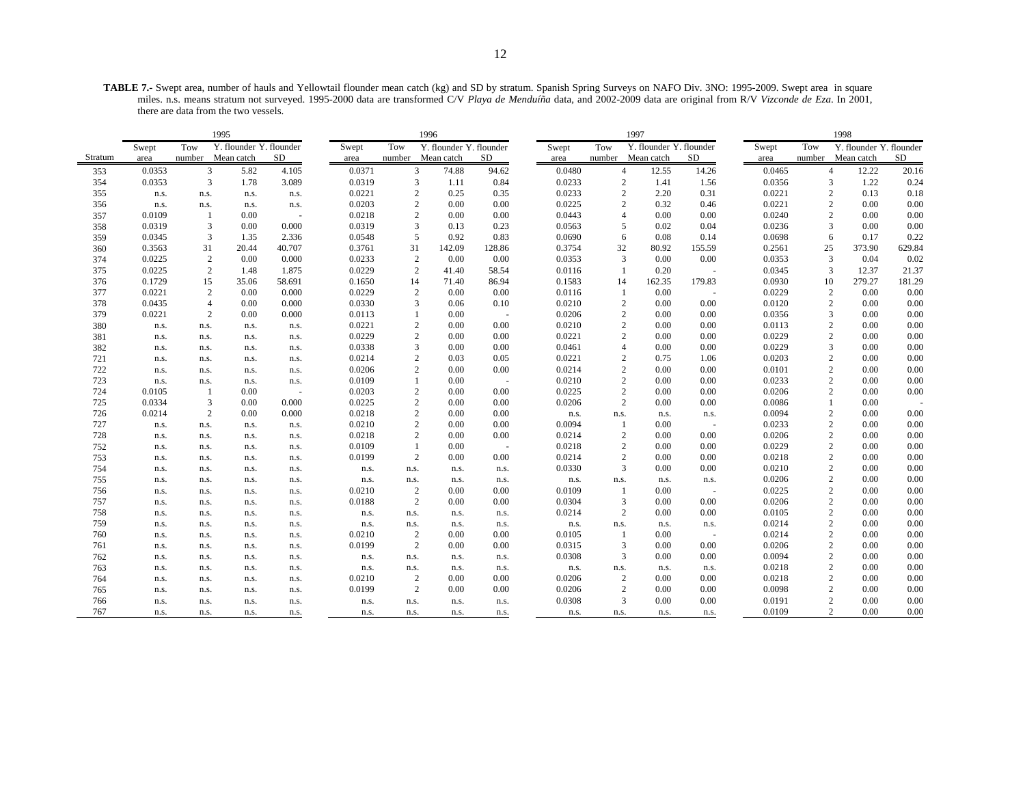**TABLE 7.-** Swept area, number of hauls and Yellowtail flounder mean catch (kg) and SD by stratum. Spanish Spring Surveys on NAFO Div. 3NO: 1995-2009. Swept area in square miles. n.s. means stratum not surveyed. 1995-2000 data are transformed C/V *Playa de Menduíña* data, and 2002-2009 data are original from R/V *Vizconde de Eza*. In 2001, there are data from the two vessels.

|            |              |                | 1995                    |                          |                  |                | 1996                    |              |                |                        | 1997                    |        |                  |                | 1998                    |              |
|------------|--------------|----------------|-------------------------|--------------------------|------------------|----------------|-------------------------|--------------|----------------|------------------------|-------------------------|--------|------------------|----------------|-------------------------|--------------|
|            | Swept        | Tow            | Y. flounder Y. flounder |                          | Swept            | Tow            | Y. flounder Y. flounder |              | Swept          | Tow                    | Y. flounder Y. flounder |        | Swept            | Tow            | Y. flounder Y. flounder |              |
| Stratum    | area         | number         | Mean catch              | SD                       | area             | number         | Mean catch              | <b>SD</b>    | area           |                        | number Mean catch       | SD     | area             | number         | Mean catch              | SD           |
| 353        | 0.0353       | 3              | 5.82                    | 4.105                    | 0.0371           | 3              | 74.88                   | 94.62        | 0.0480         |                        | $\overline{4}$<br>12.55 | 14.26  | 0.0465           |                | 12.22<br>$\overline{4}$ | 20.16        |
| 354        | 0.0353       | 3              | 1.78                    | 3.089                    | 0.0319           | 3              | 1.11                    | 0.84         | 0.0233         | $\overline{c}$         | 1.41                    | 1.56   | 0.0356           |                | 1.22<br>3               | 0.24         |
| 355        | n.s.         | n.s.           | n.s.                    | n.s.                     | 0.0221           | 2              | 0.25                    | 0.35         | 0.0233         | $\overline{2}$         | 2.20                    | 0.31   | 0.0221           | $\overline{2}$ | 0.13                    | 0.18         |
| 356        | n.s.         | n.s.           | n.s.                    | n.s.                     | 0.0203           | 2              | 0.00                    | 0.00         | 0.0225         | $\overline{2}$         | 0.32                    | 0.46   | 0.0221           |                | 2<br>0.00               | 0.00         |
| 357        | 0.0109       | 1              | 0.00                    | $\sim$                   | 0.0218           | $\mathbf{2}$   | 0.00                    | 0.00         | 0.0443         | $\overline{4}$         | 0.00                    | 0.00   | 0.0240           |                | 0.00<br>2               | 0.00         |
| 358        | 0.0319       | 3              | 0.00                    | 0.000                    | 0.0319           | 3              | 0.13                    | 0.23         | 0.0563         | 5                      | 0.02                    | 0.04   | 0.0236           | 3              | 0.00                    | 0.00         |
| 359        | 0.0345       | 3              | 1.35                    | 2.336                    | 0.0548           | 5              | 0.92                    | 0.83         | 0.0690         | 6                      | 0.08                    | 0.14   | 0.0698           | 6              | 0.17                    | 0.22         |
| 360        | 0.3563       | 31             | 20.44                   | 40.707                   | 0.3761           | 31             | 142.09                  | 128.86       | 0.3754         | 32                     | 80.92                   | 155.59 | 0.2561           | 25             | 373.90                  | 629.84       |
| 374        | 0.0225       | 2              | 0.00                    | 0.000                    | 0.0233           | 2              | 0.00                    | 0.00         | 0.0353         | 3                      | 0.00                    | 0.00   | 0.0353           | 3              | 0.04                    | 0.02         |
| 375        | 0.0225       | $\overline{c}$ | 1.48                    | 1.875                    | 0.0229           | $\overline{c}$ | 41.40                   | 58.54        | 0.0116         | 1                      | 0.20                    |        | 0.0345           | 3              | 12.37                   | 21.37        |
| 376        | 0.1729       | 15             | 35.06                   | 58.691                   | 0.1650           | 14             | 71.40                   | 86.94        | 0.1583         | 14                     | 162.35                  | 179.83 | 0.0930           | 10             | 279.27                  | 181.29       |
| 377        | 0.0221       | 2              | 0.00                    | 0.000                    | 0.0229           | 2              | 0.00                    | 0.00         | 0.0116         | -1                     | 0.00                    |        | 0.0229           |                | 2<br>0.00               | 0.00         |
| 378        | 0.0435       | $\overline{4}$ | 0.00                    | 0.000                    | 0.0330           | 3              | 0.06                    | 0.10         | 0.0210         | $\overline{2}$         | 0.00                    | 0.00   | 0.0120           |                | $\overline{c}$<br>0.00  | 0.00         |
| 379        | 0.0221       | 2              | 0.00                    | 0.000                    | 0.0113           | 1              | 0.00                    | $\sim$       | 0.0206         | $\overline{2}$         | 0.00                    | 0.00   | 0.0356           | 3              | 0.00                    | 0.00         |
| 380        | n.s.         | n.s.           | n.s.                    | n.s.                     | 0.0221           | 2              | 0.00                    | 0.00         | 0.0210         | $\overline{2}$         | 0.00                    | 0.00   | 0.0113           |                | 0.00<br>2               | 0.00         |
| 381        | n.s.         | n.s.           | n.s.                    | n.s.                     | 0.0229           | $\mathbf{2}$   | 0.00                    | 0.00         | 0.0221         | $\overline{2}$         | 0.00                    | 0.00   | 0.0229           |                | 2<br>0.00               | 0.00         |
| 382        | n.s.         | n.s.           | n.s.                    | n.s.                     | 0.0338           | 3              | 0.00                    | 0.00         | 0.0461         | $\overline{4}$         | 0.00                    | 0.00   | 0.0229           | 3              | 0.00                    | 0.00         |
| 721        | n.s.         | n.s.           | n.s.                    | n.s.                     | 0.0214           | 2              | 0.03                    | 0.05         | 0.0221         | $\overline{2}$         | 0.75                    | 1.06   | 0.0203           |                | 0.00<br>2               | 0.00         |
| 722        | n.s.         | n.s.           | n.s.                    | n.s.                     | 0.0206           | 2              | 0.00                    | 0.00         | 0.0214         | $\overline{c}$         | 0.00                    | 0.00   | 0.0101           |                | 0.00<br>$\overline{c}$  | 0.00         |
| 723        | n.s.         | n.s.           | n.s.                    | n.s.                     | 0.0109           | $\mathbf{1}$   | 0.00                    | $\sim$       | 0.0210         | $\overline{2}$         | 0.00                    | 0.00   | 0.0233           |                | 0.00<br>2               | 0.00         |
| 724        | 0.0105       | -1             | 0.00                    | $\overline{\phantom{a}}$ | 0.0203           | $\overline{c}$ | 0.00                    | 0.00         | 0.0225         | $\overline{c}$         | 0.00                    | 0.00   | 0.0206           |                | 2<br>0.00               | 0.00         |
| 725        | 0.0334       | 3              | 0.00                    | 0.000                    | 0.0225           | 2              | 0.00                    | 0.00         | 0.0206         | $\overline{c}$         | 0.00                    | 0.00   | 0.0086           | -1             | 0.00                    |              |
| 726        | 0.0214       | $\overline{2}$ | 0.00                    | 0.000                    | 0.0218           | $\mathbf{2}$   | 0.00                    | 0.00         | n.s.           | n.s.                   | n.s.                    | n.s.   | 0.0094           |                | 2<br>0.00               | 0.00         |
| 727        | n.s.         | n.s.           | n.s.                    | n.s.                     | 0.0210           | 2              | 0.00                    | 0.00         | 0.0094         | $\overline{1}$         | 0.00                    |        | 0.0233           | $\overline{2}$ | 0.00                    | 0.00         |
| 728        | n.s.         | n.s.           | n.s.                    | n.s.                     | 0.0218           | 2              | 0.00                    | 0.00         | 0.0214         | $\overline{2}$         | 0.00                    | 0.00   | 0.0206           |                | 0.00<br>2               | 0.00         |
| 752        | n.s.         | n.s.           | n.s.                    | n.s.                     | 0.0109           | $\mathbf{1}$   | 0.00                    | $\sim$       | 0.0218         | $\overline{2}$         | 0.00                    | 0.00   | 0.0229           |                | 2<br>0.00               | 0.00         |
| 753        | n.s.         | n.s.           | n.s.                    | n.s.                     | 0.0199           | $\overline{c}$ | 0.00                    | 0.00         | 0.0214         | $\overline{2}$         | 0.00                    | 0.00   | 0.0218           | $\overline{2}$ | 0.00                    | 0.00         |
| 754        | n.s.         | n.s.           | n.s.                    | n.s.                     | n.s.             | n.s.           | n.s.                    | n.s.         | 0.0330         | 3                      | 0.00                    | 0.00   | 0.0210<br>0.0206 |                | 0.00<br>2<br>0.00       | 0.00<br>0.00 |
| 755        | n.s.         | n.s.           | n.s.                    | n.s.                     | n.s.             | n.s.           | n.s.<br>0.00            | n.s.         | n.s.<br>0.0109 | n.s.<br>$\overline{1}$ | n.s.                    | n.s.   |                  |                | 2<br>0.00               |              |
| 756<br>757 | n.s.         | n.s.           | n.s.                    | n.s.                     | 0.0210<br>0.0188 | 2<br>2         | 0.00                    | 0.00<br>0.00 | 0.0304         | 3                      | 0.00<br>0.00            | 0.00   | 0.0225<br>0.0206 |                | 0.00<br>2               | 0.00<br>0.00 |
| 758        | n.s.         | n.s.           | n.s.                    | n.s.                     |                  |                |                         |              | 0.0214         | $\overline{2}$         | 0.00                    | 0.00   | 0.0105           |                | 0.00<br>2               | 0.00         |
| 759        | n.s.         | n.s.           | n.s.                    | n.s.                     | n.s.             | n.s.           | n.s.                    | n.s.         |                |                        |                         |        | 0.0214           |                | 2<br>0.00               | 0.00         |
| 760        | n.s.<br>n.s. | n.s.<br>n.s.   | n.s.<br>n.s.            | n.s.<br>n.s.             | n.s.<br>0.0210   | n.s.<br>2      | n.s.<br>0.00            | n.s.<br>0.00 | n.s.<br>0.0105 | n.s.<br>$\overline{1}$ | n.s.<br>0.00            | n.s.   | 0.0214           |                | 2<br>0.00               | 0.00         |
| 761        | n.s.         | n.s.           | n.s.                    | n.s.                     | 0.0199           | 2              | 0.00                    | 0.00         | 0.0315         | 3                      | 0.00                    | 0.00   | 0.0206           |                | 2<br>0.00               | 0.00         |
| 762        | n.s.         |                |                         |                          |                  |                |                         |              | 0.0308         | 3                      | 0.00                    | 0.00   | 0.0094           |                | 2<br>0.00               | 0.00         |
| 763        | n.s.         | n.s.<br>n.s.   | n.s.<br>n.s.            | n.s.<br>n.s.             | n.s.<br>n.s.     | n.s.<br>n.s.   | n.s.<br>n.s.            | n.s.<br>n.s. | n.s.           | n.s.                   | n.s.                    | n.s.   | 0.0218           |                | 2<br>0.00               | 0.00         |
| 764        | n.s.         | n.s.           | n.s.                    | n.s.                     | 0.0210           | 2              | 0.00                    | 0.00         | 0.0206         | $\overline{c}$         | 0.00                    | 0.00   | 0.0218           |                | 0.00<br>2               | 0.00         |
| 765        | n.s.         | n.s.           | n.s.                    | n.s.                     | 0.0199           | 2              | 0.00                    | 0.00         | 0.0206         | $\overline{2}$         | 0.00                    | 0.00   | 0.0098           |                | $\overline{c}$<br>0.00  | 0.00         |
| 766        | n.s.         | n.s.           | n.s.                    | n.s.                     | n.s.             | n.s.           | n.s.                    | n.s.         | 0.0308         | $\overline{3}$         | 0.00                    | 0.00   | 0.0191           | $\overline{2}$ | 0.00                    | 0.00         |
| 767        | n.s.         | n.s.           | n.s.                    | n.s.                     | n.s.             | n.s.           | n.s.                    | n.s.         | n.s.           | n.s.                   | n.s.                    | n.s.   | 0.0109           |                | 2<br>0.00               | 0.00         |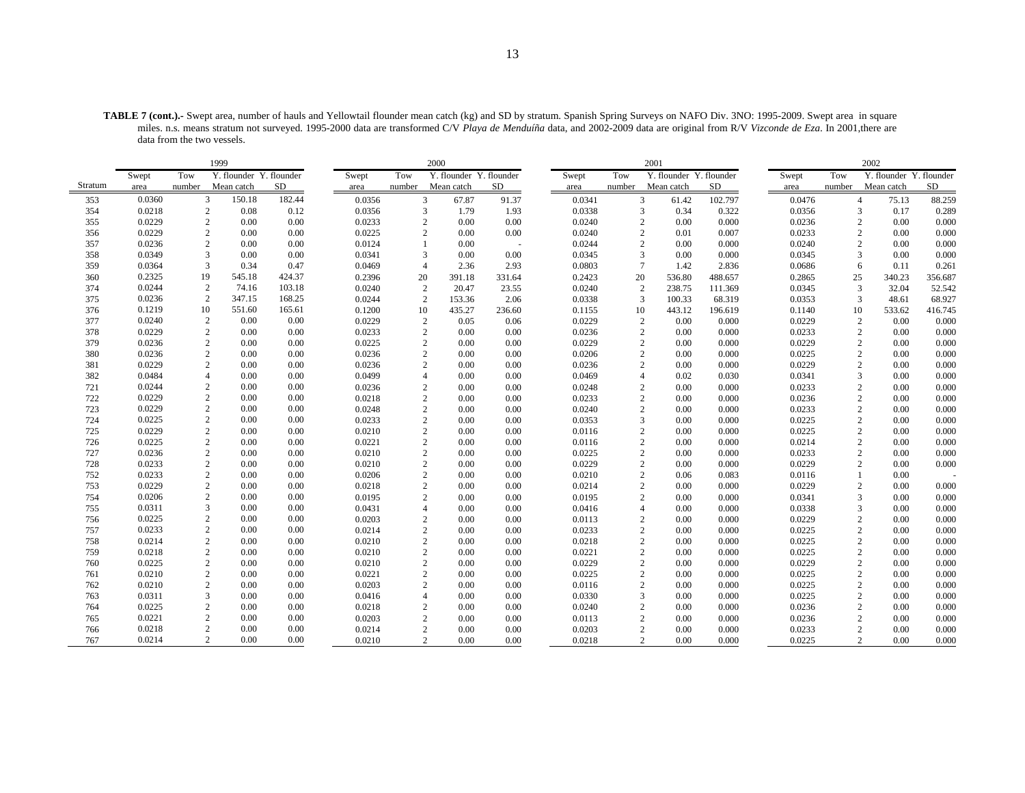**TABLE 7 (cont.).-** Swept area, number of hauls and Yellowtail flounder mean catch (kg) and SD by stratum. Spanish Spring Surveys on NAFO Div. 3NO: 1995-2009. Swept area in square miles. n.s. means stratum not surveyed. 1995-2000 data are transformed C/V *Playa de Menduíña* data, and 2002-2009 data are original from R/V *Vizconde de Eza*. In 2001,there are data from the two vessels.

|         | 1999   |                |                         |           |        |                | 2000                    |        |        |        | 2001                     |         |        |        | 2002                    |         |
|---------|--------|----------------|-------------------------|-----------|--------|----------------|-------------------------|--------|--------|--------|--------------------------|---------|--------|--------|-------------------------|---------|
|         | Swept  | Tow            | Y. flounder Y. flounder |           | Swept  | Tow            | Y. flounder Y. flounder |        | Swept  | Tow    | Y. flounder Y. flounder  |         | Swept  | Tow    | Y. flounder Y. flounder |         |
| Stratum | area   | number         | Mean catch              | <b>SD</b> | area   | number         | Mean catch              | SD     | area   | number | Mean catch               | SD      | area   | number | Mean catch              | SD      |
| 353     | 0.0360 | 3              | 150.18                  | 182.44    | 0.0356 | 3              | 67.87                   | 91.37  | 0.0341 |        | 3<br>61.42               | 102.797 | 0.0476 |        | $\overline{4}$<br>75.13 | 88.259  |
| 354     | 0.0218 | $\overline{c}$ | 0.08                    | 0.12      | 0.0356 | 3              | 1.79                    | 1.93   | 0.0338 |        | 3<br>0.34                | 0.322   | 0.0356 |        | 3<br>0.17               | 0.289   |
| 355     | 0.0229 | $\sqrt{2}$     | 0.00                    | 0.00      | 0.0233 | $\mathbf{2}$   | 0.00                    | 0.00   | 0.0240 |        | $\overline{2}$<br>0.00   | 0.000   | 0.0236 |        | $\mathbf{2}$<br>0.00    | 0.000   |
| 356     | 0.0229 | $\sqrt{2}$     | 0.00                    | 0.00      | 0.0225 | 2              | 0.00                    | 0.00   | 0.0240 |        | $\overline{2}$<br>0.01   | 0.007   | 0.0233 |        | 2<br>0.00               | 0.000   |
| 357     | 0.0236 | $\overline{2}$ | 0.00                    | 0.00      | 0.0124 |                | 0.00                    |        | 0.0244 |        | $\overline{2}$<br>0.00   | 0.000   | 0.0240 |        | 2<br>0.00               | 0.000   |
| 358     | 0.0349 | $\overline{3}$ | 0.00                    | 0.00      | 0.0341 | 3              | 0.00                    | 0.00   | 0.0345 |        | 3<br>0.00                | 0.000   | 0.0345 |        | 3<br>0.00               | 0.000   |
| 359     | 0.0364 | 3              | 0.34                    | 0.47      | 0.0469 | $\overline{4}$ | 2.36                    | 2.93   | 0.0803 |        | $\overline{7}$<br>1.42   | 2.836   | 0.0686 |        | 6<br>0.11               | 0.261   |
| 360     | 0.2325 | 19             | 545.18                  | 424.37    | 0.2396 | 20             | 391.18                  | 331.64 | 0.2423 | 20     | 536.80                   | 488.657 | 0.2865 | 25     | 340.23                  | 356.687 |
| 374     | 0.0244 | $\overline{2}$ | 74.16                   | 103.18    | 0.0240 | $\overline{2}$ | 20.47                   | 23.55  | 0.0240 |        | $\overline{c}$<br>238.75 | 111.369 | 0.0345 | 3      | 32.04                   | 52.542  |
| 375     | 0.0236 | 2              | 347.15                  | 168.25    | 0.0244 | 2              | 153.36                  | 2.06   | 0.0338 |        | 3<br>100.33              | 68.319  | 0.0353 |        | 3<br>48.61              | 68.927  |
| 376     | 0.1219 | 10             | 551.60                  | 165.61    | 0.1200 | 10             | 435.27                  | 236.60 | 0.1155 | 10     | 443.12                   | 196.619 | 0.1140 | 10     | 533.62                  | 416.745 |
| 377     | 0.0240 | $\sqrt{2}$     | 0.00                    | 0.00      | 0.0229 | $\overline{c}$ | 0.05                    | 0.06   | 0.0229 |        | $\overline{2}$<br>0.00   | 0.000   | 0.0229 |        | $\mathbf{2}$<br>0.00    | 0.000   |
| 378     | 0.0229 | $\overline{2}$ | 0.00                    | 0.00      | 0.0233 | $\overline{2}$ | 0.00                    | 0.00   | 0.0236 |        | $\overline{2}$<br>0.00   | 0.000   | 0.0233 |        | 2<br>0.00               | 0.000   |
| 379     | 0.0236 | $\sqrt{2}$     | 0.00                    | 0.00      | 0.0225 | $\overline{c}$ | 0.00                    | 0.00   | 0.0229 |        | $\overline{c}$<br>0.00   | 0.000   | 0.0229 |        | 2<br>0.00               | 0.000   |
| 380     | 0.0236 | $\sqrt{2}$     | 0.00                    | 0.00      | 0.0236 | $\overline{2}$ | 0.00                    | 0.00   | 0.0206 |        | $\overline{c}$<br>0.00   | 0.000   | 0.0225 |        | $\overline{c}$<br>0.00  | 0.000   |
| 381     | 0.0229 | $\overline{2}$ | 0.00                    | 0.00      | 0.0236 | $\overline{c}$ | 0.00                    | 0.00   | 0.0236 |        | $\overline{c}$<br>0.00   | 0.000   | 0.0229 |        | $\overline{c}$<br>0.00  | 0.000   |
| 382     | 0.0484 | $\overline{4}$ | 0.00                    | 0.00      | 0.0499 | $\overline{4}$ | 0.00                    | 0.00   | 0.0469 |        | 0.02<br>$\overline{4}$   | 0.030   | 0.0341 |        | 0.00<br>3               | 0.000   |
| 721     | 0.0244 | $\sqrt{2}$     | 0.00                    | 0.00      | 0.0236 | $\overline{2}$ | 0.00                    | 0.00   | 0.0248 |        | $\overline{2}$<br>0.00   | 0.000   | 0.0233 |        | 0.00<br>2               | 0.000   |
| 722     | 0.0229 | $\overline{2}$ | 0.00                    | 0.00      | 0.0218 | 2              | 0.00                    | 0.00   | 0.0233 |        | $\overline{2}$<br>0.00   | 0.000   | 0.0236 |        | 2<br>0.00               | 0.000   |
| 723     | 0.0229 | $\sqrt{2}$     | 0.00                    | 0.00      | 0.0248 | $\mathbf{2}$   | 0.00                    | 0.00   | 0.0240 |        | $\overline{2}$<br>0.00   | 0.000   | 0.0233 |        | $\overline{2}$<br>0.00  | 0.000   |
| 724     | 0.0225 | $\sqrt{2}$     | 0.00                    | 0.00      | 0.0233 | $\overline{2}$ | 0.00                    | 0.00   | 0.0353 |        | 3<br>0.00                | 0.000   | 0.0225 |        | 2<br>0.00               | 0.000   |
| 725     | 0.0229 | $\overline{2}$ | 0.00                    | 0.00      | 0.0210 | $\mathbf{2}$   | 0.00                    | 0.00   | 0.0116 |        | $\overline{2}$<br>0.00   | 0.000   | 0.0225 |        | $\overline{c}$<br>0.00  | 0.000   |
| 726     | 0.0225 | $\overline{2}$ | 0.00                    | 0.00      | 0.0221 | $\overline{2}$ | 0.00                    | 0.00   | 0.0116 |        | $\overline{2}$<br>0.00   | 0.000   | 0.0214 |        | $\overline{2}$<br>0.00  | 0.000   |
| 727     | 0.0236 | $\overline{2}$ | 0.00                    | 0.00      | 0.0210 | $\overline{2}$ | 0.00                    | 0.00   | 0.0225 |        | $\overline{2}$<br>0.00   | 0.000   | 0.0233 |        | 0.00<br>2               | 0.000   |
| 728     | 0.0233 | $\overline{c}$ | 0.00                    | 0.00      | 0.0210 | $\mathbf{2}$   | 0.00                    | 0.00   | 0.0229 |        | $\overline{2}$<br>0.00   | 0.000   | 0.0229 |        | $\overline{c}$<br>0.00  | 0.000   |
| 752     | 0.0233 | $\sqrt{2}$     | 0.00                    | 0.00      | 0.0206 | 2              | 0.00                    | 0.00   | 0.0210 |        | $\overline{2}$<br>0.06   | 0.083   | 0.0116 |        | 0.00                    |         |
| 753     | 0.0229 | $\sqrt{2}$     | 0.00                    | 0.00      | 0.0218 | 2              | 0.00                    | 0.00   | 0.0214 |        | $\overline{c}$<br>0.00   | 0.000   | 0.0229 |        | 2<br>0.00               | 0.000   |
| 754     | 0.0206 | $\sqrt{2}$     | 0.00                    | 0.00      | 0.0195 | $\mathbf{2}$   | 0.00                    | 0.00   | 0.0195 |        | $\overline{c}$<br>0.00   | 0.000   | 0.0341 |        | 3<br>0.00               | 0.000   |
| 755     | 0.0311 | 3              | 0.00                    | 0.00      | 0.0431 | $\overline{4}$ | 0.00                    | 0.00   | 0.0416 |        | $\overline{4}$<br>0.00   | 0.000   | 0.0338 |        | 3<br>0.00               | 0.000   |
| 756     | 0.0225 | $\overline{2}$ | 0.00                    | 0.00      | 0.0203 | $\overline{c}$ | 0.00                    | 0.00   | 0.0113 |        | $\overline{c}$<br>0.00   | 0.000   | 0.0229 |        | 2<br>0.00               | 0.000   |
| 757     | 0.0233 | $\overline{2}$ | 0.00                    | 0.00      | 0.0214 | $\overline{c}$ | 0.00                    | 0.00   | 0.0233 |        | $\overline{2}$<br>0.00   | 0.000   | 0.0225 |        | $\overline{2}$<br>0.00  | 0.000   |
| 758     | 0.0214 | $\sqrt{2}$     | 0.00                    | 0.00      | 0.0210 | 2              | 0.00                    | 0.00   | 0.0218 |        | $\overline{2}$<br>0.00   | 0.000   | 0.0225 |        | 2<br>0.00               | 0.000   |
| 759     | 0.0218 | $\overline{c}$ | 0.00                    | 0.00      | 0.0210 | $\overline{2}$ | 0.00                    | 0.00   | 0.0221 |        | $\overline{2}$<br>0.00   | 0.000   | 0.0225 |        | 2<br>0.00               | 0.000   |
| 760     | 0.0225 | $\sqrt{2}$     | 0.00                    | 0.00      | 0.0210 | $\overline{2}$ | 0.00                    | 0.00   | 0.0229 |        | $\overline{2}$<br>0.00   | 0.000   | 0.0229 |        | $\overline{2}$<br>0.00  | 0.000   |
| 761     | 0.0210 | $\overline{2}$ | 0.00                    | 0.00      | 0.0221 | 2              | 0.00                    | 0.00   | 0.0225 |        | $\overline{2}$<br>0.00   | 0.000   | 0.0225 |        | 2<br>0.00               | 0.000   |
| 762     | 0.0210 | $\overline{2}$ | 0.00                    | 0.00      | 0.0203 | 2              | 0.00                    | 0.00   | 0.0116 |        | $\overline{c}$<br>0.00   | 0.000   | 0.0225 |        | 2<br>0.00               | 0.000   |
| 763     | 0.0311 | 3              | 0.00                    | 0.00      | 0.0416 | $\overline{A}$ | 0.00                    | 0.00   | 0.0330 |        | 3<br>0.00                | 0.000   | 0.0225 |        | $\overline{c}$<br>0.00  | 0.000   |
| 764     | 0.0225 | $\sqrt{2}$     | 0.00                    | 0.00      | 0.0218 | $\overline{2}$ | 0.00                    | 0.00   | 0.0240 |        | $\overline{2}$<br>0.00   | 0.000   | 0.0236 |        | 2<br>0.00               | 0.000   |
| 765     | 0.0221 | $\overline{c}$ | 0.00                    | 0.00      | 0.0203 | $\overline{2}$ | 0.00                    | 0.00   | 0.0113 |        | $\overline{2}$<br>0.00   | 0.000   | 0.0236 |        | 2<br>0.00               | 0.000   |
| 766     | 0.0218 | $\overline{c}$ | 0.00                    | 0.00      | 0.0214 | $\overline{2}$ | 0.00                    | 0.00   | 0.0203 |        | $\overline{2}$<br>0.00   | 0.000   | 0.0233 |        | $\overline{c}$<br>0.00  | 0.000   |
| 767     | 0.0214 | $\overline{c}$ | 0.00                    | 0.00      | 0.0210 | 2              | 0.00                    | 0.00   | 0.0218 |        | $\overline{c}$<br>0.00   | 0.000   | 0.0225 |        | $\overline{c}$<br>0.00  | 0.000   |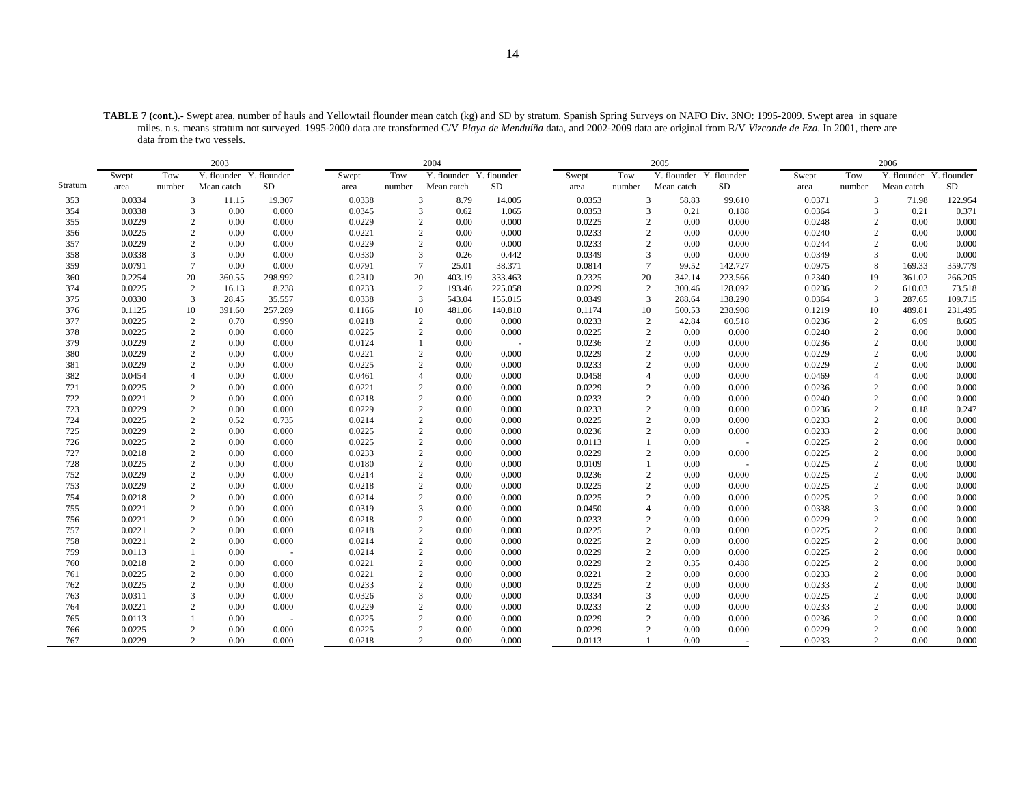**TABLE 7 (cont.).-** Swept area, number of hauls and Yellowtail flounder mean catch (kg) and SD by stratum. Spanish Spring Surveys on NAFO Div. 3NO: 1995-2009. Swept area in square miles. n.s. means stratum not surveyed. 1995-2000 data are transformed C/V *Playa de Menduíña* data, and 2002-2009 data are original from R/V *Vizconde de Eza*. In 2001, there are data from the two vessels.

|         |        | 2003            |                         |         | 2004   |                 |                         |         |        | 2005            |                         |         |        | 2006   |                         |             |
|---------|--------|-----------------|-------------------------|---------|--------|-----------------|-------------------------|---------|--------|-----------------|-------------------------|---------|--------|--------|-------------------------|-------------|
|         | Swept  | Tow             | Y. flounder Y. flounder |         | Swept  | Tow             | Y. flounder Y. flounder |         | Swept  | Tow             | Y. flounder Y. flounder |         | Swept  | Tow    | Y. flounder             | Y. flounder |
| Stratum | area   | number          | Mean catch              | SD      | area   | number          | Mean catch              | SD      | area   | number          | Mean catch              | SD      | area   | number | Mean catch              | SD          |
| 353     | 0.0334 |                 | $\mathbf{3}$<br>11.15   | 19.307  | 0.0338 | $\mathfrak{Z}$  | 8.79                    | 14.005  | 0.0353 | $\overline{3}$  | 58.83                   | 99.610  | 0.0371 |        | $\overline{3}$<br>71.98 | 122.954     |
| 354     | 0.0338 | $\overline{3}$  | 0.00                    | 0.000   | 0.0345 | 3               | 0.62                    | 1.065   | 0.0353 | $\overline{3}$  | 0.21                    | 0.188   | 0.0364 |        | 3<br>0.21               | 0.371       |
| 355     | 0.0229 | $\overline{2}$  | 0.00                    | 0.000   | 0.0229 | $\overline{c}$  | 0.00                    | 0.000   | 0.0225 | $\overline{2}$  | 0.00                    | 0.000   | 0.0248 |        | 0.00<br>2               | 0.000       |
| 356     | 0.0225 | $\overline{c}$  | 0.00                    | 0.000   | 0.0221 | 2               | 0.00                    | 0.000   | 0.0233 | $\overline{2}$  | 0.00                    | 0.000   | 0.0240 |        | 2<br>0.00               | 0.000       |
| 357     | 0.0229 | $\overline{2}$  | 0.00                    | 0.000   | 0.0229 | $\overline{2}$  | 0.00                    | 0.000   | 0.0233 | $\overline{c}$  | 0.00                    | 0.000   | 0.0244 |        | $\overline{2}$<br>0.00  | 0.000       |
| 358     | 0.0338 | 3               | 0.00                    | 0.000   | 0.0330 | 3               | 0.26                    | 0.442   | 0.0349 | 3               | 0.00                    | 0.000   | 0.0349 |        | 0.00<br>3               | 0.000       |
| 359     | 0.0791 | $7\phantom{.0}$ | 0.00                    | 0.000   | 0.0791 | $7\phantom{.0}$ | 25.01                   | 38.371  | 0.0814 | $7\phantom{.0}$ | 99.52                   | 142.727 | 0.0975 |        | 8<br>169.33             | 359.779     |
| 360     | 0.2254 | 20              | 360.55                  | 298.992 | 0.2310 | 20              | 403.19                  | 333.463 | 0.2325 | 20              | 342.14                  | 223.566 | 0.2340 | 19     | 361.02                  | 266.205     |
| 374     | 0.0225 | 2               | 16.13                   | 8.238   | 0.0233 | 2               | 193.46                  | 225.058 | 0.0229 | $\overline{2}$  | 300.46                  | 128.092 | 0.0236 |        | 2<br>610.03             | 73.518      |
| 375     | 0.0330 | 3               | 28.45                   | 35.557  | 0.0338 | 3               | 543.04                  | 155.015 | 0.0349 | 3               | 288.64                  | 138.290 | 0.0364 |        | 3<br>287.65             | 109.715     |
| 376     | 0.1125 | 10              | 391.60                  | 257.289 | 0.1166 | 10              | 481.06                  | 140.810 | 0.1174 | 10              | 500.53                  | 238.908 | 0.1219 | 10     | 489.81                  | 231.495     |
| 377     | 0.0225 | 2               | 0.70                    | 0.990   | 0.0218 | 2               | 0.00                    | 0.000   | 0.0233 | $\overline{2}$  | 42.84                   | 60.518  | 0.0236 |        | 2<br>6.09               | 8.605       |
| 378     | 0.0225 | $\overline{c}$  | 0.00                    | 0.000   | 0.0225 | $\overline{2}$  | 0.00                    | 0.000   | 0.0225 | $\overline{c}$  | 0.00                    | 0.000   | 0.0240 |        | $\overline{2}$<br>0.00  | 0.000       |
| 379     | 0.0229 | 2               | 0.00                    | 0.000   | 0.0124 |                 | 0.00                    |         | 0.0236 | $\overline{c}$  | 0.00                    | 0.000   | 0.0236 |        | 0.00<br>2               | 0.000       |
| 380     | 0.0229 | $\overline{2}$  | 0.00                    | 0.000   | 0.0221 | $\overline{2}$  | 0.00                    | 0.000   | 0.0229 | $\overline{2}$  | 0.00                    | 0.000   | 0.0229 |        | 0.00<br>2               | 0.000       |
| 381     | 0.0229 | $\overline{2}$  | 0.00                    | 0.000   | 0.0225 | $\overline{2}$  | 0.00                    | 0.000   | 0.0233 | $\overline{2}$  | 0.00                    | 0.000   | 0.0229 |        | $\overline{c}$<br>0.00  | 0.000       |
| 382     | 0.0454 | $\overline{4}$  | 0.00                    | 0.000   | 0.0461 | $\overline{4}$  | 0.00                    | 0.000   | 0.0458 |                 | 0.00                    | 0.000   | 0.0469 |        | 0.00<br>4               | 0.000       |
| 721     | 0.0225 | $\overline{c}$  | 0.00                    | 0.000   | 0.0221 | $\overline{2}$  | 0.00                    | 0.000   | 0.0229 | $\overline{2}$  | 0.00                    | 0.000   | 0.0236 |        | 0.00<br>$\overline{2}$  | 0.000       |
| 722     | 0.0221 | $\overline{c}$  | 0.00                    | 0.000   | 0.0218 | $\overline{2}$  | 0.00                    | 0.000   | 0.0233 | $\overline{c}$  | 0.00                    | 0.000   | 0.0240 |        | $\overline{2}$<br>0.00  | 0.000       |
| 723     | 0.0229 | $\overline{c}$  | 0.00                    | 0.000   | 0.0229 | $\overline{2}$  | 0.00                    | 0.000   | 0.0233 | $\overline{c}$  | 0.00                    | 0.000   | 0.0236 |        | $\overline{2}$<br>0.18  | 0.247       |
| 724     | 0.0225 | $\overline{2}$  | 0.52                    | 0.735   | 0.0214 | 2               | 0.00                    | 0.000   | 0.0225 | $\overline{c}$  | 0.00                    | 0.000   | 0.0233 |        | 0.00<br>2               | 0.000       |
| 725     | 0.0229 | $\overline{c}$  | 0.00                    | 0.000   | 0.0225 | $\overline{2}$  | 0.00                    | 0.000   | 0.0236 | $\overline{c}$  | 0.00                    | 0.000   | 0.0233 |        | $\overline{2}$<br>0.00  | 0.000       |
| 726     | 0.0225 | $\overline{2}$  | 0.00                    | 0.000   | 0.0225 | 2               | 0.00                    | 0.000   | 0.0113 |                 | 0.00                    |         | 0.0225 |        | 0.00<br>$\overline{2}$  | 0.000       |
| 727     | 0.0218 | $\overline{2}$  | 0.00                    | 0.000   | 0.0233 | 2               | 0.00                    | 0.000   | 0.0229 | $\overline{c}$  | 0.00                    | 0.000   | 0.0225 |        | 0.00<br>$\overline{2}$  | 0.000       |
| 728     | 0.0225 | $\overline{c}$  | 0.00                    | 0.000   | 0.0180 | $\overline{2}$  | 0.00                    | 0.000   | 0.0109 |                 | 0.00                    |         | 0.0225 |        | $\overline{2}$<br>0.00  | 0.000       |
| 752     | 0.0229 | $\overline{2}$  | 0.00                    | 0.000   | 0.0214 | 2               | 0.00                    | 0.000   | 0.0236 | $\overline{2}$  | 0.00                    | 0.000   | 0.0225 |        | $\overline{2}$<br>0.00  | 0.000       |
| 753     | 0.0229 | $\overline{2}$  | 0.00                    | 0.000   | 0.0218 | $\overline{2}$  | 0.00                    | 0.000   | 0.0225 | $\overline{c}$  | 0.00                    | 0.000   | 0.0225 |        | 0.00<br>$\overline{2}$  | 0.000       |
| 754     | 0.0218 | $\overline{2}$  | 0.00                    | 0.000   | 0.0214 | $\overline{c}$  | 0.00                    | 0.000   | 0.0225 | $\overline{c}$  | 0.00                    | 0.000   | 0.0225 |        | $\overline{2}$<br>0.00  | 0.000       |
| 755     | 0.0221 | $\overline{2}$  | 0.00                    | 0.000   | 0.0319 | 3               | 0.00                    | 0.000   | 0.0450 | $\overline{4}$  | 0.00                    | 0.000   | 0.0338 |        | 3<br>0.00               | 0.000       |
| 756     | 0.0221 | $\overline{2}$  | 0.00                    | 0.000   | 0.0218 | $\overline{2}$  | 0.00                    | 0.000   | 0.0233 | $\overline{2}$  | 0.00                    | 0.000   | 0.0229 |        | $\overline{2}$<br>0.00  | 0.000       |
| 757     | 0.0221 | $\overline{c}$  | 0.00                    | 0.000   | 0.0218 | $\overline{c}$  | 0.00                    | 0.000   | 0.0225 | $\overline{c}$  | 0.00                    | 0.000   | 0.0225 |        | $\overline{2}$<br>0.00  | 0.000       |
| 758     | 0.0221 | $\overline{2}$  | 0.00                    | 0.000   | 0.0214 | $\overline{2}$  | 0.00                    | 0.000   | 0.0225 | $\overline{2}$  | 0.00                    | 0.000   | 0.0225 |        | $\overline{c}$<br>0.00  | 0.000       |
| 759     | 0.0113 |                 | 0.00                    | $\sim$  | 0.0214 | 2               | 0.00                    | 0.000   | 0.0229 | $\overline{c}$  | 0.00                    | 0.000   | 0.0225 |        | 0.00<br>2               | 0.000       |
| 760     | 0.0218 | $\overline{c}$  | 0.00                    | 0.000   | 0.0221 | $\overline{2}$  | 0.00                    | 0.000   | 0.0229 | $\overline{c}$  | 0.35                    | 0.488   | 0.0225 |        | $\overline{2}$<br>0.00  | 0.000       |
| 761     | 0.0225 | $\overline{2}$  | 0.00                    | 0.000   | 0.0221 | 2               | 0.00                    | 0.000   | 0.0221 | $\overline{2}$  | 0.00                    | 0.000   | 0.0233 |        | 0.00<br>$\overline{c}$  | 0.000       |
| 762     | 0.0225 | $\overline{2}$  | 0.00                    | 0.000   | 0.0233 | 2               | 0.00                    | 0.000   | 0.0225 | $\overline{c}$  | 0.00                    | 0.000   | 0.0233 |        | 2<br>0.00               | 0.000       |
| 763     | 0.0311 | $\overline{3}$  | 0.00                    | 0.000   | 0.0326 | 3               | 0.00                    | 0.000   | 0.0334 | 3               | 0.00                    | 0.000   | 0.0225 |        | $\overline{2}$<br>0.00  | 0.000       |
| 764     | 0.0221 | $\overline{2}$  | 0.00                    | 0.000   | 0.0229 | 2               | 0.00                    | 0.000   | 0.0233 | $\overline{c}$  | 0.00                    | 0.000   | 0.0233 |        | $\overline{c}$<br>0.00  | 0.000       |
| 765     | 0.0113 |                 | 0.00                    | $\sim$  | 0.0225 | $\overline{2}$  | 0.00                    | 0.000   | 0.0229 | $\overline{c}$  | 0.00                    | 0.000   | 0.0236 |        | $\overline{2}$<br>0.00  | 0.000       |
| 766     | 0.0225 | $\overline{2}$  | 0.00                    | 0.000   | 0.0225 | $\overline{c}$  | 0.00                    | 0.000   | 0.0229 | $\overline{2}$  | 0.00                    | 0.000   | 0.0229 |        | 0.00<br>$\overline{c}$  | 0.000       |
| 767     | 0.0229 | $\overline{c}$  | 0.00                    | 0.000   | 0.0218 | 2               | 0.00                    | 0.000   | 0.0113 |                 | 0.00                    |         | 0.0233 |        | $\overline{2}$<br>0.00  | 0.000       |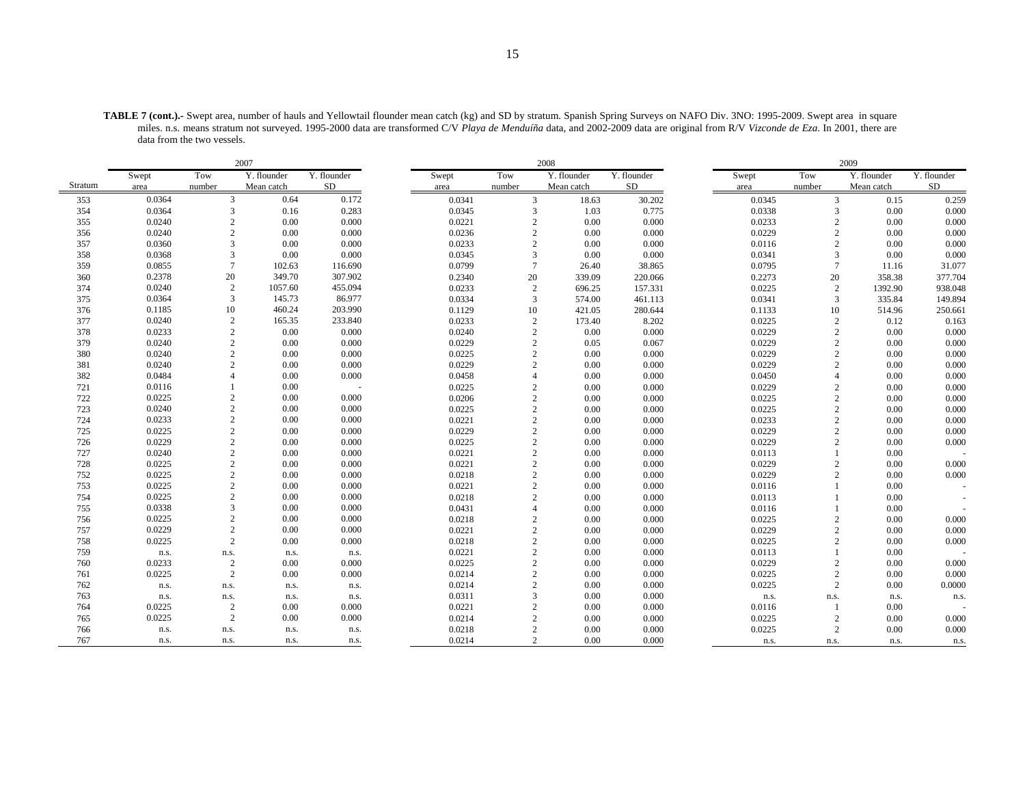| <b>TABLE 7 (cont.).-</b> Swept area, number of hauls and Yellowtail flounder mean catch (kg) and SD by stratum. Spanish Spring Surveys on NAFO Div. 3NO: 1995-2009. Swept area in square |
|------------------------------------------------------------------------------------------------------------------------------------------------------------------------------------------|
| miles. n.s. means stratum not surveyed. 1995-2000 data are transformed C/V Playa de Menduíña data, and 2002-2009 data are original from R/V Vizconde de Eza. In 2001, there are          |
| data from the two vessels.                                                                                                                                                               |

|         |        |                | 2007        |             |        | 2008           |             |             |  |        |                        | 2009        |             |  |  |  |
|---------|--------|----------------|-------------|-------------|--------|----------------|-------------|-------------|--|--------|------------------------|-------------|-------------|--|--|--|
|         | Swept  | Tow            | Y. flounder | Y. flounder | Swept  | Tow            | Y. flounder | Y. flounder |  | Swept  | Tow                    | Y. flounder | Y. flounder |  |  |  |
| Stratum | area   | number         | Mean catch  | <b>SD</b>   | area   | number         | Mean catch  | SD          |  | area   | number                 | Mean catch  | ${\rm SD}$  |  |  |  |
| 353     | 0.0364 | 3              | 0.64        | 0.172       | 0.0341 | 3              | 18.63       | 30.202      |  | 0.0345 | 3                      | 0.15        | 0.259       |  |  |  |
| 354     | 0.0364 | 3              | 0.16        | 0.283       | 0.0345 | 3              | 1.03        | 0.775       |  | 0.0338 | 3                      | 0.00        | 0.000       |  |  |  |
| 355     | 0.0240 | 2              | 0.00        | 0.000       | 0.0221 | $\mathcal{D}$  | 0.00        | 0.000       |  | 0.0233 | 2                      | 0.00        | 0.000       |  |  |  |
| 356     | 0.0240 | $\overline{c}$ | 0.00        | 0.000       | 0.0236 | $\overline{c}$ | 0.00        | 0.000       |  | 0.0229 | $\overline{c}$         | 0.00        | 0.000       |  |  |  |
| 357     | 0.0360 | 3              | 0.00        | 0.000       | 0.0233 | $\overline{c}$ | 0.00        | 0.000       |  | 0.0116 | $\overline{c}$         | 0.00        | 0.000       |  |  |  |
| 358     | 0.0368 | 3              | 0.00        | 0.000       | 0.0345 | 3              | 0.00        | 0.000       |  | 0.0341 | 3                      | 0.00        | 0.000       |  |  |  |
| 359     | 0.0855 | $\overline{7}$ | 102.63      | 116.690     | 0.0799 | $\overline{7}$ | 26.40       | 38.865      |  | 0.0795 |                        | 11.16       | 31.077      |  |  |  |
| 360     | 0.2378 | 20             | 349.70      | 307.902     | 0.2340 | 20             | 339.09      | 220.066     |  | 0.2273 | 20                     | 358.38      | 377.704     |  |  |  |
| 374     | 0.0240 | 2              | 1057.60     | 455.094     | 0.0233 | $\overline{c}$ | 696.25      | 157.331     |  | 0.0225 | $\overline{c}$         | 1392.90     | 938.048     |  |  |  |
| 375     | 0.0364 | $\overline{3}$ | 145.73      | 86.977      | 0.0334 | $\overline{3}$ | 574.00      | 461.113     |  | 0.0341 | 3                      | 335.84      | 149.894     |  |  |  |
| 376     | 0.1185 | 10             | 460.24      | 203.990     | 0.1129 | 10             | 421.05      | 280.644     |  | 0.1133 | 10                     | 514.96      | 250.661     |  |  |  |
| 377     | 0.0240 | 2              | 165.35      | 233.840     | 0.0233 | $\overline{2}$ | 173.40      | 8.202       |  | 0.0225 | $\overline{2}$         | 0.12        | 0.163       |  |  |  |
| 378     | 0.0233 | $\overline{c}$ | 0.00        | 0.000       | 0.0240 | $\overline{2}$ | 0.00        | 0.000       |  | 0.0229 | $\overline{2}$         | 0.00        | 0.000       |  |  |  |
| 379     | 0.0240 | 2              | 0.00        | 0.000       | 0.0229 | $\overline{2}$ | 0.05        | 0.067       |  | 0.0229 | $\overline{c}$         | 0.00        | 0.000       |  |  |  |
| 380     | 0.0240 | $\overline{c}$ | 0.00        | 0.000       | 0.0225 | $\overline{c}$ | 0.00        | 0.000       |  | 0.0229 | $\overline{2}$         | 0.00        | 0.000       |  |  |  |
| 381     | 0.0240 | $\mathfrak{D}$ | 0.00        | 0.000       | 0.0229 | $\mathcal{D}$  | 0.00        | 0.000       |  | 0.0229 | $\overline{c}$         | 0.00        | 0.000       |  |  |  |
| 382     | 0.0484 |                | 0.00        | 0.000       | 0.0458 | $\Delta$       | 0.00        | 0.000       |  | 0.0450 | Δ                      | 0.00        | 0.000       |  |  |  |
| 721     | 0.0116 |                | 0.00        |             | 0.0225 | $\overline{2}$ | 0.00        | 0.000       |  | 0.0229 | $\overline{2}$         | 0.00        | 0.000       |  |  |  |
| 722     | 0.0225 | 2              | 0.00        | 0.000       | 0.0206 | $\overline{c}$ | 0.00        | 0.000       |  | 0.0225 | 2                      | 0.00        | 0.000       |  |  |  |
| 723     | 0.0240 | 2              | 0.00        | 0.000       | 0.0225 | 2              | 0.00        | 0.000       |  | 0.0225 | $\overline{2}$         | 0.00        | 0.000       |  |  |  |
| 724     | 0.0233 | $\overline{c}$ | 0.00        | 0.000       | 0.0221 | $\overline{c}$ | 0.00        | 0.000       |  | 0.0233 | $\overline{2}$         | 0.00        | 0.000       |  |  |  |
| 725     | 0.0225 | 2              | 0.00        | 0.000       | 0.0229 | $\overline{c}$ | 0.00        | 0.000       |  | 0.0229 | $\overline{c}$         | 0.00        | 0.000       |  |  |  |
| 726     | 0.0229 | $\overline{c}$ | 0.00        | 0.000       | 0.0225 | $\overline{2}$ | 0.00        | 0.000       |  | 0.0229 | $\overline{c}$         | 0.00        | 0.000       |  |  |  |
| 727     | 0.0240 | 2              | 0.00        | 0.000       | 0.0221 | 2              | 0.00        | 0.000       |  | 0.0113 |                        | 0.00        |             |  |  |  |
| 728     | 0.0225 | 2              | 0.00        | 0.000       | 0.0221 | $\overline{c}$ | 0.00        | 0.000       |  | 0.0229 | $\overline{c}$         | 0.00        | 0.000       |  |  |  |
| 752     | 0.0225 | $\overline{2}$ | 0.00        | 0.000       | 0.0218 | $\overline{2}$ | 0.00        | 0.000       |  | 0.0229 | $\overline{c}$         | 0.00        | 0.000       |  |  |  |
| 753     | 0.0225 | 2              | 0.00        | 0.000       | 0.0221 | $\overline{2}$ | 0.00        | 0.000       |  | 0.0116 |                        | 0.00        |             |  |  |  |
| 754     | 0.0225 | $\overline{2}$ | 0.00        | 0.000       | 0.0218 | $\overline{2}$ | 0.00        | 0.000       |  | 0.0113 |                        | 0.00        |             |  |  |  |
| 755     | 0.0338 | $\mathbf{3}$   | 0.00        | 0.000       | 0.0431 | $\overline{4}$ | 0.00        | 0.000       |  | 0.0116 |                        | 0.00        |             |  |  |  |
| 756     | 0.0225 | $\overline{c}$ | 0.00        | 0.000       | 0.0218 | $\overline{2}$ | 0.00        | 0.000       |  | 0.0225 | $\overline{c}$         | 0.00        | 0.000       |  |  |  |
| 757     | 0.0229 | $\overline{c}$ | 0.00        | 0.000       | 0.0221 | $\overline{c}$ | 0.00        | 0.000       |  | 0.0229 | $\overline{c}$         | 0.00        | 0.000       |  |  |  |
| 758     | 0.0225 | 2              | 0.00        | 0.000       | 0.0218 | $\overline{2}$ | 0.00        | 0.000       |  | 0.0225 | $\mathcal{D}_{\alpha}$ | 0.00        | 0.000       |  |  |  |
| 759     | n.s.   | n.s.           | n.s.        | n.s.        | 0.0221 | $\overline{c}$ | 0.00        | 0.000       |  | 0.0113 |                        | 0.00        |             |  |  |  |
| 760     | 0.0233 | $\overline{c}$ | 0.00        | 0.000       | 0.0225 | $\overline{2}$ | 0.00        | 0.000       |  | 0.0229 | $\overline{c}$         | 0.00        | 0.000       |  |  |  |
| 761     | 0.0225 | $\overline{c}$ | 0.00        | 0.000       | 0.0214 | $\mathcal{D}$  | 0.00        | 0.000       |  | 0.0225 | $\mathcal{D}_{\alpha}$ | 0.00        | 0.000       |  |  |  |
| 762     | n.s.   | n.s.           | n.s.        | n.s.        | 0.0214 | $\overline{2}$ | 0.00        | 0.000       |  | 0.0225 | 2                      | 0.00        | 0.0000      |  |  |  |
| 763     | n.s.   | n.s.           | n.s.        | n.s.        | 0.0311 | 3              | 0.00        | 0.000       |  | n.s.   | n.s.                   | n.s.        | n.s.        |  |  |  |
| 764     | 0.0225 | $\overline{c}$ | 0.00        | 0.000       | 0.0221 | $\mathcal{D}$  | 0.00        | 0.000       |  | 0.0116 |                        | 0.00        |             |  |  |  |
| 765     | 0.0225 | $\overline{2}$ | 0.00        | 0.000       | 0.0214 | $\overline{2}$ | 0.00        | 0.000       |  | 0.0225 | $\overline{c}$         | 0.00        | 0.000       |  |  |  |
| 766     | n.s.   | n.s.           | n.s.        | n.s.        | 0.0218 | $\overline{2}$ | 0.00        | 0.000       |  | 0.0225 | 2                      | 0.00        | 0.000       |  |  |  |
| 767     | n.s.   | n.s.           | n.s.        | n.s.        | 0.0214 | 2              | 0.00        | 0.000       |  | n.s.   | n.s.                   | n.s.        | n.s.        |  |  |  |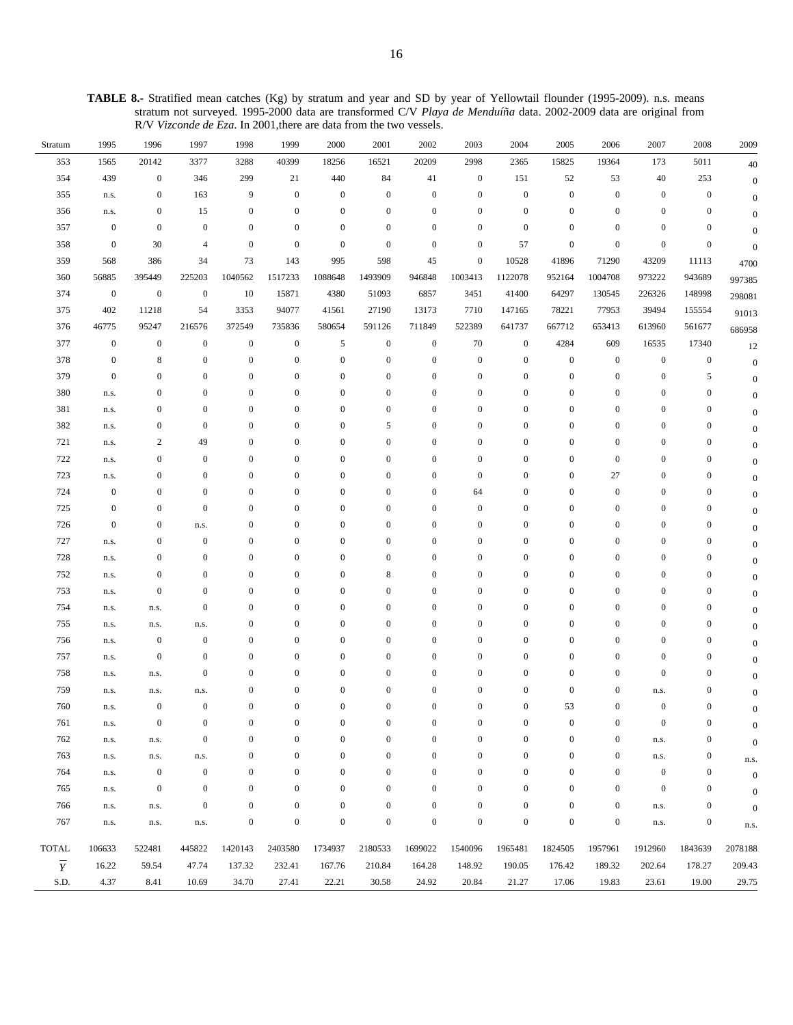**TABLE 8.-** Stratified mean catches (Kg) by stratum and year and SD by year of Yellowtail flounder (1995-2009). n.s. means stratum not surveyed. 1995-2000 data are transformed C/V *Playa de Menduíña* data. 2002-2009 data are original from R/V *Vizconde de Eza*. In 2001,there are data from the two vessels.

| Stratum        | 1995             | 1996             | 1997             | 1998             | 1999             | 2000             | 2001             | 2002             | 2003             | 2004             | 2005             | 2006             | 2007             | 2008             | 2009             |
|----------------|------------------|------------------|------------------|------------------|------------------|------------------|------------------|------------------|------------------|------------------|------------------|------------------|------------------|------------------|------------------|
| 353            | 1565             | 20142            | 3377             | 3288             | 40399            | 18256            | 16521            | 20209            | 2998             | 2365             | 15825            | 19364            | 173              | 5011             | 40               |
| 354            | 439              | $\boldsymbol{0}$ | 346              | 299              | 21               | 440              | 84               | 41               | $\boldsymbol{0}$ | 151              | 52               | 53               | 40               | 253              | $\boldsymbol{0}$ |
| 355            | n.s.             | $\boldsymbol{0}$ | 163              | 9                | $\boldsymbol{0}$ | $\boldsymbol{0}$ | $\boldsymbol{0}$ | $\boldsymbol{0}$ | $\boldsymbol{0}$ | $\boldsymbol{0}$ | $\boldsymbol{0}$ | $\boldsymbol{0}$ | $\boldsymbol{0}$ | $\boldsymbol{0}$ | $\mathbf{0}$     |
| 356            | n.s.             | $\boldsymbol{0}$ | 15               | $\boldsymbol{0}$ | $\boldsymbol{0}$ | $\mathbf{0}$     | $\boldsymbol{0}$ | $\mathbf{0}$     | $\boldsymbol{0}$ | $\mathbf{0}$     | $\boldsymbol{0}$ | $\boldsymbol{0}$ | $\boldsymbol{0}$ | $\boldsymbol{0}$ | $\overline{0}$   |
| 357            | $\boldsymbol{0}$ | $\boldsymbol{0}$ | $\boldsymbol{0}$ | $\boldsymbol{0}$ | $\boldsymbol{0}$ | $\boldsymbol{0}$ | $\boldsymbol{0}$ | $\mathbf{0}$     | $\boldsymbol{0}$ | $\mathbf{0}$     | $\boldsymbol{0}$ | $\boldsymbol{0}$ | $\boldsymbol{0}$ | $\boldsymbol{0}$ | $\overline{0}$   |
| 358            | $\boldsymbol{0}$ | 30               | 4                | $\boldsymbol{0}$ | $\boldsymbol{0}$ | $\boldsymbol{0}$ | $\boldsymbol{0}$ | $\mathbf{0}$     | $\boldsymbol{0}$ | 57               | $\boldsymbol{0}$ | $\boldsymbol{0}$ | $\boldsymbol{0}$ | $\boldsymbol{0}$ | $\mathbf{0}$     |
| 359            | 568              | 386              | 34               | 73               | 143              | 995              | 598              | 45               | $\boldsymbol{0}$ | 10528            | 41896            | 71290            | 43209            | 11113            | 4700             |
| 360            | 56885            | 395449           | 225203           | 1040562          | 1517233          | 1088648          | 1493909          | 946848           | 1003413          | 1122078          | 952164           | 1004708          | 973222           | 943689           | 997385           |
| 374            | $\boldsymbol{0}$ | $\boldsymbol{0}$ | $\mathbf{0}$     | 10               | 15871            | 4380             | 51093            | 6857             | 3451             | 41400            | 64297            | 130545           | 226326           | 148998           | 298081           |
| 375            | 402              | 11218            | 54               | 3353             | 94077            | 41561            | 27190            | 13173            | 7710             | 147165           | 78221            | 77953            | 39494            | 155554           | 91013            |
| 376            | 46775            | 95247            | 216576           | 372549           | 735836           | 580654           | 591126           | 711849           | 522389           | 641737           | 667712           | 653413           | 613960           | 561677           | 686958           |
| 377            | $\boldsymbol{0}$ | $\boldsymbol{0}$ | $\boldsymbol{0}$ | $\boldsymbol{0}$ | $\boldsymbol{0}$ | 5                | $\boldsymbol{0}$ | $\mathbf{0}$     | 70               | $\boldsymbol{0}$ | 4284             | 609              | 16535            | 17340            | 12               |
| 378            | $\boldsymbol{0}$ | 8                | $\boldsymbol{0}$ | $\boldsymbol{0}$ | $\boldsymbol{0}$ | $\boldsymbol{0}$ | $\boldsymbol{0}$ | $\boldsymbol{0}$ | $\boldsymbol{0}$ | $\boldsymbol{0}$ | $\boldsymbol{0}$ | $\boldsymbol{0}$ | $\boldsymbol{0}$ | $\boldsymbol{0}$ | $\boldsymbol{0}$ |
| 379            | $\boldsymbol{0}$ | $\boldsymbol{0}$ | $\boldsymbol{0}$ | $\boldsymbol{0}$ | $\boldsymbol{0}$ | $\boldsymbol{0}$ | $\boldsymbol{0}$ | $\mathbf{0}$     | $\boldsymbol{0}$ | $\mathbf{0}$     | $\boldsymbol{0}$ | $\mathbf{0}$     | $\boldsymbol{0}$ | 5                | $\overline{0}$   |
| 380            | n.s.             | $\mathbf{0}$     | $\boldsymbol{0}$ | $\mathbf{0}$     | $\boldsymbol{0}$ | $\boldsymbol{0}$ | $\boldsymbol{0}$ | $\mathbf{0}$     | $\boldsymbol{0}$ | $\mathbf{0}$     | $\boldsymbol{0}$ | $\boldsymbol{0}$ | $\mathbf{0}$     | $\boldsymbol{0}$ | $\mathbf{0}$     |
| 381            | n.s.             | $\boldsymbol{0}$ | $\boldsymbol{0}$ | $\boldsymbol{0}$ | $\boldsymbol{0}$ | $\boldsymbol{0}$ | $\boldsymbol{0}$ | $\mathbf{0}$     | $\boldsymbol{0}$ | $\mathbf{0}$     | $\boldsymbol{0}$ | $\boldsymbol{0}$ | $\boldsymbol{0}$ | $\boldsymbol{0}$ | $\theta$         |
| 382            | n.s.             | $\boldsymbol{0}$ | $\boldsymbol{0}$ | $\mathbf{0}$     | $\boldsymbol{0}$ | $\boldsymbol{0}$ | 5                | $\mathbf{0}$     | $\boldsymbol{0}$ | $\mathbf{0}$     | $\boldsymbol{0}$ | $\bf{0}$         | $\boldsymbol{0}$ | $\boldsymbol{0}$ | $\Omega$         |
| 721            | n.s.             | $\overline{c}$   | 49               | $\boldsymbol{0}$ | $\boldsymbol{0}$ | $\boldsymbol{0}$ | $\boldsymbol{0}$ | $\mathbf{0}$     | $\boldsymbol{0}$ | $\mathbf{0}$     | $\boldsymbol{0}$ | $\mathbf{0}$     | $\boldsymbol{0}$ | $\boldsymbol{0}$ | $\mathbf{0}$     |
| 722            | n.s.             | $\boldsymbol{0}$ | $\boldsymbol{0}$ | $\boldsymbol{0}$ | $\boldsymbol{0}$ | $\mathbf{0}$     | $\boldsymbol{0}$ | $\mathbf{0}$     | $\boldsymbol{0}$ | $\mathbf{0}$     | $\boldsymbol{0}$ | $\boldsymbol{0}$ | $\boldsymbol{0}$ | $\boldsymbol{0}$ | $\overline{0}$   |
| 723            | n.s.             | $\boldsymbol{0}$ | $\boldsymbol{0}$ | $\boldsymbol{0}$ | $\boldsymbol{0}$ | $\mathbf{0}$     | $\boldsymbol{0}$ | $\mathbf{0}$     | $\boldsymbol{0}$ | $\mathbf{0}$     | $\boldsymbol{0}$ | 27               | $\boldsymbol{0}$ | $\boldsymbol{0}$ | $\theta$         |
| 724            | $\boldsymbol{0}$ | $\mathbf{0}$     | $\boldsymbol{0}$ | $\boldsymbol{0}$ | $\boldsymbol{0}$ | $\boldsymbol{0}$ | $\boldsymbol{0}$ | $\mathbf{0}$     | 64               | $\mathbf{0}$     | $\boldsymbol{0}$ | $\boldsymbol{0}$ | $\boldsymbol{0}$ | $\boldsymbol{0}$ | $\theta$         |
| 725            | $\boldsymbol{0}$ | $\boldsymbol{0}$ | $\boldsymbol{0}$ | $\boldsymbol{0}$ | $\boldsymbol{0}$ | $\boldsymbol{0}$ | $\boldsymbol{0}$ | $\mathbf{0}$     | $\boldsymbol{0}$ | $\mathbf{0}$     | $\boldsymbol{0}$ | $\mathbf{0}$     | $\boldsymbol{0}$ | $\boldsymbol{0}$ | $\theta$         |
| 726            | $\boldsymbol{0}$ | $\mathbf{0}$     | n.s.             | $\mathbf{0}$     | $\boldsymbol{0}$ | $\boldsymbol{0}$ | $\boldsymbol{0}$ | $\mathbf{0}$     | $\boldsymbol{0}$ | $\mathbf{0}$     | $\boldsymbol{0}$ | $\mathbf{0}$     | $\boldsymbol{0}$ | $\boldsymbol{0}$ | $\theta$         |
| 727            | n.s.             | $\boldsymbol{0}$ | $\boldsymbol{0}$ | $\boldsymbol{0}$ | $\boldsymbol{0}$ | $\boldsymbol{0}$ | $\boldsymbol{0}$ | $\mathbf{0}$     | $\boldsymbol{0}$ | $\mathbf{0}$     | $\boldsymbol{0}$ | $\boldsymbol{0}$ | $\boldsymbol{0}$ | $\boldsymbol{0}$ |                  |
| 728            | n.s.             | $\mathbf{0}$     | $\boldsymbol{0}$ | $\boldsymbol{0}$ | $\boldsymbol{0}$ | $\boldsymbol{0}$ | $\boldsymbol{0}$ | $\mathbf{0}$     | $\boldsymbol{0}$ | $\mathbf{0}$     | $\boldsymbol{0}$ | $\bf{0}$         | $\boldsymbol{0}$ | $\boldsymbol{0}$ |                  |
| 752            | n.s.             | $\mathbf{0}$     | $\boldsymbol{0}$ | $\boldsymbol{0}$ | $\boldsymbol{0}$ | $\boldsymbol{0}$ | 8                | $\mathbf{0}$     | $\boldsymbol{0}$ | $\mathbf{0}$     | $\boldsymbol{0}$ | $\mathbf{0}$     | $\boldsymbol{0}$ | $\boldsymbol{0}$ |                  |
| 753            | n.s.             | $\mathbf{0}$     | $\boldsymbol{0}$ | $\mathbf{0}$     | $\boldsymbol{0}$ | $\mathbf{0}$     | $\boldsymbol{0}$ | $\mathbf{0}$     | $\boldsymbol{0}$ | $\mathbf{0}$     | $\boldsymbol{0}$ | $\boldsymbol{0}$ | $\boldsymbol{0}$ | $\boldsymbol{0}$ | $\theta$         |
| 754            | n.s.             | n.s.             | $\boldsymbol{0}$ | $\boldsymbol{0}$ | $\boldsymbol{0}$ | $\boldsymbol{0}$ | $\boldsymbol{0}$ | $\mathbf{0}$     | $\boldsymbol{0}$ | $\mathbf{0}$     | $\boldsymbol{0}$ | $\mathbf{0}$     | $\boldsymbol{0}$ | $\boldsymbol{0}$ | $\theta$         |
| 755            | n.s.             | n.s.             | n.s.             | $\boldsymbol{0}$ | $\boldsymbol{0}$ | $\boldsymbol{0}$ | $\boldsymbol{0}$ | $\mathbf{0}$     | $\boldsymbol{0}$ | $\mathbf{0}$     | $\boldsymbol{0}$ | $\boldsymbol{0}$ | $\boldsymbol{0}$ | $\boldsymbol{0}$ | $\theta$         |
| 756            | n.s.             | $\boldsymbol{0}$ | $\mathbf{0}$     | $\boldsymbol{0}$ | $\boldsymbol{0}$ | $\boldsymbol{0}$ | $\boldsymbol{0}$ | $\mathbf{0}$     | $\boldsymbol{0}$ | $\mathbf{0}$     | $\boldsymbol{0}$ | $\boldsymbol{0}$ | $\boldsymbol{0}$ | $\boldsymbol{0}$ | $\theta$         |
| 757            | n.s.             | $\mathbf{0}$     | $\boldsymbol{0}$ | $\mathbf{0}$     | $\boldsymbol{0}$ | $\boldsymbol{0}$ | $\boldsymbol{0}$ | $\mathbf{0}$     | $\mathbf{0}$     | $\mathbf{0}$     | $\boldsymbol{0}$ | $\mathbf{0}$     | $\boldsymbol{0}$ | $\boldsymbol{0}$ | $\mathbf{0}$     |
| 758            | n.s.             | n.s.             | $\mathbf{0}$     | $\boldsymbol{0}$ | $\boldsymbol{0}$ | $\boldsymbol{0}$ | $\boldsymbol{0}$ | $\mathbf{0}$     | $\boldsymbol{0}$ | $\mathbf{0}$     | $\boldsymbol{0}$ | $\boldsymbol{0}$ | $\boldsymbol{0}$ | $\boldsymbol{0}$ | $\theta$         |
| 759            | n.s.             | n.s.             | n.s.             | $\boldsymbol{0}$ | $\boldsymbol{0}$ | $\mathbf{0}$     | $\boldsymbol{0}$ | $\mathbf{0}$     | $\boldsymbol{0}$ | $\mathbf{0}$     | $\boldsymbol{0}$ | $\boldsymbol{0}$ | n.s.             | $\boldsymbol{0}$ | $\mathbf{0}$     |
| 760            | n.s.             | $\boldsymbol{0}$ | $\boldsymbol{0}$ | $\boldsymbol{0}$ | $\boldsymbol{0}$ | $\boldsymbol{0}$ | $\boldsymbol{0}$ | $\boldsymbol{0}$ | $\boldsymbol{0}$ | $\mathbf{0}$     | 53               | $\boldsymbol{0}$ | $\boldsymbol{0}$ | $\boldsymbol{0}$ | $\boldsymbol{0}$ |
| 761            | n.s.             | $\mathbf{0}$     | $\boldsymbol{0}$ | $\boldsymbol{0}$ | $\boldsymbol{0}$ | $\boldsymbol{0}$ | $\boldsymbol{0}$ | $\boldsymbol{0}$ | $\boldsymbol{0}$ | $\mathbf{0}$     | $\boldsymbol{0}$ | $\boldsymbol{0}$ | $\boldsymbol{0}$ | $\boldsymbol{0}$ | $\overline{0}$   |
| 762            | n.s.             | n.s.             | $\boldsymbol{0}$ | $\boldsymbol{0}$ | $\boldsymbol{0}$ | $\boldsymbol{0}$ | $\boldsymbol{0}$ | $\mathbf{0}$     | $\boldsymbol{0}$ | $\mathbf{0}$     | $\boldsymbol{0}$ | $\boldsymbol{0}$ | n.s.             | $\boldsymbol{0}$ | $\overline{0}$   |
| 763            | n.s.             | n.s.             | n.s.             | $\boldsymbol{0}$ | $\boldsymbol{0}$ | $\boldsymbol{0}$ | $\bf{0}$         | $\mathbf{0}$     | $\boldsymbol{0}$ | $\mathbf{0}$     | $\boldsymbol{0}$ | $\boldsymbol{0}$ | n.s.             | $\boldsymbol{0}$ | n.s.             |
| 764            | n.s.             | $\mathbf{0}$     | $\mathbf{0}$     | $\boldsymbol{0}$ | $\boldsymbol{0}$ | $\boldsymbol{0}$ | $\boldsymbol{0}$ | $\mathbf{0}$     | $\boldsymbol{0}$ | $\mathbf{0}$     | $\boldsymbol{0}$ | $\mathbf{0}$     | $\boldsymbol{0}$ | $\boldsymbol{0}$ | $\boldsymbol{0}$ |
| 765            | n.s.             | $\mathbf{0}$     | $\mathbf{0}$     | $\boldsymbol{0}$ | $\mathbf{0}$     | $\boldsymbol{0}$ | $\mathbf{0}$     | $\mathbf{0}$     | $\boldsymbol{0}$ | $\mathbf{0}$     | $\boldsymbol{0}$ | $\boldsymbol{0}$ | $\boldsymbol{0}$ | $\boldsymbol{0}$ | $\overline{0}$   |
| 766            | n.s.             | n.s.             | $\mathbf{0}$     | $\boldsymbol{0}$ | $\mathbf{0}$     | $\boldsymbol{0}$ | $\boldsymbol{0}$ | $\overline{0}$   | $\boldsymbol{0}$ | $\mathbf{0}$     | $\boldsymbol{0}$ | $\boldsymbol{0}$ | n.s.             | $\boldsymbol{0}$ | $\theta$         |
| 767            | n.s.             | n.s.             | n.s.             | $\boldsymbol{0}$ | $\boldsymbol{0}$ | $\boldsymbol{0}$ | $\boldsymbol{0}$ | $\boldsymbol{0}$ | $\boldsymbol{0}$ | $\boldsymbol{0}$ | $\boldsymbol{0}$ | $\boldsymbol{0}$ | n.s.             | $\boldsymbol{0}$ | n.s.             |
| <b>TOTAL</b>   | 106633           | 522481           | 445822           | 1420143          | 2403580          | 1734937          | 2180533          | 1699022          | 1540096          | 1965481          | 1824505          | 1957961          | 1912960          | 1843639          | 2078188          |
| $\overline{Y}$ | 16.22            | 59.54            | 47.74            | 137.32           | 232.41           | 167.76           | 210.84           | 164.28           | 148.92           | 190.05           | 176.42           | 189.32           | 202.64           | 178.27           | 209.43           |
| S.D.           | 4.37             | 8.41             | 10.69            | 34.70            | 27.41            | 22.21            | 30.58            | 24.92            | 20.84            | 21.27            | 17.06            | 19.83            | 23.61            | 19.00            | 29.75            |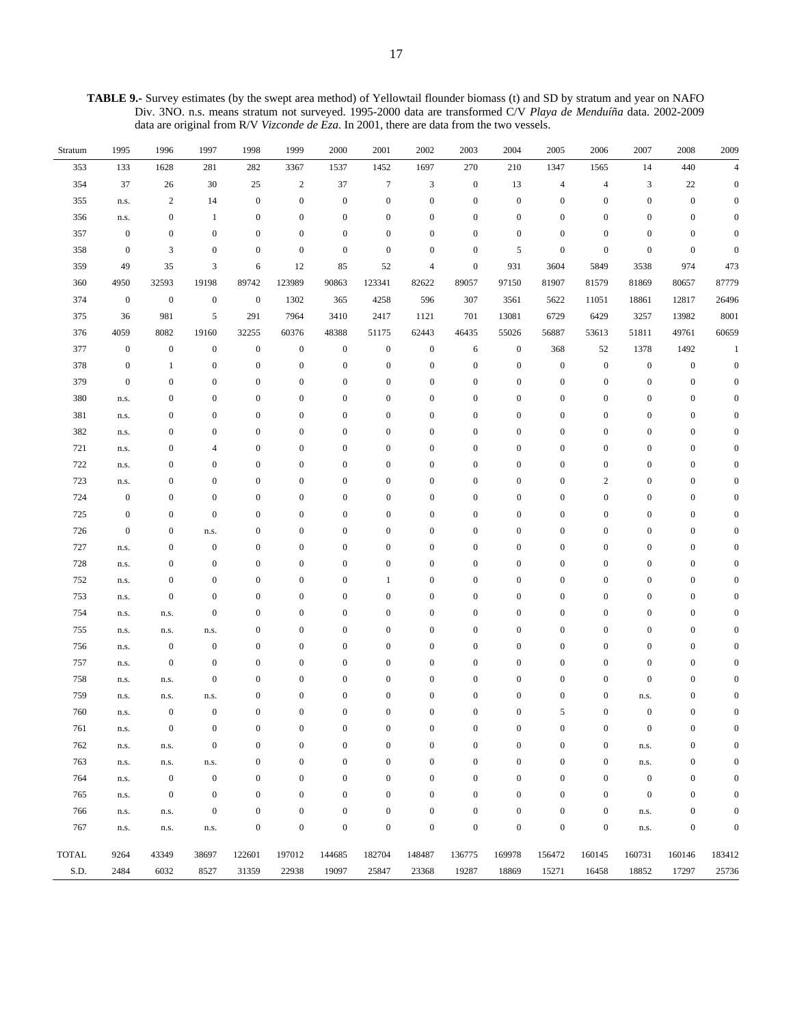**TABLE 9.-** Survey estimates (by the swept area method) of Yellowtail flounder biomass (t) and SD by stratum and year on NAFO Div. 3NO. n.s. means stratum not surveyed. 1995-2000 data are transformed C/V *Playa de Menduíña* data. 2002-2009 data are original from R/V *Vizconde de Eza*. In 2001, there are data from the two vessels.

| Stratum      | 1995             | 1996             | 1997             | 1998             | 1999             | 2000             | 2001             | 2002                     | 2003             | 2004             | 2005             | 2006             | 2007             | 2008             | 2009                     |
|--------------|------------------|------------------|------------------|------------------|------------------|------------------|------------------|--------------------------|------------------|------------------|------------------|------------------|------------------|------------------|--------------------------|
| 353          | 133              | 1628             | 281              | 282              | 3367             | 1537             | 1452             | 1697                     | 270              | 210              | 1347             | 1565             | 14               | 440              | $\overline{\mathcal{L}}$ |
| 354          | 37               | 26               | 30               | 25               | $\boldsymbol{2}$ | 37               | $\boldsymbol{7}$ | 3                        | $\boldsymbol{0}$ | 13               | $\overline{4}$   | $\overline{4}$   | 3                | 22               | $\mathbf{0}$             |
| 355          | n.s.             | $\overline{c}$   | 14               | $\boldsymbol{0}$ | $\boldsymbol{0}$ | $\boldsymbol{0}$ | $\boldsymbol{0}$ | $\boldsymbol{0}$         | $\boldsymbol{0}$ | $\boldsymbol{0}$ | $\theta$         | $\mathbf{0}$     | $\boldsymbol{0}$ | $\boldsymbol{0}$ | $\boldsymbol{0}$         |
| 356          | n.s.             | $\boldsymbol{0}$ | -1               | $\boldsymbol{0}$ | $\boldsymbol{0}$ | $\boldsymbol{0}$ | $\boldsymbol{0}$ | $\boldsymbol{0}$         | $\boldsymbol{0}$ | $\boldsymbol{0}$ | $\boldsymbol{0}$ | $\mathbf{0}$     | $\boldsymbol{0}$ | $\boldsymbol{0}$ | $\boldsymbol{0}$         |
| 357          | $\boldsymbol{0}$ | $\boldsymbol{0}$ | $\boldsymbol{0}$ | $\boldsymbol{0}$ | $\boldsymbol{0}$ | $\boldsymbol{0}$ | $\boldsymbol{0}$ | $\boldsymbol{0}$         | $\boldsymbol{0}$ | $\mathbf{0}$     | $\boldsymbol{0}$ | $\boldsymbol{0}$ | $\boldsymbol{0}$ | $\boldsymbol{0}$ | $\mathbf{0}$             |
| 358          | $\boldsymbol{0}$ | 3                | $\boldsymbol{0}$ | $\boldsymbol{0}$ | $\boldsymbol{0}$ | $\boldsymbol{0}$ | $\boldsymbol{0}$ | $\mathbf{0}$             | $\boldsymbol{0}$ | 5                | $\boldsymbol{0}$ | $\mathbf{0}$     | $\boldsymbol{0}$ | $\boldsymbol{0}$ | $\mathbf{0}$             |
| 359          | 49               | 35               | $\mathfrak{Z}$   | 6                | 12               | 85               | 52               | $\overline{\mathcal{L}}$ | $\mathbf{0}$     | 931              | 3604             | 5849             | 3538             | 974              | 473                      |
| 360          | 4950             | 32593            | 19198            | 89742            | 123989           | 90863            | 123341           | 82622                    | 89057            | 97150            | 81907            | 81579            | 81869            | 80657            | 87779                    |
| 374          | $\boldsymbol{0}$ | $\boldsymbol{0}$ | $\boldsymbol{0}$ | $\boldsymbol{0}$ | 1302             | 365              | 4258             | 596                      | 307              | 3561             | 5622             | 11051            | 18861            | 12817            | 26496                    |
| 375          | 36               | 981              | 5                | 291              | 7964             | 3410             | 2417             | 1121                     | 701              | 13081            | 6729             | 6429             | 3257             | 13982            | 8001                     |
| 376          | 4059             | 8082             | 19160            | 32255            | 60376            | 48388            | 51175            | 62443                    | 46435            | 55026            | 56887            | 53613            | 51811            | 49761            | 60659                    |
| 377          | $\boldsymbol{0}$ | $\boldsymbol{0}$ | $\bf{0}$         | $\boldsymbol{0}$ | $\boldsymbol{0}$ | $\boldsymbol{0}$ | $\boldsymbol{0}$ | $\boldsymbol{0}$         | 6                | $\boldsymbol{0}$ | 368              | 52               | 1378             | 1492             | $\mathbf{1}$             |
| 378          | $\boldsymbol{0}$ | $\mathbf{1}$     | $\boldsymbol{0}$ | $\boldsymbol{0}$ | $\boldsymbol{0}$ | $\boldsymbol{0}$ | $\boldsymbol{0}$ | $\boldsymbol{0}$         | $\boldsymbol{0}$ | $\boldsymbol{0}$ | $\boldsymbol{0}$ | $\boldsymbol{0}$ | $\boldsymbol{0}$ | $\boldsymbol{0}$ | $\boldsymbol{0}$         |
| 379          | $\mathbf{0}$     | $\boldsymbol{0}$ | $\boldsymbol{0}$ | $\mathbf{0}$     | $\boldsymbol{0}$ | $\boldsymbol{0}$ | $\boldsymbol{0}$ | $\boldsymbol{0}$         | $\boldsymbol{0}$ | $\boldsymbol{0}$ | $\boldsymbol{0}$ | $\mathbf{0}$     | $\boldsymbol{0}$ | $\boldsymbol{0}$ | $\mathbf{0}$             |
| 380          | n.s.             | $\boldsymbol{0}$ | $\bf{0}$         | $\boldsymbol{0}$ | $\boldsymbol{0}$ | $\boldsymbol{0}$ | $\boldsymbol{0}$ | $\boldsymbol{0}$         | $\boldsymbol{0}$ | $\boldsymbol{0}$ | $\boldsymbol{0}$ | $\mathbf{0}$     | $\boldsymbol{0}$ | $\boldsymbol{0}$ | $\boldsymbol{0}$         |
| 381          | n.s.             | $\boldsymbol{0}$ | $\boldsymbol{0}$ | $\mathbf{0}$     | $\boldsymbol{0}$ | $\boldsymbol{0}$ | $\boldsymbol{0}$ | $\boldsymbol{0}$         | $\boldsymbol{0}$ | $\boldsymbol{0}$ | $\boldsymbol{0}$ | $\mathbf{0}$     | $\boldsymbol{0}$ | $\boldsymbol{0}$ | $\theta$                 |
| 382          | n.s.             | $\bf{0}$         | $\boldsymbol{0}$ | $\boldsymbol{0}$ | $\boldsymbol{0}$ | $\boldsymbol{0}$ | $\boldsymbol{0}$ | $\boldsymbol{0}$         | $\boldsymbol{0}$ | $\boldsymbol{0}$ | $\mathbf{0}$     | $\boldsymbol{0}$ | $\boldsymbol{0}$ | $\boldsymbol{0}$ | $\Omega$                 |
| 721          | n.s.             | $\boldsymbol{0}$ | 4                | $\boldsymbol{0}$ | $\boldsymbol{0}$ | $\mathbf{0}$     | $\boldsymbol{0}$ | $\boldsymbol{0}$         | $\boldsymbol{0}$ | $\boldsymbol{0}$ | $\boldsymbol{0}$ | $\mathbf{0}$     | $\boldsymbol{0}$ | $\boldsymbol{0}$ | $\boldsymbol{0}$         |
| 722          | n.s.             | $\mathbf{0}$     | $\boldsymbol{0}$ | $\mathbf{0}$     | $\boldsymbol{0}$ | $\mathbf{0}$     | $\boldsymbol{0}$ | $\boldsymbol{0}$         | $\boldsymbol{0}$ | $\boldsymbol{0}$ | $\boldsymbol{0}$ | $\boldsymbol{0}$ | $\boldsymbol{0}$ | $\boldsymbol{0}$ | $\boldsymbol{0}$         |
| 723          | n.s.             | $\boldsymbol{0}$ | $\boldsymbol{0}$ | $\mathbf{0}$     | $\boldsymbol{0}$ | $\mathbf{0}$     | $\boldsymbol{0}$ | $\boldsymbol{0}$         | $\boldsymbol{0}$ | $\boldsymbol{0}$ | $\boldsymbol{0}$ | $\overline{2}$   | $\boldsymbol{0}$ | $\boldsymbol{0}$ | $\boldsymbol{0}$         |
| 724          | $\boldsymbol{0}$ | $\boldsymbol{0}$ | $\boldsymbol{0}$ | $\mathbf{0}$     | $\boldsymbol{0}$ | $\boldsymbol{0}$ | $\boldsymbol{0}$ | $\boldsymbol{0}$         | $\boldsymbol{0}$ | $\boldsymbol{0}$ | $\boldsymbol{0}$ | $\boldsymbol{0}$ | $\boldsymbol{0}$ | $\boldsymbol{0}$ | $\mathbf{0}$             |
| 725          | $\boldsymbol{0}$ | $\boldsymbol{0}$ | $\boldsymbol{0}$ | $\boldsymbol{0}$ | $\boldsymbol{0}$ | $\boldsymbol{0}$ | $\boldsymbol{0}$ | $\boldsymbol{0}$         | $\boldsymbol{0}$ | $\boldsymbol{0}$ | $\boldsymbol{0}$ | $\mathbf{0}$     | $\boldsymbol{0}$ | $\boldsymbol{0}$ | $\mathbf{0}$             |
| 726          | $\boldsymbol{0}$ | $\boldsymbol{0}$ | n.s.             | $\boldsymbol{0}$ | $\boldsymbol{0}$ | $\boldsymbol{0}$ | $\boldsymbol{0}$ | $\boldsymbol{0}$         | $\boldsymbol{0}$ | $\boldsymbol{0}$ | $\mathbf{0}$     | $\mathbf{0}$     | $\boldsymbol{0}$ | $\boldsymbol{0}$ | $\boldsymbol{0}$         |
| 727          | n.s.             | $\boldsymbol{0}$ | $\boldsymbol{0}$ | $\mathbf{0}$     | $\boldsymbol{0}$ | $\boldsymbol{0}$ | $\boldsymbol{0}$ | $\boldsymbol{0}$         | $\boldsymbol{0}$ | $\boldsymbol{0}$ | $\boldsymbol{0}$ | $\boldsymbol{0}$ | $\boldsymbol{0}$ | $\boldsymbol{0}$ | $\theta$                 |
| 728          | n.s.             | $\boldsymbol{0}$ | $\boldsymbol{0}$ | $\boldsymbol{0}$ | $\boldsymbol{0}$ | $\boldsymbol{0}$ | $\boldsymbol{0}$ | $\boldsymbol{0}$         | $\boldsymbol{0}$ | $\boldsymbol{0}$ | $\mathbf{0}$     | $\boldsymbol{0}$ | $\boldsymbol{0}$ | $\boldsymbol{0}$ | $\theta$                 |
| 752          | n.s.             | $\boldsymbol{0}$ | $\boldsymbol{0}$ | $\boldsymbol{0}$ | $\boldsymbol{0}$ | $\mathbf{0}$     | 1                | $\mathbf{0}$             | $\boldsymbol{0}$ | $\boldsymbol{0}$ | $\boldsymbol{0}$ | $\mathbf{0}$     | $\boldsymbol{0}$ | $\boldsymbol{0}$ | $\boldsymbol{0}$         |
| 753          | n.s.             | $\boldsymbol{0}$ | $\boldsymbol{0}$ | $\mathbf{0}$     | $\boldsymbol{0}$ | $\boldsymbol{0}$ | $\boldsymbol{0}$ | $\boldsymbol{0}$         | $\boldsymbol{0}$ | $\boldsymbol{0}$ | $\boldsymbol{0}$ | $\boldsymbol{0}$ | $\boldsymbol{0}$ | $\boldsymbol{0}$ | $\boldsymbol{0}$         |
| 754          | n.s.             | n.s.             | $\boldsymbol{0}$ | $\boldsymbol{0}$ | $\boldsymbol{0}$ | $\boldsymbol{0}$ | $\boldsymbol{0}$ | $\boldsymbol{0}$         | $\boldsymbol{0}$ | $\boldsymbol{0}$ | $\boldsymbol{0}$ | $\mathbf{0}$     | $\boldsymbol{0}$ | $\boldsymbol{0}$ | $\boldsymbol{0}$         |
| 755          | n.s.             | n.s.             | n.s.             | $\boldsymbol{0}$ | $\boldsymbol{0}$ | $\boldsymbol{0}$ | $\boldsymbol{0}$ | $\boldsymbol{0}$         | $\boldsymbol{0}$ | $\boldsymbol{0}$ | $\boldsymbol{0}$ | $\boldsymbol{0}$ | $\boldsymbol{0}$ | $\boldsymbol{0}$ | $\boldsymbol{0}$         |
| 756          | n.s.             | $\mathbf{0}$     | $\boldsymbol{0}$ | $\boldsymbol{0}$ | $\boldsymbol{0}$ | $\boldsymbol{0}$ | $\boldsymbol{0}$ | $\mathbf{0}$             | $\boldsymbol{0}$ | $\boldsymbol{0}$ | $\boldsymbol{0}$ | $\mathbf{0}$     | $\boldsymbol{0}$ | $\boldsymbol{0}$ | $\boldsymbol{0}$         |
| 757          | n.s.             | $\boldsymbol{0}$ | $\boldsymbol{0}$ | $\boldsymbol{0}$ | $\boldsymbol{0}$ | $\boldsymbol{0}$ | $\boldsymbol{0}$ | $\boldsymbol{0}$         | $\boldsymbol{0}$ | $\boldsymbol{0}$ | $\boldsymbol{0}$ | $\mathbf{0}$     | $\boldsymbol{0}$ | $\boldsymbol{0}$ | $\boldsymbol{0}$         |
| 758          | n.s.             | n.s.             | $\boldsymbol{0}$ | $\boldsymbol{0}$ | $\boldsymbol{0}$ | $\boldsymbol{0}$ | $\boldsymbol{0}$ | $\boldsymbol{0}$         | $\boldsymbol{0}$ | $\boldsymbol{0}$ | $\boldsymbol{0}$ | $\mathbf{0}$     | $\mathbf{0}$     | $\boldsymbol{0}$ | $\theta$                 |
| 759          | n.s.             | n.s.             | n.s.             | $\boldsymbol{0}$ | $\boldsymbol{0}$ | $\boldsymbol{0}$ | $\boldsymbol{0}$ | $\boldsymbol{0}$         | $\boldsymbol{0}$ | $\boldsymbol{0}$ | $\mathbf{0}$     | $\boldsymbol{0}$ | n.s.             | $\boldsymbol{0}$ | $\boldsymbol{0}$         |
| 760          | n.s.             | $\boldsymbol{0}$ | $\boldsymbol{0}$ | $\mathbf{0}$     | $\boldsymbol{0}$ | $\mathbf{0}$     | $\boldsymbol{0}$ | $\boldsymbol{0}$         | $\boldsymbol{0}$ | $\boldsymbol{0}$ | 5                | $\mathbf{0}$     | $\boldsymbol{0}$ | $\boldsymbol{0}$ | $\boldsymbol{0}$         |
| 761          | n.s.             | $\mathbf{0}$     | $\bf{0}$         | 0                | $\boldsymbol{0}$ | $\mathbf{0}$     | $\mathbf{0}$     | $\boldsymbol{0}$         | $\boldsymbol{0}$ | $\mathbf{0}$     | $\bf{0}$         | $\boldsymbol{0}$ | $\mathbf{0}$     | $\boldsymbol{0}$ | 0                        |
| 762          | n.s.             | n.s.             | $\boldsymbol{0}$ | $\mathbf{0}$     | $\boldsymbol{0}$ | $\boldsymbol{0}$ | $\mathbf{0}$     | $\boldsymbol{0}$         | $\boldsymbol{0}$ | $\boldsymbol{0}$ | $\boldsymbol{0}$ | $\boldsymbol{0}$ | n.s.             | $\boldsymbol{0}$ | $\mathbf{0}$             |
| 763          | n.s.             | n.s.             | n.s.             | $\mathbf{0}$     | $\boldsymbol{0}$ | $\boldsymbol{0}$ | $\boldsymbol{0}$ | $\boldsymbol{0}$         | $\boldsymbol{0}$ | $\boldsymbol{0}$ | $\boldsymbol{0}$ | $\boldsymbol{0}$ | n.s.             | $\boldsymbol{0}$ |                          |
| 764          | n.s.             | $\boldsymbol{0}$ | $\boldsymbol{0}$ | $\mathbf{0}$     | $\boldsymbol{0}$ | $\boldsymbol{0}$ | $\boldsymbol{0}$ | $\mathbf{0}$             | $\boldsymbol{0}$ | $\boldsymbol{0}$ | $\boldsymbol{0}$ | $\mathbf{0}$     | $\mathbf{0}$     | $\boldsymbol{0}$ |                          |
| 765          | n.s.             | $\boldsymbol{0}$ | $\boldsymbol{0}$ | $\mathbf{0}$     | $\boldsymbol{0}$ | $\boldsymbol{0}$ | $\boldsymbol{0}$ | $\boldsymbol{0}$         | $\boldsymbol{0}$ | $\boldsymbol{0}$ | $\boldsymbol{0}$ | $\boldsymbol{0}$ | $\mathbf{0}$     | $\boldsymbol{0}$ |                          |
| 766          | n.s.             | n.s.             | $\boldsymbol{0}$ | $\boldsymbol{0}$ | $\boldsymbol{0}$ | $\boldsymbol{0}$ | $\boldsymbol{0}$ | $\boldsymbol{0}$         | $\boldsymbol{0}$ | $\boldsymbol{0}$ | $\boldsymbol{0}$ | $\boldsymbol{0}$ | n.s.             | $\boldsymbol{0}$ | 0                        |
| 767          | n.s.             | n.s.             | n.s.             | $\boldsymbol{0}$ | $\boldsymbol{0}$ | $\boldsymbol{0}$ | $\boldsymbol{0}$ | $\boldsymbol{0}$         | $\boldsymbol{0}$ | $\boldsymbol{0}$ | $\boldsymbol{0}$ | $\boldsymbol{0}$ | n.s.             | $\boldsymbol{0}$ | $\mathbf{0}$             |
| <b>TOTAL</b> | 9264             | 43349            | 38697            | 122601           | 197012           | 144685           | 182704           | 148487                   | 136775           | 169978           | 156472           | 160145           | 160731           | 160146           | 183412                   |
| S.D.         | 2484             | 6032             | 8527             | 31359            | 22938            | 19097            | 25847            | 23368                    | 19287            | 18869            | 15271            | 16458            | 18852            | 17297            | 25736                    |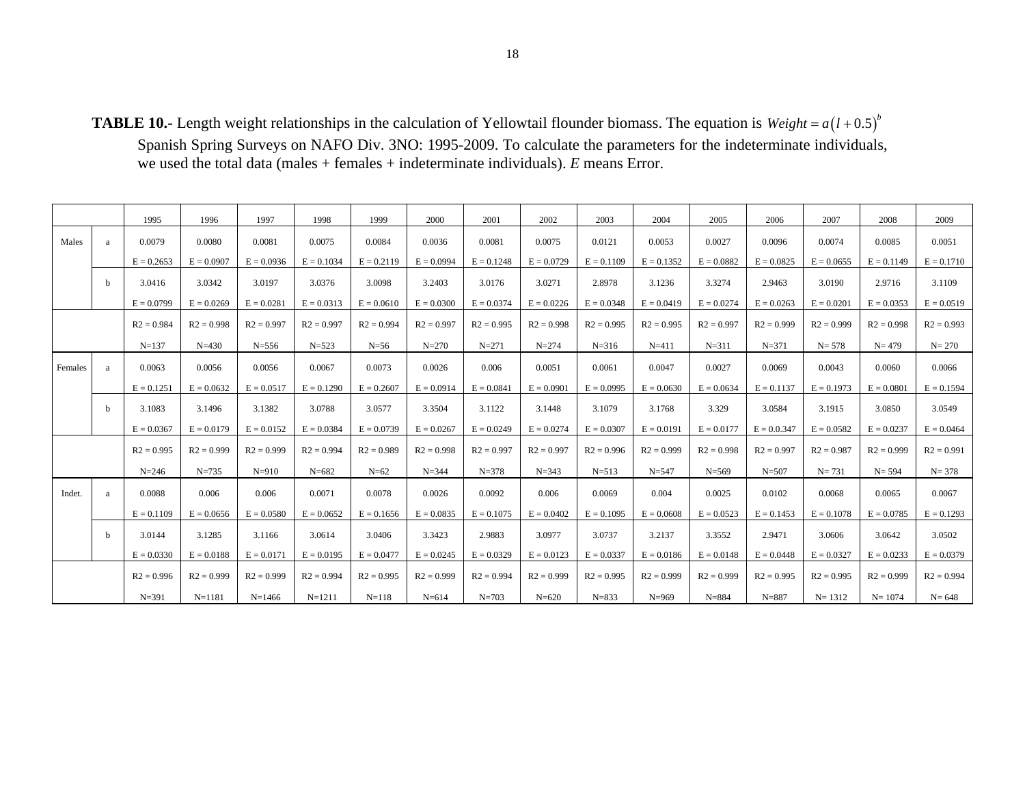**TABLE 10.-** Length weight relationships in the calculation of Yellowtail flounder biomass. The equation is  $Weight = a(l + 0.5)^{b}$ Spanish Spring Surveys on NAFO Div. 3NO: 1995-2009. To calculate the parameters for the indeterminate individuals, we used the total data (males + females + indeterminate individuals). *E* means Error.

|         |   | 1995         | 1996         | 1997         | 1998         | 1999         | 2000         | 2001         | 2002         | 2003         | 2004         | 2005         | 2006         | 2007         | 2008         | 2009         |
|---------|---|--------------|--------------|--------------|--------------|--------------|--------------|--------------|--------------|--------------|--------------|--------------|--------------|--------------|--------------|--------------|
| Males   | a | 0.0079       | 0.0080       | 0.0081       | 0.0075       | 0.0084       | 0.0036       | 0.0081       | 0.0075       | 0.0121       | 0.0053       | 0.0027       | 0.0096       | 0.0074       | 0.0085       | 0.0051       |
|         |   | $E = 0.2653$ | $E = 0.0907$ | $E = 0.0936$ | $E = 0.1034$ | $E = 0.2119$ | $E = 0.0994$ | $E = 0.1248$ | $E = 0.0729$ | $E = 0.1109$ | $E = 0.1352$ | $E = 0.0882$ | $E = 0.0825$ | $E = 0.0655$ | $E = 0.1149$ | $E = 0.1710$ |
|         | b | 3.0416       | 3.0342       | 3.0197       | 3.0376       | 3.0098       | 3.2403       | 3.0176       | 3.0271       | 2.8978       | 3.1236       | 3.3274       | 2.9463       | 3.0190       | 2.9716       | 3.1109       |
|         |   | $E = 0.0799$ | $E = 0.0269$ | $E = 0.0281$ | $E = 0.0313$ | $E = 0.0610$ | $E = 0.0300$ | $E = 0.0374$ | $E = 0.0226$ | $E = 0.0348$ | $E = 0.0419$ | $E = 0.0274$ | $E = 0.0263$ | $E = 0.0201$ | $E = 0.0353$ | $E = 0.0519$ |
|         |   | $R2 = 0.984$ | $R2 = 0.998$ | $R2 = 0.997$ | $R2 = 0.997$ | $R2 = 0.994$ | $R2 = 0.997$ | $R2 = 0.995$ | $R2 = 0.998$ | $R2 = 0.995$ | $R2 = 0.995$ | $R2 = 0.997$ | $R2 = 0.999$ | $R2 = 0.999$ | $R2 = 0.998$ | $R2 = 0.993$ |
|         |   | $N = 137$    | $N = 430$    | $N = 556$    | $N = 523$    | $N=56$       | $N = 270$    | $N = 271$    | $N = 274$    | $N = 316$    | $N = 411$    | $N = 311$    | $N = 371$    | $N = 578$    | $N = 479$    | $N = 270$    |
| Females | a | 0.0063       | 0.0056       | 0.0056       | 0.0067       | 0.0073       | 0.0026       | 0.006        | 0.0051       | 0.0061       | 0.0047       | 0.0027       | 0.0069       | 0.0043       | 0.0060       | 0.0066       |
|         |   | $E = 0.1251$ | $E = 0.0632$ | $E = 0.0517$ | $E = 0.1290$ | $E = 0.2607$ | $E = 0.0914$ | $E = 0.0841$ | $E = 0.0901$ | $E = 0.0995$ | $E = 0.0630$ | $E = 0.0634$ | $E = 0.1137$ | $E = 0.1973$ | $E = 0.0801$ | $E = 0.1594$ |
|         | b | 3.1083       | 3.1496       | 3.1382       | 3.0788       | 3.0577       | 3.3504       | 3.1122       | 3.1448       | 3.1079       | 3.1768       | 3.329        | 3.0584       | 3.1915       | 3.0850       | 3.0549       |
|         |   | $E = 0.0367$ | $E = 0.0179$ | $E = 0.0152$ | $E = 0.0384$ | $E = 0.0739$ | $E = 0.0267$ | $E = 0.0249$ | $E = 0.0274$ | $E = 0.0307$ | $E = 0.0191$ | $E = 0.0177$ | $E = 0.0347$ | $E = 0.0582$ | $E = 0.0237$ | $E = 0.0464$ |
|         |   | $R2 = 0.995$ | $R2 = 0.999$ | $R2 = 0.999$ | $R2 = 0.994$ | $R2 = 0.989$ | $R2 = 0.998$ | $R2 = 0.997$ | $R2 = 0.997$ | $R2 = 0.996$ | $R2 = 0.999$ | $R2 = 0.998$ | $R2 = 0.997$ | $R2 = 0.987$ | $R2 = 0.999$ | $R2 = 0.991$ |
|         |   | $N = 246$    | $N = 735$    | $N = 910$    | $N = 682$    | $N=62$       | $N = 344$    | $N = 378$    | $N = 343$    | $N = 513$    | $N = 547$    | $N = 569$    | $N = 507$    | $N = 731$    | $N = 594$    | $N = 378$    |
| Indet.  | a | 0.0088       | 0.006        | 0.006        | 0.0071       | 0.0078       | 0.0026       | 0.0092       | 0.006        | 0.0069       | 0.004        | 0.0025       | 0.0102       | 0.0068       | 0.0065       | 0.0067       |
|         |   | $E = 0.1109$ | $E = 0.0656$ | $E = 0.0580$ | $E = 0.0652$ | $E = 0.1656$ | $E = 0.0835$ | $E = 0.1075$ | $E = 0.0402$ | $E = 0.1095$ | $E = 0.0608$ | $E = 0.0523$ | $E = 0.1453$ | $E = 0.1078$ | $E = 0.0785$ | $E = 0.1293$ |
|         | b | 3.0144       | 3.1285       | 3.1166       | 3.0614       | 3.0406       | 3.3423       | 2.9883       | 3.0977       | 3.0737       | 3.2137       | 3.3552       | 2.9471       | 3.0606       | 3.0642       | 3.0502       |
|         |   | $E = 0.0330$ | $E = 0.0188$ | $E = 0.0171$ | $E = 0.0195$ | $E = 0.0477$ | $E = 0.0245$ | $E = 0.0329$ | $E = 0.0123$ | $E = 0.0337$ | $E = 0.0186$ | $E = 0.0148$ | $E = 0.0448$ | $E = 0.0327$ | $E = 0.0233$ | $E = 0.0379$ |
|         |   | $R2 = 0.996$ | $R2 = 0.999$ | $R2 = 0.999$ | $R2 = 0.994$ | $R2 = 0.995$ | $R2 = 0.999$ | $R2 = 0.994$ | $R2 = 0.999$ | $R2 = 0.995$ | $R2 = 0.999$ | $R2 = 0.999$ | $R2 = 0.995$ | $R2 = 0.995$ | $R2 = 0.999$ | $R2 = 0.994$ |
|         |   | $N = 391$    | $N=1181$     | $N = 1466$   | $N = 1211$   | $N = 118$    | $N = 614$    | $N = 703$    | $N = 620$    | $N = 833$    | $N = 969$    | $N = 884$    | $N = 887$    | $N = 1312$   | $N = 1074$   | $N = 648$    |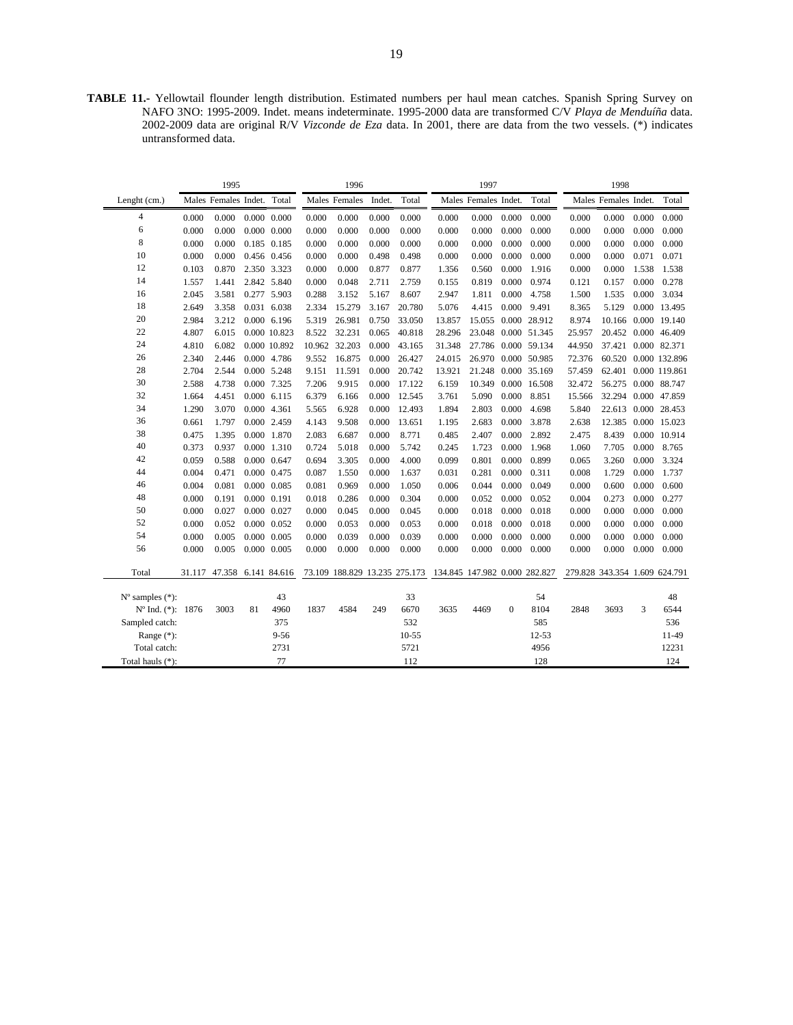**TABLE 11.-** Yellowtail flounder length distribution. Estimated numbers per haul mean catches. Spanish Spring Survey on NAFO 3NO: 1995-2009. Indet. means indeterminate. 1995-2000 data are transformed C/V *Playa de Menduíña* data. 2002-2009 data are original R/V *Vizconde de Eza* data. In 2001, there are data from the two vessels. (\*) indicates untransformed data.

|                             |        | 1995                       |    |                     |       | 1996                          |        |           |                               | 1997                 |              |                     |                               | 1998                 |       |                      |
|-----------------------------|--------|----------------------------|----|---------------------|-------|-------------------------------|--------|-----------|-------------------------------|----------------------|--------------|---------------------|-------------------------------|----------------------|-------|----------------------|
| Lenght (cm.)                |        | Males Females Indet. Total |    |                     |       | Males Females                 | Indet. | Total     |                               | Males Females Indet. |              | Total               |                               | Males Females Indet. |       | Total                |
| 4                           | 0.000  | 0.000                      |    | $0.000 \quad 0.000$ | 0.000 | 0.000                         | 0.000  | 0.000     | 0.000                         | 0.000                | 0.000        | 0.000               | 0.000                         | 0.000                | 0.000 | 0.000                |
| 6                           | 0.000  | 0.000                      |    | $0.000 \quad 0.000$ | 0.000 | 0.000                         | 0.000  | 0.000     | 0.000                         | 0.000                | 0.000        | 0.000               | 0.000                         | 0.000                | 0.000 | 0.000                |
| 8                           | 0.000  | 0.000                      |    | 0.185 0.185         | 0.000 | 0.000                         | 0.000  | 0.000     | 0.000                         | 0.000                | 0.000        | 0.000               | 0.000                         | 0.000                | 0.000 | 0.000                |
| 10                          | 0.000  | 0.000                      |    | 0.456 0.456         | 0.000 | 0.000                         | 0.498  | 0.498     | 0.000                         | 0.000                | 0.000        | 0.000               | 0.000                         | 0.000                | 0.071 | 0.071                |
| 12                          | 0.103  | 0.870                      |    | 2.350 3.323         | 0.000 | 0.000                         | 0.877  | 0.877     | 1.356                         | 0.560                | 0.000        | 1.916               | 0.000                         | 0.000                | 1.538 | 1.538                |
| 14                          | 1.557  | 1.441                      |    | 2.842 5.840         | 0.000 | 0.048                         | 2.711  | 2.759     | 0.155                         | 0.819                | 0.000        | 0.974               | 0.121                         | 0.157                | 0.000 | 0.278                |
| 16                          | 2.045  | 3.581                      |    | 0.277 5.903         | 0.288 | 3.152                         | 5.167  | 8.607     | 2.947                         | 1.811                | 0.000        | 4.758               | 1.500                         | 1.535                | 0.000 | 3.034                |
| 18                          | 2.649  | 3.358                      |    | 0.031 6.038         | 2.334 | 15.279                        | 3.167  | 20.780    | 5.076                         | 4.415                | 0.000        | 9.491               | 8.365                         | 5.129                |       | 0.000 13.495         |
| 20                          | 2.984  | 3.212                      |    | $0.000$ 6.196       | 5.319 | 26.981                        | 0.750  | 33.050    | 13.857                        | 15.055               |              | 0.000 28.912        | 8.974                         |                      |       | 10.166 0.000 19.140  |
| 22                          | 4.807  | 6.015                      |    | 0.000 10.823        | 8.522 | 32.231                        | 0.065  | 40.818    | 28.296                        |                      |              | 23.048 0.000 51.345 | 25.957                        | 20.452 0.000 46.409  |       |                      |
| 24                          | 4.810  | 6.082                      |    | 0.000 10.892        |       | 10.962 32.203                 | 0.000  | 43.165    | 31.348                        | 27.786 0.000 59.134  |              |                     | 44.950                        | 37.421 0.000 82.371  |       |                      |
| 26                          | 2.340  | 2.446                      |    | 0.000 4.786         | 9.552 | 16.875                        | 0.000  | 26.427    | 24.015                        | 26.970 0.000 50.985  |              |                     | 72.376                        |                      |       | 60.520 0.000 132.896 |
| 28                          | 2.704  | 2.544                      |    | 0.000 5.248         | 9.151 | 11.591                        | 0.000  | 20.742    | 13.921                        |                      |              | 21.248 0.000 35.169 | 57.459                        |                      |       | 62.401 0.000 119.861 |
| 30                          | 2.588  | 4.738                      |    | 0.000 7.325         | 7.206 | 9.915                         | 0.000  | 17.122    | 6.159                         | 10.349 0.000 16.508  |              |                     | 32.472                        | 56.275 0.000 88.747  |       |                      |
| 32                          | 1.664  | 4.451                      |    | $0.000$ 6.115       | 6.379 | 6.166                         | 0.000  | 12.545    | 3.761                         | 5.090                | 0.000        | 8.851               | 15.566                        | 32.294 0.000 47.859  |       |                      |
| 34                          | 1.290  | 3.070                      |    | 0.000 4.361         | 5.565 | 6.928                         | 0.000  | 12.493    | 1.894                         | 2.803                | 0.000        | 4.698               | 5.840                         | 22.613 0.000 28.453  |       |                      |
| 36                          | 0.661  | 1.797                      |    | 0.000 2.459         | 4.143 | 9.508                         | 0.000  | 13.651    | 1.195                         | 2.683                | 0.000        | 3.878               | 2.638                         | 12.385 0.000 15.023  |       |                      |
| 38                          | 0.475  | 1.395                      |    | 0.000 1.870         | 2.083 | 6.687                         | 0.000  | 8.771     | 0.485                         | 2.407                | 0.000        | 2.892               | 2.475                         | 8.439                |       | 0.000 10.914         |
| 40                          | 0.373  | 0.937                      |    | 0.000 1.310         | 0.724 | 5.018                         | 0.000  | 5.742     | 0.245                         | 1.723                | 0.000        | 1.968               | 1.060                         | 7.705                | 0.000 | 8.765                |
| 42                          | 0.059  | 0.588                      |    | 0.000 0.647         | 0.694 | 3.305                         | 0.000  | 4.000     | 0.099                         | 0.801                | 0.000        | 0.899               | 0.065                         | 3.260                | 0.000 | 3.324                |
| 44                          | 0.004  | 0.471                      |    | 0.000 0.475         | 0.087 | 1.550                         | 0.000  | 1.637     | 0.031                         | 0.281                | 0.000        | 0.311               | 0.008                         | 1.729                | 0.000 | 1.737                |
| 46                          | 0.004  | 0.081                      |    | $0.000 \quad 0.085$ | 0.081 | 0.969                         | 0.000  | 1.050     | 0.006                         | 0.044                | 0.000        | 0.049               | 0.000                         | 0.600                | 0.000 | 0.600                |
| 48                          | 0.000  | 0.191                      |    | 0.000 0.191         | 0.018 | 0.286                         | 0.000  | 0.304     | 0.000                         | 0.052                | 0.000        | 0.052               | 0.004                         | 0.273                | 0.000 | 0.277                |
| 50                          | 0.000  | 0.027                      |    | 0.000 0.027         | 0.000 | 0.045                         | 0.000  | 0.045     | 0.000                         | 0.018                | 0.000        | 0.018               | 0.000                         | 0.000                | 0.000 | 0.000                |
| 52                          | 0.000  | 0.052                      |    | $0.000 \quad 0.052$ | 0.000 | 0.053                         | 0.000  | 0.053     | 0.000                         | 0.018                | 0.000        | 0.018               | 0.000                         | 0.000                | 0.000 | 0.000                |
| 54                          | 0.000  | 0.005                      |    | $0.000 \quad 0.005$ | 0.000 | 0.039                         | 0.000  | 0.039     | 0.000                         | 0.000                | 0.000        | 0.000               | 0.000                         | 0.000                | 0.000 | 0.000                |
| 56                          | 0.000  | 0.005                      |    | 0.000 0.005         | 0.000 | 0.000                         | 0.000  | 0.000     | 0.000                         | 0.000                | 0.000        | 0.000               | 0.000                         | 0.000                | 0.000 | 0.000                |
| Total                       | 31.117 | 47.358 6.141 84.616        |    |                     |       | 73.109 188.829 13.235 275.173 |        |           | 134.845 147.982 0.000 282.827 |                      |              |                     | 279.828 343.354 1.609 624.791 |                      |       |                      |
| $N^{\circ}$ samples $(*)$ : |        |                            |    | 43                  |       |                               |        | 33        |                               |                      |              | 54                  |                               |                      |       | 48                   |
| Nº Ind. (*): 1876           |        | 3003                       | 81 | 4960                | 1837  | 4584                          | 249    | 6670      | 3635                          | 4469                 | $\mathbf{0}$ | 8104                | 2848                          | 3693                 | 3     | 6544                 |
| Sampled catch:              |        |                            |    | 375                 |       |                               |        | 532       |                               |                      |              | 585                 |                               |                      |       | 536                  |
| Range $(*)$ :               |        |                            |    | $9 - 56$            |       |                               |        | $10 - 55$ |                               |                      |              | $12 - 53$           |                               |                      |       | 11-49                |
| Total catch:                |        |                            |    | 2731                |       |                               |        | 5721      |                               |                      |              | 4956                |                               |                      |       | 12231                |
| Total hauls (*):            |        |                            |    | 77                  |       |                               |        | 112       |                               |                      |              | 128                 |                               |                      |       | 124                  |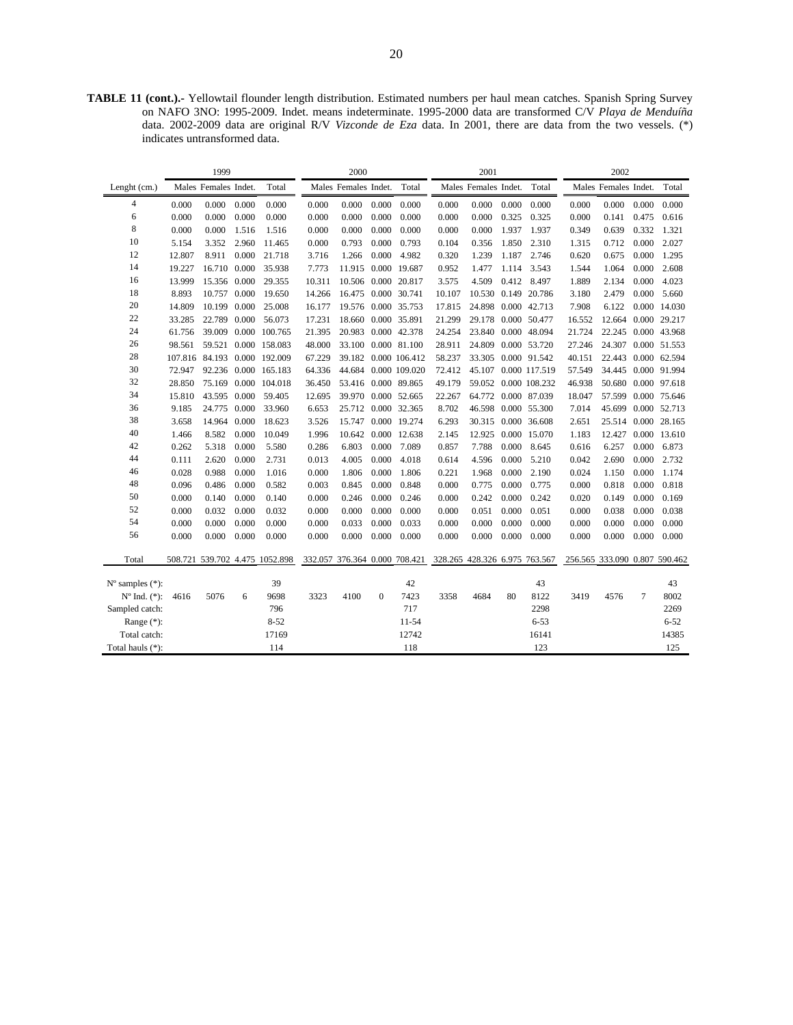**TABLE 11 (cont.).-** Yellowtail flounder length distribution. Estimated numbers per haul mean catches. Spanish Spring Survey on NAFO 3NO: 1995-2009. Indet. means indeterminate. 1995-2000 data are transformed C/V *Playa de Menduíña*  data. 2002-2009 data are original R/V *Vizconde de Eza* data. In 2001, there are data from the two vessels. (\*) indicates untransformed data.

|                             |        | 1999                 |       | 2000                           |        |                      |          |                      | 2001                                                        |                      |       |               | 2002   |                               |       |                     |
|-----------------------------|--------|----------------------|-------|--------------------------------|--------|----------------------|----------|----------------------|-------------------------------------------------------------|----------------------|-------|---------------|--------|-------------------------------|-------|---------------------|
| Lenght $(cm.)$              |        | Males Females Indet. |       | Total                          |        | Males Females Indet. |          | Total                |                                                             | Males Females Indet. |       | Total         |        | Males Females Indet.          |       | Total               |
| $\overline{4}$              | 0.000  | 0.000                | 0.000 | 0.000                          | 0.000  | 0.000                | 0.000    | 0.000                | 0.000                                                       | 0.000                | 0.000 | 0.000         | 0.000  | 0.000                         | 0.000 | 0.000               |
| 6                           | 0.000  | 0.000                | 0.000 | 0.000                          | 0.000  | 0.000                | 0.000    | 0.000                | 0.000                                                       | 0.000                | 0.325 | 0.325         | 0.000  | 0.141                         | 0.475 | 0.616               |
| 8                           | 0.000  | 0.000                | 1.516 | 1.516                          | 0.000  | 0.000                | 0.000    | 0.000                | 0.000                                                       | 0.000                | 1.937 | 1.937         | 0.349  | 0.639                         | 0.332 | 1.321               |
| 10                          | 5.154  | 3.352                | 2.960 | 11.465                         | 0.000  | 0.793                | 0.000    | 0.793                | 0.104                                                       | 0.356                | 1.850 | 2.310         | 1.315  | 0.712                         | 0.000 | 2.027               |
| 12                          | 12.807 | 8.911                | 0.000 | 21.718                         | 3.716  | 1.266                | 0.000    | 4.982                | 0.320                                                       | 1.239                | 1.187 | 2.746         | 0.620  | 0.675                         | 0.000 | 1.295               |
| 14                          | 19.227 | 16.710               | 0.000 | 35.938                         | 7.773  |                      |          | 11.915 0.000 19.687  | 0.952                                                       | 1.477                | 1.114 | 3.543         | 1.544  | 1.064                         | 0.000 | 2.608               |
| 16                          | 13.999 | 15.356 0.000         |       | 29.355                         | 10.311 |                      |          | 10.506 0.000 20.817  | 3.575                                                       | 4.509                | 0.412 | 8.497         | 1.889  | 2.134                         | 0.000 | 4.023               |
| 18                          | 8.893  | 10.757               | 0.000 | 19.650                         | 14.266 | 16.475 0.000 30.741  |          |                      | 10.107                                                      | 10.530               | 0.149 | 20.786        | 3.180  | 2.479                         | 0.000 | 5.660               |
| 20                          | 14.809 | 10.199               | 0.000 | 25.008                         | 16.177 |                      |          | 19.576 0.000 35.753  | 17.815                                                      | 24.898               |       | 0.000 42.713  | 7.908  | 6.122                         |       | 0.000 14.030        |
| 22                          | 33.285 | 22.789               | 0.000 | 56.073                         | 17.231 | 18.660               |          | 0.000 35.891         | 21.299                                                      | 29.178               |       | 0.000 50.477  | 16.552 | 12.664 0.000 29.217           |       |                     |
| 24                          | 61.756 | 39.009               |       | 0.000 100.765                  | 21.395 | 20.983 0.000 42.378  |          |                      | 24.254                                                      | 23.840               |       | 0.000 48.094  | 21.724 | 22.245 0.000 43.968           |       |                     |
| 26                          | 98.561 |                      |       | 59.521 0.000 158.083           | 48.000 | 33.100               |          | 0.000 81.100         | 28.911                                                      | 24.809               |       | 0.000 53.720  | 27.246 | 24.307 0.000 51.553           |       |                     |
| 28                          |        | 107.816 84.193       |       | 0.000 192.009                  | 67.229 |                      |          | 39.182 0.000 106.412 | 58.237                                                      | 33.305               |       | 0.000 91.542  | 40.151 | 22.443 0.000 62.594           |       |                     |
| 30                          | 72.947 |                      |       | 92.236 0.000 165.183           | 64.336 | 44.684               |          | 0.000 109.020        | 72.412                                                      | 45.107               |       | 0.000 117.519 | 57.549 | 34.445 0.000 91.994           |       |                     |
| 32                          | 28.850 |                      |       | 75.169 0.000 104.018           | 36.450 |                      |          | 53.416 0.000 89.865  | 49.179                                                      | 59.052               |       | 0.000 108.232 | 46.938 | 50.680 0.000 97.618           |       |                     |
| 34                          | 15.810 | 43.595               | 0.000 | 59.405                         | 12.695 | 39.970               |          | 0.000 52.665         | 22.267                                                      | 64.772               |       | 0.000 87.039  | 18.047 |                               |       | 57.599 0.000 75.646 |
| 36                          | 9.185  | 24.775               | 0.000 | 33.960                         | 6.653  | 25.712               |          | 0.000 32.365         | 8.702                                                       | 46.598               |       | 0.000 55.300  | 7.014  |                               |       | 45.699 0.000 52.713 |
| 38                          | 3.658  | 14.964               | 0.000 | 18.623                         | 3.526  | 15.747               |          | 0.000 19.274         | 6.293                                                       | 30.315               |       | 0.000 36.608  | 2.651  |                               |       | 25.514 0.000 28.165 |
| 40                          | 1.466  | 8.582                | 0.000 | 10.049                         | 1.996  |                      |          | 10.642 0.000 12.638  | 2.145                                                       | 12.925               |       | 0.000 15.070  | 1.183  |                               |       | 12.427 0.000 13.610 |
| 42                          | 0.262  | 5.318                | 0.000 | 5.580                          | 0.286  | 6.803                | 0.000    | 7.089                | 0.857                                                       | 7.788                | 0.000 | 8.645         | 0.616  | 6.257                         | 0.000 | 6.873               |
| 44                          | 0.111  | 2.620                | 0.000 | 2.731                          | 0.013  | 4.005                | 0.000    | 4.018                | 0.614                                                       | 4.596                | 0.000 | 5.210         | 0.042  | 2.690                         | 0.000 | 2.732               |
| 46                          | 0.028  | 0.988                | 0.000 | 1.016                          | 0.000  | 1.806                | 0.000    | 1.806                | 0.221                                                       | 1.968                | 0.000 | 2.190         | 0.024  | 1.150                         | 0.000 | 1.174               |
| 48                          | 0.096  | 0.486                | 0.000 | 0.582                          | 0.003  | 0.845                | 0.000    | 0.848                | 0.000                                                       | 0.775                | 0.000 | 0.775         | 0.000  | 0.818                         | 0.000 | 0.818               |
| 50                          | 0.000  | 0.140                | 0.000 | 0.140                          | 0.000  | 0.246                | 0.000    | 0.246                | 0.000                                                       | 0.242                | 0.000 | 0.242         | 0.020  | 0.149                         | 0.000 | 0.169               |
| 52                          | 0.000  | 0.032                | 0.000 | 0.032                          | 0.000  | 0.000                | 0.000    | 0.000                | 0.000                                                       | 0.051                | 0.000 | 0.051         | 0.000  | 0.038                         | 0.000 | 0.038               |
| 54                          | 0.000  | 0.000                | 0.000 | 0.000                          | 0.000  | 0.033                | 0.000    | 0.033                | 0.000                                                       | 0.000                | 0.000 | 0.000         | 0.000  | 0.000                         | 0.000 | 0.000               |
| 56                          | 0.000  | 0.000                | 0.000 | 0.000                          | 0.000  | 0.000                | 0.000    | 0.000                | 0.000                                                       | 0.000                | 0.000 | 0.000         | 0.000  | 0.000                         | 0.000 | 0.000               |
| Total                       |        |                      |       | 508.721 539.702 4.475 1052.898 |        |                      |          |                      | 332.057 376.364 0.000 708.421 328.265 428.326 6.975 763.567 |                      |       |               |        | 256.565 333.090 0.807 590.462 |       |                     |
| $N^{\circ}$ samples $(*)$ : |        |                      |       | 39                             |        |                      |          | 42                   |                                                             |                      |       | 43            |        |                               |       | 43                  |
| $N^{\circ}$ Ind. $(*)$ :    | 4616   | 5076                 | 6     | 9698                           | 3323   | 4100                 | $\Omega$ | 7423                 | 3358                                                        | 4684                 | 80    | 8122          | 3419   | 4576                          | 7     | 8002                |
| Sampled catch:              |        |                      |       | 796                            |        |                      |          | 717                  |                                                             |                      |       | 2298          |        |                               |       | 2269                |
| Range $(*)$ :               |        |                      |       | $8 - 52$                       |        |                      |          | $11 - 54$            |                                                             |                      |       | $6 - 53$      |        |                               |       | $6 - 52$            |
| Total catch:                |        |                      |       | 17169                          |        |                      |          | 12742                |                                                             |                      |       | 16141         |        |                               |       | 14385               |
| Total hauls $(*)$ :         |        |                      |       | 114                            |        |                      |          | 118                  |                                                             |                      |       | 123           |        |                               |       | 125                 |
|                             |        |                      |       |                                |        |                      |          |                      |                                                             |                      |       |               |        |                               |       |                     |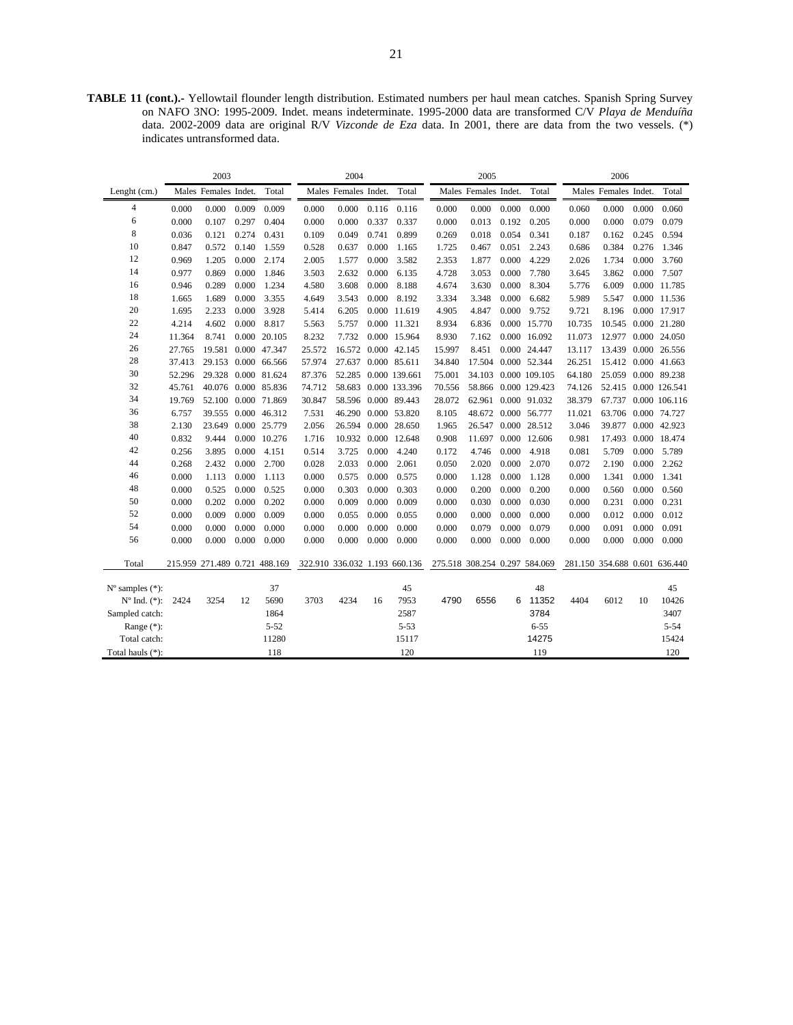**TABLE 11 (cont.).-** Yellowtail flounder length distribution. Estimated numbers per haul mean catches. Spanish Spring Survey on NAFO 3NO: 1995-2009. Indet. means indeterminate. 1995-2000 data are transformed C/V *Playa de Menduíña*  data. 2002-2009 data are original R/V *Vizconde de Eza* data. In 2001, there are data from the two vessels. (\*) indicates untransformed data.

|                             |        | 2003                 |       |                               |        | 2004                          |       |                      |                               | 2005                 |       |               |        | 2006                          |       |                      |
|-----------------------------|--------|----------------------|-------|-------------------------------|--------|-------------------------------|-------|----------------------|-------------------------------|----------------------|-------|---------------|--------|-------------------------------|-------|----------------------|
| Lenght (cm.)                |        | Males Females Indet. |       | Total                         |        | Males Females Indet.          |       | Total                |                               | Males Females Indet. |       | Total         |        | Males Females Indet.          |       | Total                |
| 4                           | 0.000  | 0.000                | 0.009 | 0.009                         | 0.000  | 0.000                         | 0.116 | 0.116                | 0.000                         | 0.000                | 0.000 | 0.000         | 0.060  | 0.000                         | 0.000 | 0.060                |
| 6                           | 0.000  | 0.107                | 0.297 | 0.404                         | 0.000  | 0.000                         | 0.337 | 0.337                | 0.000                         | 0.013                | 0.192 | 0.205         | 0.000  | 0.000                         | 0.079 | 0.079                |
| 8                           | 0.036  | 0.121                | 0.274 | 0.431                         | 0.109  | 0.049                         | 0.741 | 0.899                | 0.269                         | 0.018                | 0.054 | 0.341         | 0.187  | 0.162                         | 0.245 | 0.594                |
| 10                          | 0.847  | 0.572                | 0.140 | 1.559                         | 0.528  | 0.637                         | 0.000 | 1.165                | 1.725                         | 0.467                | 0.051 | 2.243         | 0.686  | 0.384                         | 0.276 | 1.346                |
| 12                          | 0.969  | 1.205                | 0.000 | 2.174                         | 2.005  | 1.577                         | 0.000 | 3.582                | 2.353                         | 1.877                | 0.000 | 4.229         | 2.026  | 1.734                         | 0.000 | 3.760                |
| 14                          | 0.977  | 0.869                | 0.000 | 1.846                         | 3.503  | 2.632                         | 0.000 | 6.135                | 4.728                         | 3.053                | 0.000 | 7.780         | 3.645  | 3.862                         | 0.000 | 7.507                |
| 16                          | 0.946  | 0.289                | 0.000 | 1.234                         | 4.580  | 3.608                         | 0.000 | 8.188                | 4.674                         | 3.630                | 0.000 | 8.304         | 5.776  | 6.009                         |       | 0.000 11.785         |
| 18                          | 1.665  | 1.689                | 0.000 | 3.355                         | 4.649  | 3.543                         | 0.000 | 8.192                | 3.334                         | 3.348                | 0.000 | 6.682         | 5.989  | 5.547                         |       | 0.000 11.536         |
| 20                          | 1.695  | 2.233                | 0.000 | 3.928                         | 5.414  | 6.205                         |       | 0.000 11.619         | 4.905                         | 4.847                | 0.000 | 9.752         | 9.721  | 8.196                         |       | 0.000 17.917         |
| $22\,$                      | 4.214  | 4.602                | 0.000 | 8.817                         | 5.563  | 5.757                         |       | 0.000 11.321         | 8.934                         | 6.836                |       | 0.000 15.770  | 10.735 |                               |       | 10.545 0.000 21.280  |
| 24                          | 11.364 | 8.741                |       | 0.000 20.105                  | 8.232  | 7.732                         |       | 0.000 15.964         | 8.930                         | 7.162                |       | 0.000 16.092  | 11.073 | 12.977 0.000 24.050           |       |                      |
| 26                          | 27.765 | 19.581               |       | 0.000 47.347                  | 25.572 | 16.572                        |       | 0.000 42.145         | 15.997                        | 8.451                |       | 0.000 24.447  | 13.117 | 13.439 0.000 26.556           |       |                      |
| 28                          | 37.413 | 29.153               |       | 0.000 66.566                  | 57.974 | 27.637                        |       | 0.000 85.611         | 34.840                        | 17.504               |       | 0.000 52.344  | 26.251 | 15.412 0.000 41.663           |       |                      |
| 30                          | 52.296 | 29.328               |       | 0.000 81.624                  | 87.376 |                               |       | 52.285 0.000 139.661 | 75.001                        | 34.103               |       | 0.000 109.105 | 64.180 | 25.059 0.000 89.238           |       |                      |
| 32                          | 45.761 |                      |       | 40.076 0.000 85.836           | 74.712 |                               |       | 58.683 0.000 133.396 | 70.556                        | 58.866               |       | 0.000 129.423 | 74.126 |                               |       | 52.415 0.000 126.541 |
| 34                          | 19.769 | 52.100               |       | 0.000 71.869                  | 30.847 | 58.596                        |       | 0.000 89.443         | 28.072                        | 62.961               |       | 0.000 91.032  | 38.379 |                               |       | 67.737 0.000 106.116 |
| 36                          | 6.757  | 39.555               |       | 0.000 46.312                  | 7.531  |                               |       | 46.290 0.000 53.820  | 8.105                         | 48.672               |       | 0.000 56.777  | 11.021 |                               |       | 63.706 0.000 74.727  |
| 38                          | 2.130  | 23.649               | 0.000 | 25.779                        | 2.056  |                               |       | 26.594 0.000 28.650  | 1.965                         | 26.547               | 0.000 | 28.512        | 3.046  | 39.877                        |       | 0.000 42.923         |
| 40                          | 0.832  | 9.444                | 0.000 | 10.276                        | 1.716  |                               |       | 10.932 0.000 12.648  | 0.908                         | 11.697               | 0.000 | 12.606        | 0.981  | 17.493                        |       | 0.000 18.474         |
| 42                          | 0.256  | 3.895                | 0.000 | 4.151                         | 0.514  | 3.725                         | 0.000 | 4.240                | 0.172                         | 4.746                | 0.000 | 4.918         | 0.081  | 5.709                         | 0.000 | 5.789                |
| 44                          | 0.268  | 2.432                | 0.000 | 2.700                         | 0.028  | 2.033                         | 0.000 | 2.061                | 0.050                         | 2.020                | 0.000 | 2.070         | 0.072  | 2.190                         | 0.000 | 2.262                |
| 46                          | 0.000  | 1.113                | 0.000 | 1.113                         | 0.000  | 0.575                         | 0.000 | 0.575                | 0.000                         | 1.128                | 0.000 | 1.128         | 0.000  | 1.341                         | 0.000 | 1.341                |
| 48                          | 0.000  | 0.525                | 0.000 | 0.525                         | 0.000  | 0.303                         | 0.000 | 0.303                | 0.000                         | 0.200                | 0.000 | 0.200         | 0.000  | 0.560                         | 0.000 | 0.560                |
| 50                          | 0.000  | 0.202                | 0.000 | 0.202                         | 0.000  | 0.009                         | 0.000 | 0.009                | 0.000                         | 0.030                | 0.000 | 0.030         | 0.000  | 0.231                         | 0.000 | 0.231                |
| 52                          | 0.000  | 0.009                | 0.000 | 0.009                         | 0.000  | 0.055                         | 0.000 | 0.055                | 0.000                         | 0.000                | 0.000 | 0.000         | 0.000  | 0.012                         | 0.000 | 0.012                |
| 54                          | 0.000  | 0.000                | 0.000 | 0.000                         | 0.000  | 0.000                         | 0.000 | 0.000                | 0.000                         | 0.079                | 0.000 | 0.079         | 0.000  | 0.091                         | 0.000 | 0.091                |
| 56                          | 0.000  | 0.000                | 0.000 | 0.000                         | 0.000  | 0.000                         | 0.000 | 0.000                | 0.000                         | 0.000                | 0.000 | 0.000         | 0.000  | 0.000                         | 0.000 | 0.000                |
| Total                       |        |                      |       | 215.959 271.489 0.721 488.169 |        | 322.910 336.032 1.193 660.136 |       |                      | 275.518 308.254 0.297 584.069 |                      |       |               |        | 281.150 354.688 0.601 636.440 |       |                      |
| $N^{\circ}$ samples $(*)$ : |        |                      |       | 37                            |        |                               |       | 45                   |                               |                      |       | 48            |        |                               |       | 45                   |
| $N^{\circ}$ Ind. $(*)$ :    | 2424   | 3254                 | 12    | 5690                          | 3703   | 4234                          | 16    | 7953                 | 4790                          | 6556                 | 6     | 11352         | 4404   | 6012                          | 10    | 10426                |
| Sampled catch:              |        |                      |       | 1864                          |        |                               |       | 2587                 |                               |                      |       | 3784          |        |                               |       | 3407                 |
| Range $(*)$ :               |        |                      |       | $5 - 52$                      |        |                               |       | $5 - 53$             |                               |                      |       | $6 - 55$      |        |                               |       | $5 - 54$             |
| Total catch:                |        |                      |       | 11280                         |        |                               |       | 15117                |                               |                      |       | 14275         |        |                               |       | 15424                |
| Total hauls (*):            |        |                      |       | 118                           |        |                               |       | 120                  |                               |                      |       | 119           |        |                               |       | 120                  |
|                             |        |                      |       |                               |        |                               |       |                      |                               |                      |       |               |        |                               |       |                      |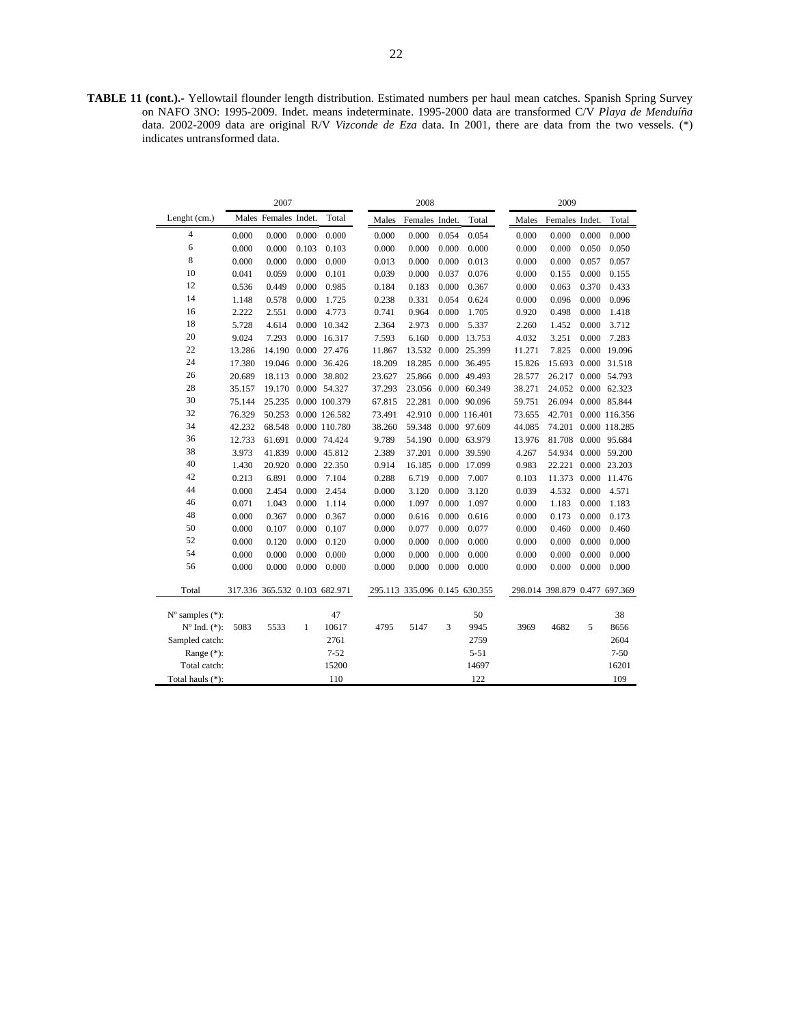**TABLE 11 (cont.).-** Yellowtail flounder length distribution. Estimated numbers per haul mean catches. Spanish Spring Survey on NAFO 3NO: 1995-2009. Indet. means indeterminate. 1995-2000 data are transformed C/V *Playa de Menduíña*  data. 2002-2009 data are original R/V *Vizconde de Eza* data. In 2001, there are data from the two vessels. (\*) indicates untransformed data.

|                             |        | 2007                          |              |               |        | 2008                          |       |               |        | 2009                          |       |               |
|-----------------------------|--------|-------------------------------|--------------|---------------|--------|-------------------------------|-------|---------------|--------|-------------------------------|-------|---------------|
| Lenght (cm.)                |        | Males Females Indet.          |              | Total         | Males  | Females Indet.                |       | Total         | Males  | Females Indet.                |       | Total         |
| $\overline{4}$              | 0.000  | 0.000                         | 0.000        | 0.000         | 0.000  | 0.000                         | 0.054 | 0.054         | 0.000  | 0.000                         | 0.000 | 0.000         |
| 6                           | 0.000  | 0.000                         | 0.103        | 0.103         | 0.000  | 0.000                         | 0.000 | 0.000         | 0.000  | 0.000                         | 0.050 | 0.050         |
| 8                           | 0.000  | 0.000                         | 0.000        | 0.000         | 0.013  | 0.000                         | 0.000 | 0.013         | 0.000  | 0.000                         | 0.057 | 0.057         |
| 10                          | 0.041  | 0.059                         | 0.000        | 0.101         | 0.039  | 0.000                         | 0.037 | 0.076         | 0.000  | 0.155                         | 0.000 | 0.155         |
| 12                          | 0.536  | 0.449                         | 0.000        | 0.985         | 0.184  | 0.183                         | 0.000 | 0.367         | 0.000  | 0.063                         | 0.370 | 0.433         |
| 14                          | 1.148  | 0.578                         | 0.000        | 1.725         | 0.238  | 0.331                         | 0.054 | 0.624         | 0.000  | 0.096                         | 0.000 | 0.096         |
| 16                          | 2.222  | 2.551                         | 0.000        | 4.773         | 0.741  | 0.964                         | 0.000 | 1.705         | 0.920  | 0.498                         | 0.000 | 1.418         |
| 18                          | 5.728  | 4.614                         | 0.000        | 10.342        | 2.364  | 2.973                         | 0.000 | 5.337         | 2.260  | 1.452                         | 0.000 | 3.712         |
| 20                          | 9.024  | 7.293                         | 0.000        | 16.317        | 7.593  | 6.160                         | 0.000 | 13.753        | 4.032  | 3.251                         | 0.000 | 7.283         |
| 22                          | 13.286 | 14.190                        |              | 0.000 27.476  | 11.867 | 13.532                        |       | 0.000 25.399  | 11.271 | 7.825                         |       | 0.000 19.096  |
| 24                          | 17.380 | 19.046                        |              | 0.000 36.426  | 18.209 | 18.285                        | 0.000 | 36.495        | 15.826 | 15.693                        |       | 0.000 31.518  |
| 26                          | 20.689 | 18.113                        |              | 0.000 38.802  | 23.627 | 25.866                        | 0.000 | 49.493        | 28.577 | 26.217                        |       | 0.000 54.793  |
| 28                          | 35.157 | 19.170                        |              | 0.000 54.327  | 37.293 | 23.056                        | 0.000 | 60.349        | 38.271 | 24.052                        |       | 0.000 62.323  |
| 30                          | 75.144 | 25.235                        |              | 0.000 100.379 | 67.815 | 22.281                        | 0.000 | 90.096        | 59.751 | 26.094                        |       | 0.000 85.844  |
| 32                          | 76.329 | 50.253                        |              | 0.000 126.582 | 73.491 | 42.910                        |       | 0.000 116.401 | 73.655 | 42.701                        |       | 0.000 116.356 |
| 34                          | 42.232 | 68.548                        |              | 0.000 110.780 | 38.260 | 59.348                        | 0.000 | 97.609        | 44.085 | 74.201                        |       | 0.000 118.285 |
| 36                          | 12.733 | 61.691                        |              | 0.000 74.424  | 9.789  | 54.190                        | 0.000 | 63.979        | 13.976 | 81.708                        |       | 0.000 95.684  |
| 38                          | 3.973  | 41.839                        |              | 0.000 45.812  | 2.389  | 37.201                        |       | 0.000 39.590  | 4.267  | 54.934                        |       | 0.000 59.200  |
| 40                          | 1.430  | 20.920                        |              | 0.000 22.350  | 0.914  | 16.185                        | 0.000 | 17.099        | 0.983  | 22.221                        |       | 0.000 23.203  |
| 42                          | 0.213  | 6.891                         | 0.000        | 7.104         | 0.288  | 6.719                         | 0.000 | 7.007         | 0.103  | 11.373                        |       | 0.000 11.476  |
| 44                          | 0.000  | 2.454                         | 0.000        | 2.454         | 0.000  | 3.120                         | 0.000 | 3.120         | 0.039  | 4.532                         | 0.000 | 4.571         |
| 46                          | 0.071  | 1.043                         | 0.000        | 1.114         | 0.000  | 1.097                         | 0.000 | 1.097         | 0.000  | 1.183                         | 0.000 | 1.183         |
| 48                          | 0.000  | 0.367                         | 0.000        | 0.367         | 0.000  | 0.616                         | 0.000 | 0.616         | 0.000  | 0.173                         | 0.000 | 0.173         |
| 50                          | 0.000  | 0.107                         | 0.000        | 0.107         | 0.000  | 0.077                         | 0.000 | 0.077         | 0.000  | 0.460                         | 0.000 | 0.460         |
| 52                          | 0.000  | 0.120                         | 0.000        | 0.120         | 0.000  | 0.000                         | 0.000 | 0.000         | 0.000  | 0.000                         | 0.000 | 0.000         |
| 54                          | 0.000  | 0.000                         | 0.000        | 0.000         | 0.000  | 0.000                         | 0.000 | 0.000         | 0.000  | 0.000                         | 0.000 | 0.000         |
| 56                          | 0.000  | 0.000                         | 0.000        | 0.000         | 0.000  | 0.000                         | 0.000 | 0.000         | 0.000  | 0.000                         | 0.000 | 0.000         |
|                             |        |                               |              |               |        |                               |       |               |        |                               |       |               |
| Total                       |        | 317.336 365.532 0.103 682.971 |              |               |        | 295.113 335.096 0.145 630.355 |       |               |        | 298.014 398.879 0.477 697.369 |       |               |
| $N^{\circ}$ samples $(*)$ : |        |                               |              | 47            |        |                               |       | 50            |        |                               |       | 38            |
| $No$ Ind. $(*)$ :           | 5083   | 5533                          | $\mathbf{1}$ | 10617         | 4795   | 5147                          | 3     | 9945          | 3969   | 4682                          | 5     | 8656          |
| Sampled catch:              |        |                               |              | 2761          |        |                               |       | 2759          |        |                               |       | 2604          |
| Range (*):                  |        |                               |              | $7 - 52$      |        |                               |       | $5 - 51$      |        |                               |       | $7 - 50$      |
| Total catch:                |        |                               |              | 15200         |        |                               |       | 14697         |        |                               |       | 16201         |
| Total hauls (*):            |        |                               |              | 110           |        |                               |       | 122           |        |                               |       | 109           |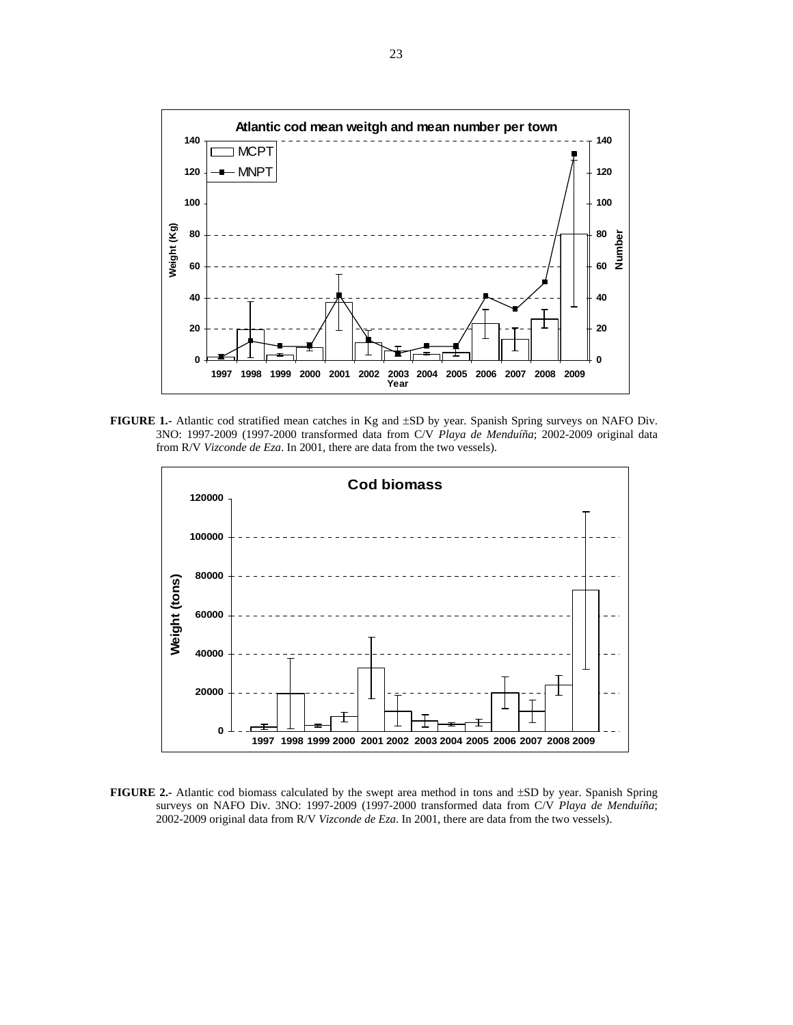

**FIGURE 1.-** Atlantic cod stratified mean catches in Kg and ±SD by year. Spanish Spring surveys on NAFO Div. 3NO: 1997-2009 (1997-2000 transformed data from C/V *Playa de Menduíña*; 2002-2009 original data from R/V *Vizconde de Eza*. In 2001, there are data from the two vessels).



**FIGURE 2.-** Atlantic cod biomass calculated by the swept area method in tons and ±SD by year. Spanish Spring surveys on NAFO Div. 3NO: 1997-2009 (1997-2000 transformed data from C/V *Playa de Menduíña*; 2002-2009 original data from R/V *Vizconde de Eza*. In 2001, there are data from the two vessels).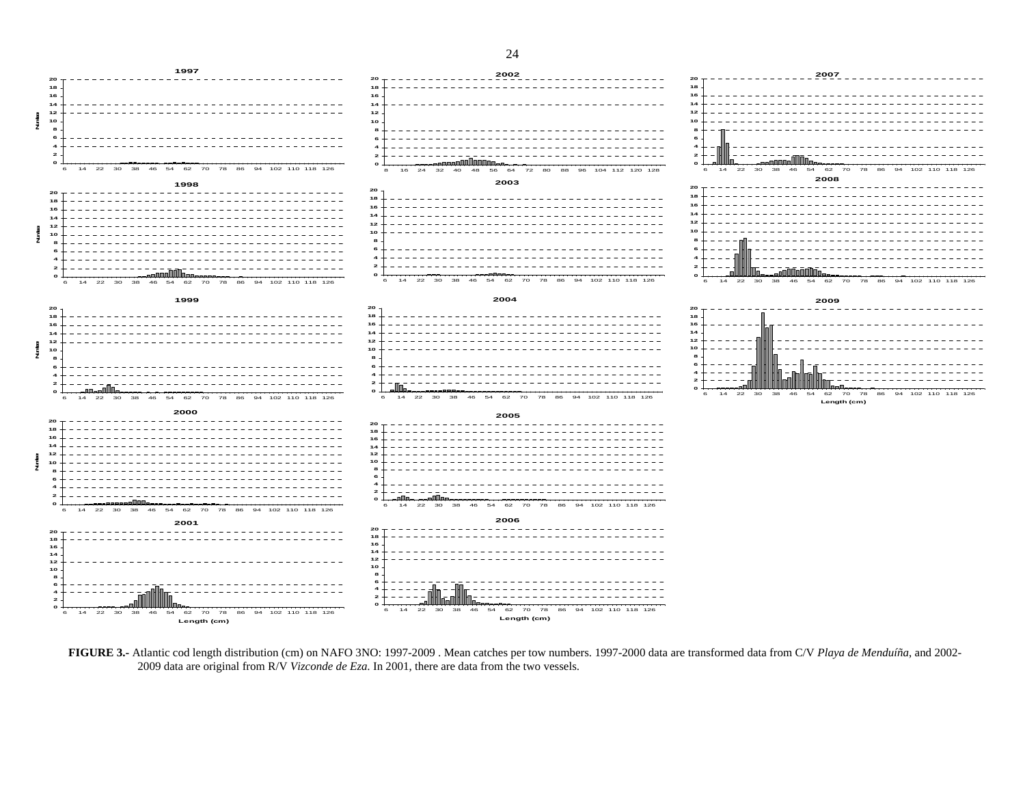



**FIGURE 3.-** Atlantic cod length distribution (cm) on NAFO 3NO: 1997-2009 . Mean catches per tow numbers. 1997-2000 data are transformed data from C/V *Playa de Menduíña*, and 2002- 2009 data are original from R/V *Vizconde de Eza*. In 2001, there are data from the two vessels.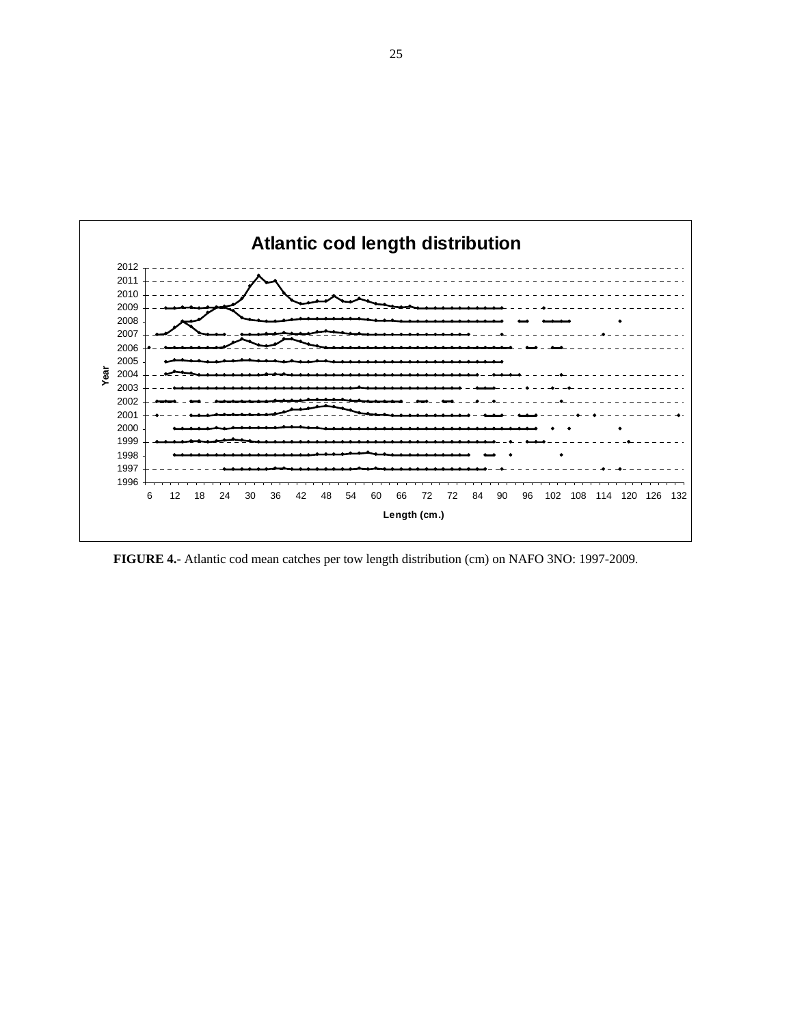

 **FIGURE 4.-** Atlantic cod mean catches per tow length distribution (cm) on NAFO 3NO: 1997-2009.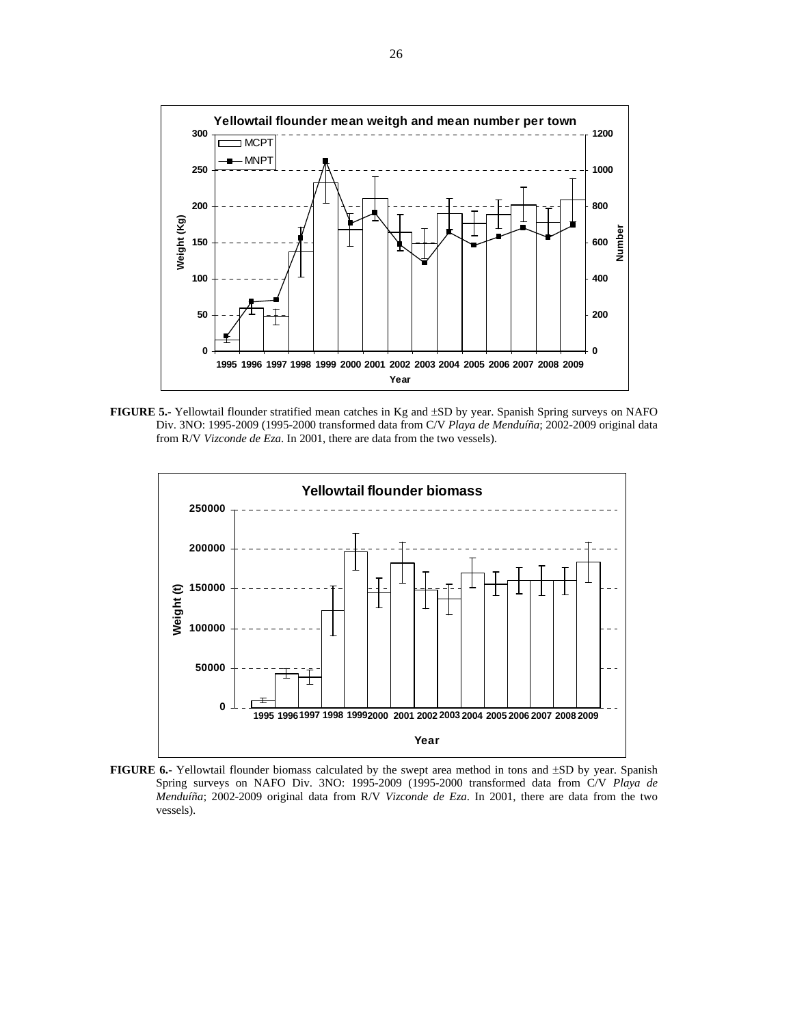

**FIGURE 5.-** Yellowtail flounder stratified mean catches in Kg and ±SD by year. Spanish Spring surveys on NAFO Div. 3NO: 1995-2009 (1995-2000 transformed data from C/V *Playa de Menduíña*; 2002-2009 original data from R/V *Vizconde de Eza*. In 2001, there are data from the two vessels).



**FIGURE 6.-** Yellowtail flounder biomass calculated by the swept area method in tons and ±SD by year. Spanish Spring surveys on NAFO Div. 3NO: 1995-2009 (1995-2000 transformed data from C/V *Playa de Menduíña*; 2002-2009 original data from R/V *Vizconde de Eza*. In 2001, there are data from the two vessels).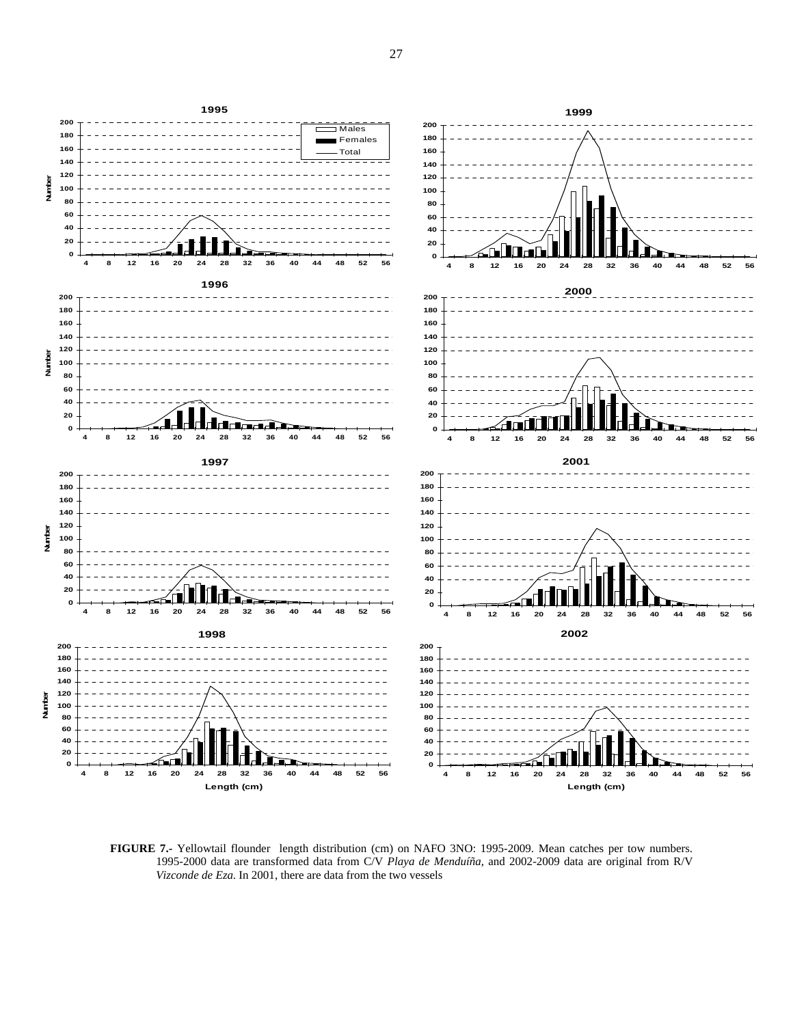

**FIGURE 7.-** Yellowtail flounder length distribution (cm) on NAFO 3NO: 1995-2009. Mean catches per tow numbers. 1995-2000 data are transformed data from C/V *Playa de Menduíña*, and 2002-2009 data are original from R/V *Vizconde de Eza*. In 2001, there are data from the two vessels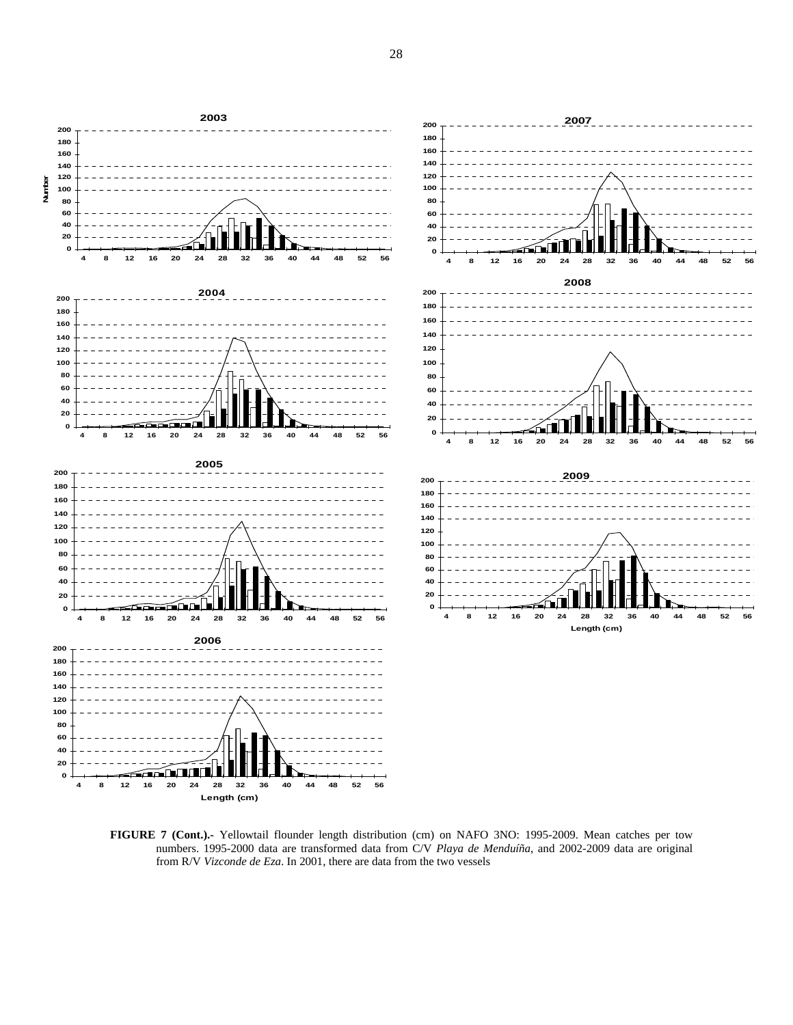

**FIGURE 7 (Cont.).-** Yellowtail flounder length distribution (cm) on NAFO 3NO: 1995-2009. Mean catches per tow numbers. 1995-2000 data are transformed data from C/V *Playa de Menduíña*, and 2002-2009 data are original from R/V *Vizconde de Eza*. In 2001, there are data from the two vessels